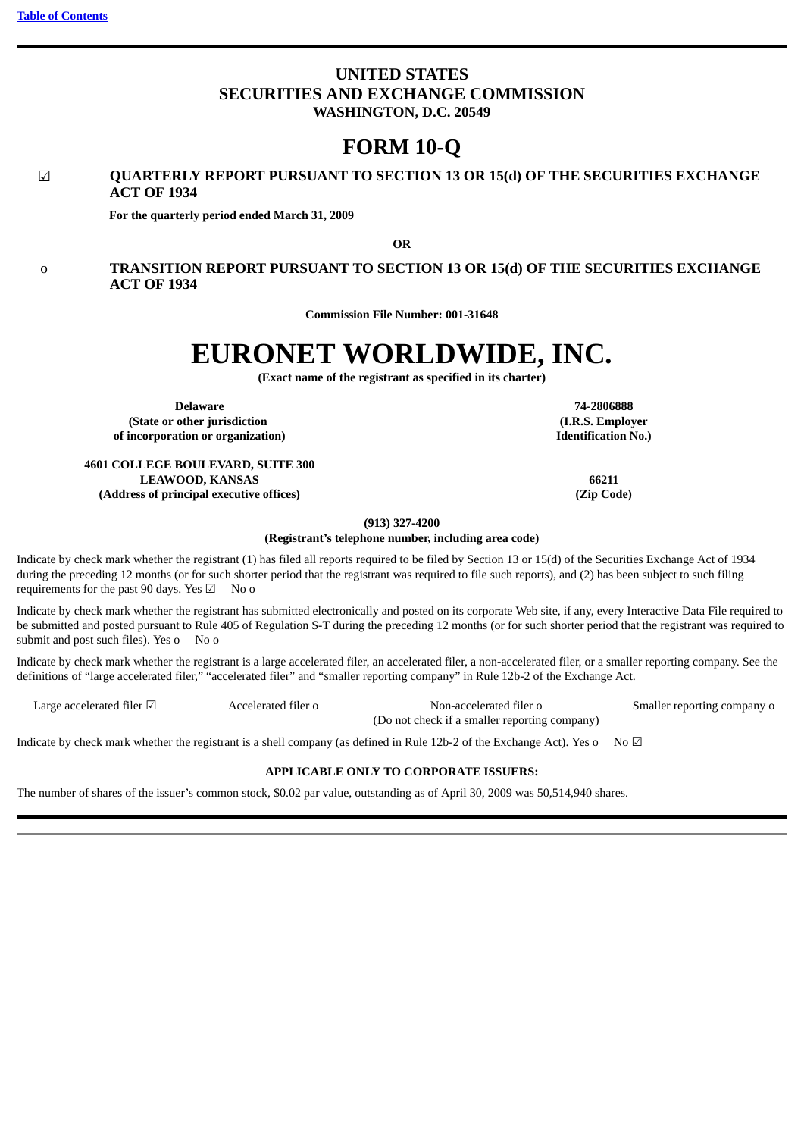## **UNITED STATES SECURITIES AND EXCHANGE COMMISSION WASHINGTON, D.C. 20549**

## **FORM 10-Q**

## ☑ **QUARTERLY REPORT PURSUANT TO SECTION 13 OR 15(d) OF THE SECURITIES EXCHANGE ACT OF 1934**

**For the quarterly period ended March 31, 2009**

**OR**

## o **TRANSITION REPORT PURSUANT TO SECTION 13 OR 15(d) OF THE SECURITIES EXCHANGE ACT OF 1934**

**Commission File Number: 001-31648**

# **EURONET WORLDWIDE, INC.**

**(Exact name of the registrant as specified in its charter)**

**Delaware 74-2806888 (State or other jurisdiction of incorporation or organization)**

**4601 COLLEGE BOULEVARD, SUITE 300 LEAWOOD, KANSAS (Address of principal executive offices)**

**(I.R.S. Employer Identification No.)**

> **66211 (Zip Code)**

**(913) 327-4200**

**(Registrant's telephone number, including area code)**

Indicate by check mark whether the registrant (1) has filed all reports required to be filed by Section 13 or 15(d) of the Securities Exchange Act of 1934 during the preceding 12 months (or for such shorter period that the registrant was required to file such reports), and (2) has been subject to such filing requirements for the past 90 days. Yes  $\boxtimes$  No o

Indicate by check mark whether the registrant has submitted electronically and posted on its corporate Web site, if any, every Interactive Data File required to be submitted and posted pursuant to Rule 405 of Regulation S-T during the preceding 12 months (or for such shorter period that the registrant was required to submit and post such files). Yes o No o

Indicate by check mark whether the registrant is a large accelerated filer, an accelerated filer, a non-accelerated filer, or a smaller reporting company. See the definitions of "large accelerated filer," "accelerated filer" and "smaller reporting company" in Rule 12b-2 of the Exchange Act.

Large accelerated filer **☑** Accelerated filer o Non-accelerated filer o Smaller reporting company o (Do not check if a smaller reporting company)

Indicate by check mark whether the registrant is a shell company (as defined in Rule 12b-2 of the Exchange Act). Yes o No  $\boxtimes$ 

#### **APPLICABLE ONLY TO CORPORATE ISSUERS:**

The number of shares of the issuer's common stock, \$0.02 par value, outstanding as of April 30, 2009 was 50,514,940 shares.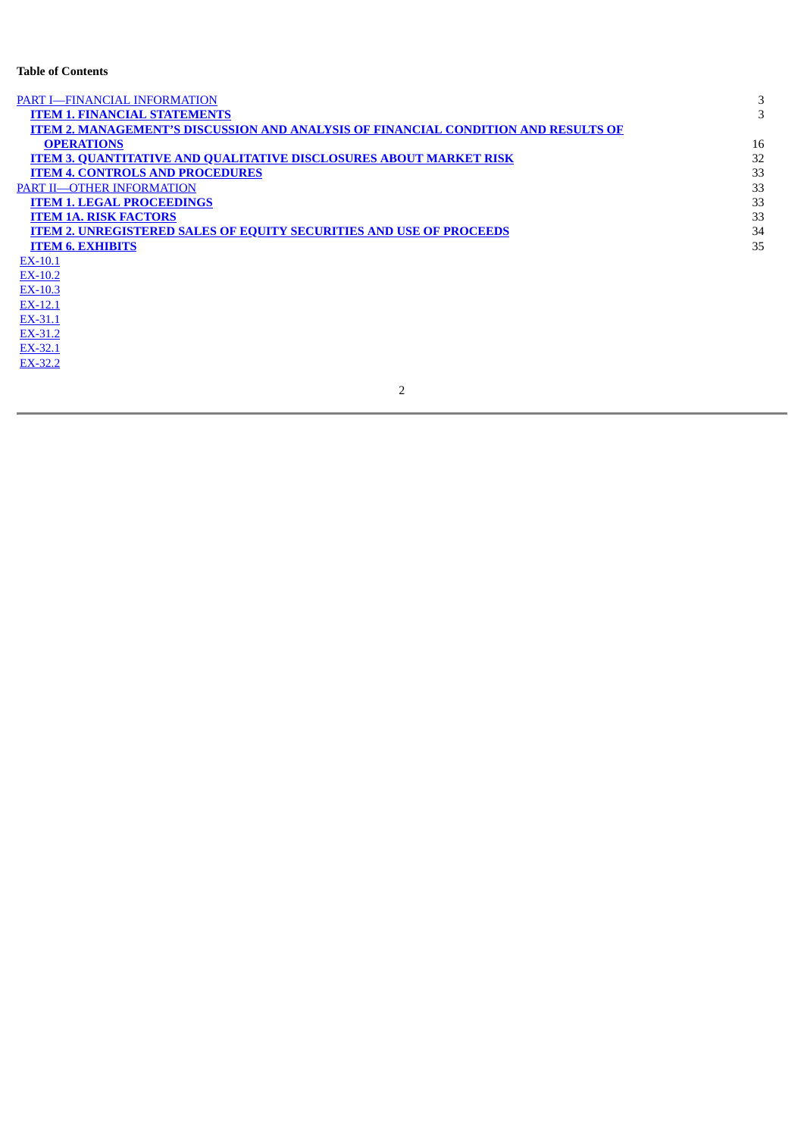## **Table of Contents**

EX-12.1 EX-31.1 EX-31.2 EX-32.1 EX-32.2

<span id="page-2-0"></span>

| <b>PART I-FINANCIAL INFORMATION</b>                                                       | 3  |
|-------------------------------------------------------------------------------------------|----|
| <b>ITEM 1. FINANCIAL STATEMENTS</b>                                                       | 3  |
| <b>ITEM 2. MANAGEMENT'S DISCUSSION AND ANALYSIS OF FINANCIAL CONDITION AND RESULTS OF</b> |    |
| <b>OPERATIONS</b>                                                                         | 16 |
| <b>ITEM 3. QUANTITATIVE AND QUALITATIVE DISCLOSURES ABOUT MARKET RISK</b>                 | 32 |
| <b>ITEM 4. CONTROLS AND PROCEDURES</b>                                                    | 33 |
| <b>PART II-OTHER INFORMATION</b>                                                          | 33 |
| <b>ITEM 1. LEGAL PROCEEDINGS</b>                                                          | 33 |
| <b>ITEM 1A. RISK FACTORS</b>                                                              | 33 |
| <b>ITEM 2. UNREGISTERED SALES OF EQUITY SECURITIES AND USE OF PROCEEDS</b>                | 34 |
| <b>ITEM 6. EXHIBITS</b>                                                                   | 35 |
| $EX-10.1$                                                                                 |    |
| $EX-10.2$                                                                                 |    |
| EX-10.3                                                                                   |    |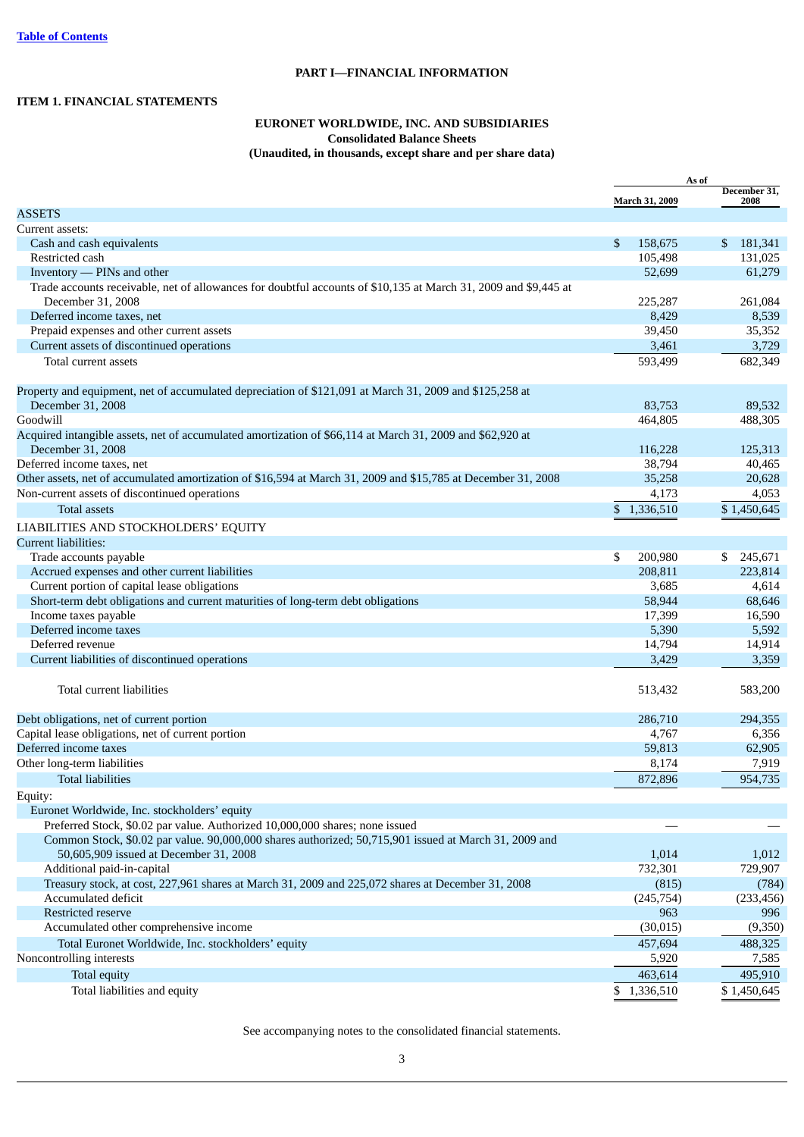## **PART I—FINANCIAL INFORMATION**

## <span id="page-3-1"></span><span id="page-3-0"></span>**ITEM 1. FINANCIAL STATEMENTS**

## **EURONET WORLDWIDE, INC. AND SUBSIDIARIES Consolidated Balance Sheets (Unaudited, in thousands, except share and per share data)**

|                                                                                                                 | As of |                |                      |
|-----------------------------------------------------------------------------------------------------------------|-------|----------------|----------------------|
|                                                                                                                 |       | March 31, 2009 | December 31,<br>2008 |
| <b>ASSETS</b>                                                                                                   |       |                |                      |
| Current assets:                                                                                                 |       |                |                      |
| Cash and cash equivalents                                                                                       | \$    | 158,675        | 181,341<br>\$        |
| Restricted cash                                                                                                 |       | 105,498        | 131,025              |
| Inventory — PINs and other                                                                                      |       | 52,699         | 61,279               |
| Trade accounts receivable, net of allowances for doubtful accounts of \$10,135 at March 31, 2009 and \$9,445 at |       |                |                      |
| December 31, 2008                                                                                               |       | 225,287        | 261,084              |
| Deferred income taxes, net                                                                                      |       | 8,429          | 8,539                |
| Prepaid expenses and other current assets                                                                       |       | 39,450         | 35,352               |
| Current assets of discontinued operations                                                                       |       | 3,461          | 3,729                |
| Total current assets                                                                                            |       | 593,499        | 682,349              |
|                                                                                                                 |       |                |                      |
| Property and equipment, net of accumulated depreciation of \$121,091 at March 31, 2009 and \$125,258 at         |       |                |                      |
| December 31, 2008                                                                                               |       | 83,753         | 89,532               |
| Goodwill                                                                                                        |       | 464,805        | 488,305              |
| Acquired intangible assets, net of accumulated amortization of \$66,114 at March 31, 2009 and \$62,920 at       |       |                |                      |
| December 31, 2008                                                                                               |       | 116,228        | 125,313              |
| Deferred income taxes, net                                                                                      |       | 38,794         | 40,465               |
| Other assets, net of accumulated amortization of \$16,594 at March 31, 2009 and \$15,785 at December 31, 2008   |       | 35,258         | 20,628               |
| Non-current assets of discontinued operations                                                                   |       | 4,173          | 4,053                |
| <b>Total assets</b>                                                                                             |       |                |                      |
|                                                                                                                 |       | \$1,336,510    | \$1,450,645          |
| LIABILITIES AND STOCKHOLDERS' EQUITY                                                                            |       |                |                      |
| <b>Current liabilities:</b>                                                                                     |       |                |                      |
| Trade accounts payable                                                                                          | \$    | 200,980        | 245,671<br>\$        |
| Accrued expenses and other current liabilities                                                                  |       | 208,811        | 223,814              |
| Current portion of capital lease obligations                                                                    |       | 3,685          | 4,614                |
| Short-term debt obligations and current maturities of long-term debt obligations                                |       | 58,944         | 68,646               |
| Income taxes payable                                                                                            |       | 17,399         | 16,590               |
| Deferred income taxes                                                                                           |       | 5,390          | 5,592                |
| Deferred revenue                                                                                                |       | 14,794         | 14,914               |
| Current liabilities of discontinued operations                                                                  |       | 3,429          | 3,359                |
|                                                                                                                 |       |                |                      |
| Total current liabilities                                                                                       |       | 513,432        | 583,200              |
|                                                                                                                 |       |                |                      |
| Debt obligations, net of current portion                                                                        |       | 286,710        | 294,355              |
| Capital lease obligations, net of current portion                                                               |       | 4,767          | 6,356                |
| Deferred income taxes                                                                                           |       | 59,813         | 62,905               |
| Other long-term liabilities                                                                                     |       | 8,174          | 7,919                |
| <b>Total liabilities</b>                                                                                        |       | 872,896        | 954,735              |
| Equity:                                                                                                         |       |                |                      |
| Euronet Worldwide, Inc. stockholders' equity                                                                    |       |                |                      |
| Preferred Stock, \$0.02 par value. Authorized 10,000,000 shares; none issued                                    |       |                |                      |
| Common Stock, \$0.02 par value. 90,000,000 shares authorized; 50,715,901 issued at March 31, 2009 and           |       |                |                      |
| 50,605,909 issued at December 31, 2008                                                                          |       | 1,014          | 1,012                |
| Additional paid-in-capital                                                                                      |       | 732,301        | 729,907              |
| Treasury stock, at cost, 227,961 shares at March 31, 2009 and 225,072 shares at December 31, 2008               |       | (815)          | (784)                |
| Accumulated deficit                                                                                             |       | (245, 754)     | (233, 456)           |
| Restricted reserve                                                                                              |       | 963            | 996                  |
| Accumulated other comprehensive income                                                                          |       | (30, 015)      | (9,350)              |
| Total Euronet Worldwide, Inc. stockholders' equity                                                              |       | 457,694        | 488,325              |
| Noncontrolling interests                                                                                        |       | 5,920          | 7,585                |
| <b>Total equity</b>                                                                                             |       | 463,614        | 495,910              |
| Total liabilities and equity                                                                                    |       | \$1,336,510    | \$1,450,645          |
|                                                                                                                 |       |                |                      |

See accompanying notes to the consolidated financial statements.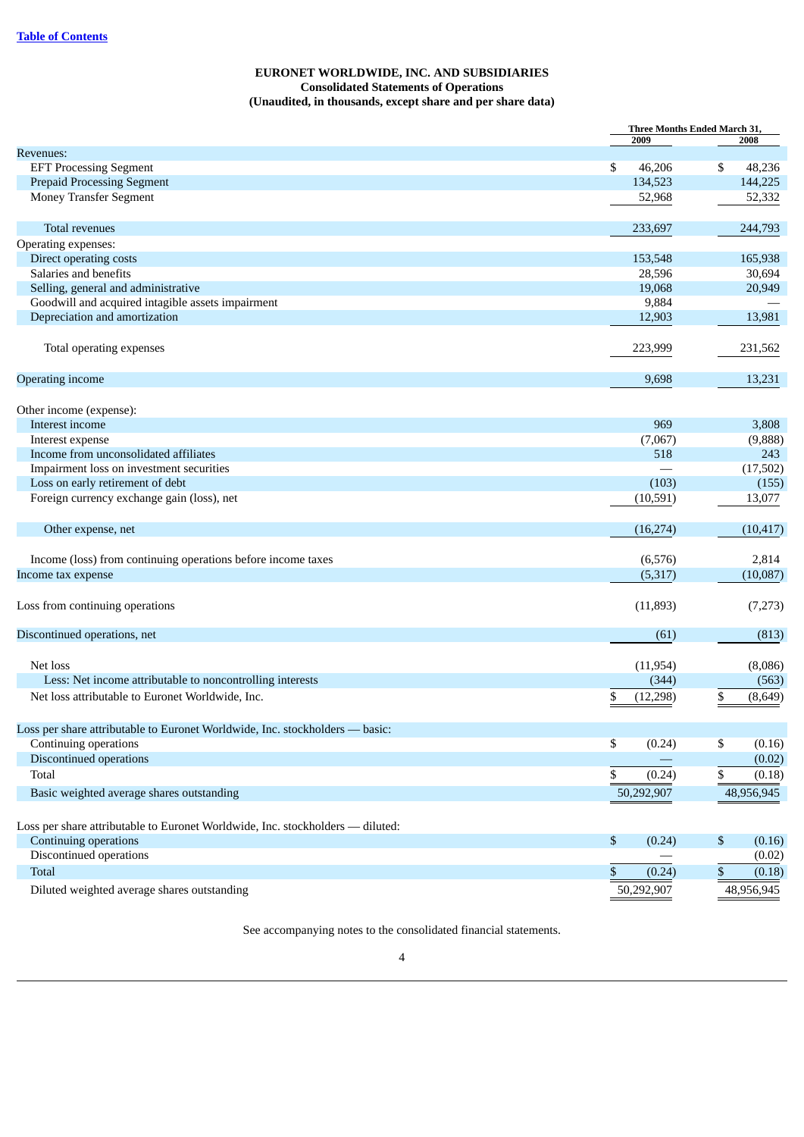## **EURONET WORLDWIDE, INC. AND SUBSIDIARIES Consolidated Statements of Operations (Unaudited, in thousands, except share and per share data)**

|                                                                                | <b>Three Months Ended March 31,</b><br>2009 | 2008                   |
|--------------------------------------------------------------------------------|---------------------------------------------|------------------------|
| <b>Revenues:</b>                                                               |                                             |                        |
| <b>EFT Processing Segment</b>                                                  | \$<br>46,206                                | \$<br>48,236           |
| <b>Prepaid Processing Segment</b>                                              | 134,523                                     | 144,225                |
| <b>Money Transfer Segment</b>                                                  | 52,968                                      | 52,332                 |
| <b>Total revenues</b>                                                          | 233,697                                     | 244,793                |
| Operating expenses:                                                            |                                             |                        |
| Direct operating costs                                                         | 153,548                                     | 165,938                |
| Salaries and benefits                                                          | 28,596                                      | 30,694                 |
| Selling, general and administrative                                            | 19,068                                      | 20,949                 |
| Goodwill and acquired intagible assets impairment                              | 9,884                                       |                        |
| Depreciation and amortization                                                  | 12,903                                      | 13,981                 |
| Total operating expenses                                                       | 223,999                                     | 231,562                |
| Operating income                                                               | 9,698                                       | 13,231                 |
| Other income (expense):                                                        |                                             |                        |
| Interest income                                                                | 969                                         | 3,808                  |
| Interest expense                                                               | (7,067)                                     | (9,888)                |
| Income from unconsolidated affiliates                                          | 518                                         | 243                    |
| Impairment loss on investment securities                                       |                                             | (17,502)               |
| Loss on early retirement of debt                                               | (103)                                       | (155)                  |
| Foreign currency exchange gain (loss), net                                     | (10,591)                                    | 13,077                 |
|                                                                                |                                             |                        |
| Other expense, net                                                             | (16, 274)                                   | (10, 417)              |
| Income (loss) from continuing operations before income taxes                   | (6, 576)                                    | 2,814                  |
| Income tax expense                                                             | (5,317)                                     | (10,087)               |
| Loss from continuing operations                                                | (11,893)                                    | (7,273)                |
| Discontinued operations, net                                                   | (61)                                        | (813)                  |
|                                                                                |                                             |                        |
| Net loss                                                                       | (11, 954)                                   | (8,086)                |
| Less: Net income attributable to noncontrolling interests                      | (344)                                       | (563)                  |
| Net loss attributable to Euronet Worldwide, Inc.                               | \$<br>(12, 298)                             | \$<br>(8, 649)         |
| Loss per share attributable to Euronet Worldwide, Inc. stockholders - basic:   |                                             |                        |
| Continuing operations                                                          | \$<br>(0.24)                                | \$<br>(0.16)           |
| <b>Discontinued operations</b>                                                 |                                             | (0.02)                 |
| Total                                                                          | \$<br>(0.24)                                | \$<br>(0.18)           |
| Basic weighted average shares outstanding                                      | 50,292,907                                  | 48,956,945             |
|                                                                                |                                             |                        |
| Loss per share attributable to Euronet Worldwide, Inc. stockholders - diluted: |                                             |                        |
| Continuing operations                                                          | \$<br>(0.24)                                | $\mathbb{S}$<br>(0.16) |
| Discontinued operations                                                        |                                             | (0.02)                 |
| <b>Total</b>                                                                   | \$<br>(0.24)                                | $\mathbb{S}$<br>(0.18) |
| Diluted weighted average shares outstanding                                    | 50,292,907                                  | 48,956,945             |

See accompanying notes to the consolidated financial statements.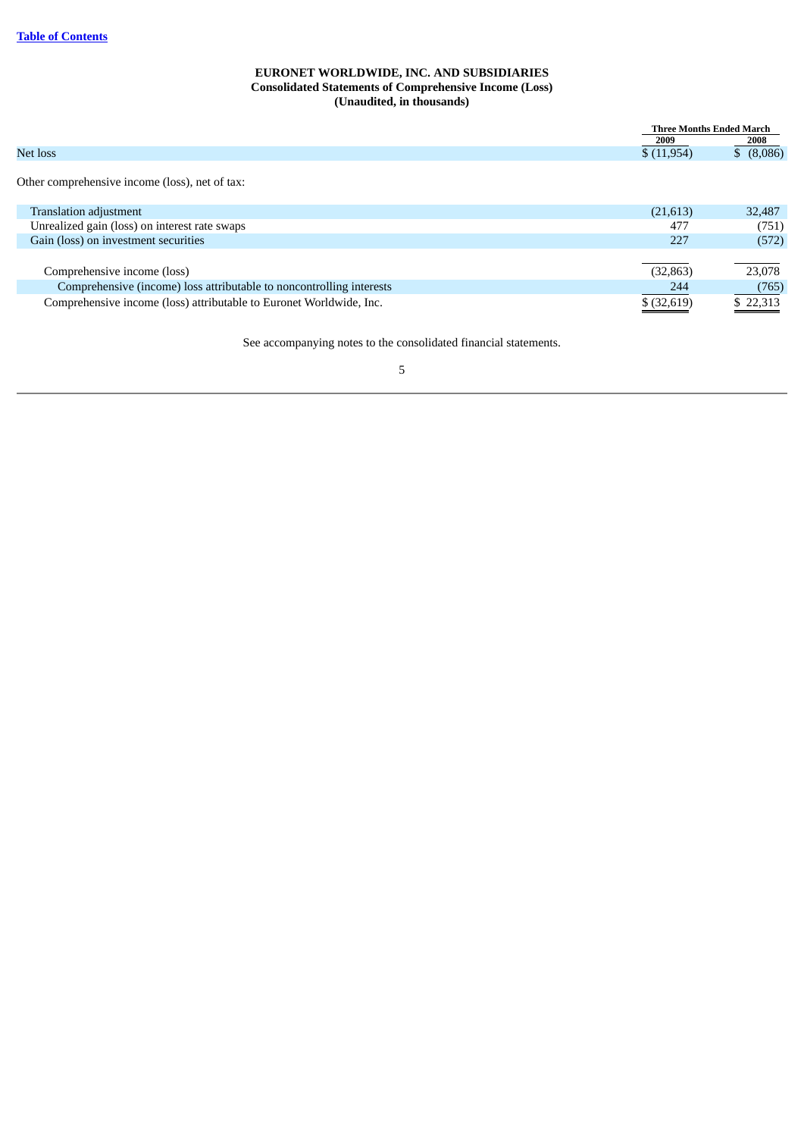## **EURONET WORLDWIDE, INC. AND SUBSIDIARIES Consolidated Statements of Comprehensive Income (Loss) (Unaudited, in thousands)**

|                                                                      |             | <b>Three Months Ended March</b> |
|----------------------------------------------------------------------|-------------|---------------------------------|
|                                                                      | 2009        | 2008                            |
| Net loss                                                             | \$(11,954)  | \$ (8,086)                      |
|                                                                      |             |                                 |
| Other comprehensive income (loss), net of tax:                       |             |                                 |
|                                                                      |             |                                 |
| <b>Translation adjustment</b>                                        | (21,613)    | 32,487                          |
| Unrealized gain (loss) on interest rate swaps                        | 477         | (751)                           |
| Gain (loss) on investment securities                                 | 227         | (572)                           |
|                                                                      |             |                                 |
| Comprehensive income (loss)                                          | (32, 863)   | 23,078                          |
| Comprehensive (income) loss attributable to noncontrolling interests | 244         | (765)                           |
| Comprehensive income (loss) attributable to Euronet Worldwide, Inc.  | \$ (32,619) | \$22,313                        |

See accompanying notes to the consolidated financial statements.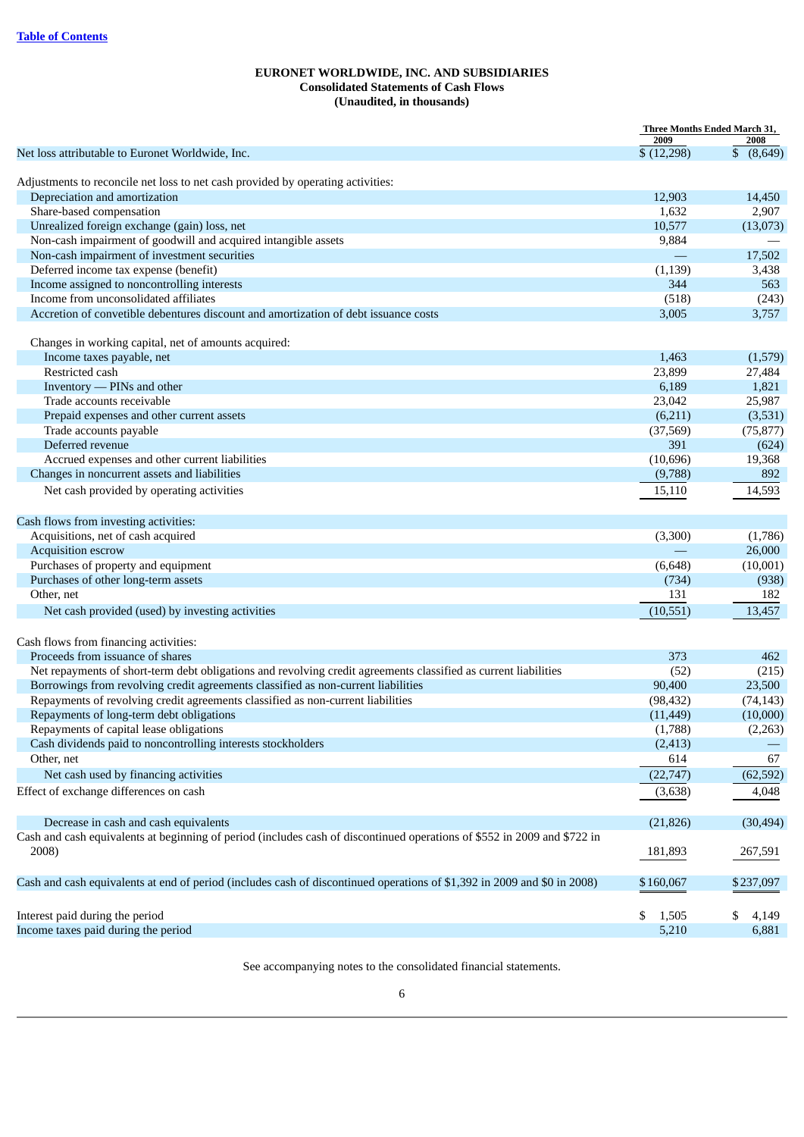## **EURONET WORLDWIDE, INC. AND SUBSIDIARIES Consolidated Statements of Cash Flows (Unaudited, in thousands)**

|                                                                                                                                                                                                      | 2009           | Three Months Ended March 31,<br>2008 |
|------------------------------------------------------------------------------------------------------------------------------------------------------------------------------------------------------|----------------|--------------------------------------|
| Net loss attributable to Euronet Worldwide, Inc.                                                                                                                                                     | \$(12,298)     | \$ (8,649)                           |
|                                                                                                                                                                                                      |                |                                      |
| Adjustments to reconcile net loss to net cash provided by operating activities:                                                                                                                      |                |                                      |
| Depreciation and amortization                                                                                                                                                                        | 12,903         | 14,450                               |
| Share-based compensation                                                                                                                                                                             | 1,632          | 2,907                                |
| Unrealized foreign exchange (gain) loss, net                                                                                                                                                         | 10,577         | (13,073)                             |
| Non-cash impairment of goodwill and acquired intangible assets                                                                                                                                       | 9,884          |                                      |
| Non-cash impairment of investment securities                                                                                                                                                         |                | 17,502                               |
| Deferred income tax expense (benefit)                                                                                                                                                                | (1, 139)       | 3,438                                |
| Income assigned to noncontrolling interests                                                                                                                                                          | 344            | 563                                  |
| Income from unconsolidated affiliates                                                                                                                                                                | (518)          | (243)                                |
| Accretion of convetible debentures discount and amortization of debt issuance costs                                                                                                                  | 3,005          | 3,757                                |
| Changes in working capital, net of amounts acquired:                                                                                                                                                 |                |                                      |
| Income taxes payable, net                                                                                                                                                                            | 1,463          | (1,579)                              |
| Restricted cash                                                                                                                                                                                      | 23,899         | 27,484                               |
| Inventory — PINs and other                                                                                                                                                                           | 6,189          | 1,821                                |
| Trade accounts receivable                                                                                                                                                                            | 23,042         | 25,987                               |
| Prepaid expenses and other current assets                                                                                                                                                            | (6,211)        | (3,531)                              |
| Trade accounts payable                                                                                                                                                                               | (37, 569)      | (75, 877)                            |
| Deferred revenue                                                                                                                                                                                     | 391            | (624)                                |
| Accrued expenses and other current liabilities                                                                                                                                                       | (10, 696)      | 19,368                               |
| Changes in noncurrent assets and liabilities                                                                                                                                                         | (9,788)        | 892                                  |
| Net cash provided by operating activities                                                                                                                                                            | 15,110         | 14,593                               |
|                                                                                                                                                                                                      |                |                                      |
| Cash flows from investing activities:                                                                                                                                                                |                |                                      |
| Acquisitions, net of cash acquired                                                                                                                                                                   | (3,300)        | (1,786)                              |
| Acquisition escrow                                                                                                                                                                                   |                | 26,000                               |
| Purchases of property and equipment                                                                                                                                                                  | (6, 648)       | (10,001)                             |
| Purchases of other long-term assets                                                                                                                                                                  | (734)          | (938)                                |
| Other, net                                                                                                                                                                                           | 131            | 182                                  |
| Net cash provided (used) by investing activities                                                                                                                                                     | (10, 551)      | 13,457                               |
| Cash flows from financing activities:                                                                                                                                                                |                |                                      |
| Proceeds from issuance of shares                                                                                                                                                                     | 373            | 462                                  |
|                                                                                                                                                                                                      |                |                                      |
| Net repayments of short-term debt obligations and revolving credit agreements classified as current liabilities<br>Borrowings from revolving credit agreements classified as non-current liabilities | (52)<br>90,400 | (215)<br>23,500                      |
| Repayments of revolving credit agreements classified as non-current liabilities                                                                                                                      | (98, 432)      |                                      |
| Repayments of long-term debt obligations                                                                                                                                                             | (11, 449)      | (74, 143)<br>(10,000)                |
| Repayments of capital lease obligations                                                                                                                                                              | (1,788)        |                                      |
|                                                                                                                                                                                                      |                | (2,263)                              |
| Cash dividends paid to noncontrolling interests stockholders                                                                                                                                         | (2, 413)       | 67                                   |
| Other, net                                                                                                                                                                                           | 614            |                                      |
| Net cash used by financing activities                                                                                                                                                                | (22, 747)      | (62, 592)                            |
| Effect of exchange differences on cash                                                                                                                                                               | (3,638)        | 4,048                                |
| Decrease in cash and cash equivalents                                                                                                                                                                | (21, 826)      | (30, 494)                            |
| Cash and cash equivalents at beginning of period (includes cash of discontinued operations of \$552 in 2009 and \$722 in                                                                             |                |                                      |
| 2008)                                                                                                                                                                                                | 181,893        | 267,591                              |
|                                                                                                                                                                                                      |                |                                      |
| Cash and cash equivalents at end of period (includes cash of discontinued operations of \$1,392 in 2009 and \$0 in 2008)                                                                             | \$160,067      | \$237,097                            |
|                                                                                                                                                                                                      |                |                                      |
| Interest paid during the period                                                                                                                                                                      | \$<br>1,505    | \$<br>4,149                          |
| Income taxes paid during the period                                                                                                                                                                  | 5,210          | 6,881                                |
|                                                                                                                                                                                                      |                |                                      |

See accompanying notes to the consolidated financial statements.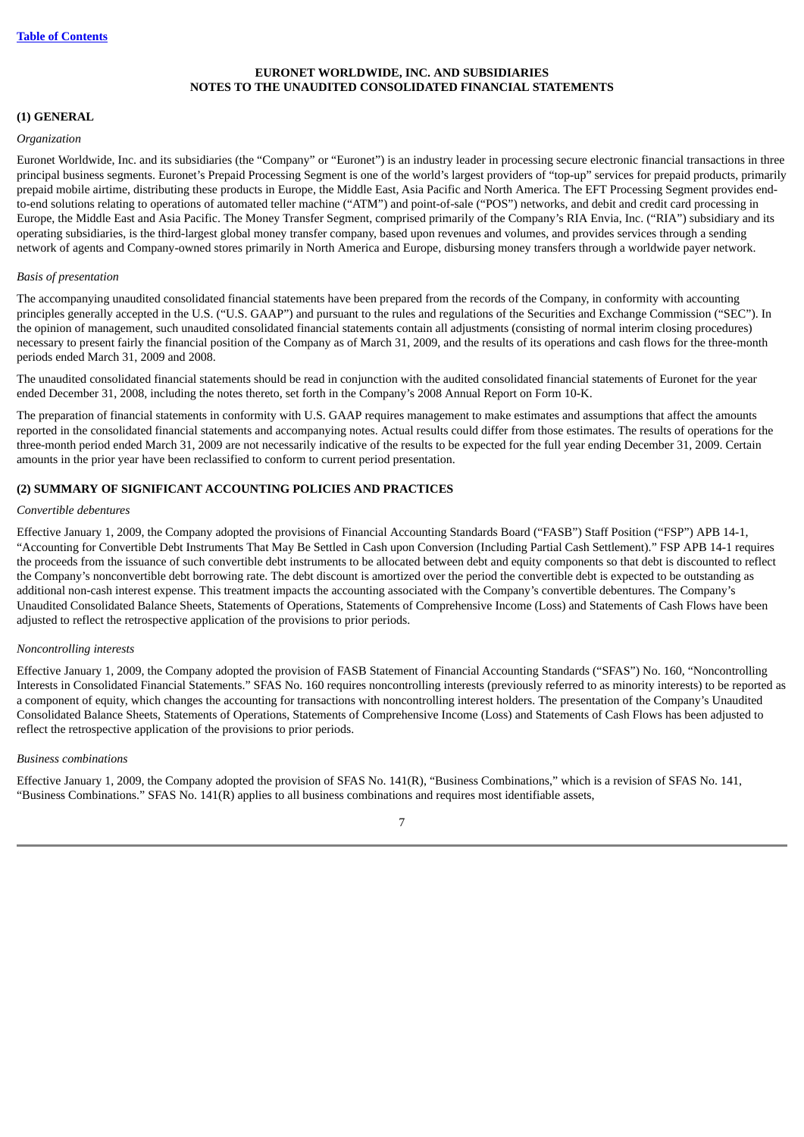## **EURONET WORLDWIDE, INC. AND SUBSIDIARIES NOTES TO THE UNAUDITED CONSOLIDATED FINANCIAL STATEMENTS**

## **(1) GENERAL**

#### *Organization*

Euronet Worldwide, Inc. and its subsidiaries (the "Company" or "Euronet") is an industry leader in processing secure electronic financial transactions in three principal business segments. Euronet's Prepaid Processing Segment is one of the world's largest providers of "top-up" services for prepaid products, primarily prepaid mobile airtime, distributing these products in Europe, the Middle East, Asia Pacific and North America. The EFT Processing Segment provides endto-end solutions relating to operations of automated teller machine ("ATM") and point-of-sale ("POS") networks, and debit and credit card processing in Europe, the Middle East and Asia Pacific. The Money Transfer Segment, comprised primarily of the Company's RIA Envia, Inc. ("RIA") subsidiary and its operating subsidiaries, is the third-largest global money transfer company, based upon revenues and volumes, and provides services through a sending network of agents and Company-owned stores primarily in North America and Europe, disbursing money transfers through a worldwide payer network.

#### *Basis of presentation*

The accompanying unaudited consolidated financial statements have been prepared from the records of the Company, in conformity with accounting principles generally accepted in the U.S. ("U.S. GAAP") and pursuant to the rules and regulations of the Securities and Exchange Commission ("SEC"). In the opinion of management, such unaudited consolidated financial statements contain all adjustments (consisting of normal interim closing procedures) necessary to present fairly the financial position of the Company as of March 31, 2009, and the results of its operations and cash flows for the three-month periods ended March 31, 2009 and 2008.

The unaudited consolidated financial statements should be read in conjunction with the audited consolidated financial statements of Euronet for the year ended December 31, 2008, including the notes thereto, set forth in the Company's 2008 Annual Report on Form 10-K.

The preparation of financial statements in conformity with U.S. GAAP requires management to make estimates and assumptions that affect the amounts reported in the consolidated financial statements and accompanying notes. Actual results could differ from those estimates. The results of operations for the three-month period ended March 31, 2009 are not necessarily indicative of the results to be expected for the full year ending December 31, 2009. Certain amounts in the prior year have been reclassified to conform to current period presentation.

## **(2) SUMMARY OF SIGNIFICANT ACCOUNTING POLICIES AND PRACTICES**

#### *Convertible debentures*

Effective January 1, 2009, the Company adopted the provisions of Financial Accounting Standards Board ("FASB") Staff Position ("FSP") APB 14-1, "Accounting for Convertible Debt Instruments That May Be Settled in Cash upon Conversion (Including Partial Cash Settlement)." FSP APB 14-1 requires the proceeds from the issuance of such convertible debt instruments to be allocated between debt and equity components so that debt is discounted to reflect the Company's nonconvertible debt borrowing rate. The debt discount is amortized over the period the convertible debt is expected to be outstanding as additional non-cash interest expense. This treatment impacts the accounting associated with the Company's convertible debentures. The Company's Unaudited Consolidated Balance Sheets, Statements of Operations, Statements of Comprehensive Income (Loss) and Statements of Cash Flows have been adjusted to reflect the retrospective application of the provisions to prior periods.

## *Noncontrolling interests*

Effective January 1, 2009, the Company adopted the provision of FASB Statement of Financial Accounting Standards ("SFAS") No. 160, "Noncontrolling Interests in Consolidated Financial Statements." SFAS No. 160 requires noncontrolling interests (previously referred to as minority interests) to be reported as a component of equity, which changes the accounting for transactions with noncontrolling interest holders. The presentation of the Company's Unaudited Consolidated Balance Sheets, Statements of Operations, Statements of Comprehensive Income (Loss) and Statements of Cash Flows has been adjusted to reflect the retrospective application of the provisions to prior periods.

## *Business combinations*

Effective January 1, 2009, the Company adopted the provision of SFAS No. 141(R), "Business Combinations," which is a revision of SFAS No. 141, "Business Combinations." SFAS No. 141(R) applies to all business combinations and requires most identifiable assets,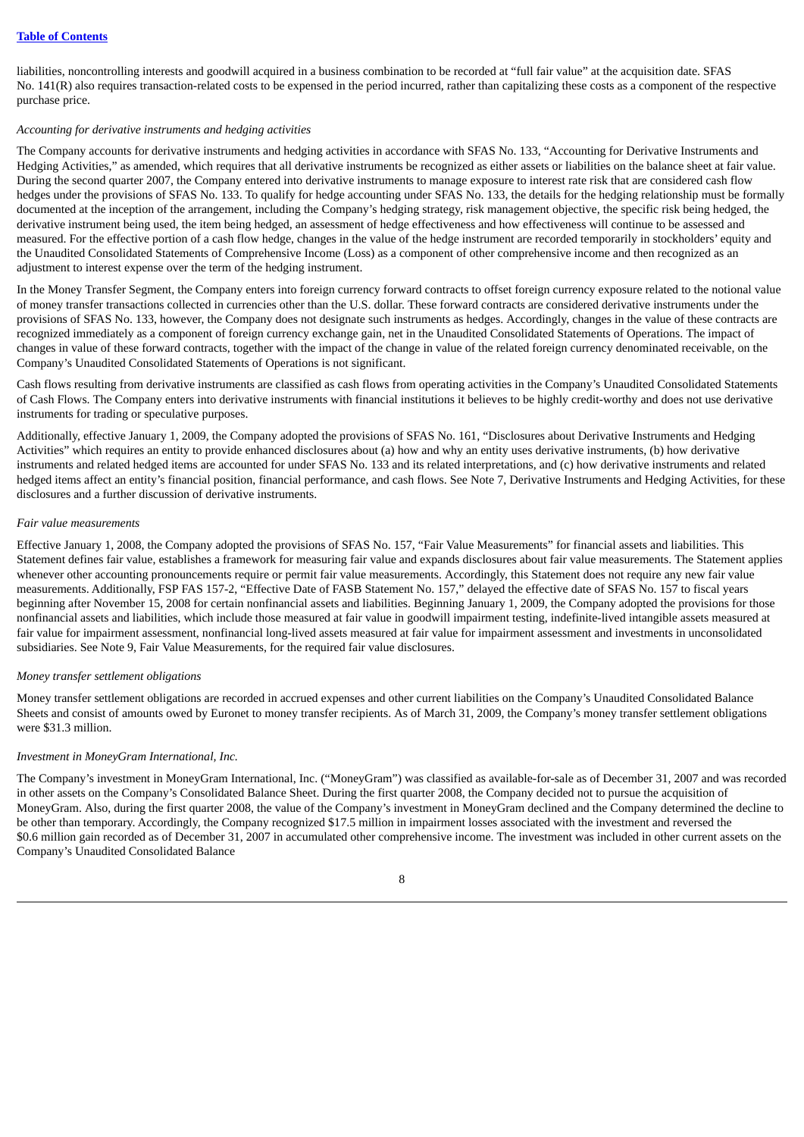liabilities, noncontrolling interests and goodwill acquired in a business combination to be recorded at "full fair value" at the acquisition date. SFAS No. 141(R) also requires transaction-related costs to be expensed in the period incurred, rather than capitalizing these costs as a component of the respective purchase price.

## *Accounting for derivative instruments and hedging activities*

The Company accounts for derivative instruments and hedging activities in accordance with SFAS No. 133, "Accounting for Derivative Instruments and Hedging Activities," as amended, which requires that all derivative instruments be recognized as either assets or liabilities on the balance sheet at fair value. During the second quarter 2007, the Company entered into derivative instruments to manage exposure to interest rate risk that are considered cash flow hedges under the provisions of SFAS No. 133. To qualify for hedge accounting under SFAS No. 133, the details for the hedging relationship must be formally documented at the inception of the arrangement, including the Company's hedging strategy, risk management objective, the specific risk being hedged, the derivative instrument being used, the item being hedged, an assessment of hedge effectiveness and how effectiveness will continue to be assessed and measured. For the effective portion of a cash flow hedge, changes in the value of the hedge instrument are recorded temporarily in stockholders' equity and the Unaudited Consolidated Statements of Comprehensive Income (Loss) as a component of other comprehensive income and then recognized as an adjustment to interest expense over the term of the hedging instrument.

In the Money Transfer Segment, the Company enters into foreign currency forward contracts to offset foreign currency exposure related to the notional value of money transfer transactions collected in currencies other than the U.S. dollar. These forward contracts are considered derivative instruments under the provisions of SFAS No. 133, however, the Company does not designate such instruments as hedges. Accordingly, changes in the value of these contracts are recognized immediately as a component of foreign currency exchange gain, net in the Unaudited Consolidated Statements of Operations. The impact of changes in value of these forward contracts, together with the impact of the change in value of the related foreign currency denominated receivable, on the Company's Unaudited Consolidated Statements of Operations is not significant.

Cash flows resulting from derivative instruments are classified as cash flows from operating activities in the Company's Unaudited Consolidated Statements of Cash Flows. The Company enters into derivative instruments with financial institutions it believes to be highly credit-worthy and does not use derivative instruments for trading or speculative purposes.

Additionally, effective January 1, 2009, the Company adopted the provisions of SFAS No. 161, "Disclosures about Derivative Instruments and Hedging Activities" which requires an entity to provide enhanced disclosures about (a) how and why an entity uses derivative instruments, (b) how derivative instruments and related hedged items are accounted for under SFAS No. 133 and its related interpretations, and (c) how derivative instruments and related hedged items affect an entity's financial position, financial performance, and cash flows. See Note 7, Derivative Instruments and Hedging Activities, for these disclosures and a further discussion of derivative instruments.

## *Fair value measurements*

Effective January 1, 2008, the Company adopted the provisions of SFAS No. 157, "Fair Value Measurements" for financial assets and liabilities. This Statement defines fair value, establishes a framework for measuring fair value and expands disclosures about fair value measurements. The Statement applies whenever other accounting pronouncements require or permit fair value measurements. Accordingly, this Statement does not require any new fair value measurements. Additionally, FSP FAS 157-2, "Effective Date of FASB Statement No. 157," delayed the effective date of SFAS No. 157 to fiscal years beginning after November 15, 2008 for certain nonfinancial assets and liabilities. Beginning January 1, 2009, the Company adopted the provisions for those nonfinancial assets and liabilities, which include those measured at fair value in goodwill impairment testing, indefinite-lived intangible assets measured at fair value for impairment assessment, nonfinancial long-lived assets measured at fair value for impairment assessment and investments in unconsolidated subsidiaries. See Note 9, Fair Value Measurements, for the required fair value disclosures.

## *Money transfer settlement obligations*

Money transfer settlement obligations are recorded in accrued expenses and other current liabilities on the Company's Unaudited Consolidated Balance Sheets and consist of amounts owed by Euronet to money transfer recipients. As of March 31, 2009, the Company's money transfer settlement obligations were \$31.3 million.

## *Investment in MoneyGram International, Inc.*

The Company's investment in MoneyGram International, Inc. ("MoneyGram") was classified as available-for-sale as of December 31, 2007 and was recorded in other assets on the Company's Consolidated Balance Sheet. During the first quarter 2008, the Company decided not to pursue the acquisition of MoneyGram. Also, during the first quarter 2008, the value of the Company's investment in MoneyGram declined and the Company determined the decline to be other than temporary. Accordingly, the Company recognized \$17.5 million in impairment losses associated with the investment and reversed the \$0.6 million gain recorded as of December 31, 2007 in accumulated other comprehensive income. The investment was included in other current assets on the Company's Unaudited Consolidated Balance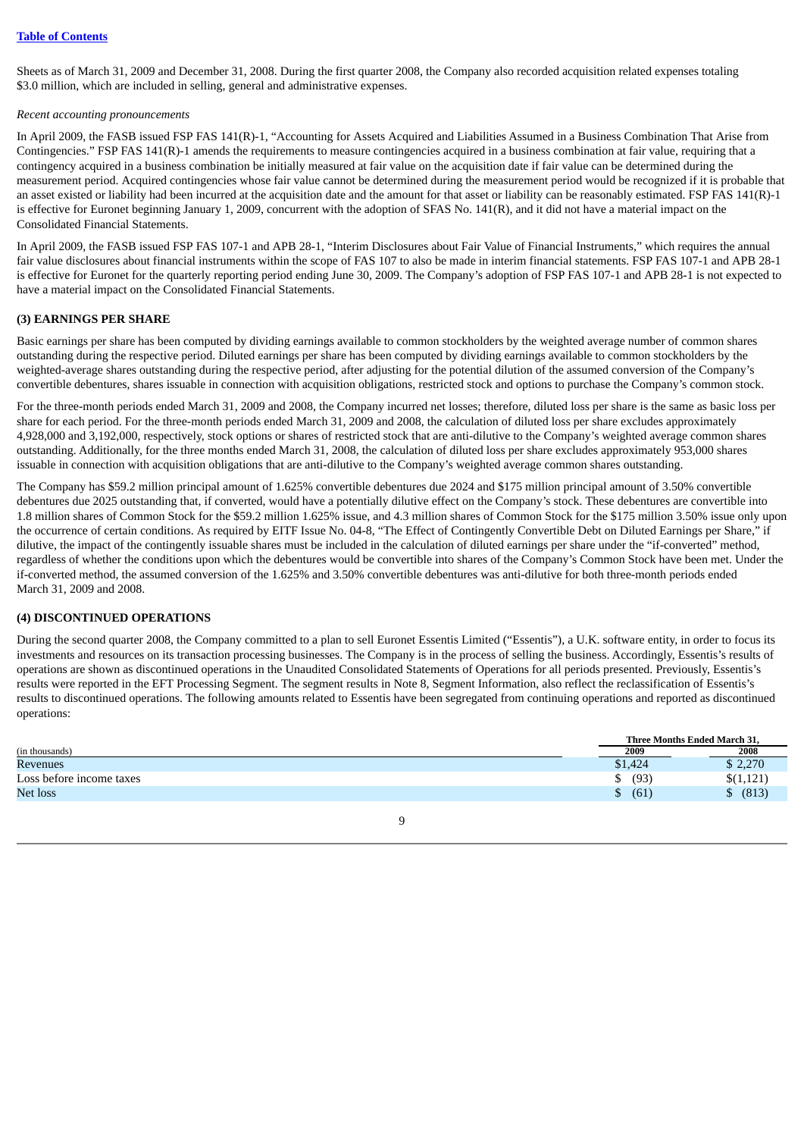Sheets as of March 31, 2009 and December 31, 2008. During the first quarter 2008, the Company also recorded acquisition related expenses totaling \$3.0 million, which are included in selling, general and administrative expenses.

## *Recent accounting pronouncements*

In April 2009, the FASB issued FSP FAS 141(R)-1, "Accounting for Assets Acquired and Liabilities Assumed in a Business Combination That Arise from Contingencies." FSP FAS 141(R)-1 amends the requirements to measure contingencies acquired in a business combination at fair value, requiring that a contingency acquired in a business combination be initially measured at fair value on the acquisition date if fair value can be determined during the measurement period. Acquired contingencies whose fair value cannot be determined during the measurement period would be recognized if it is probable that an asset existed or liability had been incurred at the acquisition date and the amount for that asset or liability can be reasonably estimated. FSP FAS 141(R)-1 is effective for Euronet beginning January 1, 2009, concurrent with the adoption of SFAS No. 141(R), and it did not have a material impact on the Consolidated Financial Statements.

In April 2009, the FASB issued FSP FAS 107-1 and APB 28-1, "Interim Disclosures about Fair Value of Financial Instruments," which requires the annual fair value disclosures about financial instruments within the scope of FAS 107 to also be made in interim financial statements. FSP FAS 107-1 and APB 28-1 is effective for Euronet for the quarterly reporting period ending June 30, 2009. The Company's adoption of FSP FAS 107-1 and APB 28-1 is not expected to have a material impact on the Consolidated Financial Statements.

## **(3) EARNINGS PER SHARE**

Basic earnings per share has been computed by dividing earnings available to common stockholders by the weighted average number of common shares outstanding during the respective period. Diluted earnings per share has been computed by dividing earnings available to common stockholders by the weighted-average shares outstanding during the respective period, after adjusting for the potential dilution of the assumed conversion of the Company's convertible debentures, shares issuable in connection with acquisition obligations, restricted stock and options to purchase the Company's common stock.

For the three-month periods ended March 31, 2009 and 2008, the Company incurred net losses; therefore, diluted loss per share is the same as basic loss per share for each period. For the three-month periods ended March 31, 2009 and 2008, the calculation of diluted loss per share excludes approximately 4,928,000 and 3,192,000, respectively, stock options or shares of restricted stock that are anti-dilutive to the Company's weighted average common shares outstanding. Additionally, for the three months ended March 31, 2008, the calculation of diluted loss per share excludes approximately 953,000 shares issuable in connection with acquisition obligations that are anti-dilutive to the Company's weighted average common shares outstanding.

The Company has \$59.2 million principal amount of 1.625% convertible debentures due 2024 and \$175 million principal amount of 3.50% convertible debentures due 2025 outstanding that, if converted, would have a potentially dilutive effect on the Company's stock. These debentures are convertible into 1.8 million shares of Common Stock for the \$59.2 million 1.625% issue, and 4.3 million shares of Common Stock for the \$175 million 3.50% issue only upon the occurrence of certain conditions. As required by EITF Issue No. 04-8, "The Effect of Contingently Convertible Debt on Diluted Earnings per Share," if dilutive, the impact of the contingently issuable shares must be included in the calculation of diluted earnings per share under the "if-converted" method, regardless of whether the conditions upon which the debentures would be convertible into shares of the Company's Common Stock have been met. Under the if-converted method, the assumed conversion of the 1.625% and 3.50% convertible debentures was anti-dilutive for both three-month periods ended March 31, 2009 and 2008.

## **(4) DISCONTINUED OPERATIONS**

During the second quarter 2008, the Company committed to a plan to sell Euronet Essentis Limited ("Essentis"), a U.K. software entity, in order to focus its investments and resources on its transaction processing businesses. The Company is in the process of selling the business. Accordingly, Essentis's results of operations are shown as discontinued operations in the Unaudited Consolidated Statements of Operations for all periods presented. Previously, Essentis's results were reported in the EFT Processing Segment. The segment results in Note 8, Segment Information, also reflect the reclassification of Essentis's results to discontinued operations. The following amounts related to Essentis have been segregated from continuing operations and reported as discontinued operations:

|                          | Three Months Ended March 31. |           |
|--------------------------|------------------------------|-----------|
| (in thousands)           | 2009                         | 2008      |
| <b>Revenues</b>          | \$1,424                      | \$2,270   |
| Loss before income taxes | (93)<br>ሖ                    | \$(1,121) |
| Net loss                 | (61)<br>ጦ<br>J.              | (813)     |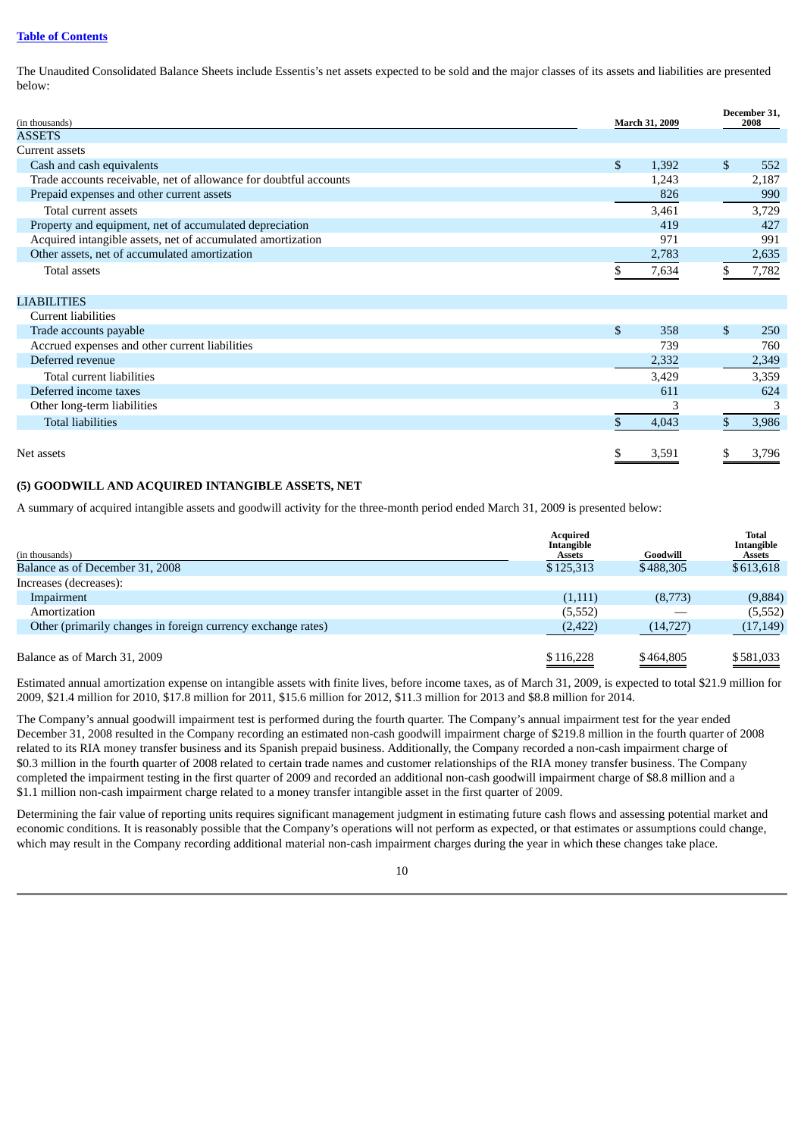## **Table of [Contents](#page-2-0)**

The Unaudited Consolidated Balance Sheets include Essentis's net assets expected to be sold and the major classes of its assets and liabilities are presented below:

| (in thousands)                                                    |                | March 31, 2009   |                | December 31,<br>2008      |
|-------------------------------------------------------------------|----------------|------------------|----------------|---------------------------|
| <b>ASSETS</b>                                                     |                |                  |                |                           |
| Current assets                                                    |                |                  |                |                           |
| Cash and cash equivalents                                         | \$             | 1,392            |                | 552                       |
| Trade accounts receivable, net of allowance for doubtful accounts |                | 1,243            |                | 2,187                     |
| Prepaid expenses and other current assets                         |                | 826              |                | 990                       |
| Total current assets                                              |                | 3,461            |                | 3,729                     |
| Property and equipment, net of accumulated depreciation           |                | 419              |                | 427                       |
| Acquired intangible assets, net of accumulated amortization       |                | 971              |                | 991                       |
| Other assets, net of accumulated amortization                     |                | 2,783            |                | 2,635                     |
| Total assets                                                      |                | 7,634            |                | 7,782                     |
|                                                                   |                |                  |                |                           |
| <b>LIABILITIES</b>                                                |                |                  |                |                           |
| Current liabilities                                               |                |                  |                |                           |
| .                                                                 | $\overline{a}$ | $\sum_{n=1}^{n}$ | $\overline{a}$ | $\mathbf{a} = \mathbf{a}$ |

| Trade accounts payable                         | D | 358   | 250   |
|------------------------------------------------|---|-------|-------|
| Accrued expenses and other current liabilities |   | 739   | 760   |
| Deferred revenue                               |   | 2,332 | 2,349 |
| Total current liabilities                      |   | 3,429 | 3,359 |
| Deferred income taxes                          |   | 611   | 624   |
| Other long-term liabilities                    |   |       | 3     |
| <b>Total liabilities</b>                       |   | 4.043 | 3.986 |
|                                                |   |       |       |
| Net assets                                     |   | 3.591 | 3.796 |

## **(5) GOODWILL AND ACQUIRED INTANGIBLE ASSETS, NET**

A summary of acquired intangible assets and goodwill activity for the three-month period ended March 31, 2009 is presented below:

| (in thousands)                                               | <b>Acquired</b><br>Intangible<br>Assets | Goodwill  | <b>Total</b><br>Intangible<br>Assets |
|--------------------------------------------------------------|-----------------------------------------|-----------|--------------------------------------|
| Balance as of December 31, 2008                              | \$125,313                               | \$488,305 | \$613,618                            |
| Increases (decreases):                                       |                                         |           |                                      |
| Impairment                                                   | (1,111)                                 | (8,773)   | (9,884)                              |
| Amortization                                                 | (5,552)                                 |           | (5, 552)                             |
| Other (primarily changes in foreign currency exchange rates) | (2, 422)                                | (14, 727) | (17, 149)                            |
| Balance as of March 31, 2009                                 | \$116,228                               | \$464,805 | \$581,033                            |

Estimated annual amortization expense on intangible assets with finite lives, before income taxes, as of March 31, 2009, is expected to total \$21.9 million for 2009, \$21.4 million for 2010, \$17.8 million for 2011, \$15.6 million for 2012, \$11.3 million for 2013 and \$8.8 million for 2014.

The Company's annual goodwill impairment test is performed during the fourth quarter. The Company's annual impairment test for the year ended December 31, 2008 resulted in the Company recording an estimated non-cash goodwill impairment charge of \$219.8 million in the fourth quarter of 2008 related to its RIA money transfer business and its Spanish prepaid business. Additionally, the Company recorded a non-cash impairment charge of \$0.3 million in the fourth quarter of 2008 related to certain trade names and customer relationships of the RIA money transfer business. The Company completed the impairment testing in the first quarter of 2009 and recorded an additional non-cash goodwill impairment charge of \$8.8 million and a \$1.1 million non-cash impairment charge related to a money transfer intangible asset in the first quarter of 2009.

Determining the fair value of reporting units requires significant management judgment in estimating future cash flows and assessing potential market and economic conditions. It is reasonably possible that the Company's operations will not perform as expected, or that estimates or assumptions could change, which may result in the Company recording additional material non-cash impairment charges during the year in which these changes take place.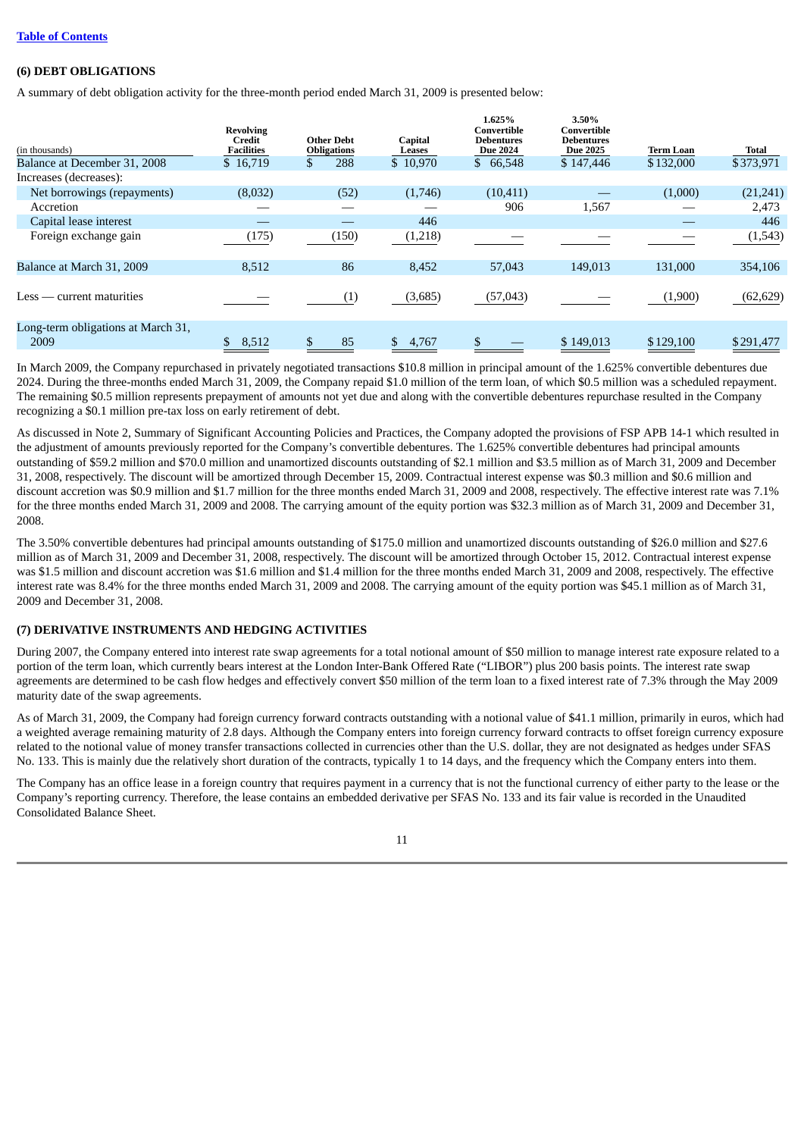## **(6) DEBT OBLIGATIONS**

A summary of debt obligation activity for the three-month period ended March 31, 2009 is presented below:

| (in thousands)                             | <b>Revolving</b><br>Credit<br><b>Facilities</b> | <b>Other Debt</b><br><b>Obligations</b> | Capital<br>Leases | 1.625%<br>Convertible<br><b>Debentures</b><br><b>Due 2024</b> | 3.50%<br>Convertible<br><b>Debentures</b><br><b>Due 2025</b> | Term Loan | Total     |
|--------------------------------------------|-------------------------------------------------|-----------------------------------------|-------------------|---------------------------------------------------------------|--------------------------------------------------------------|-----------|-----------|
| Balance at December 31, 2008               | \$16,719                                        | 288                                     | \$10,970          | \$66,548                                                      | \$147,446                                                    | \$132,000 | \$373,971 |
| Increases (decreases):                     |                                                 |                                         |                   |                                                               |                                                              |           |           |
| Net borrowings (repayments)                | (8,032)                                         | (52)                                    | (1,746)           | (10, 411)                                                     |                                                              | (1,000)   | (21, 241) |
| Accretion                                  |                                                 |                                         |                   | 906                                                           | 1,567                                                        |           | 2,473     |
| Capital lease interest                     |                                                 |                                         | 446               |                                                               |                                                              |           | 446       |
| Foreign exchange gain                      | (175)                                           | (150)                                   | (1,218)           |                                                               |                                                              |           | (1, 543)  |
| Balance at March 31, 2009                  | 8,512                                           | 86                                      | 8,452             | 57,043                                                        | 149,013                                                      | 131,000   | 354,106   |
| Less — current maturities                  |                                                 | (1)                                     | (3,685)           | (57, 043)                                                     |                                                              | (1,900)   | (62, 629) |
| Long-term obligations at March 31,<br>2009 | 8,512<br>\$                                     | \$<br>85                                | 4,767<br>\$       | \$                                                            | \$149,013                                                    | \$129,100 | \$291,477 |

In March 2009, the Company repurchased in privately negotiated transactions \$10.8 million in principal amount of the 1.625% convertible debentures due 2024. During the three-months ended March 31, 2009, the Company repaid \$1.0 million of the term loan, of which \$0.5 million was a scheduled repayment. The remaining \$0.5 million represents prepayment of amounts not yet due and along with the convertible debentures repurchase resulted in the Company recognizing a \$0.1 million pre-tax loss on early retirement of debt.

As discussed in Note 2, Summary of Significant Accounting Policies and Practices, the Company adopted the provisions of FSP APB 14-1 which resulted in the adjustment of amounts previously reported for the Company's convertible debentures. The 1.625% convertible debentures had principal amounts outstanding of \$59.2 million and \$70.0 million and unamortized discounts outstanding of \$2.1 million and \$3.5 million as of March 31, 2009 and December 31, 2008, respectively. The discount will be amortized through December 15, 2009. Contractual interest expense was \$0.3 million and \$0.6 million and discount accretion was \$0.9 million and \$1.7 million for the three months ended March 31, 2009 and 2008, respectively. The effective interest rate was 7.1% for the three months ended March 31, 2009 and 2008. The carrying amount of the equity portion was \$32.3 million as of March 31, 2009 and December 31, 2008.

The 3.50% convertible debentures had principal amounts outstanding of \$175.0 million and unamortized discounts outstanding of \$26.0 million and \$27.6 million as of March 31, 2009 and December 31, 2008, respectively. The discount will be amortized through October 15, 2012. Contractual interest expense was \$1.5 million and discount accretion was \$1.6 million and \$1.4 million for the three months ended March 31, 2009 and 2008, respectively. The effective interest rate was 8.4% for the three months ended March 31, 2009 and 2008. The carrying amount of the equity portion was \$45.1 million as of March 31, 2009 and December 31, 2008.

## **(7) DERIVATIVE INSTRUMENTS AND HEDGING ACTIVITIES**

During 2007, the Company entered into interest rate swap agreements for a total notional amount of \$50 million to manage interest rate exposure related to a portion of the term loan, which currently bears interest at the London Inter-Bank Offered Rate ("LIBOR") plus 200 basis points. The interest rate swap agreements are determined to be cash flow hedges and effectively convert \$50 million of the term loan to a fixed interest rate of 7.3% through the May 2009 maturity date of the swap agreements.

As of March 31, 2009, the Company had foreign currency forward contracts outstanding with a notional value of \$41.1 million, primarily in euros, which had a weighted average remaining maturity of 2.8 days. Although the Company enters into foreign currency forward contracts to offset foreign currency exposure related to the notional value of money transfer transactions collected in currencies other than the U.S. dollar, they are not designated as hedges under SFAS No. 133. This is mainly due the relatively short duration of the contracts, typically 1 to 14 days, and the frequency which the Company enters into them.

The Company has an office lease in a foreign country that requires payment in a currency that is not the functional currency of either party to the lease or the Company's reporting currency. Therefore, the lease contains an embedded derivative per SFAS No. 133 and its fair value is recorded in the Unaudited Consolidated Balance Sheet.

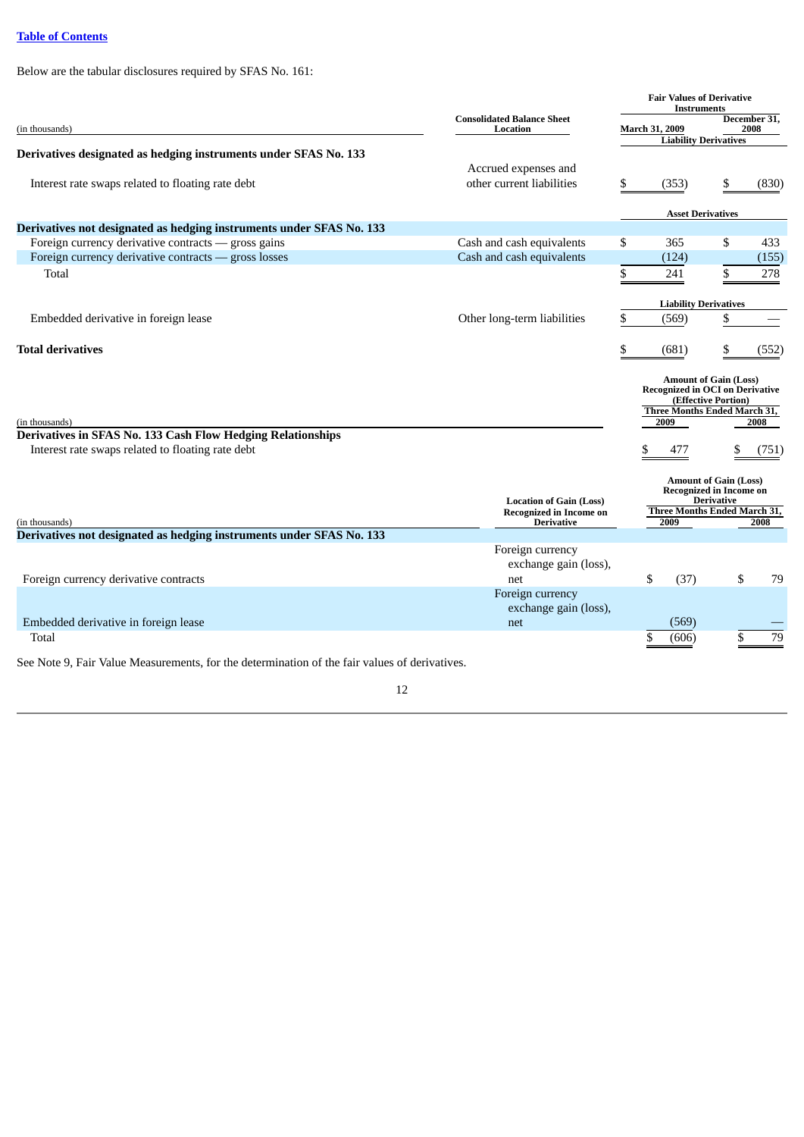## **Table of [Contents](#page-2-0)**

Below are the tabular disclosures required by SFAS No. 161:

|                                                                                               |                                                                                       | <b>Fair Values of Derivative</b><br><b>Instruments</b> |                                                                                                                |                     |                      |  |
|-----------------------------------------------------------------------------------------------|---------------------------------------------------------------------------------------|--------------------------------------------------------|----------------------------------------------------------------------------------------------------------------|---------------------|----------------------|--|
| (in thousands)                                                                                | <b>Consolidated Balance Sheet</b><br>Location                                         |                                                        | March 31, 2009                                                                                                 |                     | December 31,<br>2008 |  |
|                                                                                               |                                                                                       |                                                        | <b>Liability Derivatives</b>                                                                                   |                     |                      |  |
| Derivatives designated as hedging instruments under SFAS No. 133                              |                                                                                       |                                                        |                                                                                                                |                     |                      |  |
| Interest rate swaps related to floating rate debt                                             | Accrued expenses and<br>other current liabilities                                     | \$                                                     | (353)                                                                                                          | \$                  | (830)                |  |
|                                                                                               |                                                                                       |                                                        | <b>Asset Derivatives</b>                                                                                       |                     |                      |  |
| Derivatives not designated as hedging instruments under SFAS No. 133                          |                                                                                       |                                                        |                                                                                                                |                     |                      |  |
| Foreign currency derivative contracts - gross gains                                           | Cash and cash equivalents                                                             | \$                                                     | 365                                                                                                            | \$                  | 433                  |  |
| Foreign currency derivative contracts — gross losses                                          | Cash and cash equivalents                                                             |                                                        | (124)                                                                                                          |                     | (155)                |  |
| Total                                                                                         |                                                                                       | \$                                                     | 241                                                                                                            | \$                  | 278                  |  |
|                                                                                               |                                                                                       |                                                        | <b>Liability Derivatives</b>                                                                                   |                     |                      |  |
| Embedded derivative in foreign lease                                                          | Other long-term liabilities                                                           | \$                                                     | (569)                                                                                                          | \$                  |                      |  |
| <b>Total derivatives</b>                                                                      |                                                                                       | \$                                                     | (681)                                                                                                          | \$                  | (552)                |  |
| (in thousands)                                                                                |                                                                                       |                                                        | <b>Amount of Gain (Loss)</b><br><b>Recognized in OCI on Derivative</b><br>Three Months Ended March 31,<br>2009 | (Effective Portion) | 2008                 |  |
| Derivatives in SFAS No. 133 Cash Flow Hedging Relationships                                   |                                                                                       |                                                        |                                                                                                                |                     |                      |  |
| Interest rate swaps related to floating rate debt                                             |                                                                                       |                                                        | \$<br>477                                                                                                      |                     | (751)                |  |
| (in thousands)                                                                                | <b>Location of Gain (Loss)</b><br><b>Recognized in Income on</b><br><b>Derivative</b> |                                                        | <b>Amount of Gain (Loss)</b><br><b>Recognized in Income on</b><br>Three Months Ended March 31,<br>2009         | <b>Derivative</b>   | 2008                 |  |
| Derivatives not designated as hedging instruments under SFAS No. 133                          |                                                                                       |                                                        |                                                                                                                |                     |                      |  |
| Foreign currency derivative contracts                                                         | Foreign currency<br>exchange gain (loss),<br>net                                      |                                                        | \$<br>(37)                                                                                                     | \$                  | 79                   |  |
|                                                                                               | Foreign currency<br>exchange gain (loss),                                             |                                                        | (569)                                                                                                          |                     |                      |  |
| Embedded derivative in foreign lease<br>Total                                                 | net                                                                                   |                                                        | (606)<br>S                                                                                                     |                     | $\overline{79}$      |  |
|                                                                                               |                                                                                       |                                                        |                                                                                                                |                     |                      |  |
| See Note 9, Fair Value Measurements, for the determination of the fair values of derivatives. |                                                                                       |                                                        |                                                                                                                |                     |                      |  |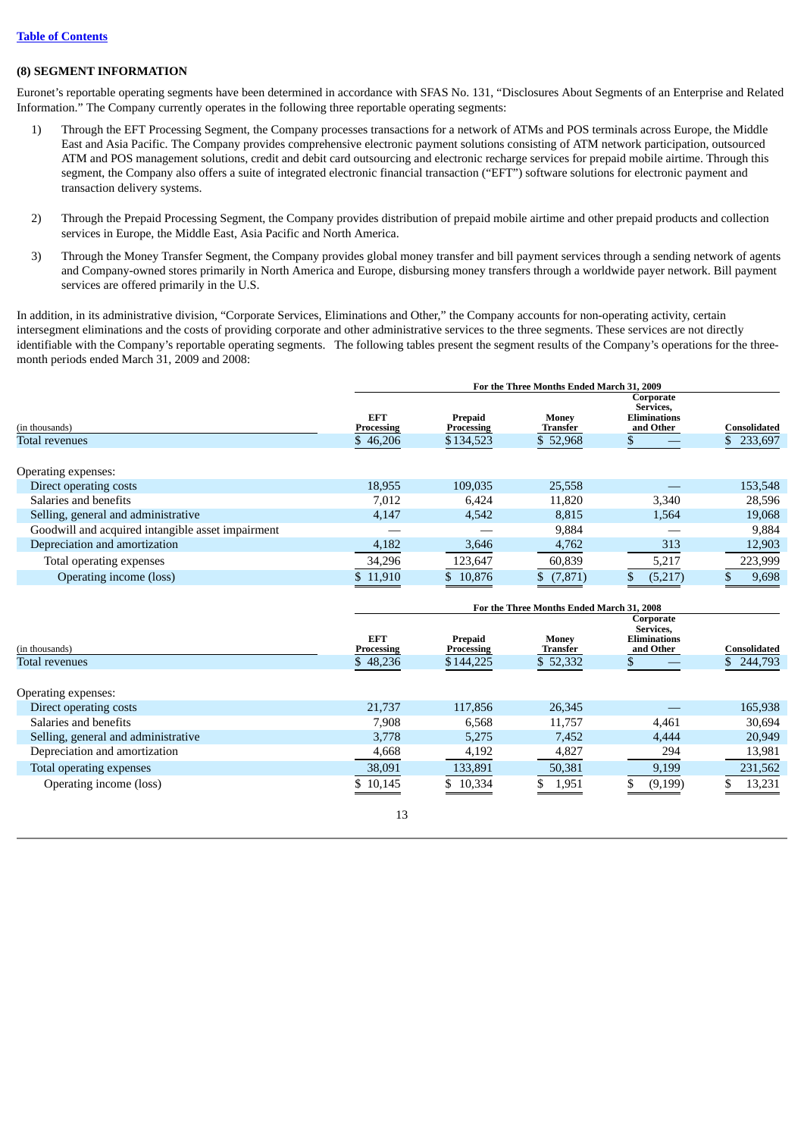## **(8) SEGMENT INFORMATION**

Euronet's reportable operating segments have been determined in accordance with SFAS No. 131, "Disclosures About Segments of an Enterprise and Related Information." The Company currently operates in the following three reportable operating segments:

- 1) Through the EFT Processing Segment, the Company processes transactions for a network of ATMs and POS terminals across Europe, the Middle East and Asia Pacific. The Company provides comprehensive electronic payment solutions consisting of ATM network participation, outsourced ATM and POS management solutions, credit and debit card outsourcing and electronic recharge services for prepaid mobile airtime. Through this segment, the Company also offers a suite of integrated electronic financial transaction ("EFT") software solutions for electronic payment and transaction delivery systems.
- 2) Through the Prepaid Processing Segment, the Company provides distribution of prepaid mobile airtime and other prepaid products and collection services in Europe, the Middle East, Asia Pacific and North America.
- 3) Through the Money Transfer Segment, the Company provides global money transfer and bill payment services through a sending network of agents and Company-owned stores primarily in North America and Europe, disbursing money transfers through a worldwide payer network. Bill payment services are offered primarily in the U.S.

In addition, in its administrative division, "Corporate Services, Eliminations and Other," the Company accounts for non-operating activity, certain intersegment eliminations and the costs of providing corporate and other administrative services to the three segments. These services are not directly identifiable with the Company's reportable operating segments. The following tables present the segment results of the Company's operations for the threemonth periods ended March 31, 2009 and 2008:

|                                                   | For the Three Months Ended March 31, 2009 |                       |                          |                                                            |              |  |
|---------------------------------------------------|-------------------------------------------|-----------------------|--------------------------|------------------------------------------------------------|--------------|--|
| (in thousands)                                    | <b>EFT</b><br>Processing                  | Prepaid<br>Processing | <b>Money</b><br>Transfer | Corporate<br>Services.<br><b>Eliminations</b><br>and Other | Consolidated |  |
| <b>Total revenues</b>                             | \$46,206                                  | \$134,523             | \$52,968                 |                                                            | 233,697      |  |
| Operating expenses:                               |                                           |                       |                          |                                                            |              |  |
| Direct operating costs                            | 18,955                                    | 109.035               | 25,558                   |                                                            | 153,548      |  |
| Salaries and benefits                             | 7,012                                     | 6,424                 | 11,820                   | 3,340                                                      | 28,596       |  |
| Selling, general and administrative               | 4,147                                     | 4,542                 | 8,815                    | 1,564                                                      | 19,068       |  |
| Goodwill and acquired intangible asset impairment |                                           |                       | 9,884                    |                                                            | 9,884        |  |
| Depreciation and amortization                     | 4,182                                     | 3,646                 | 4,762                    | 313                                                        | 12,903       |  |
| Total operating expenses                          | 34,296                                    | 123,647               | 60,839                   | 5,217                                                      | 223,999      |  |
| Operating income (loss)                           | \$11,910                                  | \$10,876              | (7, 871)                 | (5,217)                                                    | 9,698        |  |

|                                     | For the Three Months Ended March 31, 2008 |                              |                   |                                                            |                |
|-------------------------------------|-------------------------------------------|------------------------------|-------------------|------------------------------------------------------------|----------------|
| (in thousands)                      | <b>EFT</b><br>Processing                  | Prepaid<br><b>Processing</b> | Money<br>Transfer | Corporate<br>Services.<br><b>Eliminations</b><br>and Other | Consolidated   |
| Total revenues                      | \$48,236                                  | \$144,225                    | \$52,332          |                                                            | 244,793<br>\$. |
| Operating expenses:                 |                                           |                              |                   |                                                            |                |
| Direct operating costs              | 21,737                                    | 117,856                      | 26,345            |                                                            | 165,938        |
| Salaries and benefits               | 7.908                                     | 6,568                        | 11.757            | 4,461                                                      | 30.694         |
| Selling, general and administrative | 3.778                                     | 5,275                        | 7,452             | 4.444                                                      | 20,949         |
| Depreciation and amortization       | 4,668                                     | 4,192                        | 4,827             | 294                                                        | 13,981         |
| Total operating expenses            | 38,091                                    | 133,891                      | 50,381            | 9,199                                                      | 231,562        |
| Operating income (loss)             | \$10,145                                  | \$10,334                     | 1,951             | (9, 199)                                                   | 13,231         |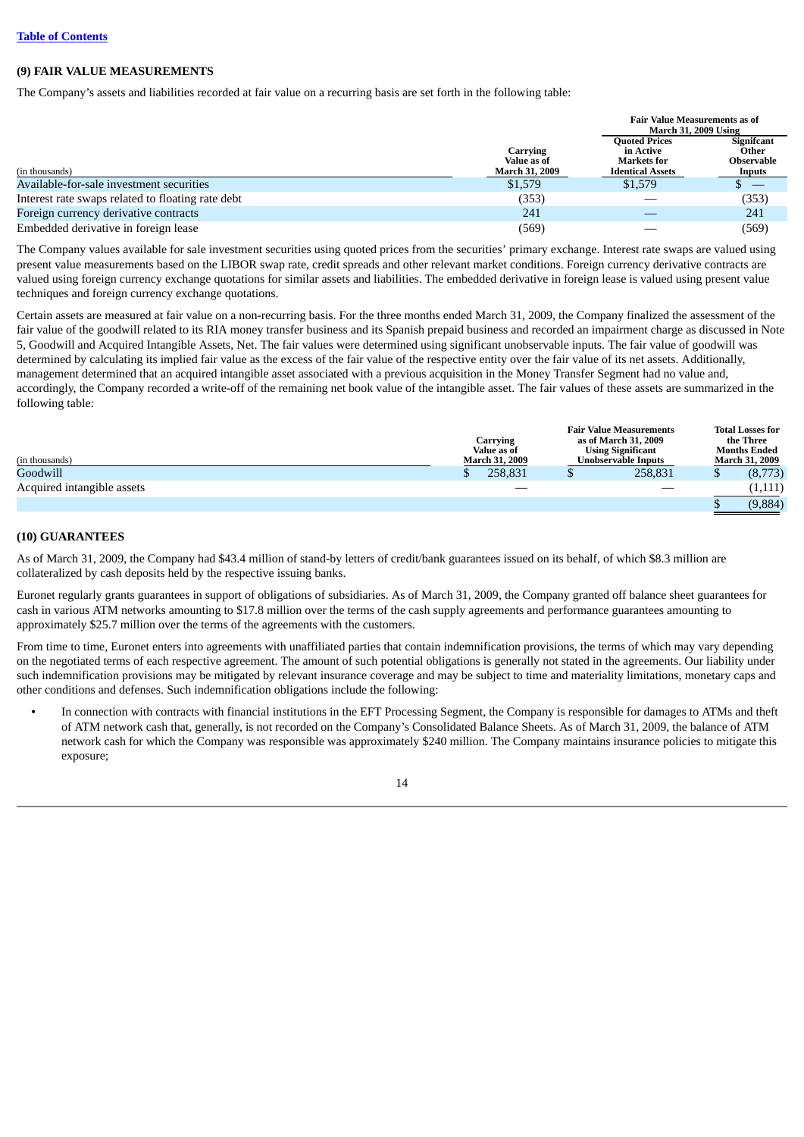## **(9) FAIR VALUE MEASUREMENTS**

The Company's assets and liabilities recorded at fair value on a recurring basis are set forth in the following table:

|                                                   |                         | <b>Fair Value Measurements as of</b>                    |                                   |
|---------------------------------------------------|-------------------------|---------------------------------------------------------|-----------------------------------|
|                                                   |                         | <b>March 31, 2009 Using</b>                             |                                   |
|                                                   | Carrying<br>Value as of | <b>Ouoted Prices</b><br>in Active<br><b>Markets for</b> | Signifcant<br>Other<br>Observable |
| (in thousands)                                    | <b>March 31, 2009</b>   | <b>Identical Assets</b>                                 | Inputs                            |
| Available-for-sale investment securities          | \$1,579                 | \$1,579                                                 |                                   |
| Interest rate swaps related to floating rate debt | (353)                   |                                                         | (353)                             |
| Foreign currency derivative contracts             | 241                     |                                                         | 241                               |
| Embedded derivative in foreign lease              | (569)                   |                                                         | (569)                             |

The Company values available for sale investment securities using quoted prices from the securities' primary exchange. Interest rate swaps are valued using present value measurements based on the LIBOR swap rate, credit spreads and other relevant market conditions. Foreign currency derivative contracts are valued using foreign currency exchange quotations for similar assets and liabilities. The embedded derivative in foreign lease is valued using present value techniques and foreign currency exchange quotations.

Certain assets are measured at fair value on a non-recurring basis. For the three months ended March 31, 2009, the Company finalized the assessment of the fair value of the goodwill related to its RIA money transfer business and its Spanish prepaid business and recorded an impairment charge as discussed in Note 5, Goodwill and Acquired Intangible Assets, Net. The fair values were determined using significant unobservable inputs. The fair value of goodwill was determined by calculating its implied fair value as the excess of the fair value of the respective entity over the fair value of its net assets. Additionally, management determined that an acquired intangible asset associated with a previous acquisition in the Money Transfer Segment had no value and, accordingly, the Company recorded a write-off of the remaining net book value of the intangible asset. The fair values of these assets are summarized in the following table:

| (in thousands)             | Carrying<br>Value as of<br><b>March 31, 2009</b> | <b>Fair Value Measurements</b><br>as of March 31, 2009<br><b>Using Significant</b><br>Unobservable Inputs | <b>Total Losses for</b><br>the Three<br><b>Months Ended</b><br><b>March 31, 2009</b> |
|----------------------------|--------------------------------------------------|-----------------------------------------------------------------------------------------------------------|--------------------------------------------------------------------------------------|
| Goodwill                   | 258.831                                          | 258,831                                                                                                   | (8,773)                                                                              |
| Acquired intangible assets |                                                  |                                                                                                           | (1,111)                                                                              |
|                            |                                                  |                                                                                                           | (9,884)                                                                              |

## **(10) GUARANTEES**

As of March 31, 2009, the Company had \$43.4 million of stand-by letters of credit/bank guarantees issued on its behalf, of which \$8.3 million are collateralized by cash deposits held by the respective issuing banks.

Euronet regularly grants guarantees in support of obligations of subsidiaries. As of March 31, 2009, the Company granted off balance sheet guarantees for cash in various ATM networks amounting to \$17.8 million over the terms of the cash supply agreements and performance guarantees amounting to approximately \$25.7 million over the terms of the agreements with the customers.

From time to time, Euronet enters into agreements with unaffiliated parties that contain indemnification provisions, the terms of which may vary depending on the negotiated terms of each respective agreement. The amount of such potential obligations is generally not stated in the agreements. Our liability under such indemnification provisions may be mitigated by relevant insurance coverage and may be subject to time and materiality limitations, monetary caps and other conditions and defenses. Such indemnification obligations include the following:

**•** In connection with contracts with financial institutions in the EFT Processing Segment, the Company is responsible for damages to ATMs and theft of ATM network cash that, generally, is not recorded on the Company's Consolidated Balance Sheets. As of March 31, 2009, the balance of ATM network cash for which the Company was responsible was approximately \$240 million. The Company maintains insurance policies to mitigate this exposure;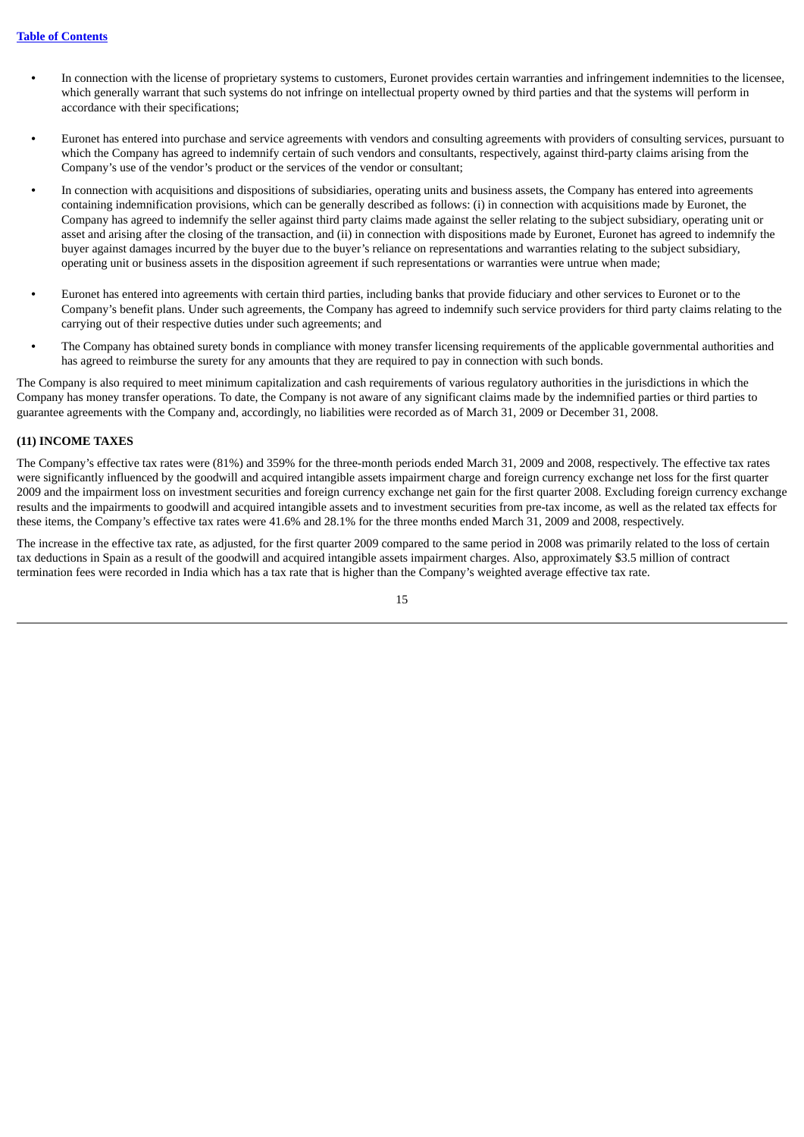- **•** In connection with the license of proprietary systems to customers, Euronet provides certain warranties and infringement indemnities to the licensee, which generally warrant that such systems do not infringe on intellectual property owned by third parties and that the systems will perform in accordance with their specifications;
- **•** Euronet has entered into purchase and service agreements with vendors and consulting agreements with providers of consulting services, pursuant to which the Company has agreed to indemnify certain of such vendors and consultants, respectively, against third-party claims arising from the Company's use of the vendor's product or the services of the vendor or consultant;
- **•** In connection with acquisitions and dispositions of subsidiaries, operating units and business assets, the Company has entered into agreements containing indemnification provisions, which can be generally described as follows: (i) in connection with acquisitions made by Euronet, the Company has agreed to indemnify the seller against third party claims made against the seller relating to the subject subsidiary, operating unit or asset and arising after the closing of the transaction, and (ii) in connection with dispositions made by Euronet, Euronet has agreed to indemnify the buyer against damages incurred by the buyer due to the buyer's reliance on representations and warranties relating to the subject subsidiary, operating unit or business assets in the disposition agreement if such representations or warranties were untrue when made;
- **•** Euronet has entered into agreements with certain third parties, including banks that provide fiduciary and other services to Euronet or to the Company's benefit plans. Under such agreements, the Company has agreed to indemnify such service providers for third party claims relating to the carrying out of their respective duties under such agreements; and
- **•** The Company has obtained surety bonds in compliance with money transfer licensing requirements of the applicable governmental authorities and has agreed to reimburse the surety for any amounts that they are required to pay in connection with such bonds.

The Company is also required to meet minimum capitalization and cash requirements of various regulatory authorities in the jurisdictions in which the Company has money transfer operations. To date, the Company is not aware of any significant claims made by the indemnified parties or third parties to guarantee agreements with the Company and, accordingly, no liabilities were recorded as of March 31, 2009 or December 31, 2008.

## **(11) INCOME TAXES**

The Company's effective tax rates were (81%) and 359% for the three-month periods ended March 31, 2009 and 2008, respectively. The effective tax rates were significantly influenced by the goodwill and acquired intangible assets impairment charge and foreign currency exchange net loss for the first quarter 2009 and the impairment loss on investment securities and foreign currency exchange net gain for the first quarter 2008. Excluding foreign currency exchange results and the impairments to goodwill and acquired intangible assets and to investment securities from pre-tax income, as well as the related tax effects for these items, the Company's effective tax rates were 41.6% and 28.1% for the three months ended March 31, 2009 and 2008, respectively.

The increase in the effective tax rate, as adjusted, for the first quarter 2009 compared to the same period in 2008 was primarily related to the loss of certain tax deductions in Spain as a result of the goodwill and acquired intangible assets impairment charges. Also, approximately \$3.5 million of contract termination fees were recorded in India which has a tax rate that is higher than the Company's weighted average effective tax rate.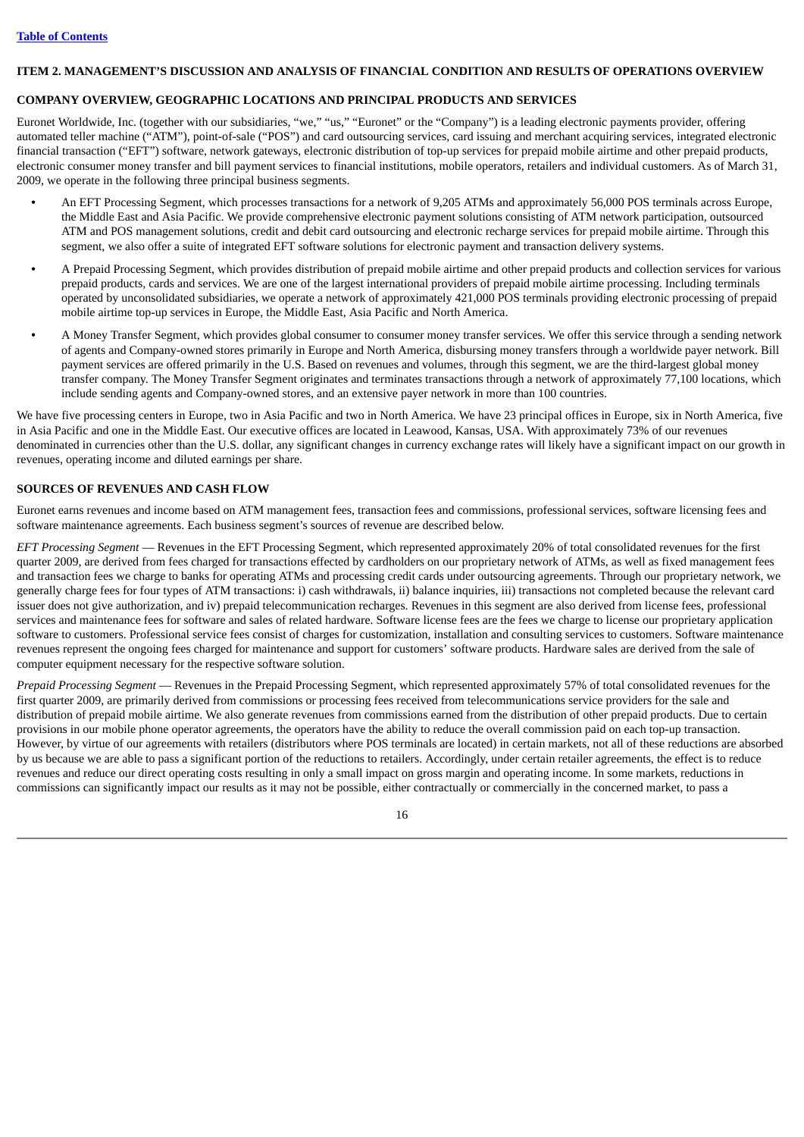## <span id="page-16-0"></span>**ITEM 2. MANAGEMENT'S DISCUSSION AND ANALYSIS OF FINANCIAL CONDITION AND RESULTS OF OPERATIONS OVERVIEW**

## **COMPANY OVERVIEW, GEOGRAPHIC LOCATIONS AND PRINCIPAL PRODUCTS AND SERVICES**

Euronet Worldwide, Inc. (together with our subsidiaries, "we," "us," "Euronet" or the "Company") is a leading electronic payments provider, offering automated teller machine ("ATM"), point-of-sale ("POS") and card outsourcing services, card issuing and merchant acquiring services, integrated electronic financial transaction ("EFT") software, network gateways, electronic distribution of top-up services for prepaid mobile airtime and other prepaid products, electronic consumer money transfer and bill payment services to financial institutions, mobile operators, retailers and individual customers. As of March 31, 2009, we operate in the following three principal business segments.

- **•** An EFT Processing Segment, which processes transactions for a network of 9,205 ATMs and approximately 56,000 POS terminals across Europe, the Middle East and Asia Pacific. We provide comprehensive electronic payment solutions consisting of ATM network participation, outsourced ATM and POS management solutions, credit and debit card outsourcing and electronic recharge services for prepaid mobile airtime. Through this segment, we also offer a suite of integrated EFT software solutions for electronic payment and transaction delivery systems.
- **•** A Prepaid Processing Segment, which provides distribution of prepaid mobile airtime and other prepaid products and collection services for various prepaid products, cards and services. We are one of the largest international providers of prepaid mobile airtime processing. Including terminals operated by unconsolidated subsidiaries, we operate a network of approximately 421,000 POS terminals providing electronic processing of prepaid mobile airtime top-up services in Europe, the Middle East, Asia Pacific and North America.
- **•** A Money Transfer Segment, which provides global consumer to consumer money transfer services. We offer this service through a sending network of agents and Company-owned stores primarily in Europe and North America, disbursing money transfers through a worldwide payer network. Bill payment services are offered primarily in the U.S. Based on revenues and volumes, through this segment, we are the third-largest global money transfer company. The Money Transfer Segment originates and terminates transactions through a network of approximately 77,100 locations, which include sending agents and Company-owned stores, and an extensive payer network in more than 100 countries.

We have five processing centers in Europe, two in Asia Pacific and two in North America. We have 23 principal offices in Europe, six in North America, five in Asia Pacific and one in the Middle East. Our executive offices are located in Leawood, Kansas, USA. With approximately 73% of our revenues denominated in currencies other than the U.S. dollar, any significant changes in currency exchange rates will likely have a significant impact on our growth in revenues, operating income and diluted earnings per share.

## **SOURCES OF REVENUES AND CASH FLOW**

Euronet earns revenues and income based on ATM management fees, transaction fees and commissions, professional services, software licensing fees and software maintenance agreements. Each business segment's sources of revenue are described below.

*EFT Processing Segment* — Revenues in the EFT Processing Segment, which represented approximately 20% of total consolidated revenues for the first quarter 2009, are derived from fees charged for transactions effected by cardholders on our proprietary network of ATMs, as well as fixed management fees and transaction fees we charge to banks for operating ATMs and processing credit cards under outsourcing agreements. Through our proprietary network, we generally charge fees for four types of ATM transactions: i) cash withdrawals, ii) balance inquiries, iii) transactions not completed because the relevant card issuer does not give authorization, and iv) prepaid telecommunication recharges. Revenues in this segment are also derived from license fees, professional services and maintenance fees for software and sales of related hardware. Software license fees are the fees we charge to license our proprietary application software to customers. Professional service fees consist of charges for customization, installation and consulting services to customers. Software maintenance revenues represent the ongoing fees charged for maintenance and support for customers' software products. Hardware sales are derived from the sale of computer equipment necessary for the respective software solution.

*Prepaid Processing Segment* — Revenues in the Prepaid Processing Segment, which represented approximately 57% of total consolidated revenues for the first quarter 2009, are primarily derived from commissions or processing fees received from telecommunications service providers for the sale and distribution of prepaid mobile airtime. We also generate revenues from commissions earned from the distribution of other prepaid products. Due to certain provisions in our mobile phone operator agreements, the operators have the ability to reduce the overall commission paid on each top-up transaction. However, by virtue of our agreements with retailers (distributors where POS terminals are located) in certain markets, not all of these reductions are absorbed by us because we are able to pass a significant portion of the reductions to retailers. Accordingly, under certain retailer agreements, the effect is to reduce revenues and reduce our direct operating costs resulting in only a small impact on gross margin and operating income. In some markets, reductions in commissions can significantly impact our results as it may not be possible, either contractually or commercially in the concerned market, to pass a

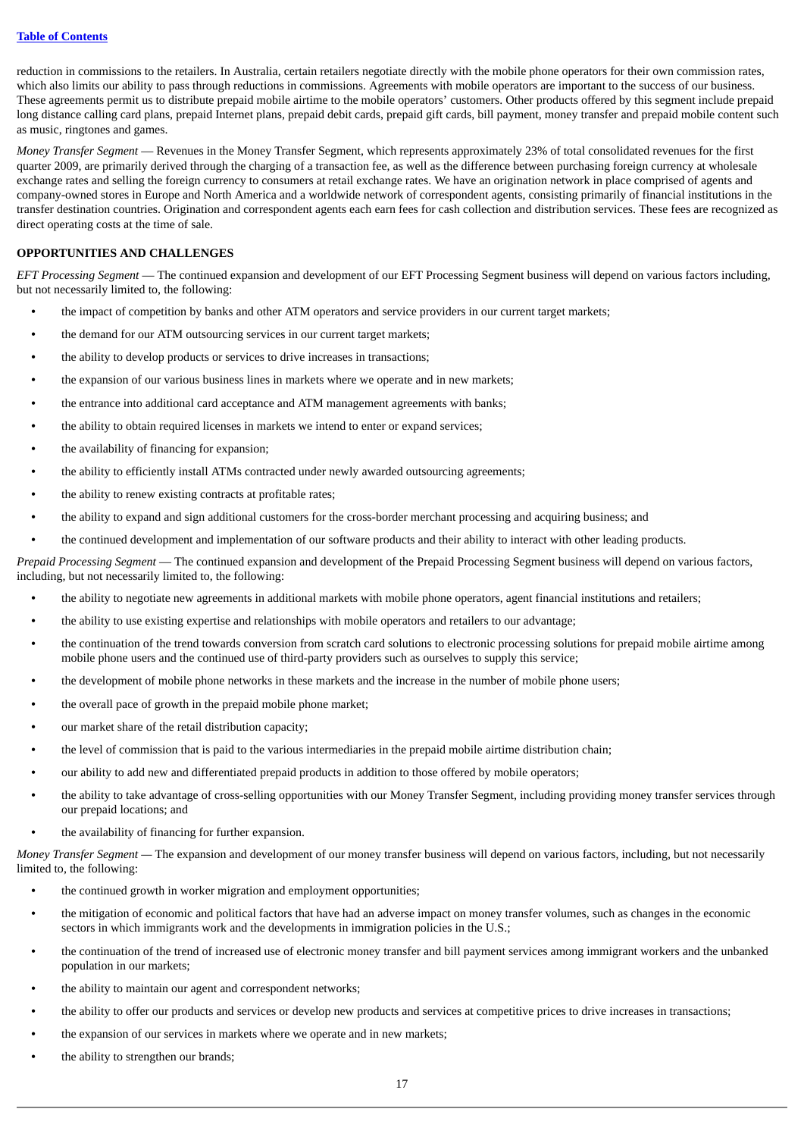reduction in commissions to the retailers. In Australia, certain retailers negotiate directly with the mobile phone operators for their own commission rates, which also limits our ability to pass through reductions in commissions. Agreements with mobile operators are important to the success of our business. These agreements permit us to distribute prepaid mobile airtime to the mobile operators' customers. Other products offered by this segment include prepaid long distance calling card plans, prepaid Internet plans, prepaid debit cards, prepaid gift cards, bill payment, money transfer and prepaid mobile content such as music, ringtones and games.

*Money Transfer Segment* — Revenues in the Money Transfer Segment, which represents approximately 23% of total consolidated revenues for the first quarter 2009, are primarily derived through the charging of a transaction fee, as well as the difference between purchasing foreign currency at wholesale exchange rates and selling the foreign currency to consumers at retail exchange rates. We have an origination network in place comprised of agents and company-owned stores in Europe and North America and a worldwide network of correspondent agents, consisting primarily of financial institutions in the transfer destination countries. Origination and correspondent agents each earn fees for cash collection and distribution services. These fees are recognized as direct operating costs at the time of sale.

## **OPPORTUNITIES AND CHALLENGES**

*EFT Processing Segment* — The continued expansion and development of our EFT Processing Segment business will depend on various factors including, but not necessarily limited to, the following:

- **•** the impact of competition by banks and other ATM operators and service providers in our current target markets;
- **•** the demand for our ATM outsourcing services in our current target markets;
- **•** the ability to develop products or services to drive increases in transactions;
- **•** the expansion of our various business lines in markets where we operate and in new markets;
- **•** the entrance into additional card acceptance and ATM management agreements with banks;
- **•** the ability to obtain required licenses in markets we intend to enter or expand services;
- **•** the availability of financing for expansion;
- **•** the ability to efficiently install ATMs contracted under newly awarded outsourcing agreements;
- **•** the ability to renew existing contracts at profitable rates;
- **•** the ability to expand and sign additional customers for the cross-border merchant processing and acquiring business; and
- **•** the continued development and implementation of our software products and their ability to interact with other leading products.

*Prepaid Processing Segment* — The continued expansion and development of the Prepaid Processing Segment business will depend on various factors, including, but not necessarily limited to, the following:

- **•** the ability to negotiate new agreements in additional markets with mobile phone operators, agent financial institutions and retailers;
- **•** the ability to use existing expertise and relationships with mobile operators and retailers to our advantage;
- **•** the continuation of the trend towards conversion from scratch card solutions to electronic processing solutions for prepaid mobile airtime among mobile phone users and the continued use of third-party providers such as ourselves to supply this service;
- **•** the development of mobile phone networks in these markets and the increase in the number of mobile phone users;
- **•** the overall pace of growth in the prepaid mobile phone market;
- **•** our market share of the retail distribution capacity;
- **•** the level of commission that is paid to the various intermediaries in the prepaid mobile airtime distribution chain;
- **•** our ability to add new and differentiated prepaid products in addition to those offered by mobile operators;
- **•** the ability to take advantage of cross-selling opportunities with our Money Transfer Segment, including providing money transfer services through our prepaid locations; and
- **•** the availability of financing for further expansion.

*Money Transfer Segment* — The expansion and development of our money transfer business will depend on various factors, including, but not necessarily limited to, the following:

- **•** the continued growth in worker migration and employment opportunities;
- **•** the mitigation of economic and political factors that have had an adverse impact on money transfer volumes, such as changes in the economic sectors in which immigrants work and the developments in immigration policies in the U.S.;
- **•** the continuation of the trend of increased use of electronic money transfer and bill payment services among immigrant workers and the unbanked population in our markets;
- **•** the ability to maintain our agent and correspondent networks;
- **•** the ability to offer our products and services or develop new products and services at competitive prices to drive increases in transactions;
- **•** the expansion of our services in markets where we operate and in new markets;
- **•** the ability to strengthen our brands;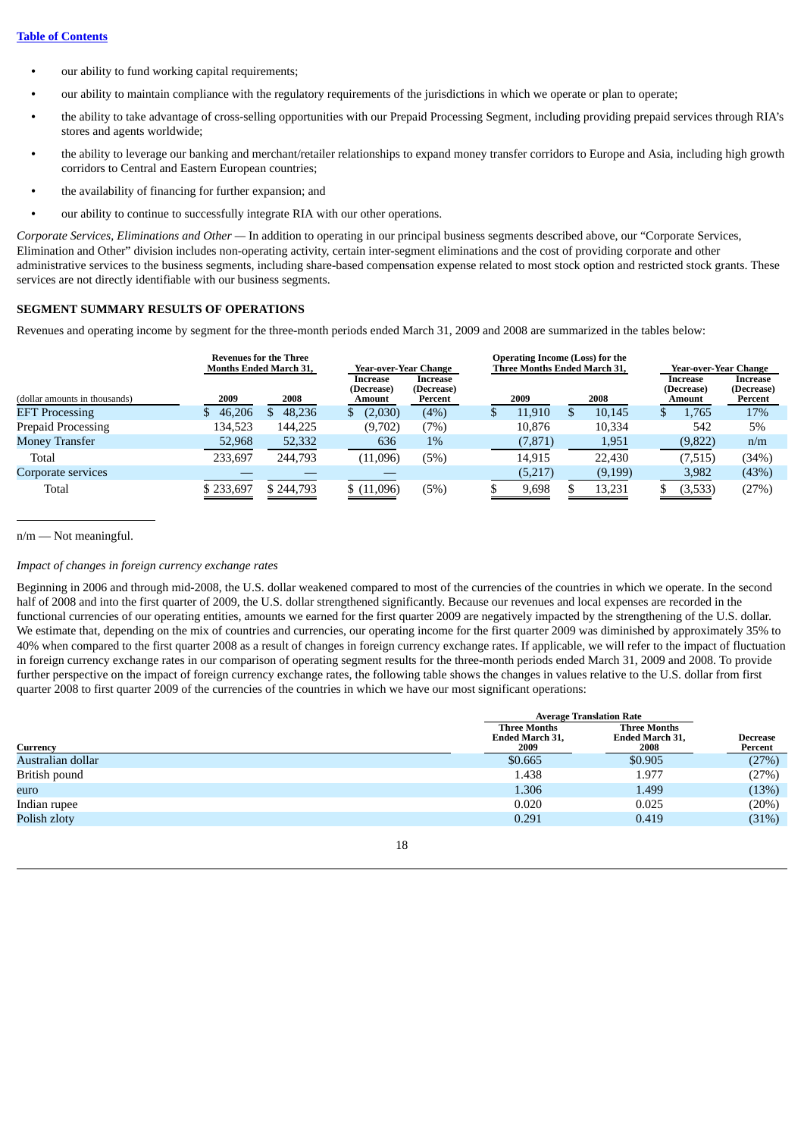- **•** our ability to fund working capital requirements;
- our ability to maintain compliance with the regulatory requirements of the jurisdictions in which we operate or plan to operate;
- **•** the ability to take advantage of cross-selling opportunities with our Prepaid Processing Segment, including providing prepaid services through RIA's stores and agents worldwide;
- **•** the ability to leverage our banking and merchant/retailer relationships to expand money transfer corridors to Europe and Asia, including high growth corridors to Central and Eastern European countries;
- **•** the availability of financing for further expansion; and
- **•** our ability to continue to successfully integrate RIA with our other operations.

*Corporate Services, Eliminations and Other —* In addition to operating in our principal business segments described above, our "Corporate Services, Elimination and Other" division includes non-operating activity, certain inter-segment eliminations and the cost of providing corporate and other administrative services to the business segments, including share-based compensation expense related to most stock option and restricted stock grants. These services are not directly identifiable with our business segments.

## **SEGMENT SUMMARY RESULTS OF OPERATIONS**

Revenues and operating income by segment for the three-month periods ended March 31, 2009 and 2008 are summarized in the tables below:

|                               |           | <b>Revenues for the Three</b><br><b>Months Ended March 31.</b> | Year-over-Year Change            |                                   |   | Operating Income (Loss) for the<br><b>Three Months Ended March 31.</b> |         |    |                                  | Year-over-Year Change             |
|-------------------------------|-----------|----------------------------------------------------------------|----------------------------------|-----------------------------------|---|------------------------------------------------------------------------|---------|----|----------------------------------|-----------------------------------|
| (dollar amounts in thousands) | 2009      | 2008                                                           | Increase<br>(Decrease)<br>Amount | Increase<br>(Decrease)<br>Percent |   | 2009                                                                   | 2008    |    | Increase<br>(Decrease)<br>Amount | Increase<br>(Decrease)<br>Percent |
| <b>EFT Processing</b>         | 46,206    | 48,236                                                         | (2,030)<br>D                     | (4%)                              | ¢ | 11,910                                                                 | 10,145  | .D | 1,765                            | 17%                               |
| Prepaid Processing            | 134,523   | 144,225                                                        | (9,702)                          | (7%)                              |   | 10.876                                                                 | 10,334  |    | 542                              | 5%                                |
| <b>Money Transfer</b>         | 52,968    | 52,332                                                         | 636                              | $1\%$                             |   | (7, 871)                                                               | 1,951   |    | (9,822)                          | n/m                               |
| Total                         | 233,697   | 244,793                                                        | (11,096)                         | (5%)                              |   | 14,915                                                                 | 22,430  |    | (7,515)                          | (34%)                             |
| Corporate services            |           |                                                                |                                  |                                   |   | (5,217)                                                                | (9,199) |    | 3,982                            | (43%)                             |
| Total                         | \$233,697 | \$244,793                                                      | \$(11,096)                       | (5%)                              |   | 9,698                                                                  | 13,231  |    | (3,533)                          | (27%)                             |

n/m — Not meaningful.

## *Impact of changes in foreign currency exchange rates*

Beginning in 2006 and through mid-2008, the U.S. dollar weakened compared to most of the currencies of the countries in which we operate. In the second half of 2008 and into the first quarter of 2009, the U.S. dollar strengthened significantly. Because our revenues and local expenses are recorded in the functional currencies of our operating entities, amounts we earned for the first quarter 2009 are negatively impacted by the strengthening of the U.S. dollar. We estimate that, depending on the mix of countries and currencies, our operating income for the first quarter 2009 was diminished by approximately 35% to 40% when compared to the first quarter 2008 as a result of changes in foreign currency exchange rates. If applicable, we will refer to the impact of fluctuation in foreign currency exchange rates in our comparison of operating segment results for the three-month periods ended March 31, 2009 and 2008. To provide further perspective on the impact of foreign currency exchange rates, the following table shows the changes in values relative to the U.S. dollar from first quarter 2008 to first quarter 2009 of the currencies of the countries in which we have our most significant operations:

|                   |                                                       | <b>Average Translation Rate</b>                |                            |
|-------------------|-------------------------------------------------------|------------------------------------------------|----------------------------|
| Currency          | <b>Three Months</b><br><b>Ended March 31,</b><br>2009 | <b>Three Months</b><br>Ended March 31,<br>2008 | <b>Decrease</b><br>Percent |
| Australian dollar | \$0.665                                               | \$0.905                                        | (27%)                      |
| British pound     | 1.438                                                 | 1.977                                          | (27%)                      |
| euro              | 1.306                                                 | 1.499                                          | (13%)                      |
| Indian rupee      | 0.020                                                 | 0.025                                          | (20%)                      |
| Polish zloty      | 0.291                                                 | 0.419                                          | (31%)                      |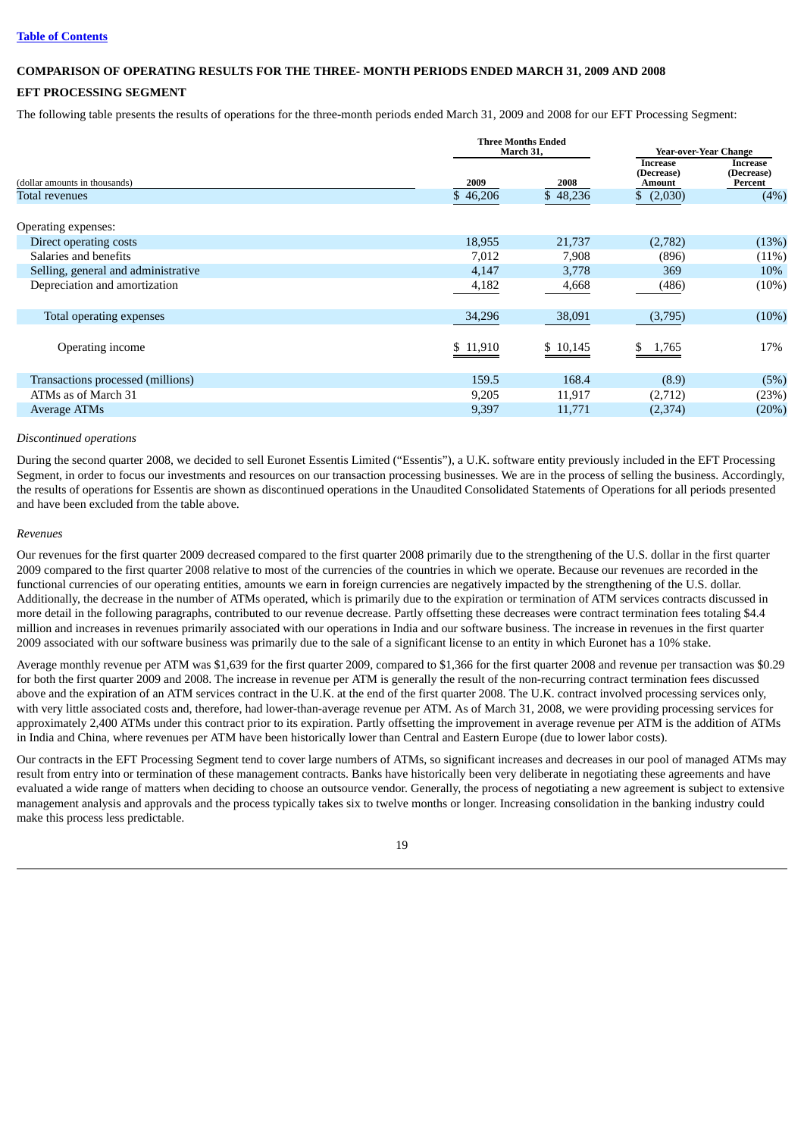## **COMPARISON OF OPERATING RESULTS FOR THE THREE- MONTH PERIODS ENDED MARCH 31, 2009 AND 2008**

## **EFT PROCESSING SEGMENT**

The following table presents the results of operations for the three-month periods ended March 31, 2009 and 2008 for our EFT Processing Segment:

|                                     |          | <b>Three Months Ended</b><br>March 31, |                                         | <b>Year-over-Year Change</b>             |
|-------------------------------------|----------|----------------------------------------|-----------------------------------------|------------------------------------------|
| (dollar amounts in thousands)       | 2009     | 2008                                   | <b>Increase</b><br>(Decrease)<br>Amount | <b>Increase</b><br>(Decrease)<br>Percent |
| Total revenues                      | \$46,206 | \$48,236                               | (2,030)                                 | (4%)                                     |
| Operating expenses:                 |          |                                        |                                         |                                          |
| Direct operating costs              | 18,955   | 21,737                                 | (2,782)                                 | (13%)                                    |
| Salaries and benefits               | 7,012    | 7,908                                  | (896)                                   | (11%)                                    |
| Selling, general and administrative | 4,147    | 3,778                                  | 369                                     | 10%                                      |
| Depreciation and amortization       | 4,182    | 4,668                                  | (486)                                   | $(10\%)$                                 |
|                                     |          |                                        |                                         |                                          |
| Total operating expenses            | 34,296   | 38,091                                 | (3,795)                                 | (10%)                                    |
| Operating income                    | \$11,910 | \$10,145                               | 1,765<br>S.                             | 17%                                      |
| Transactions processed (millions)   | 159.5    | 168.4                                  | (8.9)                                   | (5%)                                     |
| ATMs as of March 31                 | 9,205    | 11,917                                 | (2,712)                                 | (23%)                                    |
| <b>Average ATMs</b>                 | 9,397    | 11,771                                 | (2,374)                                 | (20%)                                    |
|                                     |          |                                        |                                         |                                          |

#### *Discontinued operations*

During the second quarter 2008, we decided to sell Euronet Essentis Limited ("Essentis"), a U.K. software entity previously included in the EFT Processing Segment, in order to focus our investments and resources on our transaction processing businesses. We are in the process of selling the business. Accordingly, the results of operations for Essentis are shown as discontinued operations in the Unaudited Consolidated Statements of Operations for all periods presented and have been excluded from the table above.

#### *Revenues*

Our revenues for the first quarter 2009 decreased compared to the first quarter 2008 primarily due to the strengthening of the U.S. dollar in the first quarter 2009 compared to the first quarter 2008 relative to most of the currencies of the countries in which we operate. Because our revenues are recorded in the functional currencies of our operating entities, amounts we earn in foreign currencies are negatively impacted by the strengthening of the U.S. dollar. Additionally, the decrease in the number of ATMs operated, which is primarily due to the expiration or termination of ATM services contracts discussed in more detail in the following paragraphs, contributed to our revenue decrease. Partly offsetting these decreases were contract termination fees totaling \$4.4 million and increases in revenues primarily associated with our operations in India and our software business. The increase in revenues in the first quarter 2009 associated with our software business was primarily due to the sale of a significant license to an entity in which Euronet has a 10% stake.

Average monthly revenue per ATM was \$1,639 for the first quarter 2009, compared to \$1,366 for the first quarter 2008 and revenue per transaction was \$0.29 for both the first quarter 2009 and 2008. The increase in revenue per ATM is generally the result of the non-recurring contract termination fees discussed above and the expiration of an ATM services contract in the U.K. at the end of the first quarter 2008. The U.K. contract involved processing services only, with very little associated costs and, therefore, had lower-than-average revenue per ATM. As of March 31, 2008, we were providing processing services for approximately 2,400 ATMs under this contract prior to its expiration. Partly offsetting the improvement in average revenue per ATM is the addition of ATMs in India and China, where revenues per ATM have been historically lower than Central and Eastern Europe (due to lower labor costs).

Our contracts in the EFT Processing Segment tend to cover large numbers of ATMs, so significant increases and decreases in our pool of managed ATMs may result from entry into or termination of these management contracts. Banks have historically been very deliberate in negotiating these agreements and have evaluated a wide range of matters when deciding to choose an outsource vendor. Generally, the process of negotiating a new agreement is subject to extensive management analysis and approvals and the process typically takes six to twelve months or longer. Increasing consolidation in the banking industry could make this process less predictable.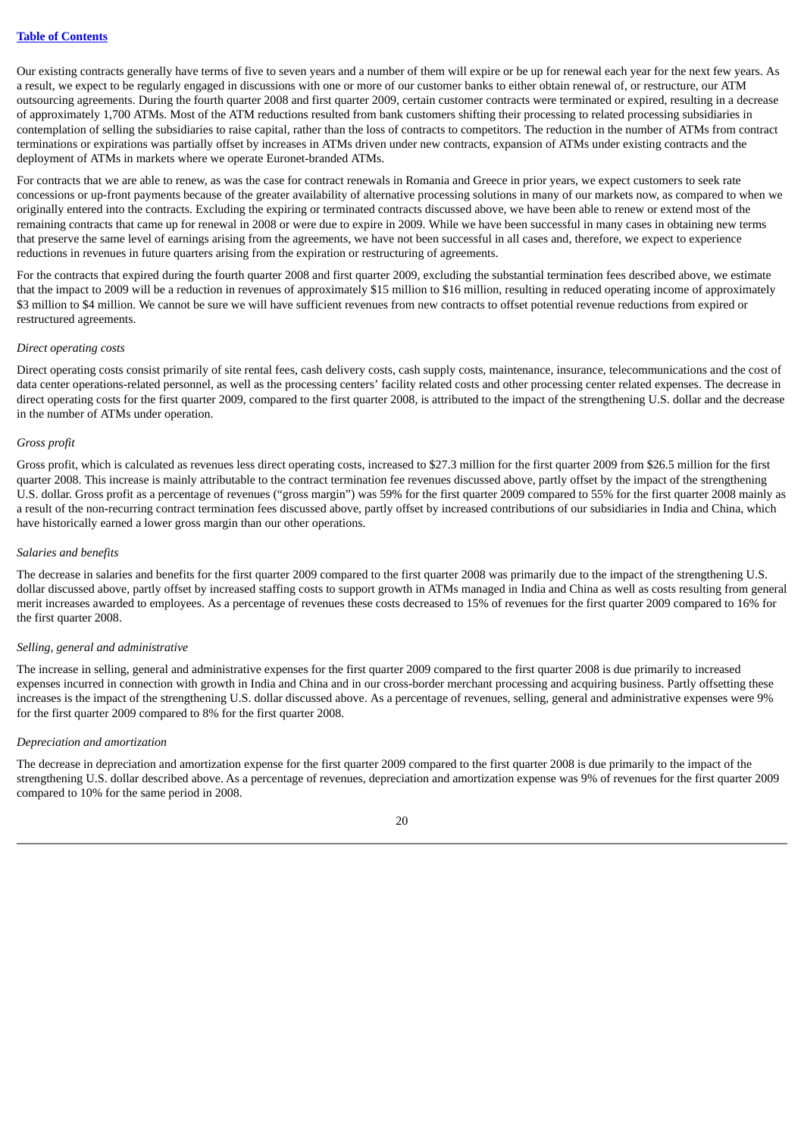Our existing contracts generally have terms of five to seven years and a number of them will expire or be up for renewal each year for the next few years. As a result, we expect to be regularly engaged in discussions with one or more of our customer banks to either obtain renewal of, or restructure, our ATM outsourcing agreements. During the fourth quarter 2008 and first quarter 2009, certain customer contracts were terminated or expired, resulting in a decrease of approximately 1,700 ATMs. Most of the ATM reductions resulted from bank customers shifting their processing to related processing subsidiaries in contemplation of selling the subsidiaries to raise capital, rather than the loss of contracts to competitors. The reduction in the number of ATMs from contract terminations or expirations was partially offset by increases in ATMs driven under new contracts, expansion of ATMs under existing contracts and the deployment of ATMs in markets where we operate Euronet-branded ATMs.

For contracts that we are able to renew, as was the case for contract renewals in Romania and Greece in prior years, we expect customers to seek rate concessions or up-front payments because of the greater availability of alternative processing solutions in many of our markets now, as compared to when we originally entered into the contracts. Excluding the expiring or terminated contracts discussed above, we have been able to renew or extend most of the remaining contracts that came up for renewal in 2008 or were due to expire in 2009. While we have been successful in many cases in obtaining new terms that preserve the same level of earnings arising from the agreements, we have not been successful in all cases and, therefore, we expect to experience reductions in revenues in future quarters arising from the expiration or restructuring of agreements.

For the contracts that expired during the fourth quarter 2008 and first quarter 2009, excluding the substantial termination fees described above, we estimate that the impact to 2009 will be a reduction in revenues of approximately \$15 million to \$16 million, resulting in reduced operating income of approximately \$3 million to \$4 million. We cannot be sure we will have sufficient revenues from new contracts to offset potential revenue reductions from expired or restructured agreements.

## *Direct operating costs*

Direct operating costs consist primarily of site rental fees, cash delivery costs, cash supply costs, maintenance, insurance, telecommunications and the cost of data center operations-related personnel, as well as the processing centers' facility related costs and other processing center related expenses. The decrease in direct operating costs for the first quarter 2009, compared to the first quarter 2008, is attributed to the impact of the strengthening U.S. dollar and the decrease in the number of ATMs under operation.

## *Gross profit*

Gross profit, which is calculated as revenues less direct operating costs, increased to \$27.3 million for the first quarter 2009 from \$26.5 million for the first quarter 2008. This increase is mainly attributable to the contract termination fee revenues discussed above, partly offset by the impact of the strengthening U.S. dollar. Gross profit as a percentage of revenues ("gross margin") was 59% for the first quarter 2009 compared to 55% for the first quarter 2008 mainly as a result of the non-recurring contract termination fees discussed above, partly offset by increased contributions of our subsidiaries in India and China, which have historically earned a lower gross margin than our other operations.

## *Salaries and benefits*

The decrease in salaries and benefits for the first quarter 2009 compared to the first quarter 2008 was primarily due to the impact of the strengthening U.S. dollar discussed above, partly offset by increased staffing costs to support growth in ATMs managed in India and China as well as costs resulting from general merit increases awarded to employees. As a percentage of revenues these costs decreased to 15% of revenues for the first quarter 2009 compared to 16% for the first quarter 2008.

#### *Selling, general and administrative*

The increase in selling, general and administrative expenses for the first quarter 2009 compared to the first quarter 2008 is due primarily to increased expenses incurred in connection with growth in India and China and in our cross-border merchant processing and acquiring business. Partly offsetting these increases is the impact of the strengthening U.S. dollar discussed above. As a percentage of revenues, selling, general and administrative expenses were 9% for the first quarter 2009 compared to 8% for the first quarter 2008.

#### *Depreciation and amortization*

The decrease in depreciation and amortization expense for the first quarter 2009 compared to the first quarter 2008 is due primarily to the impact of the strengthening U.S. dollar described above. As a percentage of revenues, depreciation and amortization expense was 9% of revenues for the first quarter 2009 compared to 10% for the same period in 2008.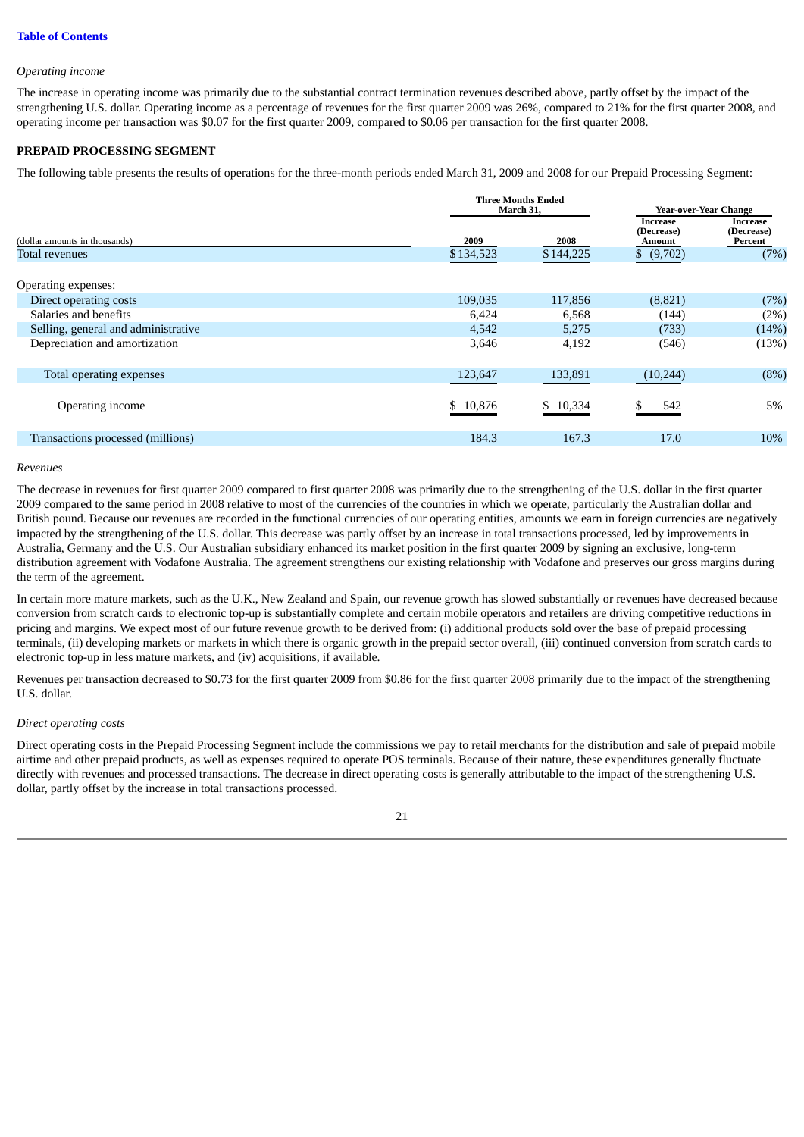#### *Operating income*

The increase in operating income was primarily due to the substantial contract termination revenues described above, partly offset by the impact of the strengthening U.S. dollar. Operating income as a percentage of revenues for the first quarter 2009 was 26%, compared to 21% for the first quarter 2008, and operating income per transaction was \$0.07 for the first quarter 2009, compared to \$0.06 per transaction for the first quarter 2008.

## **PREPAID PROCESSING SEGMENT**

The following table presents the results of operations for the three-month periods ended March 31, 2009 and 2008 for our Prepaid Processing Segment:

|                                     |           | <b>Three Months Ended</b><br>March 31, |                                         | <b>Year-over-Year Change</b>      |  |  |
|-------------------------------------|-----------|----------------------------------------|-----------------------------------------|-----------------------------------|--|--|
| (dollar amounts in thousands)       | 2009      | 2008                                   | <b>Increase</b><br>(Decrease)<br>Amount | Increase<br>(Decrease)<br>Percent |  |  |
| Total revenues                      | \$134,523 | \$144,225                              | \$ (9,702)                              | (7%)                              |  |  |
| Operating expenses:                 |           |                                        |                                         |                                   |  |  |
| Direct operating costs              | 109,035   | 117,856                                | (8,821)                                 | (7%)                              |  |  |
| Salaries and benefits               | 6,424     | 6,568                                  | (144)                                   | (2%)                              |  |  |
| Selling, general and administrative | 4,542     | 5,275                                  | (733)                                   | (14%)                             |  |  |
| Depreciation and amortization       | 3,646     | 4,192                                  | (546)                                   | (13%)                             |  |  |
|                                     |           |                                        |                                         |                                   |  |  |
| Total operating expenses            | 123,647   | 133,891                                | (10, 244)                               | (8%)                              |  |  |
| Operating income                    | \$10,876  | \$10,334                               | 542                                     | 5%                                |  |  |
| Transactions processed (millions)   | 184.3     | 167.3                                  | 17.0                                    | 10%                               |  |  |

## *Revenues*

The decrease in revenues for first quarter 2009 compared to first quarter 2008 was primarily due to the strengthening of the U.S. dollar in the first quarter 2009 compared to the same period in 2008 relative to most of the currencies of the countries in which we operate, particularly the Australian dollar and British pound. Because our revenues are recorded in the functional currencies of our operating entities, amounts we earn in foreign currencies are negatively impacted by the strengthening of the U.S. dollar. This decrease was partly offset by an increase in total transactions processed, led by improvements in Australia, Germany and the U.S. Our Australian subsidiary enhanced its market position in the first quarter 2009 by signing an exclusive, long-term distribution agreement with Vodafone Australia. The agreement strengthens our existing relationship with Vodafone and preserves our gross margins during the term of the agreement.

In certain more mature markets, such as the U.K., New Zealand and Spain, our revenue growth has slowed substantially or revenues have decreased because conversion from scratch cards to electronic top-up is substantially complete and certain mobile operators and retailers are driving competitive reductions in pricing and margins. We expect most of our future revenue growth to be derived from: (i) additional products sold over the base of prepaid processing terminals, (ii) developing markets or markets in which there is organic growth in the prepaid sector overall, (iii) continued conversion from scratch cards to electronic top-up in less mature markets, and (iv) acquisitions, if available.

Revenues per transaction decreased to \$0.73 for the first quarter 2009 from \$0.86 for the first quarter 2008 primarily due to the impact of the strengthening U.S. dollar.

## *Direct operating costs*

Direct operating costs in the Prepaid Processing Segment include the commissions we pay to retail merchants for the distribution and sale of prepaid mobile airtime and other prepaid products, as well as expenses required to operate POS terminals. Because of their nature, these expenditures generally fluctuate directly with revenues and processed transactions. The decrease in direct operating costs is generally attributable to the impact of the strengthening U.S. dollar, partly offset by the increase in total transactions processed.

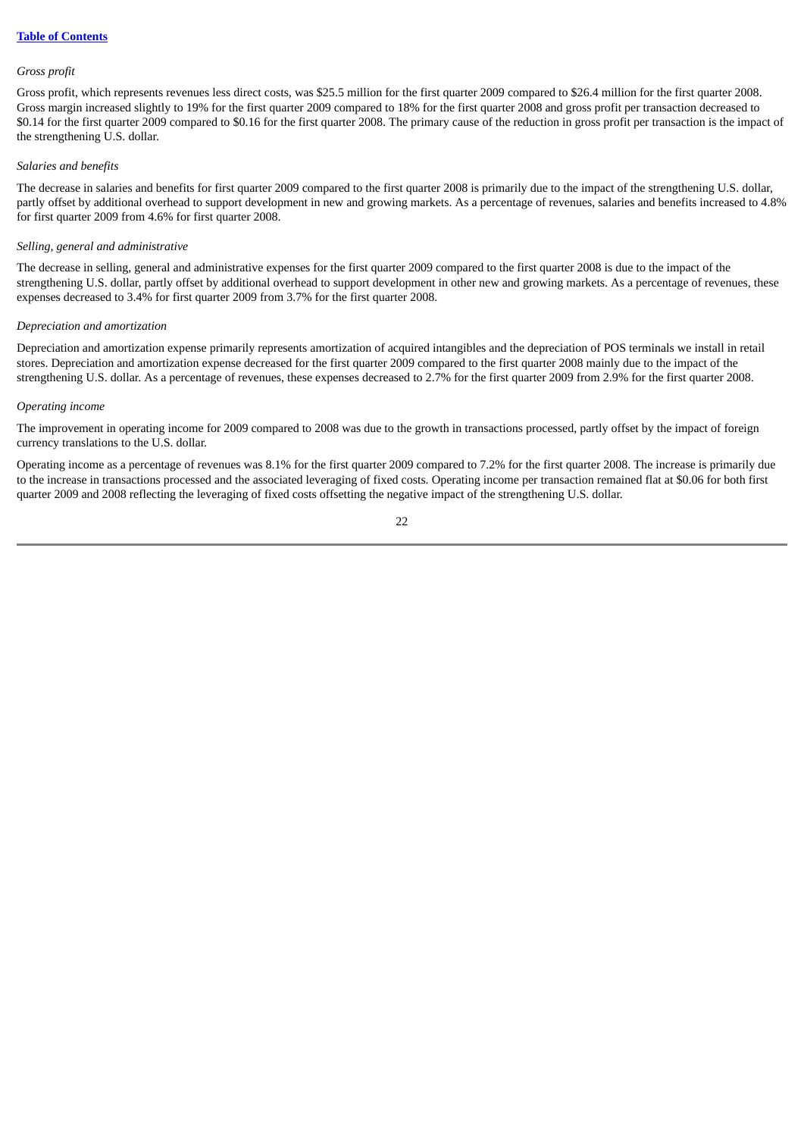## *Gross profit*

Gross profit, which represents revenues less direct costs, was \$25.5 million for the first quarter 2009 compared to \$26.4 million for the first quarter 2008. Gross margin increased slightly to 19% for the first quarter 2009 compared to 18% for the first quarter 2008 and gross profit per transaction decreased to \$0.14 for the first quarter 2009 compared to \$0.16 for the first quarter 2008. The primary cause of the reduction in gross profit per transaction is the impact of the strengthening U.S. dollar.

#### *Salaries and benefits*

The decrease in salaries and benefits for first quarter 2009 compared to the first quarter 2008 is primarily due to the impact of the strengthening U.S. dollar, partly offset by additional overhead to support development in new and growing markets. As a percentage of revenues, salaries and benefits increased to 4.8% for first quarter 2009 from 4.6% for first quarter 2008.

#### *Selling, general and administrative*

The decrease in selling, general and administrative expenses for the first quarter 2009 compared to the first quarter 2008 is due to the impact of the strengthening U.S. dollar, partly offset by additional overhead to support development in other new and growing markets. As a percentage of revenues, these expenses decreased to 3.4% for first quarter 2009 from 3.7% for the first quarter 2008.

#### *Depreciation and amortization*

Depreciation and amortization expense primarily represents amortization of acquired intangibles and the depreciation of POS terminals we install in retail stores. Depreciation and amortization expense decreased for the first quarter 2009 compared to the first quarter 2008 mainly due to the impact of the strengthening U.S. dollar. As a percentage of revenues, these expenses decreased to 2.7% for the first quarter 2009 from 2.9% for the first quarter 2008.

## *Operating income*

The improvement in operating income for 2009 compared to 2008 was due to the growth in transactions processed, partly offset by the impact of foreign currency translations to the U.S. dollar.

Operating income as a percentage of revenues was 8.1% for the first quarter 2009 compared to 7.2% for the first quarter 2008. The increase is primarily due to the increase in transactions processed and the associated leveraging of fixed costs. Operating income per transaction remained flat at \$0.06 for both first quarter 2009 and 2008 reflecting the leveraging of fixed costs offsetting the negative impact of the strengthening U.S. dollar.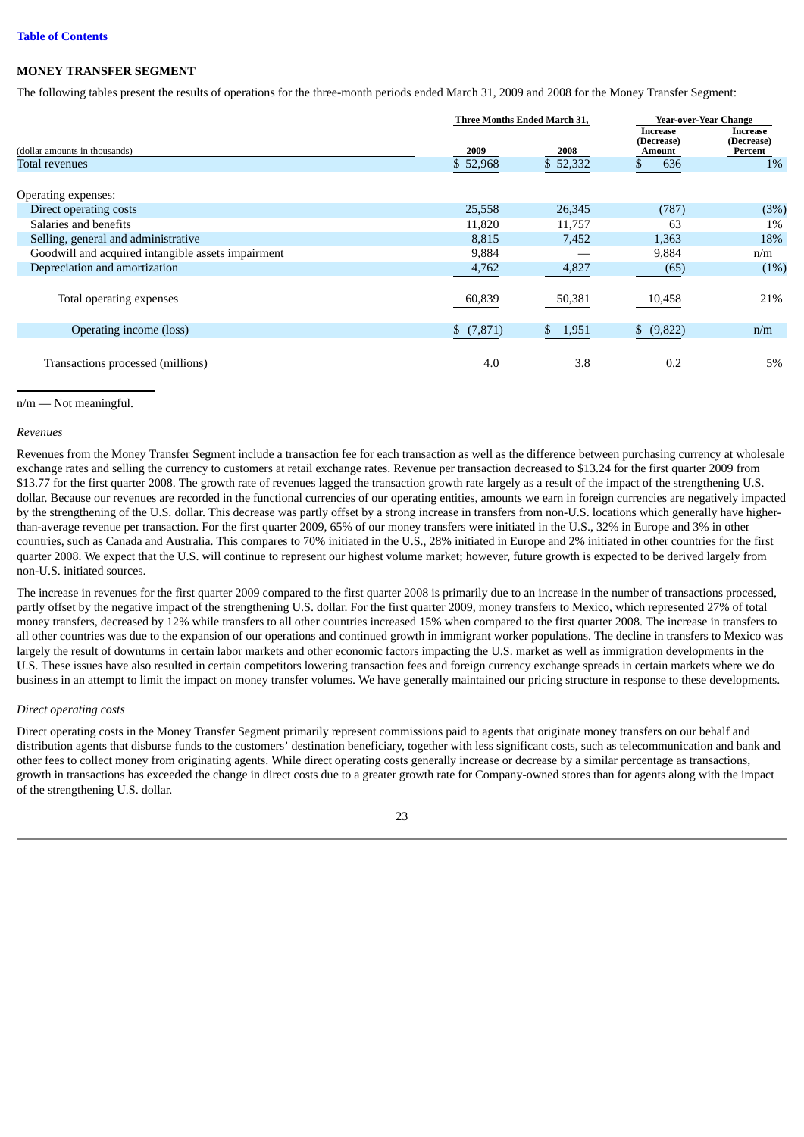## **MONEY TRANSFER SEGMENT**

The following tables present the results of operations for the three-month periods ended March 31, 2009 and 2008 for the Money Transfer Segment:

|                                                    | Three Months Ended March 31, |          | <b>Year-over-Year Change</b>            |                                          |  |
|----------------------------------------------------|------------------------------|----------|-----------------------------------------|------------------------------------------|--|
| (dollar amounts in thousands)                      | 2009                         | 2008     | <b>Increase</b><br>(Decrease)<br>Amount | <b>Increase</b><br>(Decrease)<br>Percent |  |
| Total revenues                                     | \$52,968                     | \$52,332 | 636                                     | 1%                                       |  |
| Operating expenses:                                |                              |          |                                         |                                          |  |
| Direct operating costs                             | 25,558                       | 26,345   | (787)                                   | (3%)                                     |  |
| Salaries and benefits                              | 11,820                       | 11,757   | 63                                      | 1%                                       |  |
| Selling, general and administrative                | 8,815                        | 7,452    | 1,363                                   | 18%                                      |  |
| Goodwill and acquired intangible assets impairment | 9,884                        |          | 9,884                                   | n/m                                      |  |
| Depreciation and amortization                      | 4,762                        | 4,827    | (65)                                    | (1%)                                     |  |
| Total operating expenses                           | 60,839                       | 50,381   | 10,458                                  | 21%                                      |  |
| Operating income (loss)                            | \$(7,871)                    | \$1,951  | \$ (9,822)                              | n/m                                      |  |
| Transactions processed (millions)                  | 4.0                          | 3.8      | 0.2                                     | 5%                                       |  |

#### n/m — Not meaningful.

#### *Revenues*

Revenues from the Money Transfer Segment include a transaction fee for each transaction as well as the difference between purchasing currency at wholesale exchange rates and selling the currency to customers at retail exchange rates. Revenue per transaction decreased to \$13.24 for the first quarter 2009 from \$13.77 for the first quarter 2008. The growth rate of revenues lagged the transaction growth rate largely as a result of the impact of the strengthening U.S. dollar. Because our revenues are recorded in the functional currencies of our operating entities, amounts we earn in foreign currencies are negatively impacted by the strengthening of the U.S. dollar. This decrease was partly offset by a strong increase in transfers from non-U.S. locations which generally have higherthan-average revenue per transaction. For the first quarter 2009, 65% of our money transfers were initiated in the U.S., 32% in Europe and 3% in other countries, such as Canada and Australia. This compares to 70% initiated in the U.S., 28% initiated in Europe and 2% initiated in other countries for the first quarter 2008. We expect that the U.S. will continue to represent our highest volume market; however, future growth is expected to be derived largely from non-U.S. initiated sources.

The increase in revenues for the first quarter 2009 compared to the first quarter 2008 is primarily due to an increase in the number of transactions processed, partly offset by the negative impact of the strengthening U.S. dollar. For the first quarter 2009, money transfers to Mexico, which represented 27% of total money transfers, decreased by 12% while transfers to all other countries increased 15% when compared to the first quarter 2008. The increase in transfers to all other countries was due to the expansion of our operations and continued growth in immigrant worker populations. The decline in transfers to Mexico was largely the result of downturns in certain labor markets and other economic factors impacting the U.S. market as well as immigration developments in the U.S. These issues have also resulted in certain competitors lowering transaction fees and foreign currency exchange spreads in certain markets where we do business in an attempt to limit the impact on money transfer volumes. We have generally maintained our pricing structure in response to these developments.

## *Direct operating costs*

Direct operating costs in the Money Transfer Segment primarily represent commissions paid to agents that originate money transfers on our behalf and distribution agents that disburse funds to the customers' destination beneficiary, together with less significant costs, such as telecommunication and bank and other fees to collect money from originating agents. While direct operating costs generally increase or decrease by a similar percentage as transactions, growth in transactions has exceeded the change in direct costs due to a greater growth rate for Company-owned stores than for agents along with the impact of the strengthening U.S. dollar.

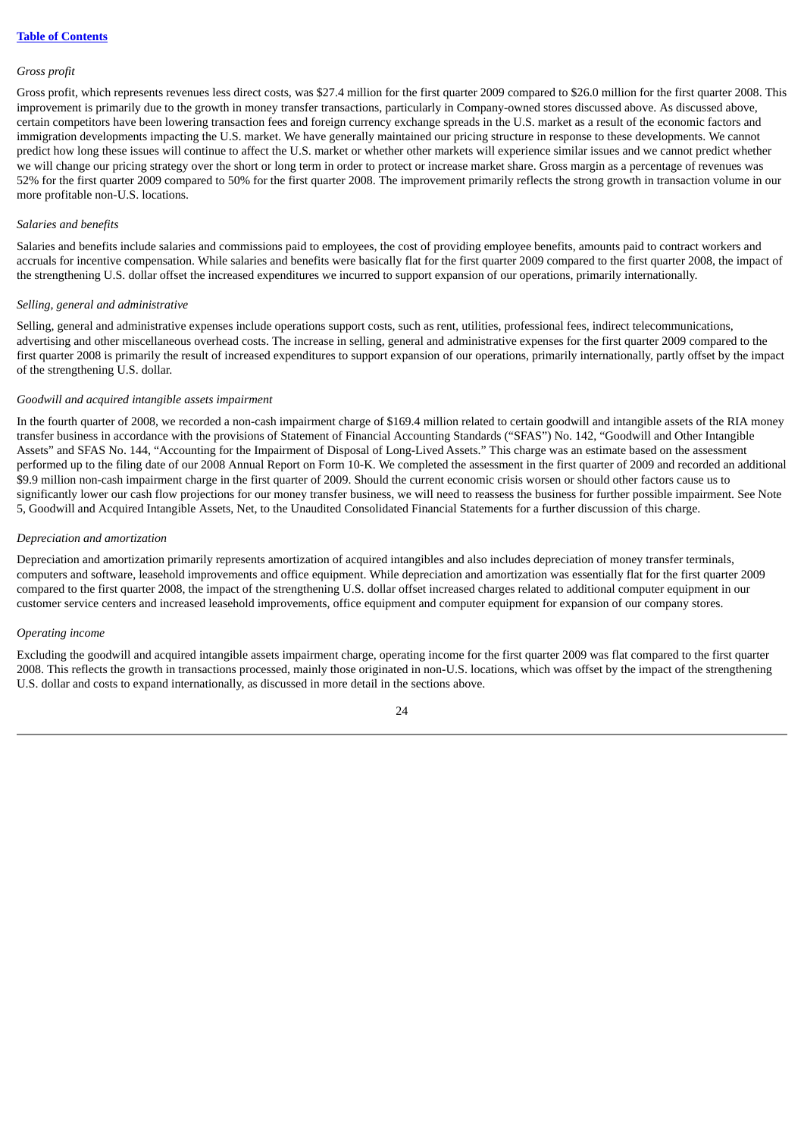#### *Gross profit*

Gross profit, which represents revenues less direct costs, was \$27.4 million for the first quarter 2009 compared to \$26.0 million for the first quarter 2008. This improvement is primarily due to the growth in money transfer transactions, particularly in Company-owned stores discussed above. As discussed above, certain competitors have been lowering transaction fees and foreign currency exchange spreads in the U.S. market as a result of the economic factors and immigration developments impacting the U.S. market. We have generally maintained our pricing structure in response to these developments. We cannot predict how long these issues will continue to affect the U.S. market or whether other markets will experience similar issues and we cannot predict whether we will change our pricing strategy over the short or long term in order to protect or increase market share. Gross margin as a percentage of revenues was 52% for the first quarter 2009 compared to 50% for the first quarter 2008. The improvement primarily reflects the strong growth in transaction volume in our more profitable non-U.S. locations.

## *Salaries and benefits*

Salaries and benefits include salaries and commissions paid to employees, the cost of providing employee benefits, amounts paid to contract workers and accruals for incentive compensation. While salaries and benefits were basically flat for the first quarter 2009 compared to the first quarter 2008, the impact of the strengthening U.S. dollar offset the increased expenditures we incurred to support expansion of our operations, primarily internationally.

#### *Selling, general and administrative*

Selling, general and administrative expenses include operations support costs, such as rent, utilities, professional fees, indirect telecommunications, advertising and other miscellaneous overhead costs. The increase in selling, general and administrative expenses for the first quarter 2009 compared to the first quarter 2008 is primarily the result of increased expenditures to support expansion of our operations, primarily internationally, partly offset by the impact of the strengthening U.S. dollar.

#### *Goodwill and acquired intangible assets impairment*

In the fourth quarter of 2008, we recorded a non-cash impairment charge of \$169.4 million related to certain goodwill and intangible assets of the RIA money transfer business in accordance with the provisions of Statement of Financial Accounting Standards ("SFAS") No. 142, "Goodwill and Other Intangible Assets" and SFAS No. 144, "Accounting for the Impairment of Disposal of Long-Lived Assets." This charge was an estimate based on the assessment performed up to the filing date of our 2008 Annual Report on Form 10-K. We completed the assessment in the first quarter of 2009 and recorded an additional \$9.9 million non-cash impairment charge in the first quarter of 2009. Should the current economic crisis worsen or should other factors cause us to significantly lower our cash flow projections for our money transfer business, we will need to reassess the business for further possible impairment. See Note 5, Goodwill and Acquired Intangible Assets, Net, to the Unaudited Consolidated Financial Statements for a further discussion of this charge.

#### *Depreciation and amortization*

Depreciation and amortization primarily represents amortization of acquired intangibles and also includes depreciation of money transfer terminals, computers and software, leasehold improvements and office equipment. While depreciation and amortization was essentially flat for the first quarter 2009 compared to the first quarter 2008, the impact of the strengthening U.S. dollar offset increased charges related to additional computer equipment in our customer service centers and increased leasehold improvements, office equipment and computer equipment for expansion of our company stores.

#### *Operating income*

Excluding the goodwill and acquired intangible assets impairment charge, operating income for the first quarter 2009 was flat compared to the first quarter 2008. This reflects the growth in transactions processed, mainly those originated in non-U.S. locations, which was offset by the impact of the strengthening U.S. dollar and costs to expand internationally, as discussed in more detail in the sections above.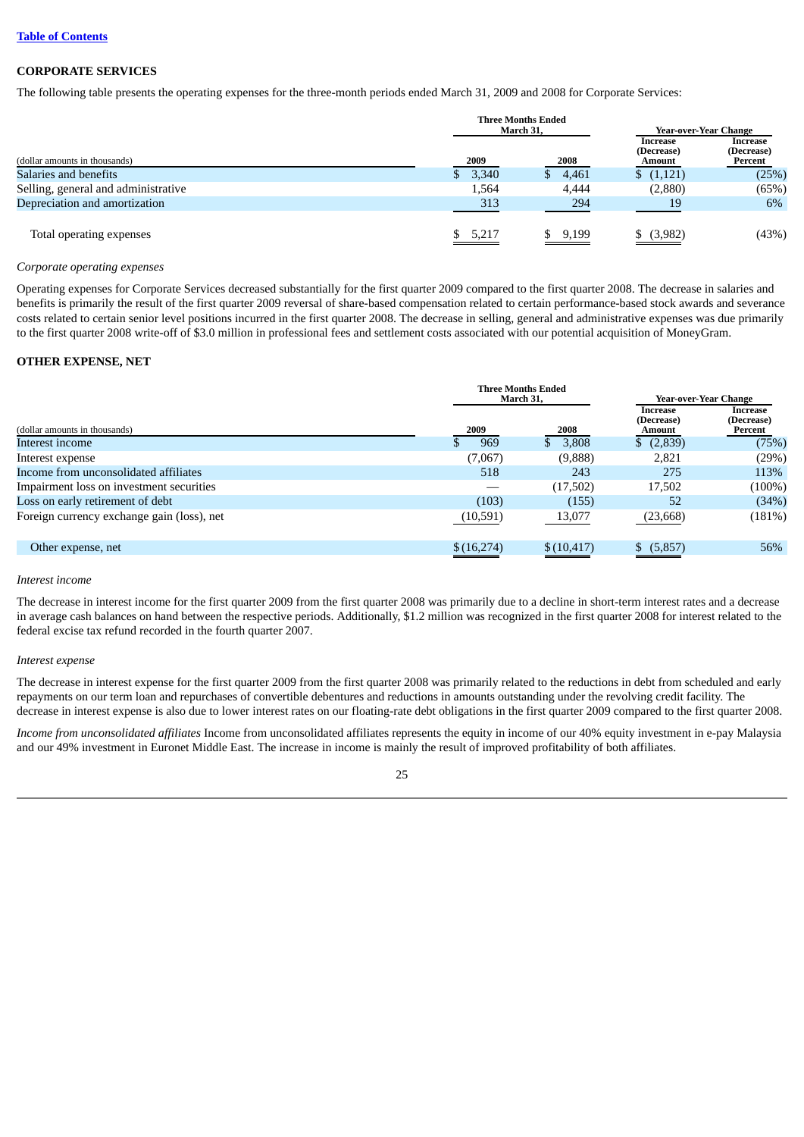## **CORPORATE SERVICES**

The following table presents the operating expenses for the three-month periods ended March 31, 2009 and 2008 for Corporate Services:

|                                     | <b>Three Months Ended</b><br>March 31, | Year-over-Year Change |                                  |                                   |
|-------------------------------------|----------------------------------------|-----------------------|----------------------------------|-----------------------------------|
| (dollar amounts in thousands)       | 2009                                   | 2008                  | Increase<br>(Decrease)<br>Amount | Increase<br>(Decrease)<br>Percent |
| Salaries and benefits               | 3,340                                  | 4,461                 | \$(1,121)                        | (25%)                             |
| Selling, general and administrative | 1,564                                  | 4,444                 | (2,880)                          | (65%)                             |
| Depreciation and amortization       | 313                                    | 294                   | 19                               | 6%                                |
| Total operating expenses            | \$5,217                                | 9,199<br>S.           | \$ (3,982)                       | (43%)                             |

#### *Corporate operating expenses*

Operating expenses for Corporate Services decreased substantially for the first quarter 2009 compared to the first quarter 2008. The decrease in salaries and benefits is primarily the result of the first quarter 2009 reversal of share-based compensation related to certain performance-based stock awards and severance costs related to certain senior level positions incurred in the first quarter 2008. The decrease in selling, general and administrative expenses was due primarily to the first quarter 2008 write-off of \$3.0 million in professional fees and settlement costs associated with our potential acquisition of MoneyGram.

## **OTHER EXPENSE, NET**

|                                            |            | <b>Three Months Ended</b><br>March 31. |                                  | <b>Year-over-Year Change</b>      |
|--------------------------------------------|------------|----------------------------------------|----------------------------------|-----------------------------------|
| (dollar amounts in thousands)              | 2009       | 2008                                   | Increase<br>(Decrease)<br>Amount | Increase<br>(Decrease)<br>Percent |
| Interest income                            | 969<br>Ъ.  | 3,808<br>S                             | (2,839)                          | (75%)                             |
| Interest expense                           | (7,067)    | (9,888)                                | 2,821                            | (29%)                             |
| Income from unconsolidated affiliates      | 518        | 243                                    | 275                              | 113%                              |
| Impairment loss on investment securities   |            | (17,502)                               | 17,502                           | $(100\%)$                         |
| Loss on early retirement of debt           | (103)      | (155)                                  | 52                               | (34%)                             |
| Foreign currency exchange gain (loss), net | (10, 591)  | 13,077                                 | (23, 668)                        | (181%)                            |
| Other expense, net                         | \$(16,274) | \$(10, 417)                            | \$ (5,857)                       | 56%                               |

#### *Interest income*

The decrease in interest income for the first quarter 2009 from the first quarter 2008 was primarily due to a decline in short-term interest rates and a decrease in average cash balances on hand between the respective periods. Additionally, \$1.2 million was recognized in the first quarter 2008 for interest related to the federal excise tax refund recorded in the fourth quarter 2007.

#### *Interest expense*

The decrease in interest expense for the first quarter 2009 from the first quarter 2008 was primarily related to the reductions in debt from scheduled and early repayments on our term loan and repurchases of convertible debentures and reductions in amounts outstanding under the revolving credit facility. The decrease in interest expense is also due to lower interest rates on our floating-rate debt obligations in the first quarter 2009 compared to the first quarter 2008.

*Income from unconsolidated affiliates* Income from unconsolidated affiliates represents the equity in income of our 40% equity investment in e-pay Malaysia and our 49% investment in Euronet Middle East. The increase in income is mainly the result of improved profitability of both affiliates.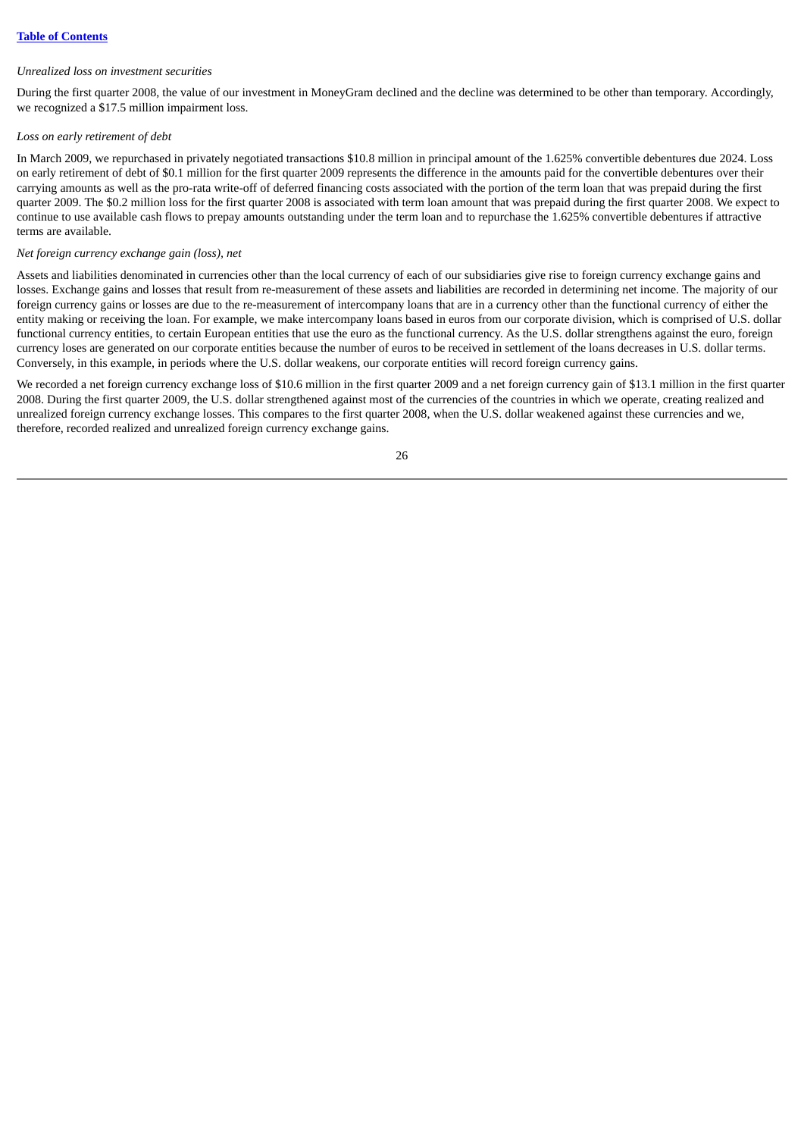## *Unrealized loss on investment securities*

During the first quarter 2008, the value of our investment in MoneyGram declined and the decline was determined to be other than temporary. Accordingly, we recognized a \$17.5 million impairment loss.

## *Loss on early retirement of debt*

In March 2009, we repurchased in privately negotiated transactions \$10.8 million in principal amount of the 1.625% convertible debentures due 2024. Loss on early retirement of debt of \$0.1 million for the first quarter 2009 represents the difference in the amounts paid for the convertible debentures over their carrying amounts as well as the pro-rata write-off of deferred financing costs associated with the portion of the term loan that was prepaid during the first quarter 2009. The \$0.2 million loss for the first quarter 2008 is associated with term loan amount that was prepaid during the first quarter 2008. We expect to continue to use available cash flows to prepay amounts outstanding under the term loan and to repurchase the 1.625% convertible debentures if attractive terms are available.

## *Net foreign currency exchange gain (loss), net*

Assets and liabilities denominated in currencies other than the local currency of each of our subsidiaries give rise to foreign currency exchange gains and losses. Exchange gains and losses that result from re-measurement of these assets and liabilities are recorded in determining net income. The majority of our foreign currency gains or losses are due to the re-measurement of intercompany loans that are in a currency other than the functional currency of either the entity making or receiving the loan. For example, we make intercompany loans based in euros from our corporate division, which is comprised of U.S. dollar functional currency entities, to certain European entities that use the euro as the functional currency. As the U.S. dollar strengthens against the euro, foreign currency loses are generated on our corporate entities because the number of euros to be received in settlement of the loans decreases in U.S. dollar terms. Conversely, in this example, in periods where the U.S. dollar weakens, our corporate entities will record foreign currency gains.

We recorded a net foreign currency exchange loss of \$10.6 million in the first quarter 2009 and a net foreign currency gain of \$13.1 million in the first quarter 2008. During the first quarter 2009, the U.S. dollar strengthened against most of the currencies of the countries in which we operate, creating realized and unrealized foreign currency exchange losses. This compares to the first quarter 2008, when the U.S. dollar weakened against these currencies and we, therefore, recorded realized and unrealized foreign currency exchange gains.

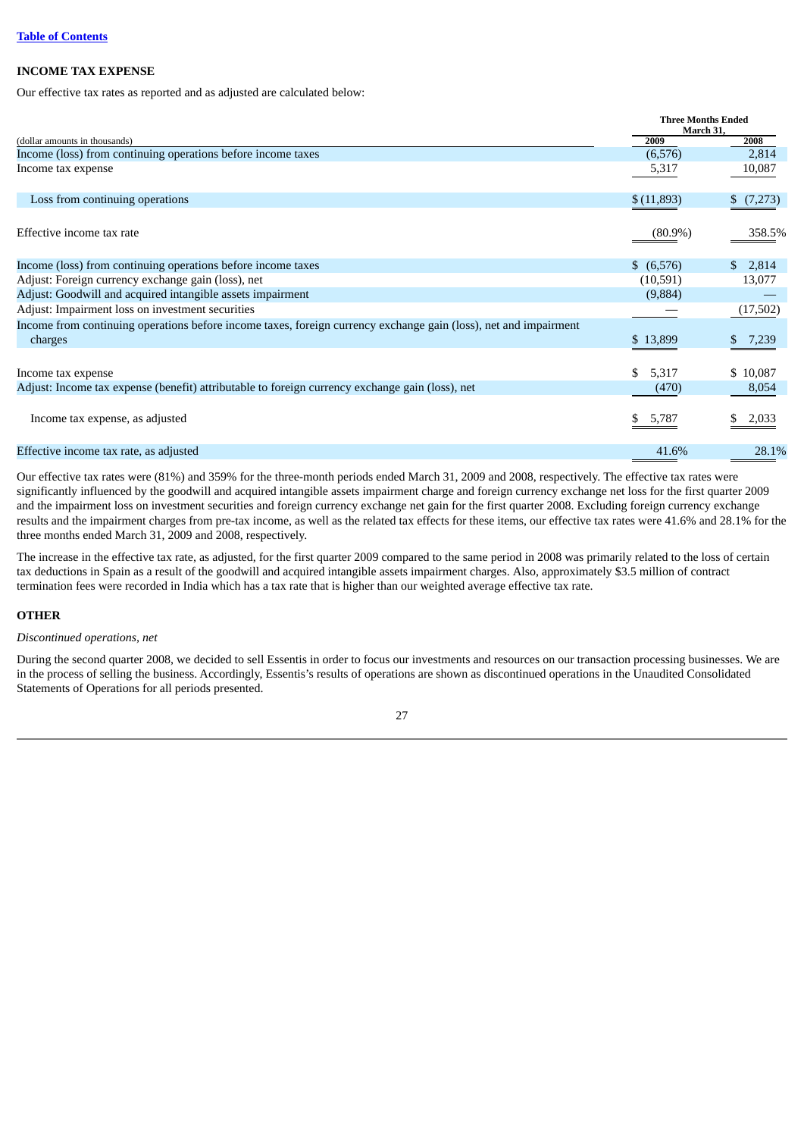## **INCOME TAX EXPENSE**

Our effective tax rates as reported and as adjusted are calculated below:

|                                                                                                                             | <b>Three Months Ended</b><br>March 31, |              |
|-----------------------------------------------------------------------------------------------------------------------------|----------------------------------------|--------------|
| (dollar amounts in thousands)                                                                                               | 2009                                   | 2008         |
| Income (loss) from continuing operations before income taxes                                                                | (6,576)                                | 2,814        |
| Income tax expense                                                                                                          | 5,317                                  | 10,087       |
| Loss from continuing operations                                                                                             | \$(11,893)                             | (7,273)      |
| Effective income tax rate                                                                                                   | $(80.9\%)$                             | 358.5%       |
| Income (loss) from continuing operations before income taxes                                                                | \$ (6,576)                             | 2,814<br>\$. |
| Adjust: Foreign currency exchange gain (loss), net                                                                          | (10,591)                               | 13,077       |
| Adjust: Goodwill and acquired intangible assets impairment                                                                  | (9,884)                                |              |
| Adjust: Impairment loss on investment securities                                                                            |                                        | (17,502)     |
| Income from continuing operations before income taxes, foreign currency exchange gain (loss), net and impairment<br>charges | \$13,899                               | 7,239        |
| Income tax expense                                                                                                          | \$<br>5,317                            | \$10,087     |
| Adjust: Income tax expense (benefit) attributable to foreign currency exchange gain (loss), net                             | (470)                                  | 8,054        |
| Income tax expense, as adjusted                                                                                             | 5,787                                  | 2,033        |
| Effective income tax rate, as adjusted                                                                                      | 41.6%                                  | 28.1%        |

Our effective tax rates were (81%) and 359% for the three-month periods ended March 31, 2009 and 2008, respectively. The effective tax rates were significantly influenced by the goodwill and acquired intangible assets impairment charge and foreign currency exchange net loss for the first quarter 2009 and the impairment loss on investment securities and foreign currency exchange net gain for the first quarter 2008. Excluding foreign currency exchange results and the impairment charges from pre-tax income, as well as the related tax effects for these items, our effective tax rates were 41.6% and 28.1% for the three months ended March 31, 2009 and 2008, respectively.

The increase in the effective tax rate, as adjusted, for the first quarter 2009 compared to the same period in 2008 was primarily related to the loss of certain tax deductions in Spain as a result of the goodwill and acquired intangible assets impairment charges. Also, approximately \$3.5 million of contract termination fees were recorded in India which has a tax rate that is higher than our weighted average effective tax rate.

## **OTHER**

#### *Discontinued operations, net*

During the second quarter 2008, we decided to sell Essentis in order to focus our investments and resources on our transaction processing businesses. We are in the process of selling the business. Accordingly, Essentis's results of operations are shown as discontinued operations in the Unaudited Consolidated Statements of Operations for all periods presented.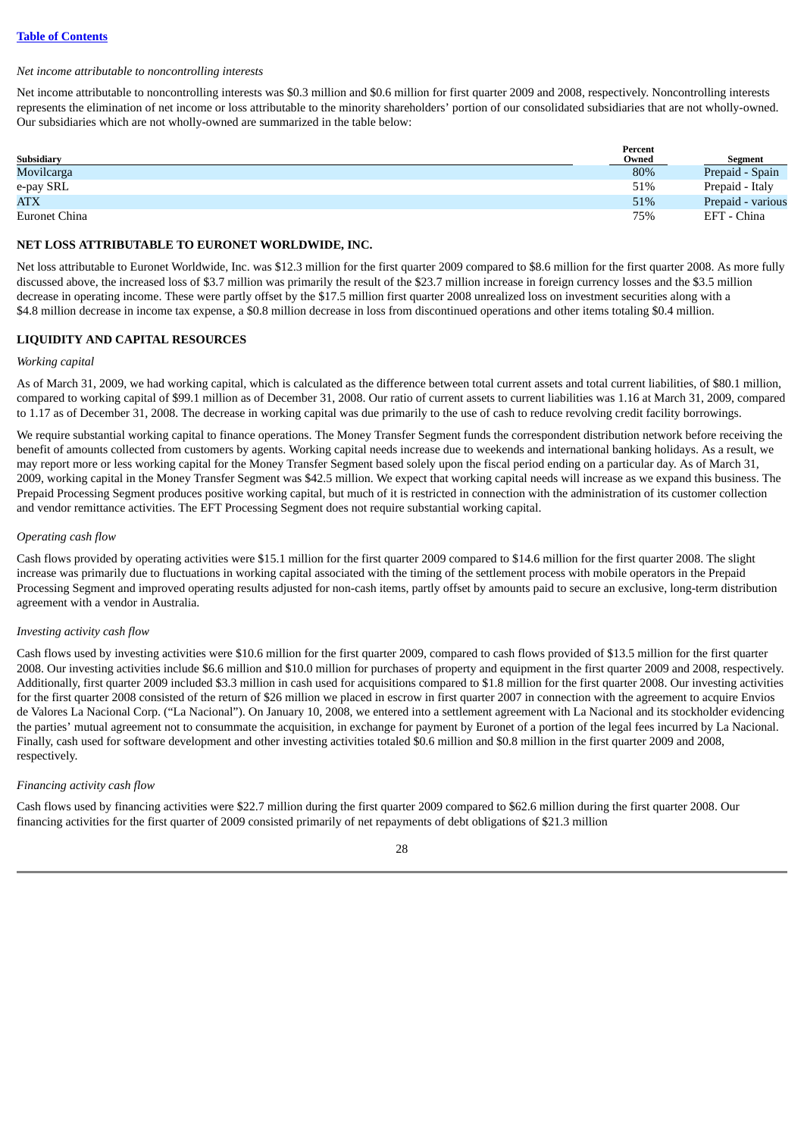## *Net income attributable to noncontrolling interests*

Net income attributable to noncontrolling interests was \$0.3 million and \$0.6 million for first quarter 2009 and 2008, respectively. Noncontrolling interests represents the elimination of net income or loss attributable to the minority shareholders' portion of our consolidated subsidiaries that are not wholly-owned. Our subsidiaries which are not wholly-owned are summarized in the table below:

|               | Percent |                   |
|---------------|---------|-------------------|
| Subsidiary    | Owned   | Segment           |
| Movilcarga    | 80%     | Prepaid - Spain   |
| e-pay SRL     | 51%     | Prepaid - Italy   |
| <b>ATX</b>    | 51%     | Prepaid - various |
| Euronet China | 75%     | EFT - China       |

## **NET LOSS ATTRIBUTABLE TO EURONET WORLDWIDE, INC.**

Net loss attributable to Euronet Worldwide, Inc. was \$12.3 million for the first quarter 2009 compared to \$8.6 million for the first quarter 2008. As more fully discussed above, the increased loss of \$3.7 million was primarily the result of the \$23.7 million increase in foreign currency losses and the \$3.5 million decrease in operating income. These were partly offset by the \$17.5 million first quarter 2008 unrealized loss on investment securities along with a \$4.8 million decrease in income tax expense, a \$0.8 million decrease in loss from discontinued operations and other items totaling \$0.4 million.

## **LIQUIDITY AND CAPITAL RESOURCES**

## *Working capital*

As of March 31, 2009, we had working capital, which is calculated as the difference between total current assets and total current liabilities, of \$80.1 million, compared to working capital of \$99.1 million as of December 31, 2008. Our ratio of current assets to current liabilities was 1.16 at March 31, 2009, compared to 1.17 as of December 31, 2008. The decrease in working capital was due primarily to the use of cash to reduce revolving credit facility borrowings.

We require substantial working capital to finance operations. The Money Transfer Segment funds the correspondent distribution network before receiving the benefit of amounts collected from customers by agents. Working capital needs increase due to weekends and international banking holidays. As a result, we may report more or less working capital for the Money Transfer Segment based solely upon the fiscal period ending on a particular day. As of March 31, 2009, working capital in the Money Transfer Segment was \$42.5 million. We expect that working capital needs will increase as we expand this business. The Prepaid Processing Segment produces positive working capital, but much of it is restricted in connection with the administration of its customer collection and vendor remittance activities. The EFT Processing Segment does not require substantial working capital.

## *Operating cash flow*

Cash flows provided by operating activities were \$15.1 million for the first quarter 2009 compared to \$14.6 million for the first quarter 2008. The slight increase was primarily due to fluctuations in working capital associated with the timing of the settlement process with mobile operators in the Prepaid Processing Segment and improved operating results adjusted for non-cash items, partly offset by amounts paid to secure an exclusive, long-term distribution agreement with a vendor in Australia.

## *Investing activity cash flow*

Cash flows used by investing activities were \$10.6 million for the first quarter 2009, compared to cash flows provided of \$13.5 million for the first quarter 2008. Our investing activities include \$6.6 million and \$10.0 million for purchases of property and equipment in the first quarter 2009 and 2008, respectively. Additionally, first quarter 2009 included \$3.3 million in cash used for acquisitions compared to \$1.8 million for the first quarter 2008. Our investing activities for the first quarter 2008 consisted of the return of \$26 million we placed in escrow in first quarter 2007 in connection with the agreement to acquire Envios de Valores La Nacional Corp. ("La Nacional"). On January 10, 2008, we entered into a settlement agreement with La Nacional and its stockholder evidencing the parties' mutual agreement not to consummate the acquisition, in exchange for payment by Euronet of a portion of the legal fees incurred by La Nacional. Finally, cash used for software development and other investing activities totaled \$0.6 million and \$0.8 million in the first quarter 2009 and 2008, respectively.

## *Financing activity cash flow*

Cash flows used by financing activities were \$22.7 million during the first quarter 2009 compared to \$62.6 million during the first quarter 2008. Our financing activities for the first quarter of 2009 consisted primarily of net repayments of debt obligations of \$21.3 million

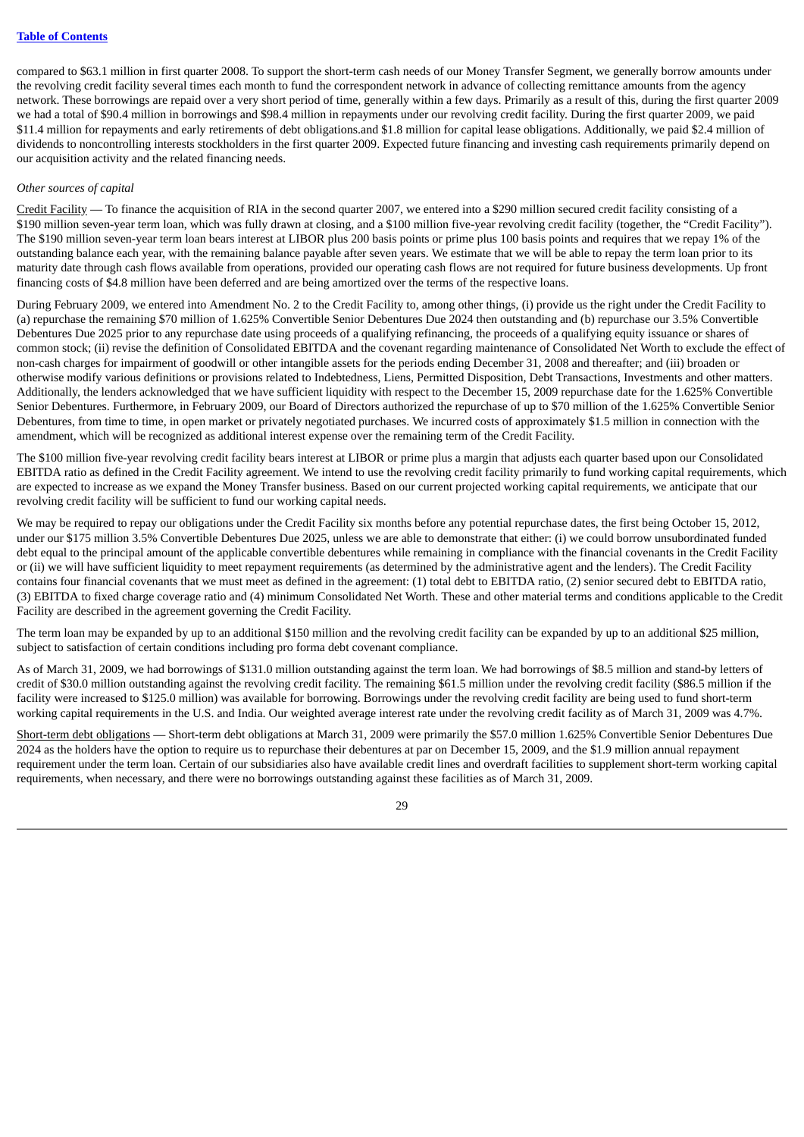compared to \$63.1 million in first quarter 2008. To support the short-term cash needs of our Money Transfer Segment, we generally borrow amounts under the revolving credit facility several times each month to fund the correspondent network in advance of collecting remittance amounts from the agency network. These borrowings are repaid over a very short period of time, generally within a few days. Primarily as a result of this, during the first quarter 2009 we had a total of \$90.4 million in borrowings and \$98.4 million in repayments under our revolving credit facility. During the first quarter 2009, we paid \$11.4 million for repayments and early retirements of debt obligations.and \$1.8 million for capital lease obligations. Additionally, we paid \$2.4 million of dividends to noncontrolling interests stockholders in the first quarter 2009. Expected future financing and investing cash requirements primarily depend on our acquisition activity and the related financing needs.

## *Other sources of capital*

Credit Facility — To finance the acquisition of RIA in the second quarter 2007, we entered into a \$290 million secured credit facility consisting of a \$190 million seven-year term loan, which was fully drawn at closing, and a \$100 million five-year revolving credit facility (together, the "Credit Facility"). The \$190 million seven-year term loan bears interest at LIBOR plus 200 basis points or prime plus 100 basis points and requires that we repay 1% of the outstanding balance each year, with the remaining balance payable after seven years. We estimate that we will be able to repay the term loan prior to its maturity date through cash flows available from operations, provided our operating cash flows are not required for future business developments. Up front financing costs of \$4.8 million have been deferred and are being amortized over the terms of the respective loans.

During February 2009, we entered into Amendment No. 2 to the Credit Facility to, among other things, (i) provide us the right under the Credit Facility to (a) repurchase the remaining \$70 million of 1.625% Convertible Senior Debentures Due 2024 then outstanding and (b) repurchase our 3.5% Convertible Debentures Due 2025 prior to any repurchase date using proceeds of a qualifying refinancing, the proceeds of a qualifying equity issuance or shares of common stock; (ii) revise the definition of Consolidated EBITDA and the covenant regarding maintenance of Consolidated Net Worth to exclude the effect of non-cash charges for impairment of goodwill or other intangible assets for the periods ending December 31, 2008 and thereafter; and (iii) broaden or otherwise modify various definitions or provisions related to Indebtedness, Liens, Permitted Disposition, Debt Transactions, Investments and other matters. Additionally, the lenders acknowledged that we have sufficient liquidity with respect to the December 15, 2009 repurchase date for the 1.625% Convertible Senior Debentures. Furthermore, in February 2009, our Board of Directors authorized the repurchase of up to \$70 million of the 1.625% Convertible Senior Debentures, from time to time, in open market or privately negotiated purchases. We incurred costs of approximately \$1.5 million in connection with the amendment, which will be recognized as additional interest expense over the remaining term of the Credit Facility.

The \$100 million five-year revolving credit facility bears interest at LIBOR or prime plus a margin that adjusts each quarter based upon our Consolidated EBITDA ratio as defined in the Credit Facility agreement. We intend to use the revolving credit facility primarily to fund working capital requirements, which are expected to increase as we expand the Money Transfer business. Based on our current projected working capital requirements, we anticipate that our revolving credit facility will be sufficient to fund our working capital needs.

We may be required to repay our obligations under the Credit Facility six months before any potential repurchase dates, the first being October 15, 2012, under our \$175 million 3.5% Convertible Debentures Due 2025, unless we are able to demonstrate that either: (i) we could borrow unsubordinated funded debt equal to the principal amount of the applicable convertible debentures while remaining in compliance with the financial covenants in the Credit Facility or (ii) we will have sufficient liquidity to meet repayment requirements (as determined by the administrative agent and the lenders). The Credit Facility contains four financial covenants that we must meet as defined in the agreement: (1) total debt to EBITDA ratio, (2) senior secured debt to EBITDA ratio, (3) EBITDA to fixed charge coverage ratio and (4) minimum Consolidated Net Worth. These and other material terms and conditions applicable to the Credit Facility are described in the agreement governing the Credit Facility.

The term loan may be expanded by up to an additional \$150 million and the revolving credit facility can be expanded by up to an additional \$25 million, subject to satisfaction of certain conditions including pro forma debt covenant compliance.

As of March 31, 2009, we had borrowings of \$131.0 million outstanding against the term loan. We had borrowings of \$8.5 million and stand-by letters of credit of \$30.0 million outstanding against the revolving credit facility. The remaining \$61.5 million under the revolving credit facility (\$86.5 million if the facility were increased to \$125.0 million) was available for borrowing. Borrowings under the revolving credit facility are being used to fund short-term working capital requirements in the U.S. and India. Our weighted average interest rate under the revolving credit facility as of March 31, 2009 was 4.7%.

Short-term debt obligations — Short-term debt obligations at March 31, 2009 were primarily the \$57.0 million 1.625% Convertible Senior Debentures Due 2024 as the holders have the option to require us to repurchase their debentures at par on December 15, 2009, and the \$1.9 million annual repayment requirement under the term loan. Certain of our subsidiaries also have available credit lines and overdraft facilities to supplement short-term working capital requirements, when necessary, and there were no borrowings outstanding against these facilities as of March 31, 2009.

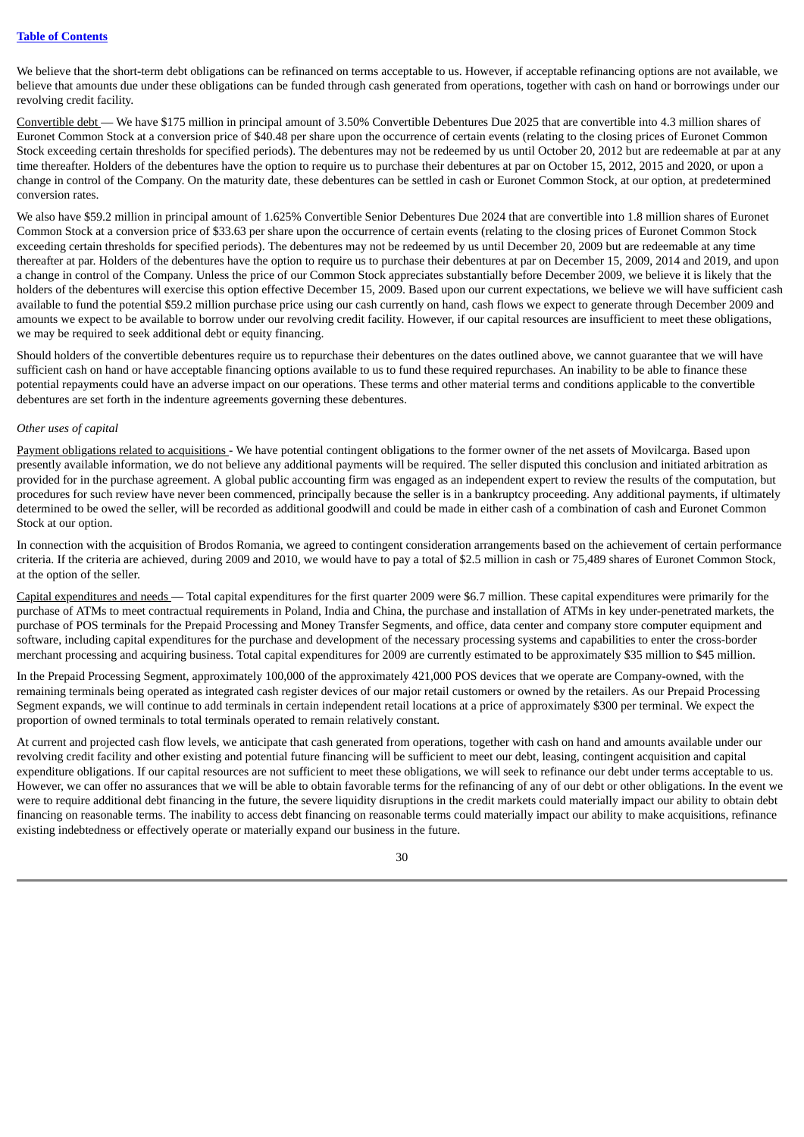We believe that the short-term debt obligations can be refinanced on terms acceptable to us. However, if acceptable refinancing options are not available, we believe that amounts due under these obligations can be funded through cash generated from operations, together with cash on hand or borrowings under our revolving credit facility.

Convertible debt — We have \$175 million in principal amount of 3.50% Convertible Debentures Due 2025 that are convertible into 4.3 million shares of Euronet Common Stock at a conversion price of \$40.48 per share upon the occurrence of certain events (relating to the closing prices of Euronet Common Stock exceeding certain thresholds for specified periods). The debentures may not be redeemed by us until October 20, 2012 but are redeemable at par at any time thereafter. Holders of the debentures have the option to require us to purchase their debentures at par on October 15, 2012, 2015 and 2020, or upon a change in control of the Company. On the maturity date, these debentures can be settled in cash or Euronet Common Stock, at our option, at predetermined conversion rates.

We also have \$59.2 million in principal amount of 1.625% Convertible Senior Debentures Due 2024 that are convertible into 1.8 million shares of Euronet Common Stock at a conversion price of \$33.63 per share upon the occurrence of certain events (relating to the closing prices of Euronet Common Stock exceeding certain thresholds for specified periods). The debentures may not be redeemed by us until December 20, 2009 but are redeemable at any time thereafter at par. Holders of the debentures have the option to require us to purchase their debentures at par on December 15, 2009, 2014 and 2019, and upon a change in control of the Company. Unless the price of our Common Stock appreciates substantially before December 2009, we believe it is likely that the holders of the debentures will exercise this option effective December 15, 2009. Based upon our current expectations, we believe we will have sufficient cash available to fund the potential \$59.2 million purchase price using our cash currently on hand, cash flows we expect to generate through December 2009 and amounts we expect to be available to borrow under our revolving credit facility. However, if our capital resources are insufficient to meet these obligations, we may be required to seek additional debt or equity financing.

Should holders of the convertible debentures require us to repurchase their debentures on the dates outlined above, we cannot guarantee that we will have sufficient cash on hand or have acceptable financing options available to us to fund these required repurchases. An inability to be able to finance these potential repayments could have an adverse impact on our operations. These terms and other material terms and conditions applicable to the convertible debentures are set forth in the indenture agreements governing these debentures.

## *Other uses of capital*

Payment obligations related to acquisitions - We have potential contingent obligations to the former owner of the net assets of Movilcarga. Based upon presently available information, we do not believe any additional payments will be required. The seller disputed this conclusion and initiated arbitration as provided for in the purchase agreement. A global public accounting firm was engaged as an independent expert to review the results of the computation, but procedures for such review have never been commenced, principally because the seller is in a bankruptcy proceeding. Any additional payments, if ultimately determined to be owed the seller, will be recorded as additional goodwill and could be made in either cash of a combination of cash and Euronet Common Stock at our option.

In connection with the acquisition of Brodos Romania, we agreed to contingent consideration arrangements based on the achievement of certain performance criteria. If the criteria are achieved, during 2009 and 2010, we would have to pay a total of \$2.5 million in cash or 75,489 shares of Euronet Common Stock, at the option of the seller.

Capital expenditures and needs — Total capital expenditures for the first quarter 2009 were \$6.7 million. These capital expenditures were primarily for the purchase of ATMs to meet contractual requirements in Poland, India and China, the purchase and installation of ATMs in key under-penetrated markets, the purchase of POS terminals for the Prepaid Processing and Money Transfer Segments, and office, data center and company store computer equipment and software, including capital expenditures for the purchase and development of the necessary processing systems and capabilities to enter the cross-border merchant processing and acquiring business. Total capital expenditures for 2009 are currently estimated to be approximately \$35 million to \$45 million.

In the Prepaid Processing Segment, approximately 100,000 of the approximately 421,000 POS devices that we operate are Company-owned, with the remaining terminals being operated as integrated cash register devices of our major retail customers or owned by the retailers. As our Prepaid Processing Segment expands, we will continue to add terminals in certain independent retail locations at a price of approximately \$300 per terminal. We expect the proportion of owned terminals to total terminals operated to remain relatively constant.

At current and projected cash flow levels, we anticipate that cash generated from operations, together with cash on hand and amounts available under our revolving credit facility and other existing and potential future financing will be sufficient to meet our debt, leasing, contingent acquisition and capital expenditure obligations. If our capital resources are not sufficient to meet these obligations, we will seek to refinance our debt under terms acceptable to us. However, we can offer no assurances that we will be able to obtain favorable terms for the refinancing of any of our debt or other obligations. In the event we were to require additional debt financing in the future, the severe liquidity disruptions in the credit markets could materially impact our ability to obtain debt financing on reasonable terms. The inability to access debt financing on reasonable terms could materially impact our ability to make acquisitions, refinance existing indebtedness or effectively operate or materially expand our business in the future.

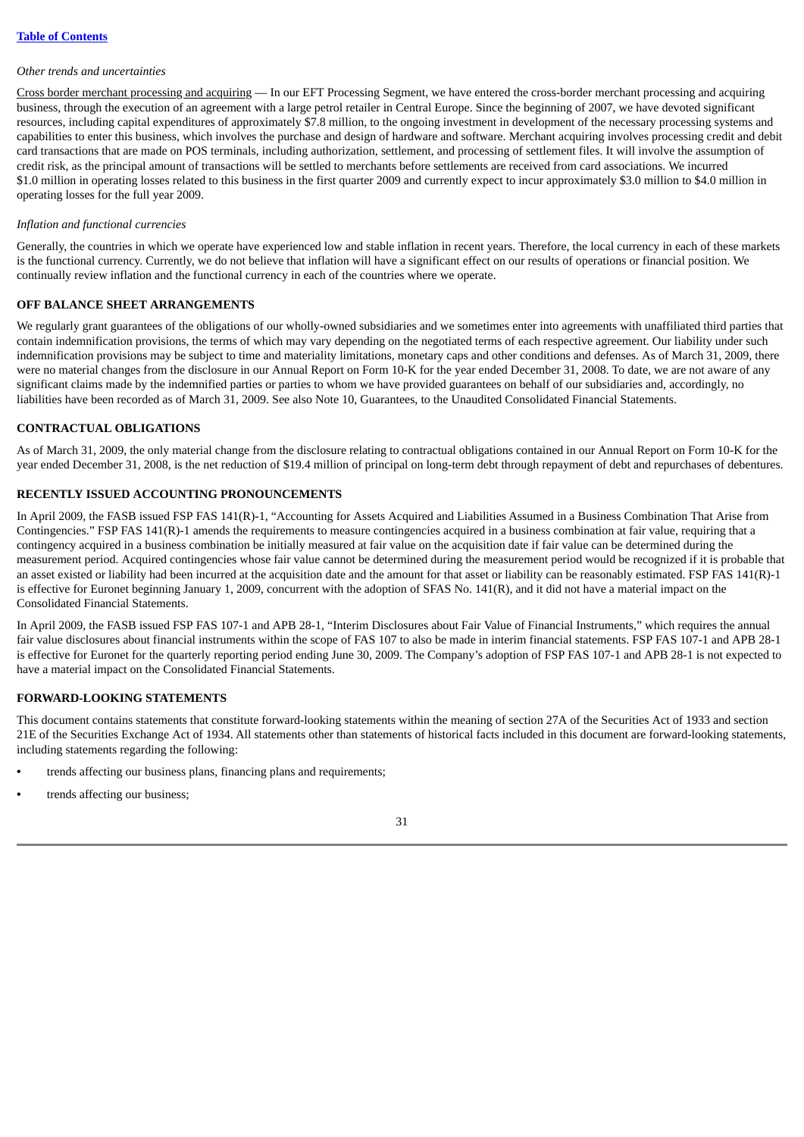#### *Other trends and uncertainties*

Cross border merchant processing and acquiring — In our EFT Processing Segment, we have entered the cross-border merchant processing and acquiring business, through the execution of an agreement with a large petrol retailer in Central Europe. Since the beginning of 2007, we have devoted significant resources, including capital expenditures of approximately \$7.8 million, to the ongoing investment in development of the necessary processing systems and capabilities to enter this business, which involves the purchase and design of hardware and software. Merchant acquiring involves processing credit and debit card transactions that are made on POS terminals, including authorization, settlement, and processing of settlement files. It will involve the assumption of credit risk, as the principal amount of transactions will be settled to merchants before settlements are received from card associations. We incurred \$1.0 million in operating losses related to this business in the first quarter 2009 and currently expect to incur approximately \$3.0 million to \$4.0 million in operating losses for the full year 2009.

## *Inflation and functional currencies*

Generally, the countries in which we operate have experienced low and stable inflation in recent years. Therefore, the local currency in each of these markets is the functional currency. Currently, we do not believe that inflation will have a significant effect on our results of operations or financial position. We continually review inflation and the functional currency in each of the countries where we operate.

## **OFF BALANCE SHEET ARRANGEMENTS**

We regularly grant guarantees of the obligations of our wholly-owned subsidiaries and we sometimes enter into agreements with unaffiliated third parties that contain indemnification provisions, the terms of which may vary depending on the negotiated terms of each respective agreement. Our liability under such indemnification provisions may be subject to time and materiality limitations, monetary caps and other conditions and defenses. As of March 31, 2009, there were no material changes from the disclosure in our Annual Report on Form 10-K for the year ended December 31, 2008. To date, we are not aware of any significant claims made by the indemnified parties or parties to whom we have provided guarantees on behalf of our subsidiaries and, accordingly, no liabilities have been recorded as of March 31, 2009. See also Note 10, Guarantees, to the Unaudited Consolidated Financial Statements.

## **CONTRACTUAL OBLIGATIONS**

As of March 31, 2009, the only material change from the disclosure relating to contractual obligations contained in our Annual Report on Form 10-K for the year ended December 31, 2008, is the net reduction of \$19.4 million of principal on long-term debt through repayment of debt and repurchases of debentures.

## **RECENTLY ISSUED ACCOUNTING PRONOUNCEMENTS**

In April 2009, the FASB issued FSP FAS 141(R)-1, "Accounting for Assets Acquired and Liabilities Assumed in a Business Combination That Arise from Contingencies." FSP FAS 141(R)-1 amends the requirements to measure contingencies acquired in a business combination at fair value, requiring that a contingency acquired in a business combination be initially measured at fair value on the acquisition date if fair value can be determined during the measurement period. Acquired contingencies whose fair value cannot be determined during the measurement period would be recognized if it is probable that an asset existed or liability had been incurred at the acquisition date and the amount for that asset or liability can be reasonably estimated. FSP FAS 141(R)-1 is effective for Euronet beginning January 1, 2009, concurrent with the adoption of SFAS No. 141(R), and it did not have a material impact on the Consolidated Financial Statements.

In April 2009, the FASB issued FSP FAS 107-1 and APB 28-1, "Interim Disclosures about Fair Value of Financial Instruments," which requires the annual fair value disclosures about financial instruments within the scope of FAS 107 to also be made in interim financial statements. FSP FAS 107-1 and APB 28-1 is effective for Euronet for the quarterly reporting period ending June 30, 2009. The Company's adoption of FSP FAS 107-1 and APB 28-1 is not expected to have a material impact on the Consolidated Financial Statements.

## **FORWARD-LOOKING STATEMENTS**

This document contains statements that constitute forward-looking statements within the meaning of section 27A of the Securities Act of 1933 and section 21E of the Securities Exchange Act of 1934. All statements other than statements of historical facts included in this document are forward-looking statements, including statements regarding the following:

- **•** trends affecting our business plans, financing plans and requirements;
- **•** trends affecting our business;

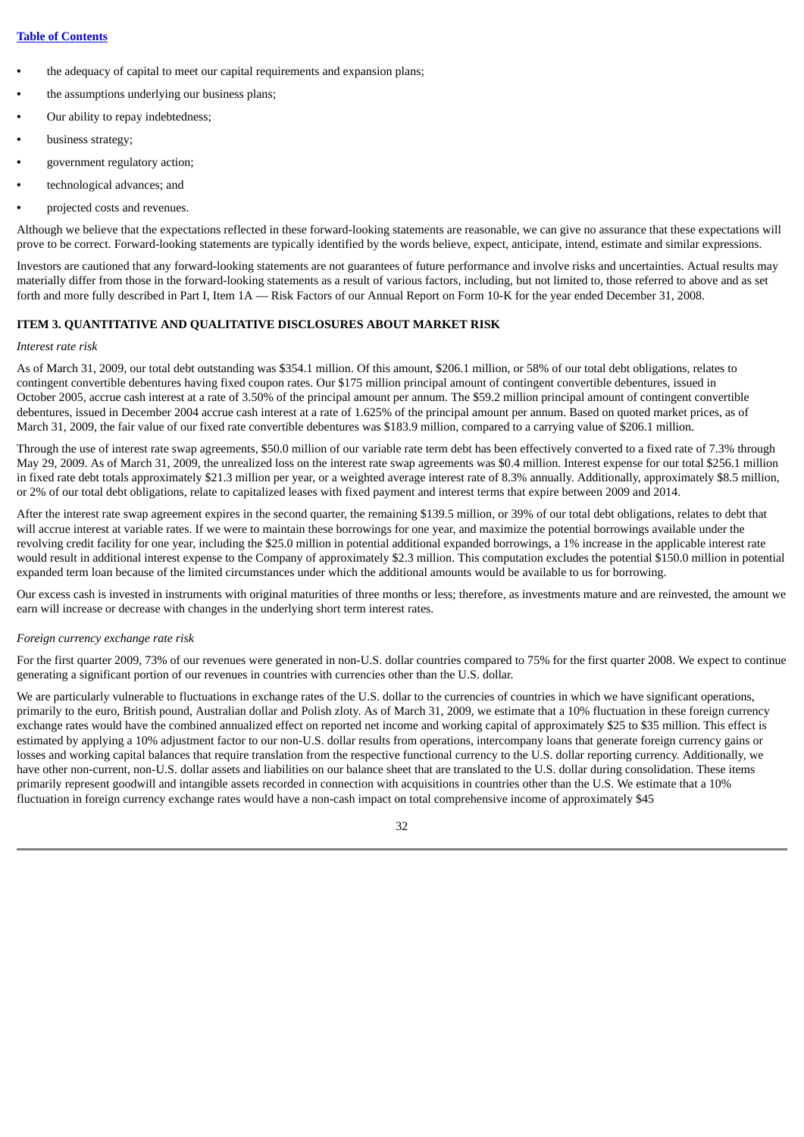- **•** the adequacy of capital to meet our capital requirements and expansion plans;
- **•** the assumptions underlying our business plans;
- **•** Our ability to repay indebtedness;
- **•** business strategy;
- **•** government regulatory action;
- **•** technological advances; and
- **•** projected costs and revenues.

Although we believe that the expectations reflected in these forward-looking statements are reasonable, we can give no assurance that these expectations will prove to be correct. Forward-looking statements are typically identified by the words believe, expect, anticipate, intend, estimate and similar expressions.

Investors are cautioned that any forward-looking statements are not guarantees of future performance and involve risks and uncertainties. Actual results may materially differ from those in the forward-looking statements as a result of various factors, including, but not limited to, those referred to above and as set forth and more fully described in Part I, Item 1A — Risk Factors of our Annual Report on Form 10-K for the year ended December 31, 2008.

## <span id="page-32-0"></span>**ITEM 3. QUANTITATIVE AND QUALITATIVE DISCLOSURES ABOUT MARKET RISK**

## *Interest rate risk*

As of March 31, 2009, our total debt outstanding was \$354.1 million. Of this amount, \$206.1 million, or 58% of our total debt obligations, relates to contingent convertible debentures having fixed coupon rates. Our \$175 million principal amount of contingent convertible debentures, issued in October 2005, accrue cash interest at a rate of 3.50% of the principal amount per annum. The \$59.2 million principal amount of contingent convertible debentures, issued in December 2004 accrue cash interest at a rate of 1.625% of the principal amount per annum. Based on quoted market prices, as of March 31, 2009, the fair value of our fixed rate convertible debentures was \$183.9 million, compared to a carrying value of \$206.1 million.

Through the use of interest rate swap agreements, \$50.0 million of our variable rate term debt has been effectively converted to a fixed rate of 7.3% through May 29, 2009. As of March 31, 2009, the unrealized loss on the interest rate swap agreements was \$0.4 million. Interest expense for our total \$256.1 million in fixed rate debt totals approximately \$21.3 million per year, or a weighted average interest rate of 8.3% annually. Additionally, approximately \$8.5 million, or 2% of our total debt obligations, relate to capitalized leases with fixed payment and interest terms that expire between 2009 and 2014.

After the interest rate swap agreement expires in the second quarter, the remaining \$139.5 million, or 39% of our total debt obligations, relates to debt that will accrue interest at variable rates. If we were to maintain these borrowings for one year, and maximize the potential borrowings available under the revolving credit facility for one year, including the \$25.0 million in potential additional expanded borrowings, a 1% increase in the applicable interest rate would result in additional interest expense to the Company of approximately \$2.3 million. This computation excludes the potential \$150.0 million in potential expanded term loan because of the limited circumstances under which the additional amounts would be available to us for borrowing.

Our excess cash is invested in instruments with original maturities of three months or less; therefore, as investments mature and are reinvested, the amount we earn will increase or decrease with changes in the underlying short term interest rates.

## *Foreign currency exchange rate risk*

For the first quarter 2009, 73% of our revenues were generated in non-U.S. dollar countries compared to 75% for the first quarter 2008. We expect to continue generating a significant portion of our revenues in countries with currencies other than the U.S. dollar.

We are particularly vulnerable to fluctuations in exchange rates of the U.S. dollar to the currencies of countries in which we have significant operations, primarily to the euro, British pound, Australian dollar and Polish zloty. As of March 31, 2009, we estimate that a 10% fluctuation in these foreign currency exchange rates would have the combined annualized effect on reported net income and working capital of approximately \$25 to \$35 million. This effect is estimated by applying a 10% adjustment factor to our non-U.S. dollar results from operations, intercompany loans that generate foreign currency gains or losses and working capital balances that require translation from the respective functional currency to the U.S. dollar reporting currency. Additionally, we have other non-current, non-U.S. dollar assets and liabilities on our balance sheet that are translated to the U.S. dollar during consolidation. These items primarily represent goodwill and intangible assets recorded in connection with acquisitions in countries other than the U.S. We estimate that a 10% fluctuation in foreign currency exchange rates would have a non-cash impact on total comprehensive income of approximately \$45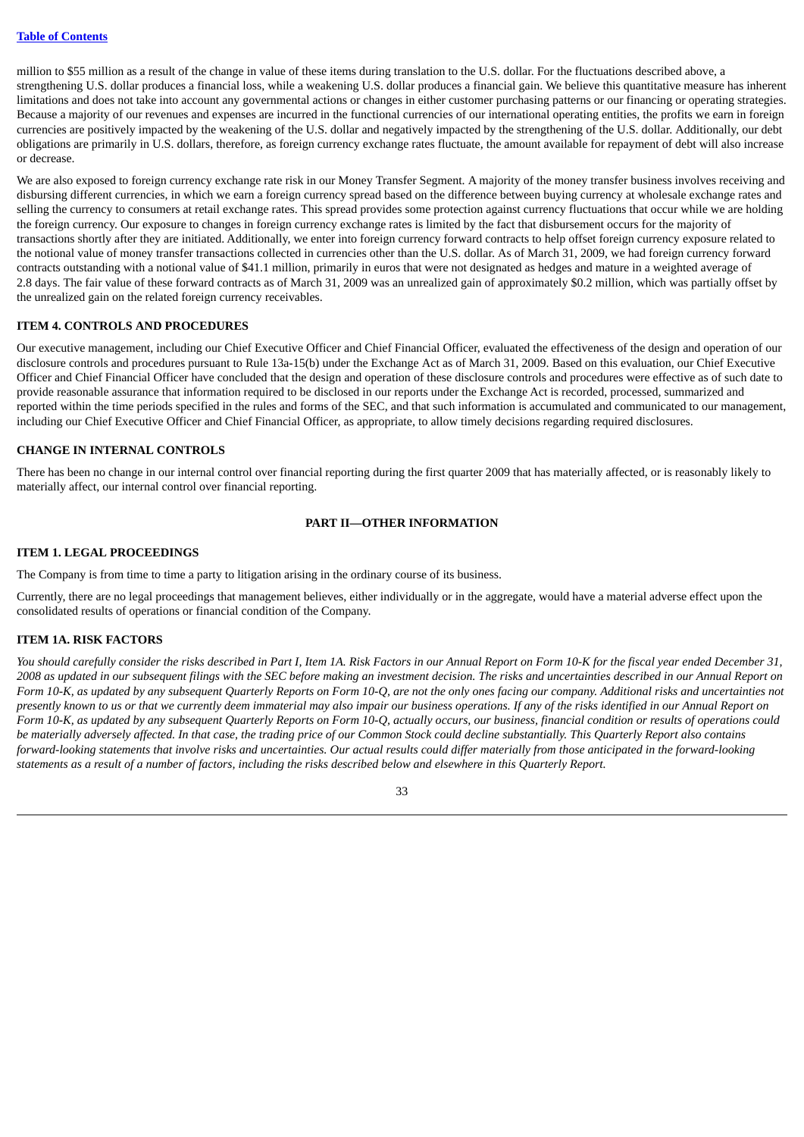million to \$55 million as a result of the change in value of these items during translation to the U.S. dollar. For the fluctuations described above, a strengthening U.S. dollar produces a financial loss, while a weakening U.S. dollar produces a financial gain. We believe this quantitative measure has inherent limitations and does not take into account any governmental actions or changes in either customer purchasing patterns or our financing or operating strategies. Because a majority of our revenues and expenses are incurred in the functional currencies of our international operating entities, the profits we earn in foreign currencies are positively impacted by the weakening of the U.S. dollar and negatively impacted by the strengthening of the U.S. dollar. Additionally, our debt obligations are primarily in U.S. dollars, therefore, as foreign currency exchange rates fluctuate, the amount available for repayment of debt will also increase or decrease.

We are also exposed to foreign currency exchange rate risk in our Money Transfer Segment. A majority of the money transfer business involves receiving and disbursing different currencies, in which we earn a foreign currency spread based on the difference between buying currency at wholesale exchange rates and selling the currency to consumers at retail exchange rates. This spread provides some protection against currency fluctuations that occur while we are holding the foreign currency. Our exposure to changes in foreign currency exchange rates is limited by the fact that disbursement occurs for the majority of transactions shortly after they are initiated. Additionally, we enter into foreign currency forward contracts to help offset foreign currency exposure related to the notional value of money transfer transactions collected in currencies other than the U.S. dollar. As of March 31, 2009, we had foreign currency forward contracts outstanding with a notional value of \$41.1 million, primarily in euros that were not designated as hedges and mature in a weighted average of 2.8 days. The fair value of these forward contracts as of March 31, 2009 was an unrealized gain of approximately \$0.2 million, which was partially offset by the unrealized gain on the related foreign currency receivables.

## <span id="page-33-0"></span>**ITEM 4. CONTROLS AND PROCEDURES**

Our executive management, including our Chief Executive Officer and Chief Financial Officer, evaluated the effectiveness of the design and operation of our disclosure controls and procedures pursuant to Rule 13a-15(b) under the Exchange Act as of March 31, 2009. Based on this evaluation, our Chief Executive Officer and Chief Financial Officer have concluded that the design and operation of these disclosure controls and procedures were effective as of such date to provide reasonable assurance that information required to be disclosed in our reports under the Exchange Act is recorded, processed, summarized and reported within the time periods specified in the rules and forms of the SEC, and that such information is accumulated and communicated to our management, including our Chief Executive Officer and Chief Financial Officer, as appropriate, to allow timely decisions regarding required disclosures.

## **CHANGE IN INTERNAL CONTROLS**

<span id="page-33-1"></span>There has been no change in our internal control over financial reporting during the first quarter 2009 that has materially affected, or is reasonably likely to materially affect, our internal control over financial reporting.

## **PART II—OTHER INFORMATION**

## <span id="page-33-2"></span>**ITEM 1. LEGAL PROCEEDINGS**

The Company is from time to time a party to litigation arising in the ordinary course of its business.

Currently, there are no legal proceedings that management believes, either individually or in the aggregate, would have a material adverse effect upon the consolidated results of operations or financial condition of the Company.

## <span id="page-33-3"></span>**ITEM 1A. RISK FACTORS**

You should carefully consider the risks described in Part I, Item 1A. Risk Factors in our Annual Report on Form 10-K for the fiscal year ended December 31, 2008 as updated in our subsequent filings with the SEC before making an investment decision. The risks and uncertainties described in our Annual Report on Form 10-K, as updated by any subsequent Quarterly Reports on Form 10-Q, are not the only ones facing our company. Additional risks and uncertainties not presently known to us or that we currently deem immaterial may also impair our business operations. If any of the risks identified in our Annual Report on Form 10-K, as updated by any subsequent Quarterly Reports on Form 10-Q, actually occurs, our business, financial condition or results of operations could be materially adversely affected. In that case, the trading price of our Common Stock could decline substantially. This Quarterly Report also contains forward-looking statements that involve risks and uncertainties. Our actual results could differ materially from those anticipated in the forward-looking statements as a result of a number of factors, including the risks described below and elsewhere in this Quarterly Report.

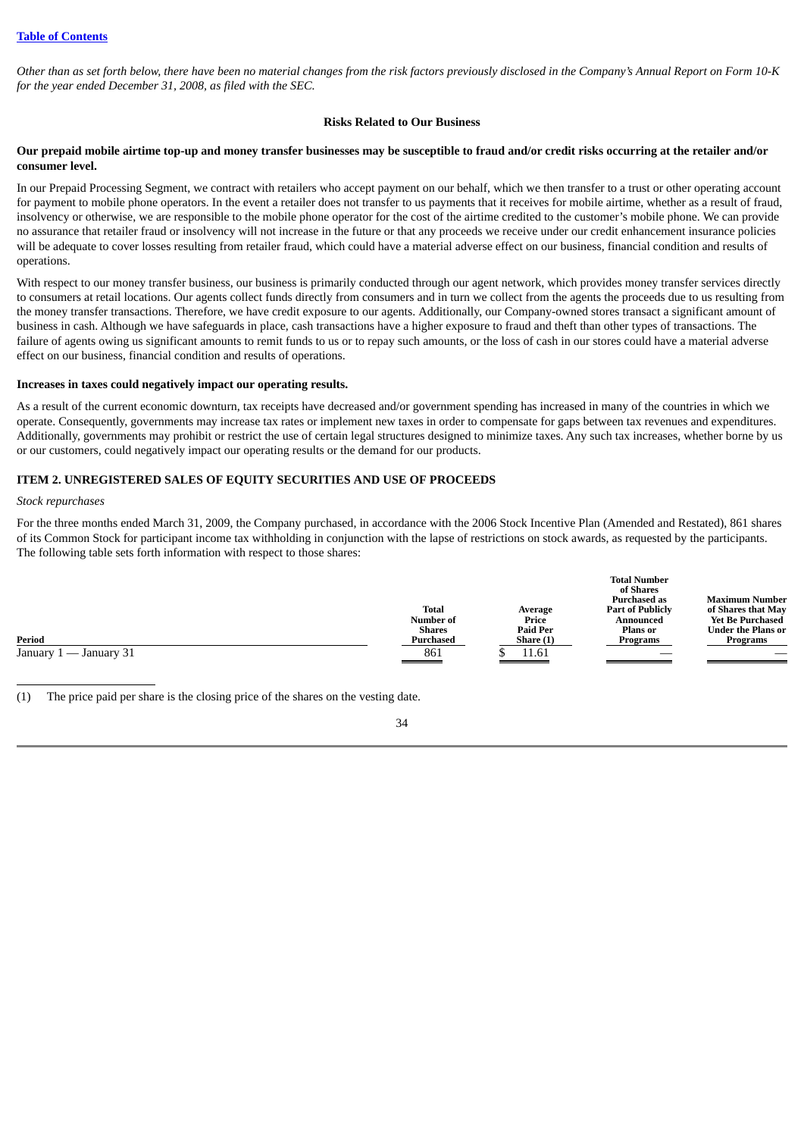Other than as set forth below, there have been no material changes from the risk factors previously disclosed in the Company's Annual Report on Form 10-K *for the year ended December 31, 2008, as filed with the SEC.*

## **Risks Related to Our Business**

## Our prepaid mobile airtime top-up and money transfer businesses may be susceptible to fraud and/or credit risks occurring at the retailer and/or **consumer level.**

In our Prepaid Processing Segment, we contract with retailers who accept payment on our behalf, which we then transfer to a trust or other operating account for payment to mobile phone operators. In the event a retailer does not transfer to us payments that it receives for mobile airtime, whether as a result of fraud, insolvency or otherwise, we are responsible to the mobile phone operator for the cost of the airtime credited to the customer's mobile phone. We can provide no assurance that retailer fraud or insolvency will not increase in the future or that any proceeds we receive under our credit enhancement insurance policies will be adequate to cover losses resulting from retailer fraud, which could have a material adverse effect on our business, financial condition and results of operations.

With respect to our money transfer business, our business is primarily conducted through our agent network, which provides money transfer services directly to consumers at retail locations. Our agents collect funds directly from consumers and in turn we collect from the agents the proceeds due to us resulting from the money transfer transactions. Therefore, we have credit exposure to our agents. Additionally, our Company-owned stores transact a significant amount of business in cash. Although we have safeguards in place, cash transactions have a higher exposure to fraud and theft than other types of transactions. The failure of agents owing us significant amounts to remit funds to us or to repay such amounts, or the loss of cash in our stores could have a material adverse effect on our business, financial condition and results of operations.

## **Increases in taxes could negatively impact our operating results.**

As a result of the current economic downturn, tax receipts have decreased and/or government spending has increased in many of the countries in which we operate. Consequently, governments may increase tax rates or implement new taxes in order to compensate for gaps between tax revenues and expenditures. Additionally, governments may prohibit or restrict the use of certain legal structures designed to minimize taxes. Any such tax increases, whether borne by us or our customers, could negatively impact our operating results or the demand for our products.

## <span id="page-34-0"></span>**ITEM 2. UNREGISTERED SALES OF EQUITY SECURITIES AND USE OF PROCEEDS**

## *Stock repurchases*

For the three months ended March 31, 2009, the Company purchased, in accordance with the 2006 Stock Incentive Plan (Amended and Restated), 861 shares of its Common Stock for participant income tax withholding in conjunction with the lapse of restrictions on stock awards, as requested by the participants. The following table sets forth information with respect to those shares:

|                                                     |                  |                 | <b>Total Number</b><br>of Shares<br><b>Purchased as</b> | <b>Maximum Number</b>   |
|-----------------------------------------------------|------------------|-----------------|---------------------------------------------------------|-------------------------|
|                                                     | <b>Total</b>     | Average         | <b>Part of Publicly</b>                                 | of Shares that May      |
|                                                     | <b>Number of</b> | Price           | Announced                                               | <b>Yet Be Purchased</b> |
|                                                     | <b>Shares</b>    | <b>Paid Per</b> | <b>Plans</b> or                                         | Under the Plans or      |
| <b>Period</b>                                       | Purchased        | Share (1)       | Programs                                                | Programs                |
| January 31<br>January 1<br>$\overline{\phantom{a}}$ | 861              | 11.61           |                                                         | __                      |

The price paid per share is the closing price of the shares on the vesting date.

| ٠            |  |
|--------------|--|
| ۰.<br>×<br>v |  |
|              |  |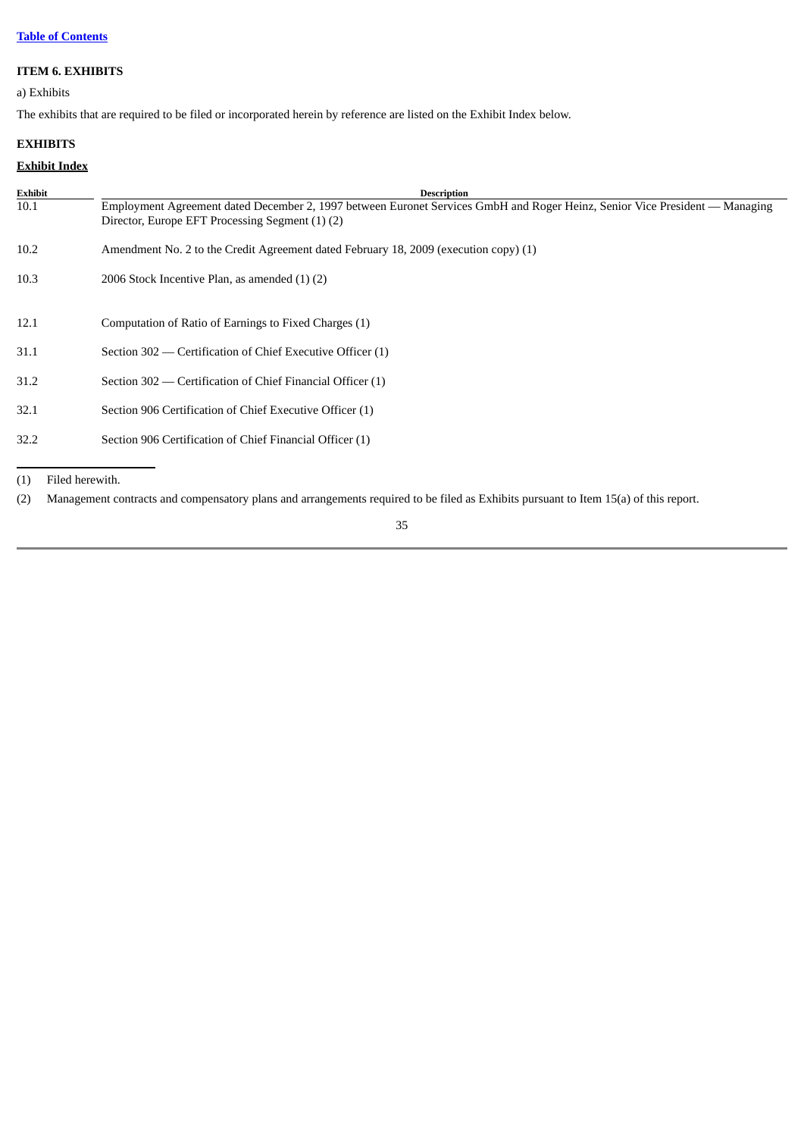## <span id="page-35-0"></span>**ITEM 6. EXHIBITS**

## a) Exhibits

The exhibits that are required to be filed or incorporated herein by reference are listed on the Exhibit Index below.

## **EXHIBITS**

## **Exhibit Index**

| Exhibit | <b>Description</b>                                                                                                                                                             |
|---------|--------------------------------------------------------------------------------------------------------------------------------------------------------------------------------|
| 10.1    | Employment Agreement dated December 2, 1997 between Euronet Services GmbH and Roger Heinz, Senior Vice President — Managing<br>Director, Europe EFT Processing Segment (1) (2) |
| 10.2    | Amendment No. 2 to the Credit Agreement dated February 18, 2009 (execution copy) (1)                                                                                           |
| 10.3    | 2006 Stock Incentive Plan, as amended (1) (2)                                                                                                                                  |
| 12.1    | Computation of Ratio of Earnings to Fixed Charges (1)                                                                                                                          |
| 31.1    | Section 302 — Certification of Chief Executive Officer (1)                                                                                                                     |
| 31.2    | Section 302 — Certification of Chief Financial Officer (1)                                                                                                                     |
| 32.1    | Section 906 Certification of Chief Executive Officer (1)                                                                                                                       |
| 32.2    | Section 906 Certification of Chief Financial Officer (1)                                                                                                                       |

(1) Filed herewith.

(2) Management contracts and compensatory plans and arrangements required to be filed as Exhibits pursuant to Item 15(a) of this report.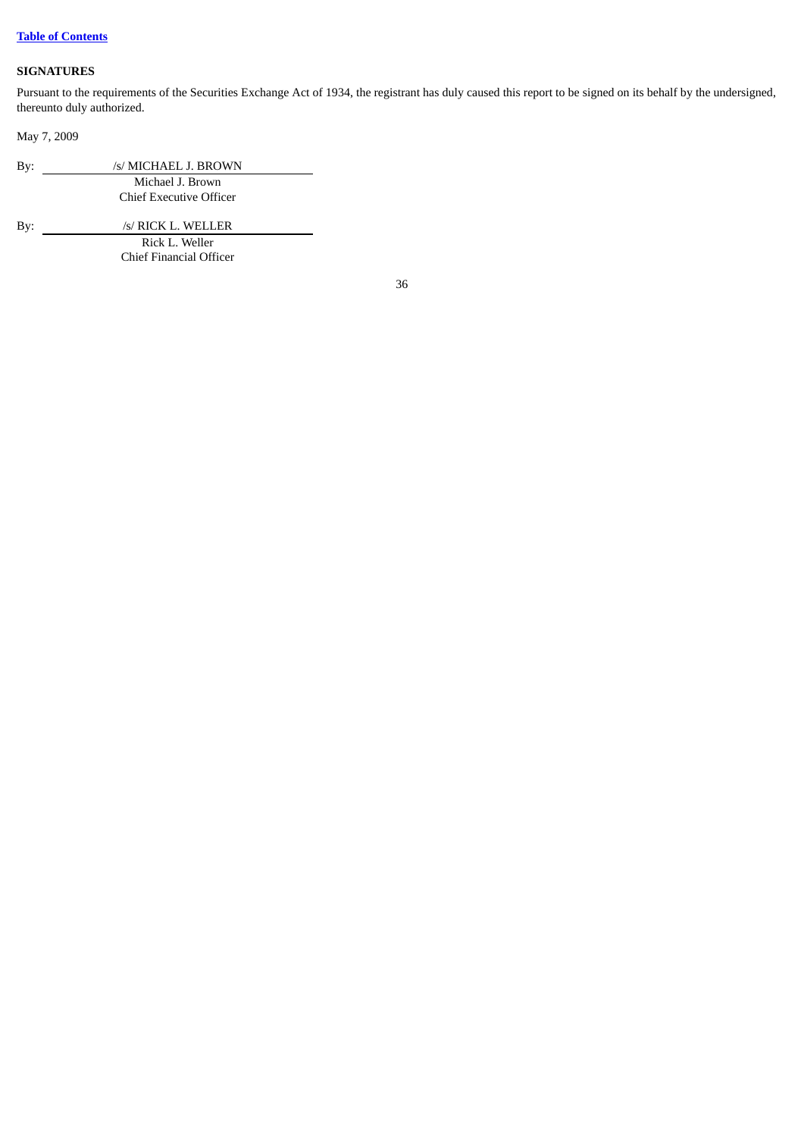### **SIGNATURES**

Pursuant to the requirements of the Securities Exchange Act of 1934, the registrant has duly caused this report to be signed on its behalf by the undersigned, thereunto duly authorized.

May 7, 2009

| By: | /s/ MICHAEL J. BROWN    |  |
|-----|-------------------------|--|
|     | Michael J. Brown        |  |
|     | Chief Executive Officer |  |

By: /s/ RICK L. WELLER

Rick L. Weller Chief Financial Officer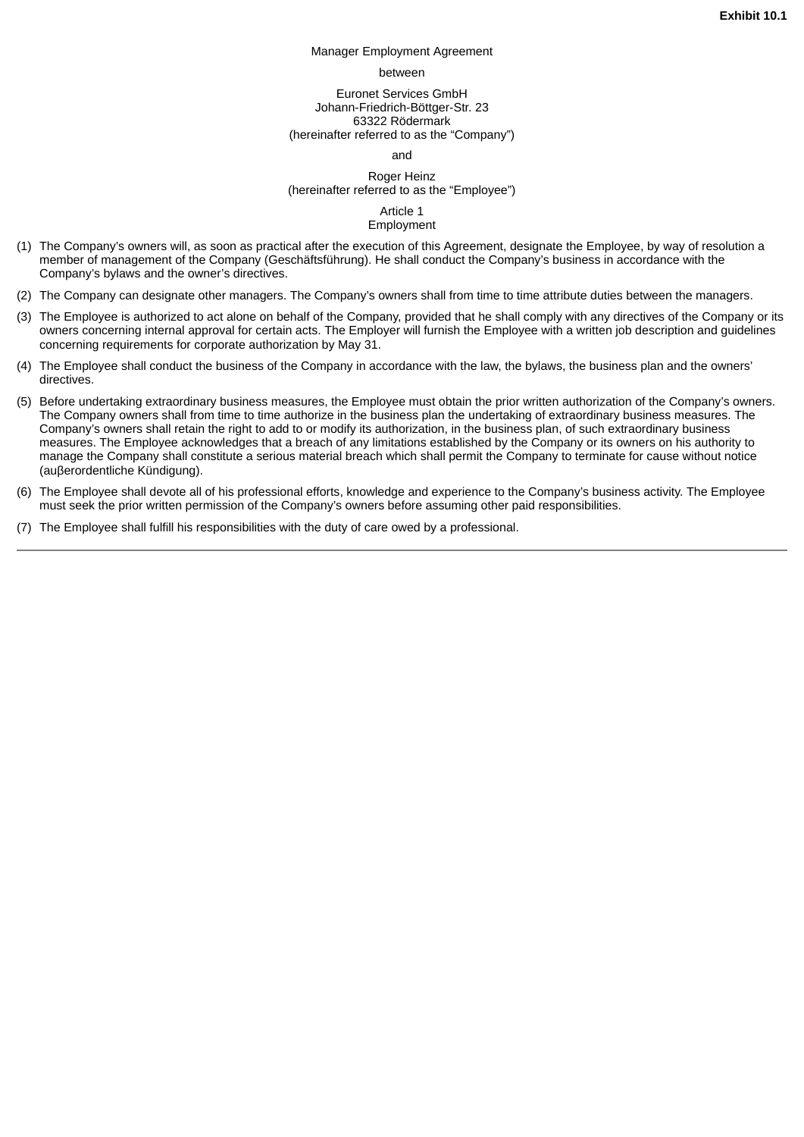#### Manager Employment Agreement

#### between

### Euronet Services GmbH Johann-Friedrich-Böttger-Str. 23 63322 Rödermark (hereinafter referred to as the "Company")

and

#### Roger Heinz (hereinafter referred to as the "Employee")

#### Article 1 Employment

- (1) The Company's owners will, as soon as practical after the execution of this Agreement, designate the Employee, by way of resolution a member of management of the Company (Geschäftsführung). He shall conduct the Company's business in accordance with the Company's bylaws and the owner's directives.
- (2) The Company can designate other managers. The Company's owners shall from time to time attribute duties between the managers.
- (3) The Employee is authorized to act alone on behalf of the Company, provided that he shall comply with any directives of the Company or its owners concerning internal approval for certain acts. The Employer will furnish the Employee with a written job description and guidelines concerning requirements for corporate authorization by May 31.
- (4) The Employee shall conduct the business of the Company in accordance with the law, the bylaws, the business plan and the owners' directives.
- (5) Before undertaking extraordinary business measures, the Employee must obtain the prior written authorization of the Company's owners. The Company owners shall from time to time authorize in the business plan the undertaking of extraordinary business measures. The Company's owners shall retain the right to add to or modify its authorization, in the business plan, of such extraordinary business measures. The Employee acknowledges that a breach of any limitations established by the Company or its owners on his authority to manage the Company shall constitute a serious material breach which shall permit the Company to terminate for cause without notice (auβerordentliche Kündigung).
- (6) The Employee shall devote all of his professional efforts, knowledge and experience to the Company's business activity. The Employee must seek the prior written permission of the Company's owners before assuming other paid responsibilities.
- (7) The Employee shall fulfill his responsibilities with the duty of care owed by a professional.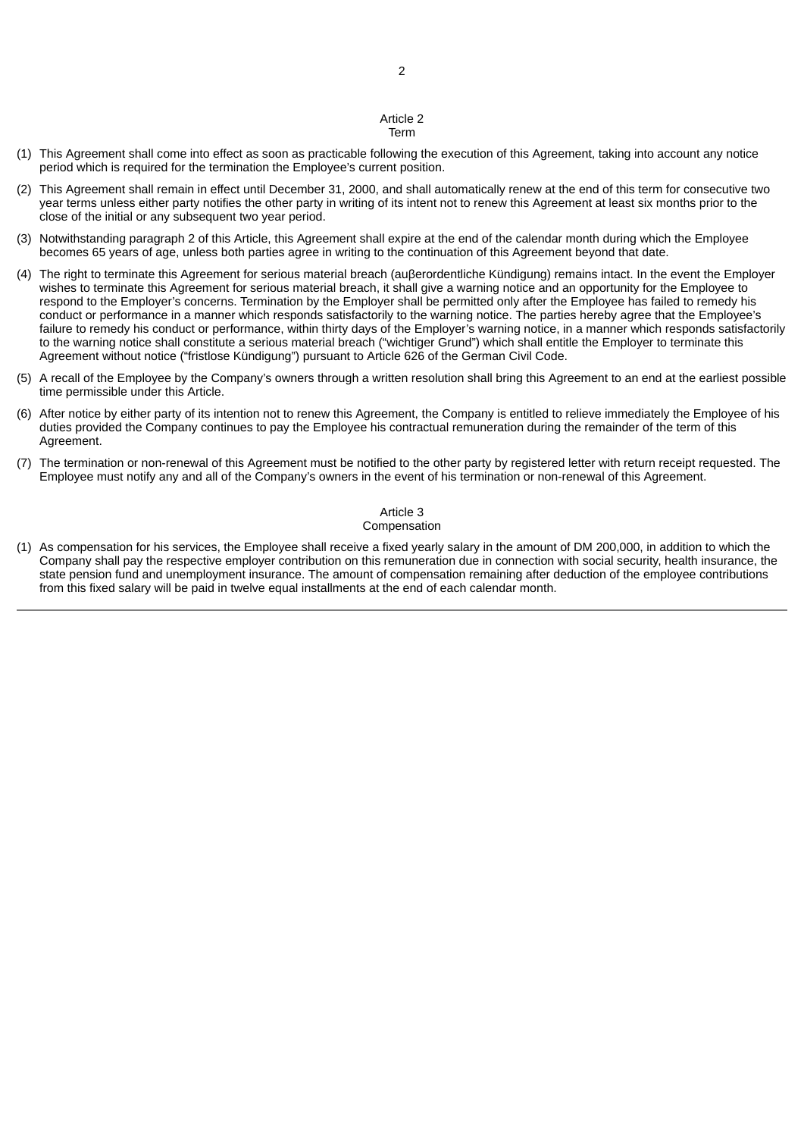#### Article 2 Term

- (1) This Agreement shall come into effect as soon as practicable following the execution of this Agreement, taking into account any notice period which is required for the termination the Employee's current position.
- (2) This Agreement shall remain in effect until December 31, 2000, and shall automatically renew at the end of this term for consecutive two year terms unless either party notifies the other party in writing of its intent not to renew this Agreement at least six months prior to the close of the initial or any subsequent two year period.
- (3) Notwithstanding paragraph 2 of this Article, this Agreement shall expire at the end of the calendar month during which the Employee becomes 65 years of age, unless both parties agree in writing to the continuation of this Agreement beyond that date.
- (4) The right to terminate this Agreement for serious material breach (auβerordentliche Kündigung) remains intact. In the event the Employer wishes to terminate this Agreement for serious material breach, it shall give a warning notice and an opportunity for the Employee to respond to the Employer's concerns. Termination by the Employer shall be permitted only after the Employee has failed to remedy his conduct or performance in a manner which responds satisfactorily to the warning notice. The parties hereby agree that the Employee's failure to remedy his conduct or performance, within thirty days of the Employer's warning notice, in a manner which responds satisfactorily to the warning notice shall constitute a serious material breach ("wichtiger Grund") which shall entitle the Employer to terminate this Agreement without notice ("fristlose Kündigung") pursuant to Article 626 of the German Civil Code.
- (5) A recall of the Employee by the Company's owners through a written resolution shall bring this Agreement to an end at the earliest possible time permissible under this Article.
- (6) After notice by either party of its intention not to renew this Agreement, the Company is entitled to relieve immediately the Employee of his duties provided the Company continues to pay the Employee his contractual remuneration during the remainder of the term of this Agreement.
- (7) The termination or non-renewal of this Agreement must be notified to the other party by registered letter with return receipt requested. The Employee must notify any and all of the Company's owners in the event of his termination or non-renewal of this Agreement.

#### Article 3 Compensation

### (1) As compensation for his services, the Employee shall receive a fixed yearly salary in the amount of DM 200,000, in addition to which the Company shall pay the respective employer contribution on this remuneration due in connection with social security, health insurance, the state pension fund and unemployment insurance. The amount of compensation remaining after deduction of the employee contributions from this fixed salary will be paid in twelve equal installments at the end of each calendar month.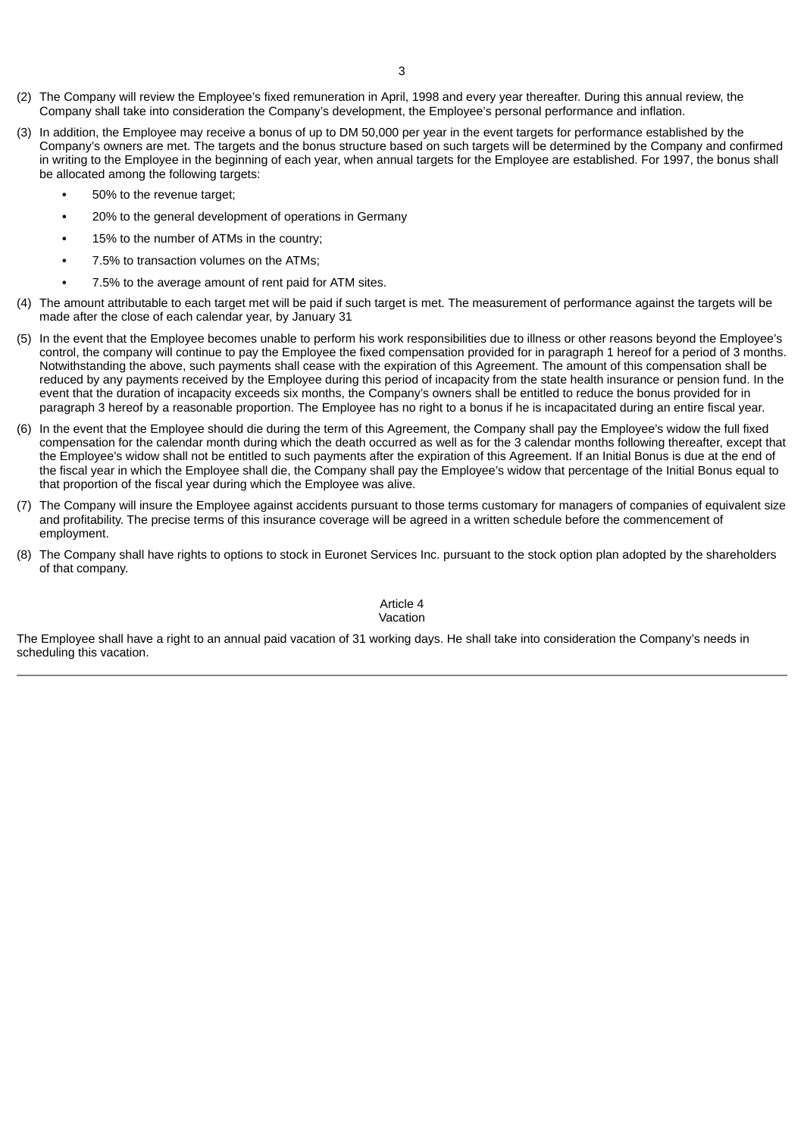- (2) The Company will review the Employee's fixed remuneration in April, 1998 and every year thereafter. During this annual review, the Company shall take into consideration the Company's development, the Employee's personal performance and inflation.
- (3) In addition, the Employee may receive a bonus of up to DM 50,000 per year in the event targets for performance established by the Company's owners are met. The targets and the bonus structure based on such targets will be determined by the Company and confirmed in writing to the Employee in the beginning of each year, when annual targets for the Employee are established. For 1997, the bonus shall be allocated among the following targets:
	- **•** 50% to the revenue target;
	- **•** 20% to the general development of operations in Germany
	- **•** 15% to the number of ATMs in the country;
	- **•** 7.5% to transaction volumes on the ATMs;
	- **•** 7.5% to the average amount of rent paid for ATM sites.
- (4) The amount attributable to each target met will be paid if such target is met. The measurement of performance against the targets will be made after the close of each calendar year, by January 31
- (5) In the event that the Employee becomes unable to perform his work responsibilities due to illness or other reasons beyond the Employee's control, the company will continue to pay the Employee the fixed compensation provided for in paragraph 1 hereof for a period of 3 months. Notwithstanding the above, such payments shall cease with the expiration of this Agreement. The amount of this compensation shall be reduced by any payments received by the Employee during this period of incapacity from the state health insurance or pension fund. In the event that the duration of incapacity exceeds six months, the Company's owners shall be entitled to reduce the bonus provided for in paragraph 3 hereof by a reasonable proportion. The Employee has no right to a bonus if he is incapacitated during an entire fiscal year.
- (6) In the event that the Employee should die during the term of this Agreement, the Company shall pay the Employee's widow the full fixed compensation for the calendar month during which the death occurred as well as for the 3 calendar months following thereafter, except that the Employee's widow shall not be entitled to such payments after the expiration of this Agreement. If an Initial Bonus is due at the end of the fiscal year in which the Employee shall die, the Company shall pay the Employee's widow that percentage of the Initial Bonus equal to that proportion of the fiscal year during which the Employee was alive.
- (7) The Company will insure the Employee against accidents pursuant to those terms customary for managers of companies of equivalent size and profitability. The precise terms of this insurance coverage will be agreed in a written schedule before the commencement of employment.
- (8) The Company shall have rights to options to stock in Euronet Services Inc. pursuant to the stock option plan adopted by the shareholders of that company.

Article 4 Vacation

The Employee shall have a right to an annual paid vacation of 31 working days. He shall take into consideration the Company's needs in scheduling this vacation.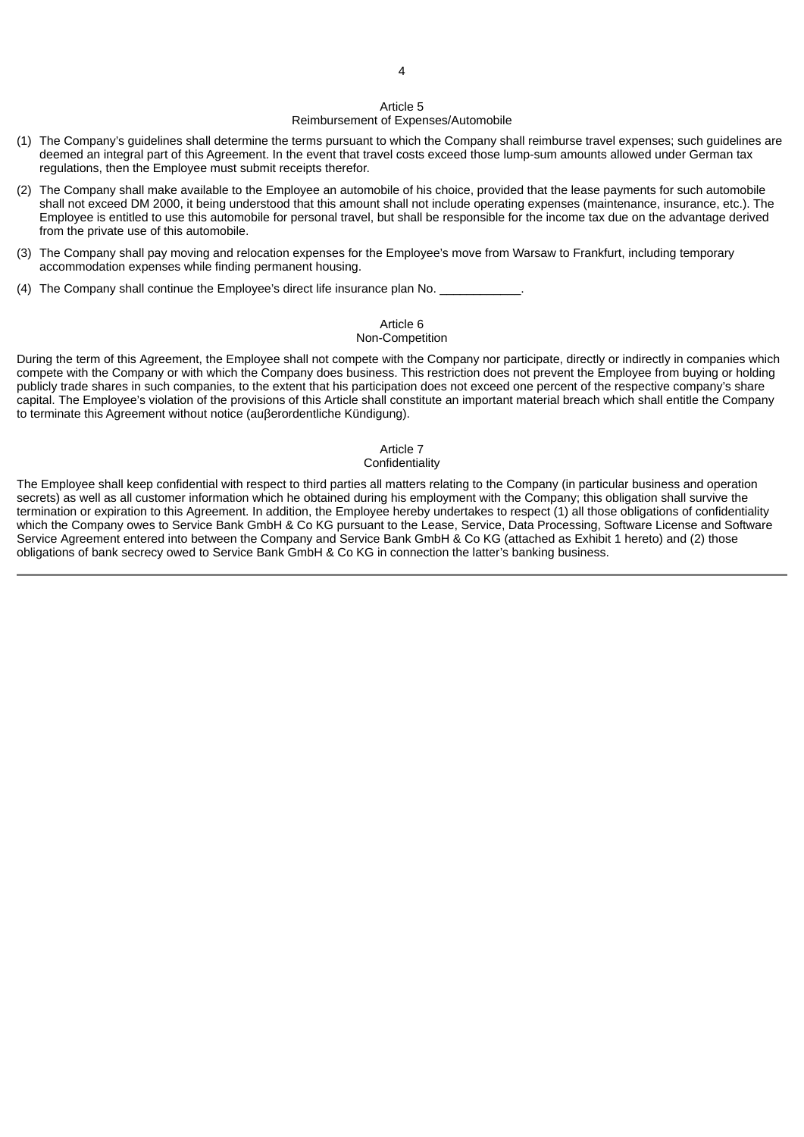### Article 5

#### Reimbursement of Expenses/Automobile

- (1) The Company's guidelines shall determine the terms pursuant to which the Company shall reimburse travel expenses; such guidelines are deemed an integral part of this Agreement. In the event that travel costs exceed those lump-sum amounts allowed under German tax regulations, then the Employee must submit receipts therefor.
- (2) The Company shall make available to the Employee an automobile of his choice, provided that the lease payments for such automobile shall not exceed DM 2000, it being understood that this amount shall not include operating expenses (maintenance, insurance, etc.). The Employee is entitled to use this automobile for personal travel, but shall be responsible for the income tax due on the advantage derived from the private use of this automobile.
- (3) The Company shall pay moving and relocation expenses for the Employee's move from Warsaw to Frankfurt, including temporary accommodation expenses while finding permanent housing.
- (4) The Company shall continue the Employee's direct life insurance plan No.

#### Article 6 Non-Competition

During the term of this Agreement, the Employee shall not compete with the Company nor participate, directly or indirectly in companies which compete with the Company or with which the Company does business. This restriction does not prevent the Employee from buying or holding publicly trade shares in such companies, to the extent that his participation does not exceed one percent of the respective company's share capital. The Employee's violation of the provisions of this Article shall constitute an important material breach which shall entitle the Company to terminate this Agreement without notice (auβerordentliche Kündigung).

### Article 7

### **Confidentiality**

The Employee shall keep confidential with respect to third parties all matters relating to the Company (in particular business and operation secrets) as well as all customer information which he obtained during his employment with the Company; this obligation shall survive the termination or expiration to this Agreement. In addition, the Employee hereby undertakes to respect (1) all those obligations of confidentiality which the Company owes to Service Bank GmbH & Co KG pursuant to the Lease, Service, Data Processing, Software License and Software Service Agreement entered into between the Company and Service Bank GmbH & Co KG (attached as Exhibit 1 hereto) and (2) those obligations of bank secrecy owed to Service Bank GmbH & Co KG in connection the latter's banking business.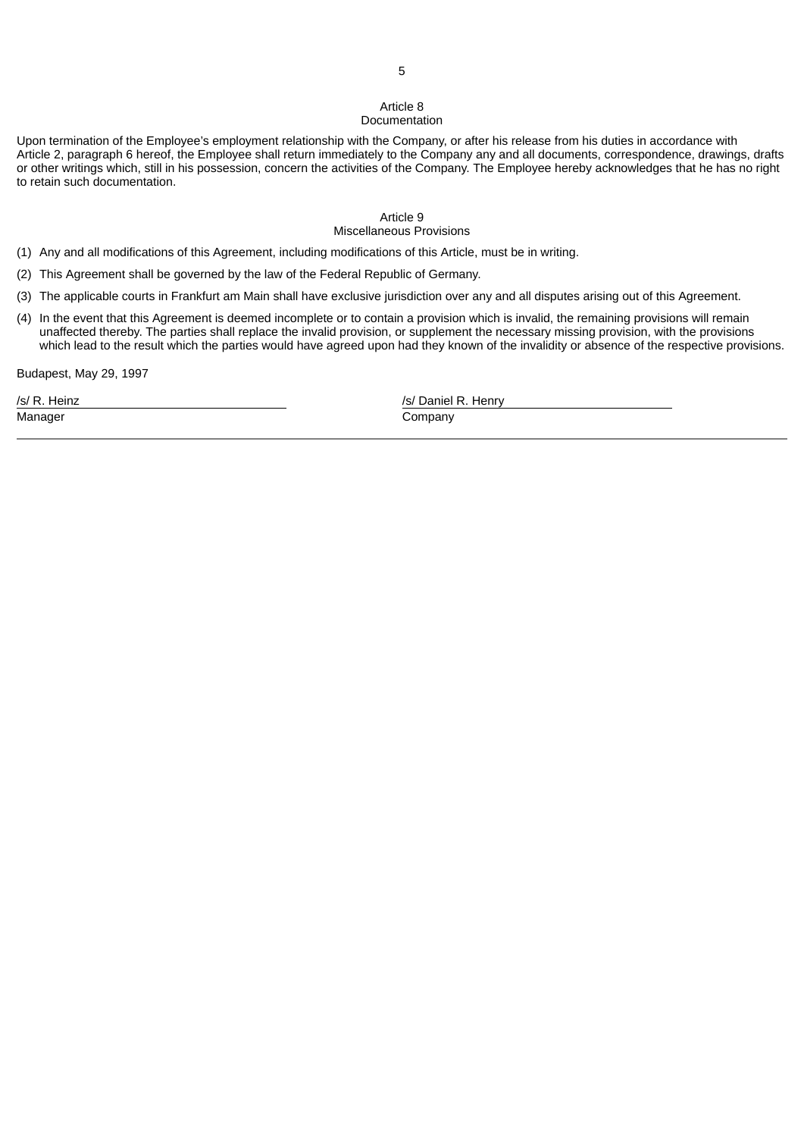### Article 8 Documentation

Upon termination of the Employee's employment relationship with the Company, or after his release from his duties in accordance with Article 2, paragraph 6 hereof, the Employee shall return immediately to the Company any and all documents, correspondence, drawings, drafts or other writings which, still in his possession, concern the activities of the Company. The Employee hereby acknowledges that he has no right to retain such documentation.

### Article 9 Miscellaneous Provisions

(1) Any and all modifications of this Agreement, including modifications of this Article, must be in writing.

(2) This Agreement shall be governed by the law of the Federal Republic of Germany.

(3) The applicable courts in Frankfurt am Main shall have exclusive jurisdiction over any and all disputes arising out of this Agreement.

(4) In the event that this Agreement is deemed incomplete or to contain a provision which is invalid, the remaining provisions will remain unaffected thereby. The parties shall replace the invalid provision, or supplement the necessary missing provision, with the provisions which lead to the result which the parties would have agreed upon had they known of the invalidity or absence of the respective provisions.

Budapest, May 29, 1997

/s/ R. Heinz /s/ Daniel R. Henry Manager Company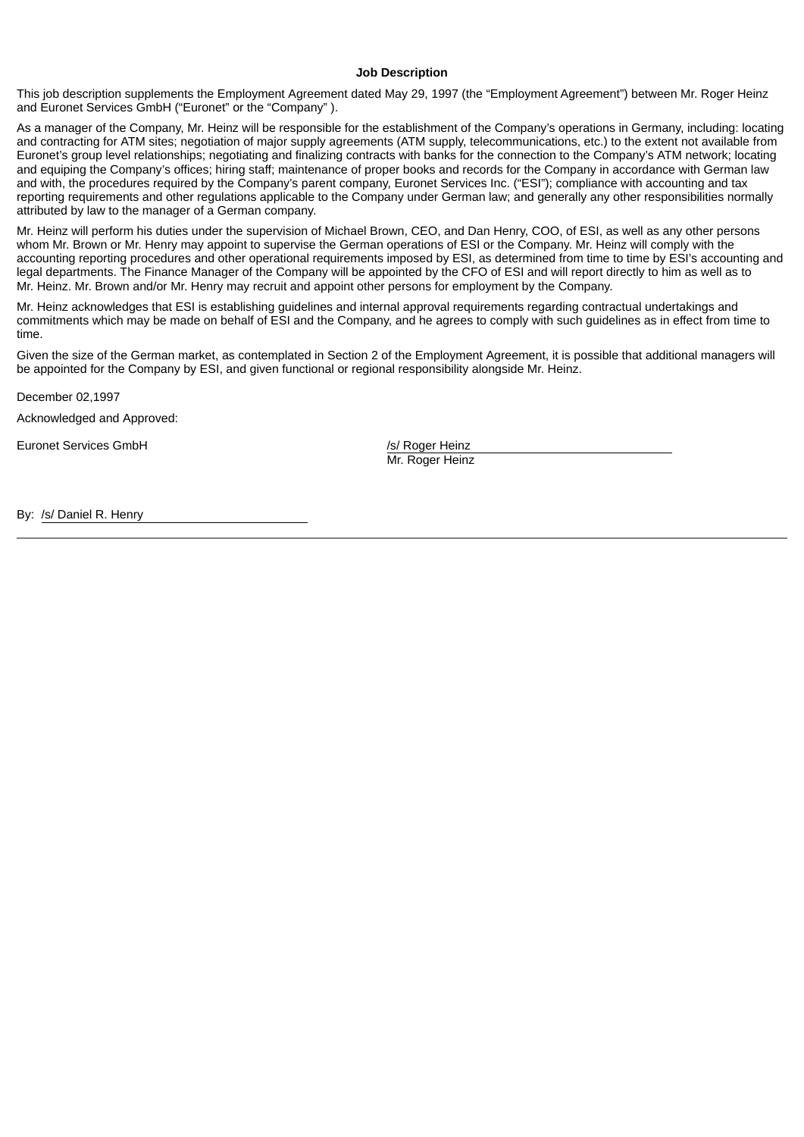### **Job Description**

This job description supplements the Employment Agreement dated May 29, 1997 (the "Employment Agreement") between Mr. Roger Heinz and Euronet Services GmbH ("Euronet" or the "Company" ).

As a manager of the Company, Mr. Heinz will be responsible for the establishment of the Company's operations in Germany, including: locating and contracting for ATM sites; negotiation of major supply agreements (ATM supply, telecommunications, etc.) to the extent not available from Euronet's group level relationships; negotiating and finalizing contracts with banks for the connection to the Company's ATM network; locating and equiping the Company's offices; hiring staff; maintenance of proper books and records for the Company in accordance with German law and with, the procedures required by the Company's parent company, Euronet Services Inc. ("ESI"); compliance with accounting and tax reporting requirements and other regulations applicable to the Company under German law; and generally any other responsibilities normally attributed by law to the manager of a German company.

Mr. Heinz will perform his duties under the supervision of Michael Brown, CEO, and Dan Henry, COO, of ESI, as well as any other persons whom Mr. Brown or Mr. Henry may appoint to supervise the German operations of ESI or the Company. Mr. Heinz will comply with the accounting reporting procedures and other operational requirements imposed by ESI, as determined from time to time by ESI's accounting and legal departments. The Finance Manager of the Company will be appointed by the CFO of ESI and will report directly to him as well as to Mr. Heinz. Mr. Brown and/or Mr. Henry may recruit and appoint other persons for employment by the Company.

Mr. Heinz acknowledges that ESI is establishing guidelines and internal approval requirements regarding contractual undertakings and commitments which may be made on behalf of ESI and the Company, and he agrees to comply with such guidelines as in effect from time to time.

Given the size of the German market, as contemplated in Section 2 of the Employment Agreement, it is possible that additional managers will be appointed for the Company by ESI, and given functional or regional responsibility alongside Mr. Heinz.

December 02,1997

Acknowledged and Approved:

Euronet Services GmbH *(s)* Roger Heinz

Mr. Roger Heinz

By: /s/ Daniel R. Henry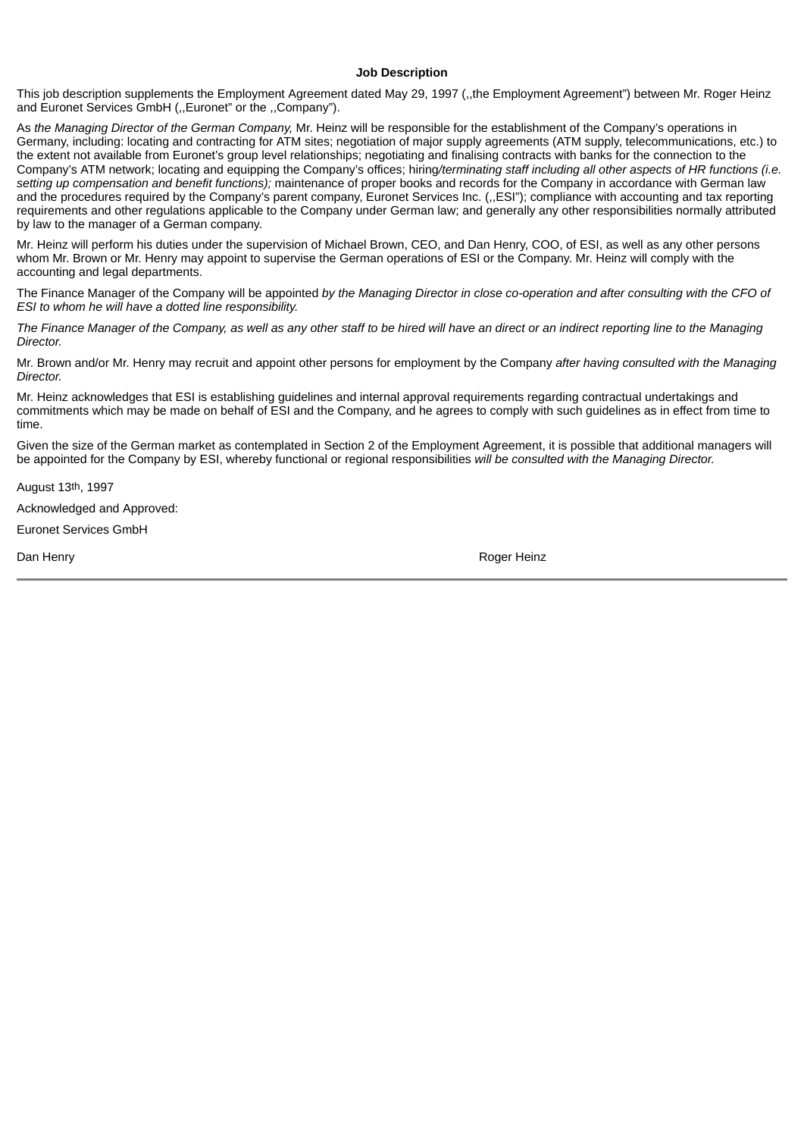### **Job Description**

This job description supplements the Employment Agreement dated May 29, 1997 (,,the Employment Agreement") between Mr. Roger Heinz and Euronet Services GmbH (,,Euronet" or the ,,Company").

As *the Managing Director of the German Company,* Mr. Heinz will be responsible for the establishment of the Company's operations in Germany, including: locating and contracting for ATM sites; negotiation of major supply agreements (ATM supply, telecommunications, etc.) to the extent not available from Euronet's group level relationships; negotiating and finalising contracts with banks for the connection to the Company's ATM network; locating and equipping the Company's offices; hiring*/terminating staff including all other aspects of HR functions (i.e. setting up compensation and benefit functions);* maintenance of proper books and records for the Company in accordance with German law and the procedures required by the Company's parent company, Euronet Services Inc. (,,ESI"); compliance with accounting and tax reporting requirements and other regulations applicable to the Company under German law; and generally any other responsibilities normally attributed by law to the manager of a German company.

Mr. Heinz will perform his duties under the supervision of Michael Brown, CEO, and Dan Henry, COO, of ESI, as well as any other persons whom Mr. Brown or Mr. Henry may appoint to supervise the German operations of ESI or the Company. Mr. Heinz will comply with the accounting and legal departments.

The Finance Manager of the Company will be appointed by the Managing Director in close co-operation and after consulting with the CFO of *ESI to whom he will have a dotted line responsibility.*

The Finance Manager of the Company, as well as any other staff to be hired will have an direct or an indirect reporting line to the Managing *Director.*

Mr. Brown and/or Mr. Henry may recruit and appoint other persons for employment by the Company *after having consulted with the Managing Director.*

Mr. Heinz acknowledges that ESI is establishing guidelines and internal approval requirements regarding contractual undertakings and commitments which may be made on behalf of ESI and the Company, and he agrees to comply with such guidelines as in effect from time to time.

Given the size of the German market as contemplated in Section 2 of the Employment Agreement, it is possible that additional managers will be appointed for the Company by ESI, whereby functional or regional responsibilities *will be consulted with the Managing Director.*

August 13th, 1997

Acknowledged and Approved:

Euronet Services GmbH

Dan Henry **Roger Heinz** Communication and the Communication of the Communication and the Communication and the Communication of the Communication and the Communication of the Communication of the Communication of the Commu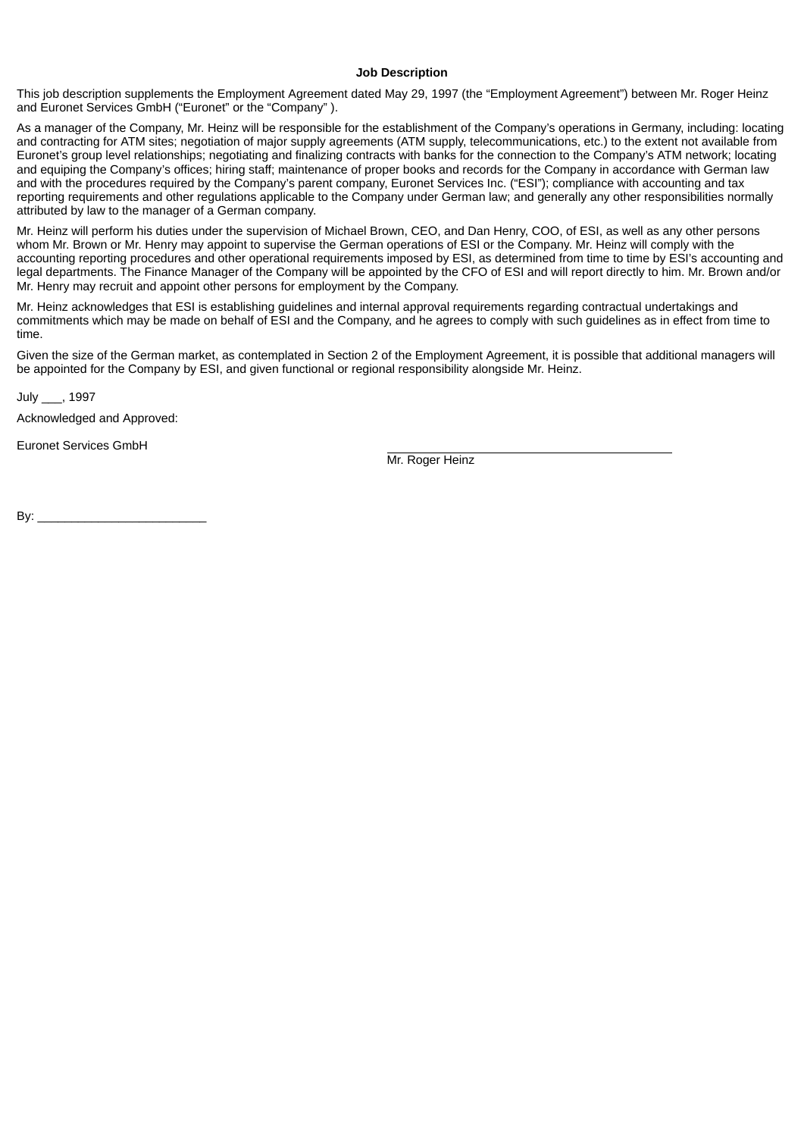### **Job Description**

This job description supplements the Employment Agreement dated May 29, 1997 (the "Employment Agreement") between Mr. Roger Heinz and Euronet Services GmbH ("Euronet" or the "Company" ).

As a manager of the Company, Mr. Heinz will be responsible for the establishment of the Company's operations in Germany, including: locating and contracting for ATM sites; negotiation of major supply agreements (ATM supply, telecommunications, etc.) to the extent not available from Euronet's group level relationships; negotiating and finalizing contracts with banks for the connection to the Company's ATM network; locating and equiping the Company's offices; hiring staff; maintenance of proper books and records for the Company in accordance with German law and with the procedures required by the Company's parent company, Euronet Services Inc. ("ESI"); compliance with accounting and tax reporting requirements and other regulations applicable to the Company under German law; and generally any other responsibilities normally attributed by law to the manager of a German company.

Mr. Heinz will perform his duties under the supervision of Michael Brown, CEO, and Dan Henry, COO, of ESI, as well as any other persons whom Mr. Brown or Mr. Henry may appoint to supervise the German operations of ESI or the Company. Mr. Heinz will comply with the accounting reporting procedures and other operational requirements imposed by ESI, as determined from time to time by ESI's accounting and legal departments. The Finance Manager of the Company will be appointed by the CFO of ESI and will report directly to him. Mr. Brown and/or Mr. Henry may recruit and appoint other persons for employment by the Company.

Mr. Heinz acknowledges that ESI is establishing guidelines and internal approval requirements regarding contractual undertakings and commitments which may be made on behalf of ESI and the Company, and he agrees to comply with such guidelines as in effect from time to time.

Given the size of the German market, as contemplated in Section 2 of the Employment Agreement, it is possible that additional managers will be appointed for the Company by ESI, and given functional or regional responsibility alongside Mr. Heinz.

July \_\_\_, 1997

Acknowledged and Approved:

Euronet Services GmbH

Mr. Roger Heinz

By: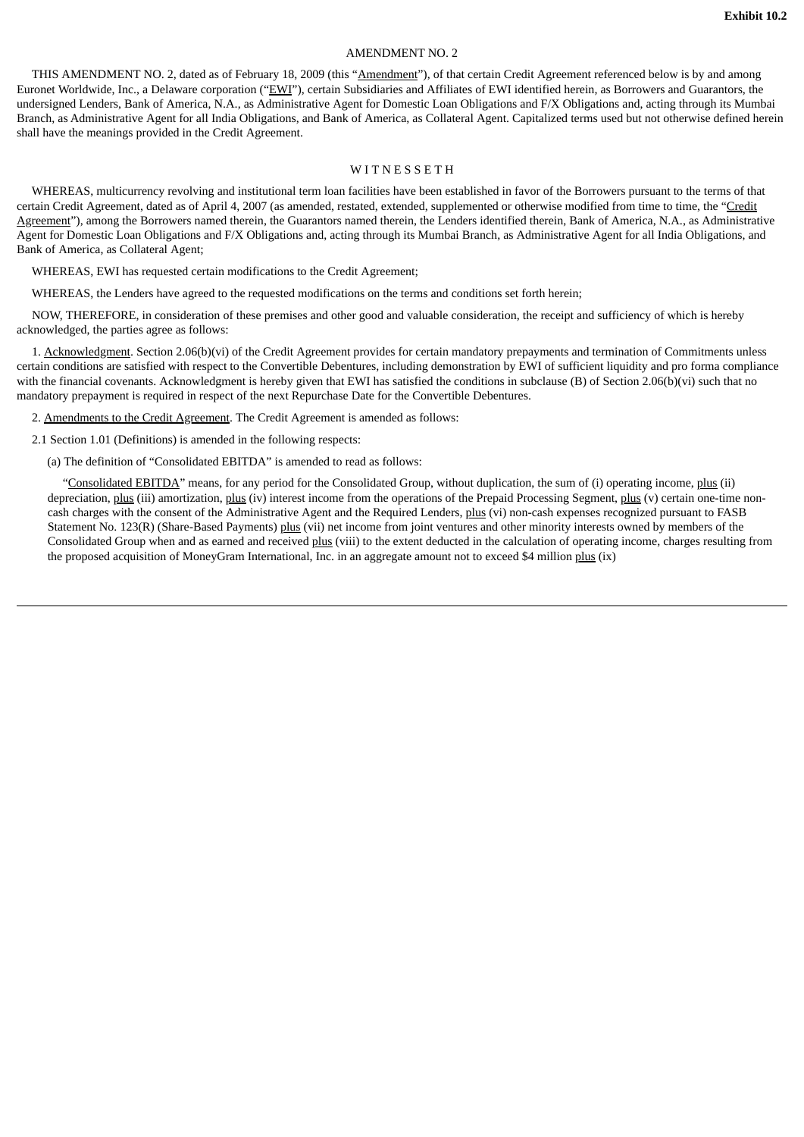### AMENDMENT NO. 2

THIS AMENDMENT NO. 2, dated as of February 18, 2009 (this "Amendment"), of that certain Credit Agreement referenced below is by and among Euronet Worldwide, Inc., a Delaware corporation ("EWI"), certain Subsidiaries and Affiliates of EWI identified herein, as Borrowers and Guarantors, the undersigned Lenders, Bank of America, N.A., as Administrative Agent for Domestic Loan Obligations and F/X Obligations and, acting through its Mumbai Branch, as Administrative Agent for all India Obligations, and Bank of America, as Collateral Agent. Capitalized terms used but not otherwise defined herein shall have the meanings provided in the Credit Agreement.

#### WITNESSETH

WHEREAS, multicurrency revolving and institutional term loan facilities have been established in favor of the Borrowers pursuant to the terms of that certain Credit Agreement, dated as of April 4, 2007 (as amended, restated, extended, supplemented or otherwise modified from time to time, the "Credit Agreement"), among the Borrowers named therein, the Guarantors named therein, the Lenders identified therein, Bank of America, N.A., as Administrative Agent for Domestic Loan Obligations and F/X Obligations and, acting through its Mumbai Branch, as Administrative Agent for all India Obligations, and Bank of America, as Collateral Agent;

WHEREAS, EWI has requested certain modifications to the Credit Agreement;

WHEREAS, the Lenders have agreed to the requested modifications on the terms and conditions set forth herein;

NOW, THEREFORE, in consideration of these premises and other good and valuable consideration, the receipt and sufficiency of which is hereby acknowledged, the parties agree as follows:

1. Acknowledgment. Section 2.06(b)(vi) of the Credit Agreement provides for certain mandatory prepayments and termination of Commitments unless certain conditions are satisfied with respect to the Convertible Debentures, including demonstration by EWI of sufficient liquidity and pro forma compliance with the financial covenants. Acknowledgment is hereby given that EWI has satisfied the conditions in subclause (B) of Section 2.06(b)(vi) such that no mandatory prepayment is required in respect of the next Repurchase Date for the Convertible Debentures.

2. Amendments to the Credit Agreement. The Credit Agreement is amended as follows:

2.1 Section 1.01 (Definitions) is amended in the following respects:

(a) The definition of "Consolidated EBITDA" is amended to read as follows:

"Consolidated EBITDA" means, for any period for the Consolidated Group, without duplication, the sum of (i) operating income, plus (ii) depreciation, plus (iii) amortization, plus (iv) interest income from the operations of the Prepaid Processing Segment, plus (v) certain one-time noncash charges with the consent of the Administrative Agent and the Required Lenders, plus (vi) non-cash expenses recognized pursuant to FASB Statement No. 123(R) (Share-Based Payments) plus (vii) net income from joint ventures and other minority interests owned by members of the Consolidated Group when and as earned and received plus (viii) to the extent deducted in the calculation of operating income, charges resulting from the proposed acquisition of MoneyGram International, Inc. in an aggregate amount not to exceed \$4 million plus (ix)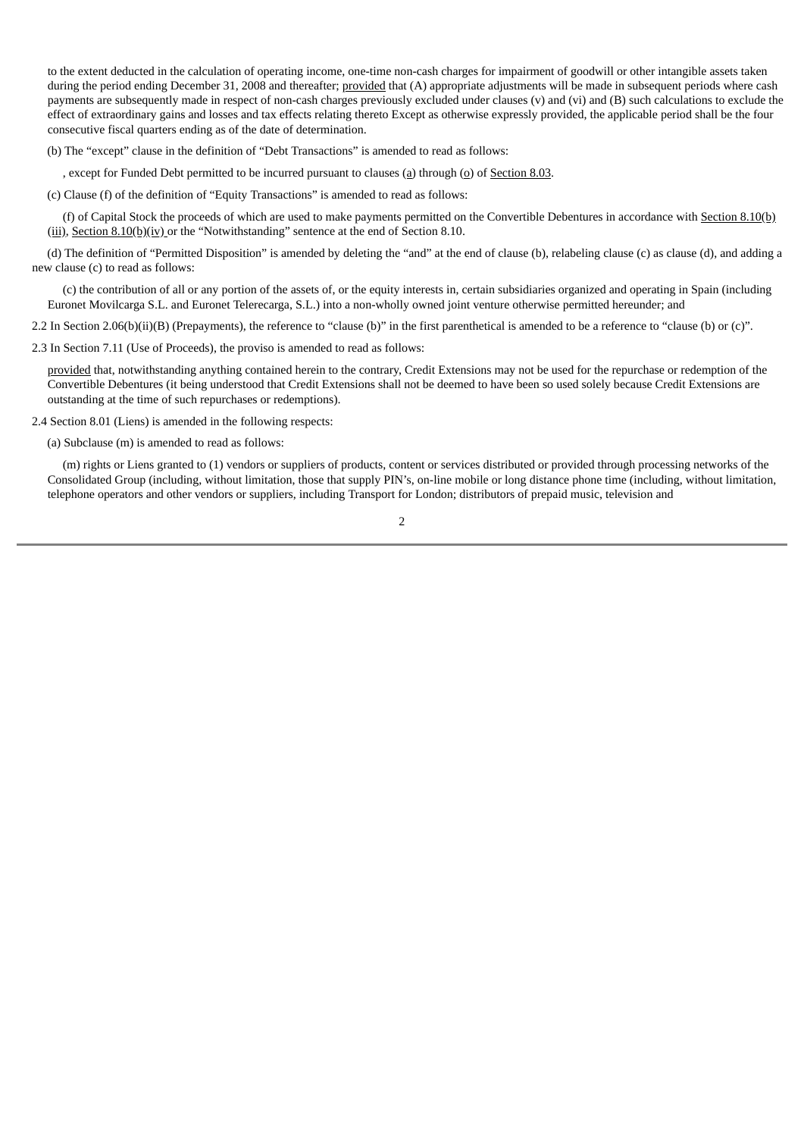to the extent deducted in the calculation of operating income, one-time non-cash charges for impairment of goodwill or other intangible assets taken during the period ending December 31, 2008 and thereafter; provided that (A) appropriate adjustments will be made in subsequent periods where cash payments are subsequently made in respect of non-cash charges previously excluded under clauses (v) and (vi) and (B) such calculations to exclude the effect of extraordinary gains and losses and tax effects relating thereto Except as otherwise expressly provided, the applicable period shall be the four consecutive fiscal quarters ending as of the date of determination.

(b) The "except" clause in the definition of "Debt Transactions" is amended to read as follows:

, except for Funded Debt permitted to be incurred pursuant to clauses (a) through (o) of Section 8.03.

(c) Clause (f) of the definition of "Equity Transactions" is amended to read as follows:

(f) of Capital Stock the proceeds of which are used to make payments permitted on the Convertible Debentures in accordance with Section 8.10(b) (iii), Section 8.10(b)(iv) or the "Notwithstanding" sentence at the end of Section 8.10.

(d) The definition of "Permitted Disposition" is amended by deleting the "and" at the end of clause (b), relabeling clause (c) as clause (d), and adding a new clause (c) to read as follows:

(c) the contribution of all or any portion of the assets of, or the equity interests in, certain subsidiaries organized and operating in Spain (including Euronet Movilcarga S.L. and Euronet Telerecarga, S.L.) into a non-wholly owned joint venture otherwise permitted hereunder; and

2.2 In Section 2.06(b)(ii)(B) (Prepayments), the reference to "clause (b)" in the first parenthetical is amended to be a reference to "clause (b) or (c)".

2.3 In Section 7.11 (Use of Proceeds), the proviso is amended to read as follows:

provided that, notwithstanding anything contained herein to the contrary, Credit Extensions may not be used for the repurchase or redemption of the Convertible Debentures (it being understood that Credit Extensions shall not be deemed to have been so used solely because Credit Extensions are outstanding at the time of such repurchases or redemptions).

2.4 Section 8.01 (Liens) is amended in the following respects:

(a) Subclause (m) is amended to read as follows:

(m) rights or Liens granted to (1) vendors or suppliers of products, content or services distributed or provided through processing networks of the Consolidated Group (including, without limitation, those that supply PIN's, on-line mobile or long distance phone time (including, without limitation, telephone operators and other vendors or suppliers, including Transport for London; distributors of prepaid music, television and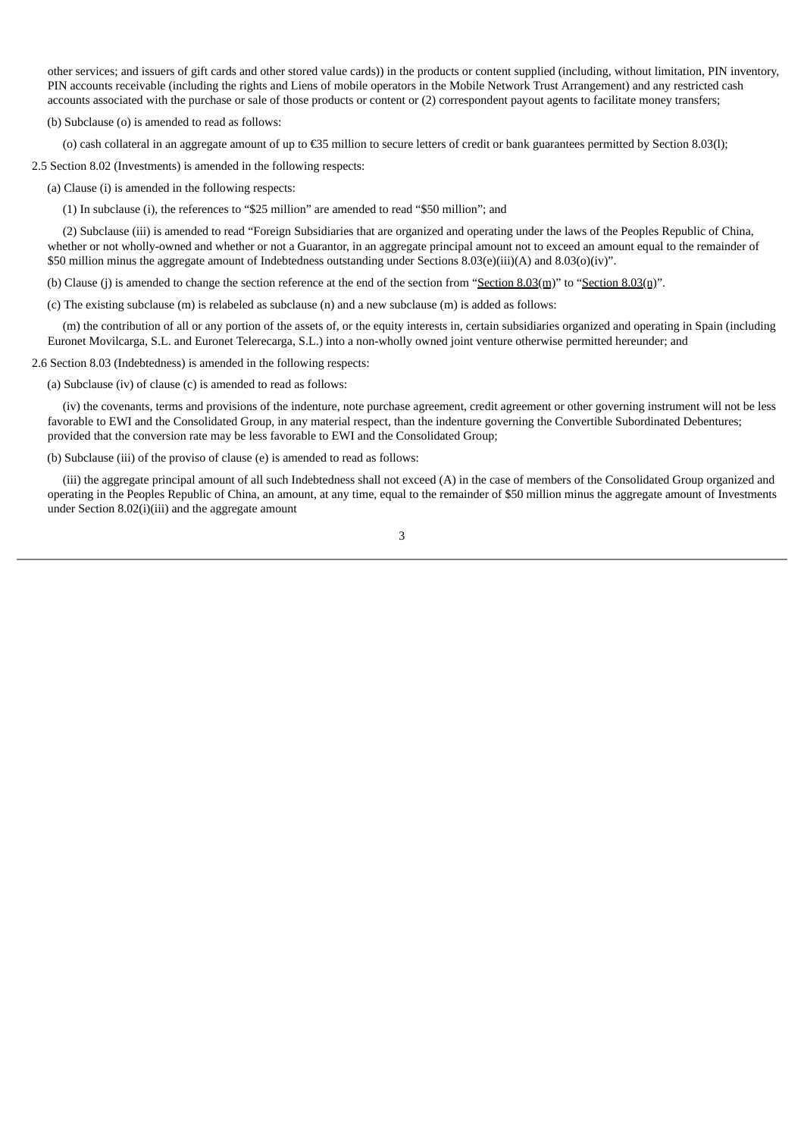other services; and issuers of gift cards and other stored value cards)) in the products or content supplied (including, without limitation, PIN inventory, PIN accounts receivable (including the rights and Liens of mobile operators in the Mobile Network Trust Arrangement) and any restricted cash accounts associated with the purchase or sale of those products or content or (2) correspondent payout agents to facilitate money transfers;

(b) Subclause (o) is amended to read as follows:

(o) cash collateral in an aggregate amount of up to €35 million to secure letters of credit or bank guarantees permitted by Section 8.03(l);

2.5 Section 8.02 (Investments) is amended in the following respects:

(a) Clause (i) is amended in the following respects:

(1) In subclause (i), the references to "\$25 million" are amended to read "\$50 million"; and

(2) Subclause (iii) is amended to read "Foreign Subsidiaries that are organized and operating under the laws of the Peoples Republic of China, whether or not wholly-owned and whether or not a Guarantor, in an aggregate principal amount not to exceed an amount equal to the remainder of \$50 million minus the aggregate amount of Indebtedness outstanding under Sections 8.03(e)(iii)(A) and 8.03(o)(iv)".

(b) Clause (j) is amended to change the section reference at the end of the section from "Section 8.03(m)" to "Section 8.03(n)".

(c) The existing subclause (m) is relabeled as subclause (n) and a new subclause (m) is added as follows:

(m) the contribution of all or any portion of the assets of, or the equity interests in, certain subsidiaries organized and operating in Spain (including Euronet Movilcarga, S.L. and Euronet Telerecarga, S.L.) into a non-wholly owned joint venture otherwise permitted hereunder; and

#### 2.6 Section 8.03 (Indebtedness) is amended in the following respects:

(a) Subclause (iv) of clause (c) is amended to read as follows:

(iv) the covenants, terms and provisions of the indenture, note purchase agreement, credit agreement or other governing instrument will not be less favorable to EWI and the Consolidated Group, in any material respect, than the indenture governing the Convertible Subordinated Debentures; provided that the conversion rate may be less favorable to EWI and the Consolidated Group;

(b) Subclause (iii) of the proviso of clause (e) is amended to read as follows:

(iii) the aggregate principal amount of all such Indebtedness shall not exceed (A) in the case of members of the Consolidated Group organized and operating in the Peoples Republic of China, an amount, at any time, equal to the remainder of \$50 million minus the aggregate amount of Investments under Section 8.02(i)(iii) and the aggregate amount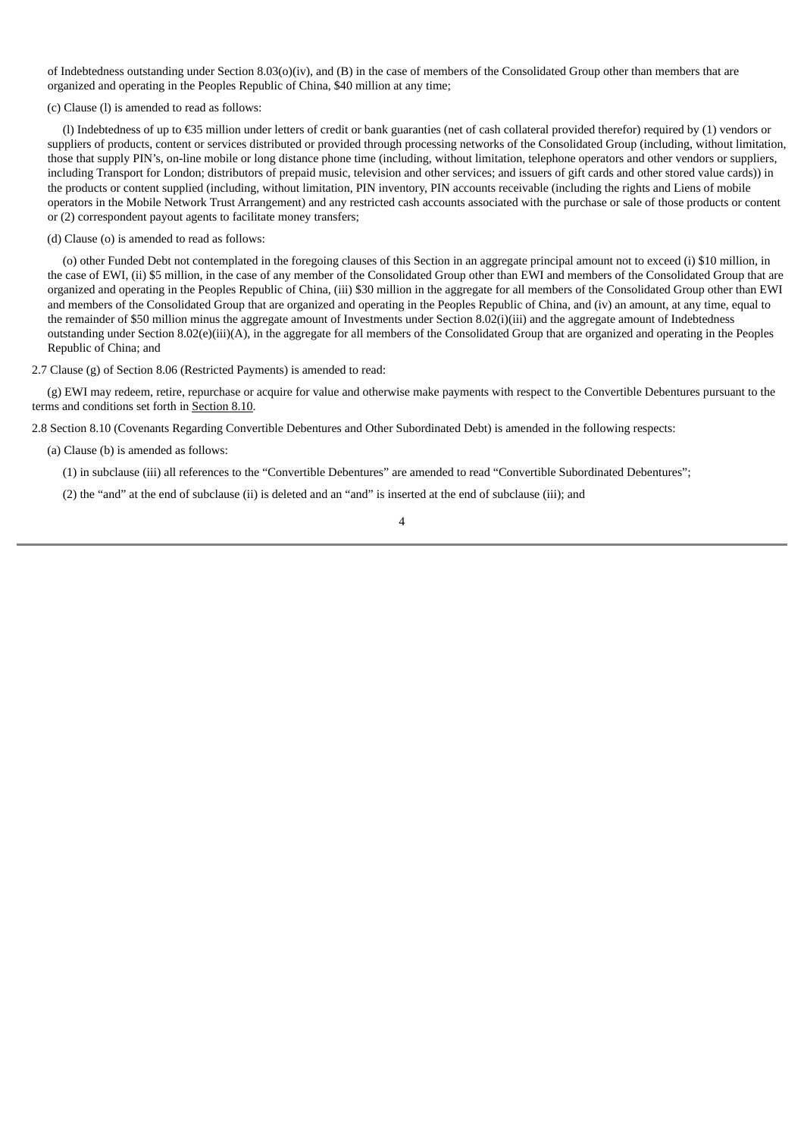of Indebtedness outstanding under Section 8.03(o)(iv), and (B) in the case of members of the Consolidated Group other than members that are organized and operating in the Peoples Republic of China, \$40 million at any time;

(c) Clause (l) is amended to read as follows:

(l) Indebtedness of up to €35 million under letters of credit or bank guaranties (net of cash collateral provided therefor) required by (1) vendors or suppliers of products, content or services distributed or provided through processing networks of the Consolidated Group (including, without limitation, those that supply PIN's, on-line mobile or long distance phone time (including, without limitation, telephone operators and other vendors or suppliers, including Transport for London; distributors of prepaid music, television and other services; and issuers of gift cards and other stored value cards)) in the products or content supplied (including, without limitation, PIN inventory, PIN accounts receivable (including the rights and Liens of mobile operators in the Mobile Network Trust Arrangement) and any restricted cash accounts associated with the purchase or sale of those products or content or (2) correspondent payout agents to facilitate money transfers;

#### (d) Clause (o) is amended to read as follows:

(o) other Funded Debt not contemplated in the foregoing clauses of this Section in an aggregate principal amount not to exceed (i) \$10 million, in the case of EWI, (ii) \$5 million, in the case of any member of the Consolidated Group other than EWI and members of the Consolidated Group that are organized and operating in the Peoples Republic of China, (iii) \$30 million in the aggregate for all members of the Consolidated Group other than EWI and members of the Consolidated Group that are organized and operating in the Peoples Republic of China, and (iv) an amount, at any time, equal to the remainder of \$50 million minus the aggregate amount of Investments under Section 8.02(i)(iii) and the aggregate amount of Indebtedness outstanding under Section 8.02(e)(iii)(A), in the aggregate for all members of the Consolidated Group that are organized and operating in the Peoples Republic of China; and

#### 2.7 Clause (g) of Section 8.06 (Restricted Payments) is amended to read:

(g) EWI may redeem, retire, repurchase or acquire for value and otherwise make payments with respect to the Convertible Debentures pursuant to the terms and conditions set forth in Section 8.10.

2.8 Section 8.10 (Covenants Regarding Convertible Debentures and Other Subordinated Debt) is amended in the following respects:

(a) Clause (b) is amended as follows:

(1) in subclause (iii) all references to the "Convertible Debentures" are amended to read "Convertible Subordinated Debentures";

(2) the "and" at the end of subclause (ii) is deleted and an "and" is inserted at the end of subclause (iii); and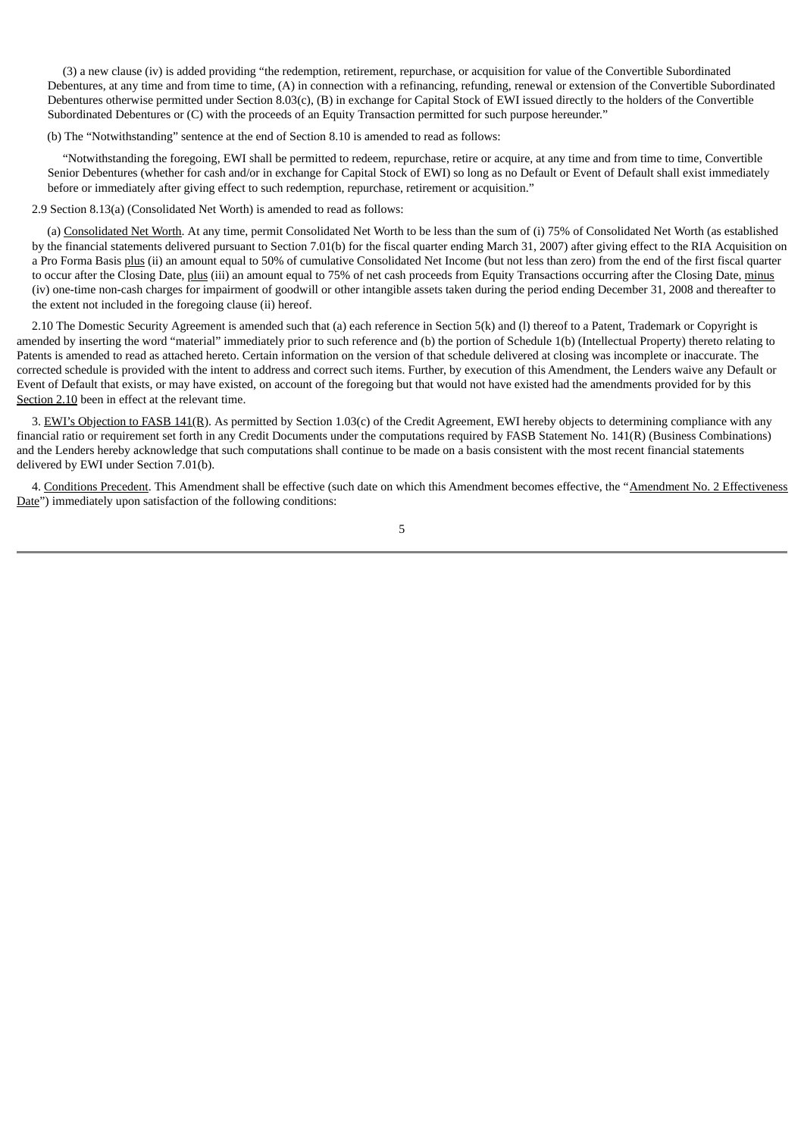(3) a new clause (iv) is added providing "the redemption, retirement, repurchase, or acquisition for value of the Convertible Subordinated Debentures, at any time and from time to time, (A) in connection with a refinancing, refunding, renewal or extension of the Convertible Subordinated Debentures otherwise permitted under Section 8.03(c), (B) in exchange for Capital Stock of EWI issued directly to the holders of the Convertible Subordinated Debentures or (C) with the proceeds of an Equity Transaction permitted for such purpose hereunder."

(b) The "Notwithstanding" sentence at the end of Section 8.10 is amended to read as follows:

"Notwithstanding the foregoing, EWI shall be permitted to redeem, repurchase, retire or acquire, at any time and from time to time, Convertible Senior Debentures (whether for cash and/or in exchange for Capital Stock of EWI) so long as no Default or Event of Default shall exist immediately before or immediately after giving effect to such redemption, repurchase, retirement or acquisition."

2.9 Section 8.13(a) (Consolidated Net Worth) is amended to read as follows:

(a) Consolidated Net Worth. At any time, permit Consolidated Net Worth to be less than the sum of (i) 75% of Consolidated Net Worth (as established by the financial statements delivered pursuant to Section 7.01(b) for the fiscal quarter ending March 31, 2007) after giving effect to the RIA Acquisition on a Pro Forma Basis plus (ii) an amount equal to 50% of cumulative Consolidated Net Income (but not less than zero) from the end of the first fiscal quarter to occur after the Closing Date, plus (iii) an amount equal to 75% of net cash proceeds from Equity Transactions occurring after the Closing Date, minus (iv) one-time non-cash charges for impairment of goodwill or other intangible assets taken during the period ending December 31, 2008 and thereafter to the extent not included in the foregoing clause (ii) hereof.

2.10 The Domestic Security Agreement is amended such that (a) each reference in Section 5(k) and (l) thereof to a Patent, Trademark or Copyright is amended by inserting the word "material" immediately prior to such reference and (b) the portion of Schedule 1(b) (Intellectual Property) thereto relating to Patents is amended to read as attached hereto. Certain information on the version of that schedule delivered at closing was incomplete or inaccurate. The corrected schedule is provided with the intent to address and correct such items. Further, by execution of this Amendment, the Lenders waive any Default or Event of Default that exists, or may have existed, on account of the foregoing but that would not have existed had the amendments provided for by this Section 2.10 been in effect at the relevant time.

3. EWI's Objection to FASB 141(R). As permitted by Section 1.03(c) of the Credit Agreement, EWI hereby objects to determining compliance with any financial ratio or requirement set forth in any Credit Documents under the computations required by FASB Statement No. 141(R) (Business Combinations) and the Lenders hereby acknowledge that such computations shall continue to be made on a basis consistent with the most recent financial statements delivered by EWI under Section 7.01(b).

4. Conditions Precedent. This Amendment shall be effective (such date on which this Amendment becomes effective, the "Amendment No. 2 Effectiveness Date") immediately upon satisfaction of the following conditions: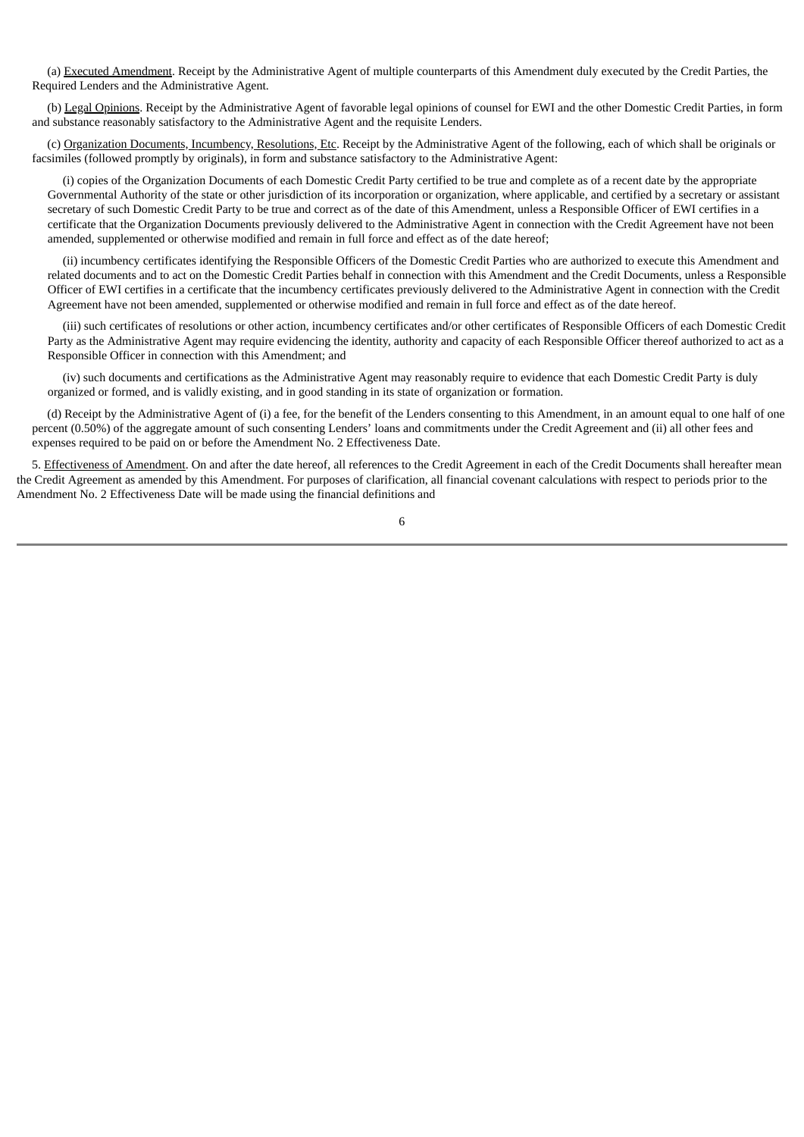(a) Executed Amendment. Receipt by the Administrative Agent of multiple counterparts of this Amendment duly executed by the Credit Parties, the Required Lenders and the Administrative Agent.

(b) Legal Opinions. Receipt by the Administrative Agent of favorable legal opinions of counsel for EWI and the other Domestic Credit Parties, in form and substance reasonably satisfactory to the Administrative Agent and the requisite Lenders.

(c) Organization Documents, Incumbency, Resolutions, Etc. Receipt by the Administrative Agent of the following, each of which shall be originals or facsimiles (followed promptly by originals), in form and substance satisfactory to the Administrative Agent:

(i) copies of the Organization Documents of each Domestic Credit Party certified to be true and complete as of a recent date by the appropriate Governmental Authority of the state or other jurisdiction of its incorporation or organization, where applicable, and certified by a secretary or assistant secretary of such Domestic Credit Party to be true and correct as of the date of this Amendment, unless a Responsible Officer of EWI certifies in a certificate that the Organization Documents previously delivered to the Administrative Agent in connection with the Credit Agreement have not been amended, supplemented or otherwise modified and remain in full force and effect as of the date hereof;

(ii) incumbency certificates identifying the Responsible Officers of the Domestic Credit Parties who are authorized to execute this Amendment and related documents and to act on the Domestic Credit Parties behalf in connection with this Amendment and the Credit Documents, unless a Responsible Officer of EWI certifies in a certificate that the incumbency certificates previously delivered to the Administrative Agent in connection with the Credit Agreement have not been amended, supplemented or otherwise modified and remain in full force and effect as of the date hereof.

(iii) such certificates of resolutions or other action, incumbency certificates and/or other certificates of Responsible Officers of each Domestic Credit Party as the Administrative Agent may require evidencing the identity, authority and capacity of each Responsible Officer thereof authorized to act as a Responsible Officer in connection with this Amendment; and

(iv) such documents and certifications as the Administrative Agent may reasonably require to evidence that each Domestic Credit Party is duly organized or formed, and is validly existing, and in good standing in its state of organization or formation.

(d) Receipt by the Administrative Agent of (i) a fee, for the benefit of the Lenders consenting to this Amendment, in an amount equal to one half of one percent (0.50%) of the aggregate amount of such consenting Lenders' loans and commitments under the Credit Agreement and (ii) all other fees and expenses required to be paid on or before the Amendment No. 2 Effectiveness Date.

5. Effectiveness of Amendment. On and after the date hereof, all references to the Credit Agreement in each of the Credit Documents shall hereafter mean the Credit Agreement as amended by this Amendment. For purposes of clarification, all financial covenant calculations with respect to periods prior to the Amendment No. 2 Effectiveness Date will be made using the financial definitions and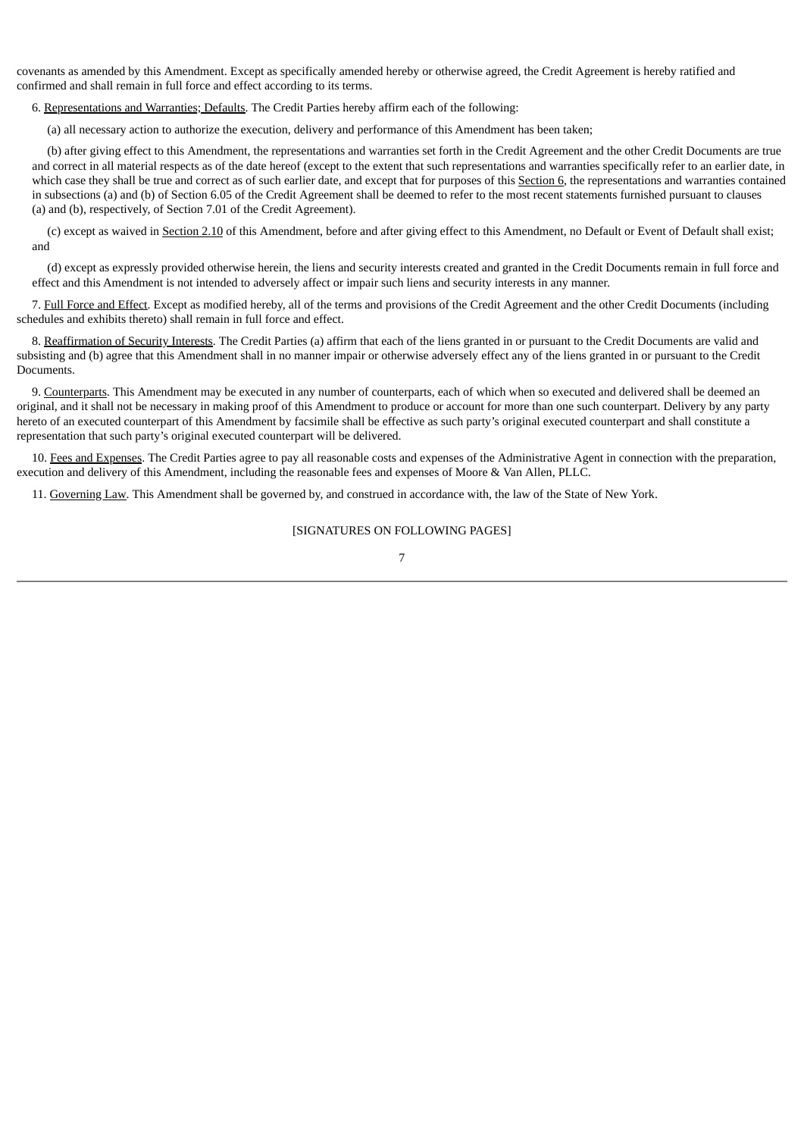covenants as amended by this Amendment. Except as specifically amended hereby or otherwise agreed, the Credit Agreement is hereby ratified and confirmed and shall remain in full force and effect according to its terms.

6. Representations and Warranties; Defaults. The Credit Parties hereby affirm each of the following:

(a) all necessary action to authorize the execution, delivery and performance of this Amendment has been taken;

(b) after giving effect to this Amendment, the representations and warranties set forth in the Credit Agreement and the other Credit Documents are true and correct in all material respects as of the date hereof (except to the extent that such representations and warranties specifically refer to an earlier date, in which case they shall be true and correct as of such earlier date, and except that for purposes of this Section 6, the representations and warranties contained in subsections (a) and (b) of Section 6.05 of the Credit Agreement shall be deemed to refer to the most recent statements furnished pursuant to clauses (a) and (b), respectively, of Section 7.01 of the Credit Agreement).

(c) except as waived in Section 2.10 of this Amendment, before and after giving effect to this Amendment, no Default or Event of Default shall exist; and

(d) except as expressly provided otherwise herein, the liens and security interests created and granted in the Credit Documents remain in full force and effect and this Amendment is not intended to adversely affect or impair such liens and security interests in any manner.

7. Full Force and Effect. Except as modified hereby, all of the terms and provisions of the Credit Agreement and the other Credit Documents (including schedules and exhibits thereto) shall remain in full force and effect.

8. Reaffirmation of Security Interests. The Credit Parties (a) affirm that each of the liens granted in or pursuant to the Credit Documents are valid and subsisting and (b) agree that this Amendment shall in no manner impair or otherwise adversely effect any of the liens granted in or pursuant to the Credit Documents.

9. Counterparts. This Amendment may be executed in any number of counterparts, each of which when so executed and delivered shall be deemed an original, and it shall not be necessary in making proof of this Amendment to produce or account for more than one such counterpart. Delivery by any party hereto of an executed counterpart of this Amendment by facsimile shall be effective as such party's original executed counterpart and shall constitute a representation that such party's original executed counterpart will be delivered.

10. Fees and Expenses. The Credit Parties agree to pay all reasonable costs and expenses of the Administrative Agent in connection with the preparation, execution and delivery of this Amendment, including the reasonable fees and expenses of Moore & Van Allen, PLLC.

11. Governing Law. This Amendment shall be governed by, and construed in accordance with, the law of the State of New York.

### [SIGNATURES ON FOLLOWING PAGES]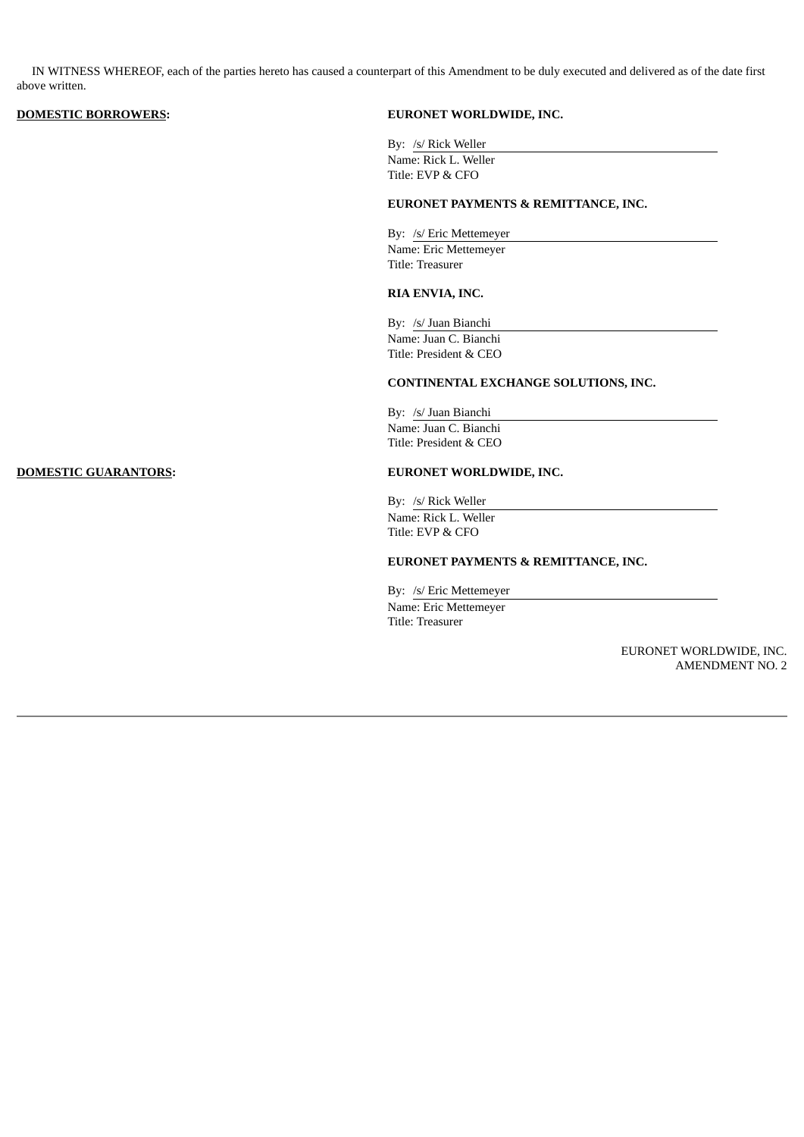IN WITNESS WHEREOF, each of the parties hereto has caused a counterpart of this Amendment to be duly executed and delivered as of the date first above written.

| <b>DOMESTIC BORROWERS:</b>  | EURONET WORLDWIDE, INC.              |
|-----------------------------|--------------------------------------|
|                             | By: /s/ Rick Weller                  |
|                             | Name: Rick L. Weller                 |
|                             | Title: EVP & CFO                     |
|                             |                                      |
|                             | EURONET PAYMENTS & REMITTANCE, INC.  |
|                             | By: /s/ Eric Mettemeyer              |
|                             | Name: Eric Mettemeyer                |
|                             | Title: Treasurer                     |
|                             | RIA ENVIA, INC.                      |
|                             | By: /s/ Juan Bianchi                 |
|                             | Name: Juan C. Bianchi                |
|                             | Title: President & CEO               |
|                             | CONTINENTAL EXCHANGE SOLUTIONS, INC. |
|                             | By: /s/ Juan Bianchi                 |
|                             | Name: Juan C. Bianchi                |
|                             | Title: President & CEO               |
| <b>DOMESTIC GUARANTORS:</b> | EURONET WORLDWIDE, INC.              |
|                             | By: /s/ Rick Weller                  |
|                             | Name: Rick L. Weller                 |
|                             | Title: EVP & CFO                     |
|                             | EURONET PAYMENTS & REMITTANCE, INC.  |
|                             | By: /s/ Eric Mettemeyer              |
|                             | Name: Eric Mettemeyer                |
|                             | Title: Treasurer                     |
|                             | EURONET WORLDWIDE, INC.              |

AMENDMENT NO. 2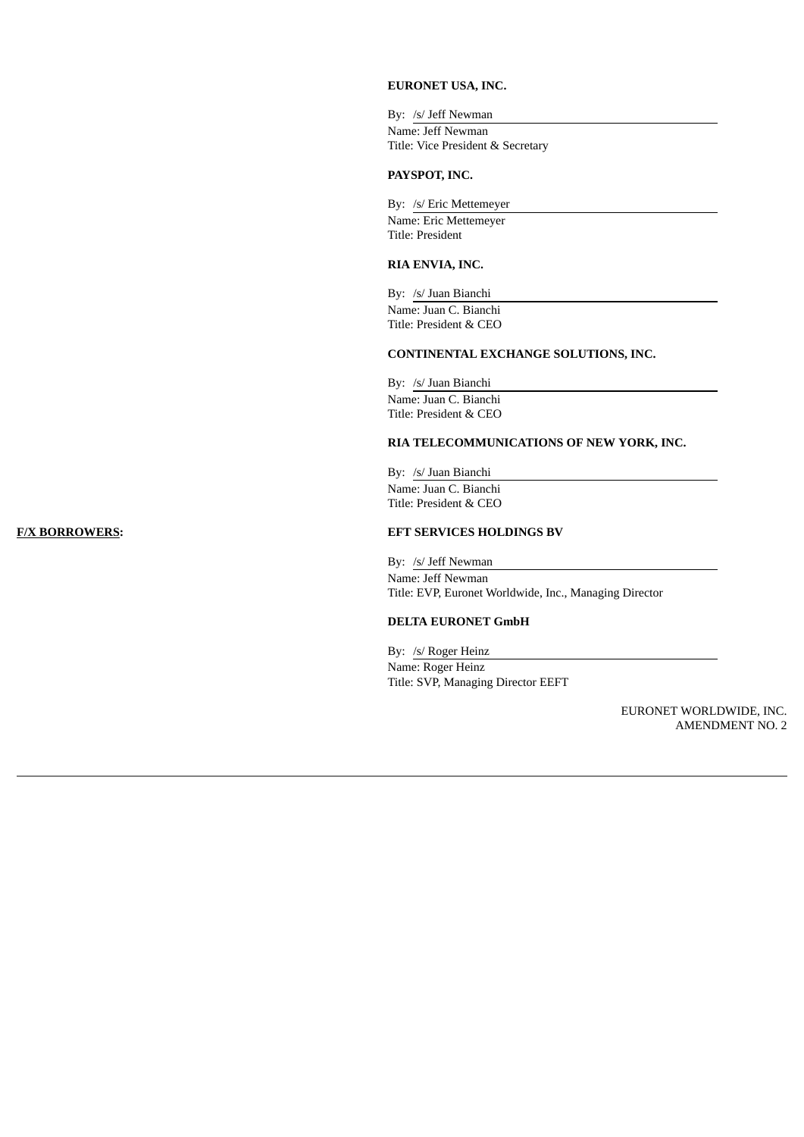### **EURONET USA, INC.**

By: /s/ Jeff Newman Name: Jeff Newman Title: Vice President & Secretary

### **PAYSPOT, INC.**

By: /s/ Eric Mettemeyer Name: Eric Mettemeyer Title: President

### **RIA ENVIA, INC.**

By: /s/ Juan Bianchi Name: Juan C. Bianchi Title: President & CEO

### **CONTINENTAL EXCHANGE SOLUTIONS, INC.**

By: /s/ Juan Bianchi Name: Juan C. Bianchi Title: President & CEO

#### **RIA TELECOMMUNICATIONS OF NEW YORK, INC.**

By: /s/ Juan Bianchi Name: Juan C. Bianchi Title: President & CEO

### **F/X BORROWERS: EFT SERVICES HOLDINGS BV**

By: /s/ Jeff Newman Name: Jeff Newman Title: EVP, Euronet Worldwide, Inc., Managing Director

### **DELTA EURONET GmbH**

By: /s/ Roger Heinz Name: Roger Heinz Title: SVP, Managing Director EEFT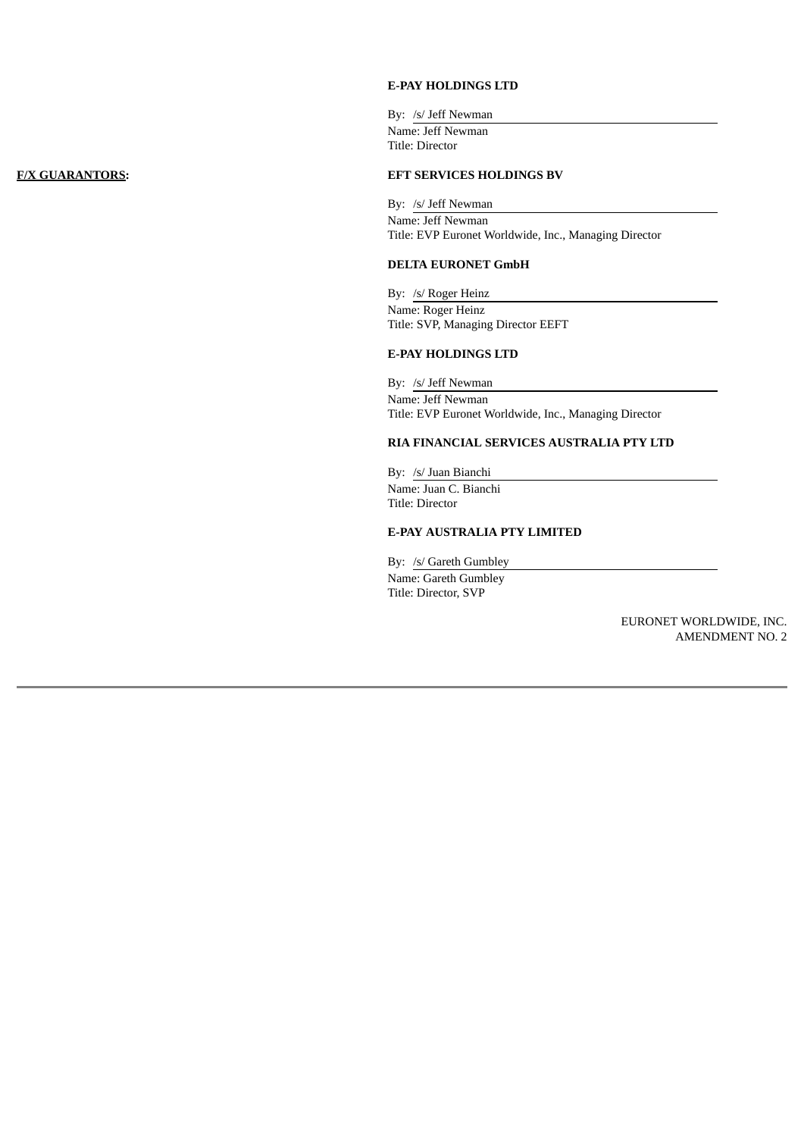### **E-PAY HOLDINGS LTD**

By: /s/ Jeff Newman Name: Jeff Newman Title: Director

### **F/X GUARANTORS: EFT SERVICES HOLDINGS BV**

By: /s/ Jeff Newman Name: Jeff Newman Title: EVP Euronet Worldwide, Inc., Managing Director

### **DELTA EURONET GmbH**

By: /s/ Roger Heinz Name: Roger Heinz Title: SVP, Managing Director EEFT

### **E-PAY HOLDINGS LTD**

By: /s/ Jeff Newman Name: Jeff Newman Title: EVP Euronet Worldwide, Inc., Managing Director

### **RIA FINANCIAL SERVICES AUSTRALIA PTY LTD**

By: /s/ Juan Bianchi Name: Juan C. Bianchi Title: Director

### **E-PAY AUSTRALIA PTY LIMITED**

By: /s/ Gareth Gumbley Name: Gareth Gumbley Title: Director, SVP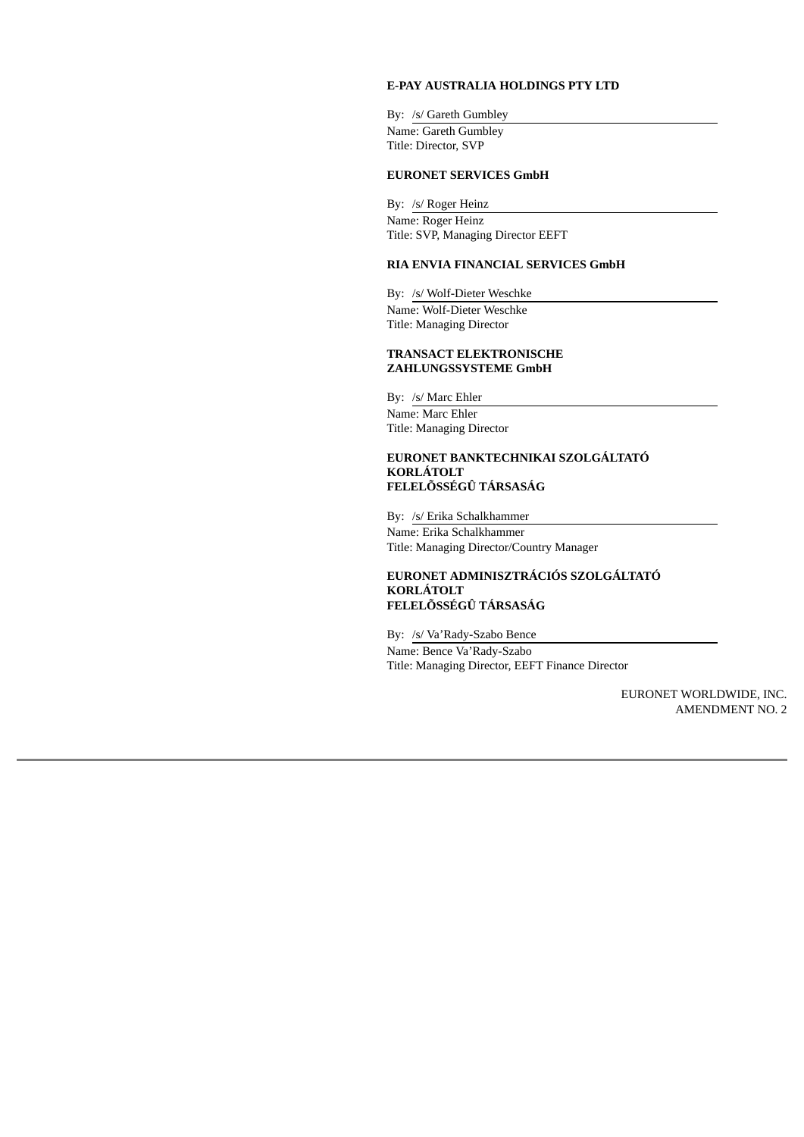### **E-PAY AUSTRALIA HOLDINGS PTY LTD**

By: /s/ Gareth Gumbley Name: Gareth Gumbley Title: Director, SVP

### **EURONET SERVICES GmbH**

By: /s/ Roger Heinz Name: Roger Heinz Title: SVP, Managing Director EEFT

### **RIA ENVIA FINANCIAL SERVICES GmbH**

By: /s/ Wolf-Dieter Weschke Name: Wolf-Dieter Weschke Title: Managing Director

### **TRANSACT ELEKTRONISCHE ZAHLUNGSSYSTEME GmbH**

By: /s/ Marc Ehler Name: Marc Ehler Title: Managing Director

### **EURONET BANKTECHNIKAI SZOLGÁLTATÓ KORLÁTOLT FELELÕSSÉGÛ TÁRSASÁG**

By: /s/ Erika Schalkhammer Name: Erika Schalkhammer Title: Managing Director/Country Manager

### **EURONET ADMINISZTRÁCIÓS SZOLGÁLTATÓ KORLÁTOLT FELELÕSSÉGÛ TÁRSASÁG**

By: /s/ Va'Rady-Szabo Bence Name: Bence Va'Rady-Szabo Title: Managing Director, EEFT Finance Director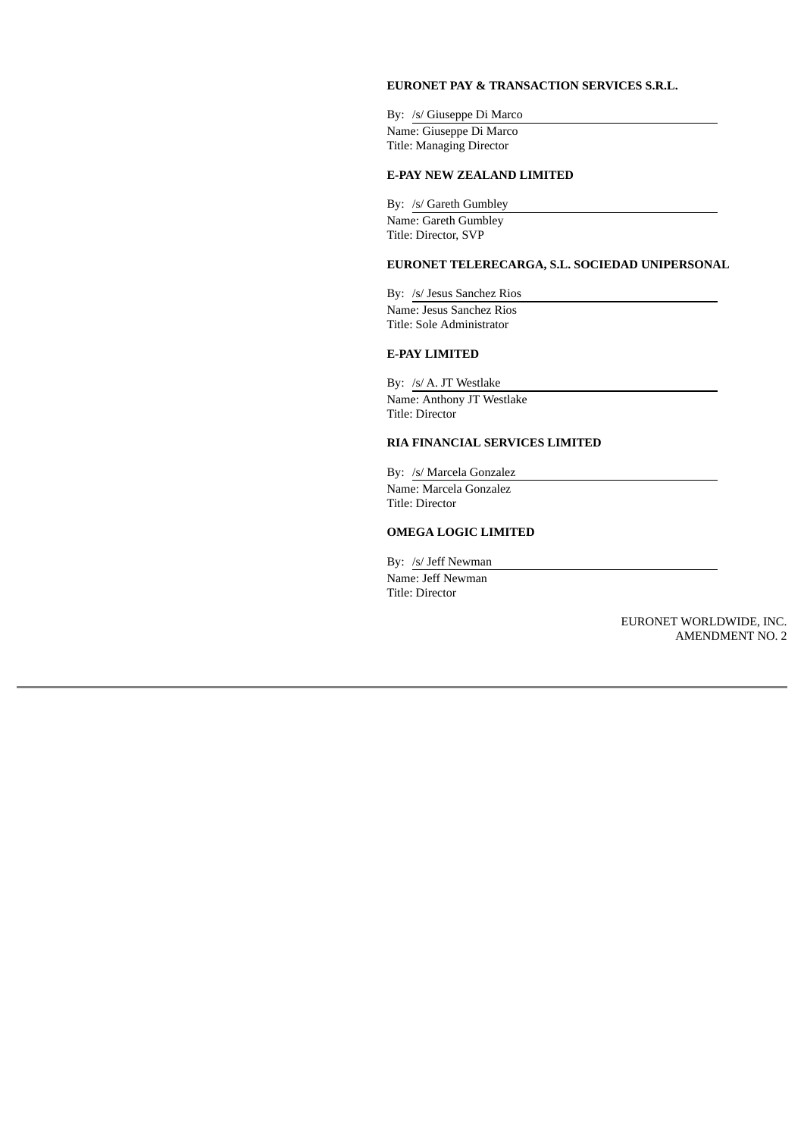### **EURONET PAY & TRANSACTION SERVICES S.R.L.**

By: /s/ Giuseppe Di Marco Name: Giuseppe Di Marco Title: Managing Director

### **E-PAY NEW ZEALAND LIMITED**

By: /s/ Gareth Gumbley Name: Gareth Gumbley Title: Director, SVP

### **EURONET TELERECARGA, S.L. SOCIEDAD UNIPERSONAL**

By: /s/ Jesus Sanchez Rios Name: Jesus Sanchez Rios Title: Sole Administrator

### **E-PAY LIMITED**

By: /s/ A. JT Westlake Name: Anthony JT Westlake Title: Director

### **RIA FINANCIAL SERVICES LIMITED**

By: /s/ Marcela Gonzalez Name: Marcela Gonzalez Title: Director

### **OMEGA LOGIC LIMITED**

By: /s/ Jeff Newman Name: Jeff Newman Title: Director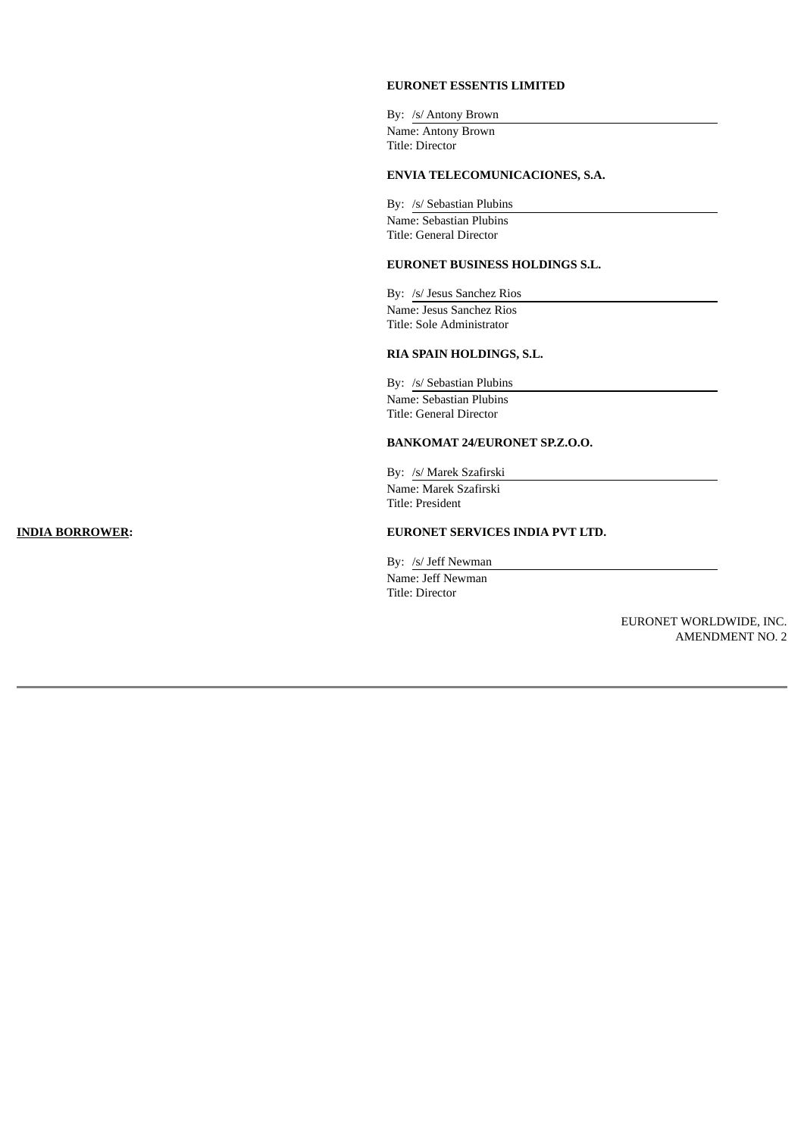### **EURONET ESSENTIS LIMITED**

By: /s/ Antony Brown Name: Antony Brown Title: Director

### **ENVIA TELECOMUNICACIONES, S.A.**

By: /s/ Sebastian Plubins Name: Sebastian Plubins Title: General Director

### **EURONET BUSINESS HOLDINGS S.L.**

By: /s/ Jesus Sanchez Rios Name: Jesus Sanchez Rios Title: Sole Administrator

### **RIA SPAIN HOLDINGS, S.L.**

By: /s/ Sebastian Plubins Name: Sebastian Plubins Title: General Director

#### **BANKOMAT 24/EURONET SP.Z.O.O.**

By: /s/ Marek Szafirski Name: Marek Szafirski Title: President

### **INDIA BORROWER: EURONET SERVICES INDIA PVT LTD.**

By: /s/ Jeff Newman Name: Jeff Newman Title: Director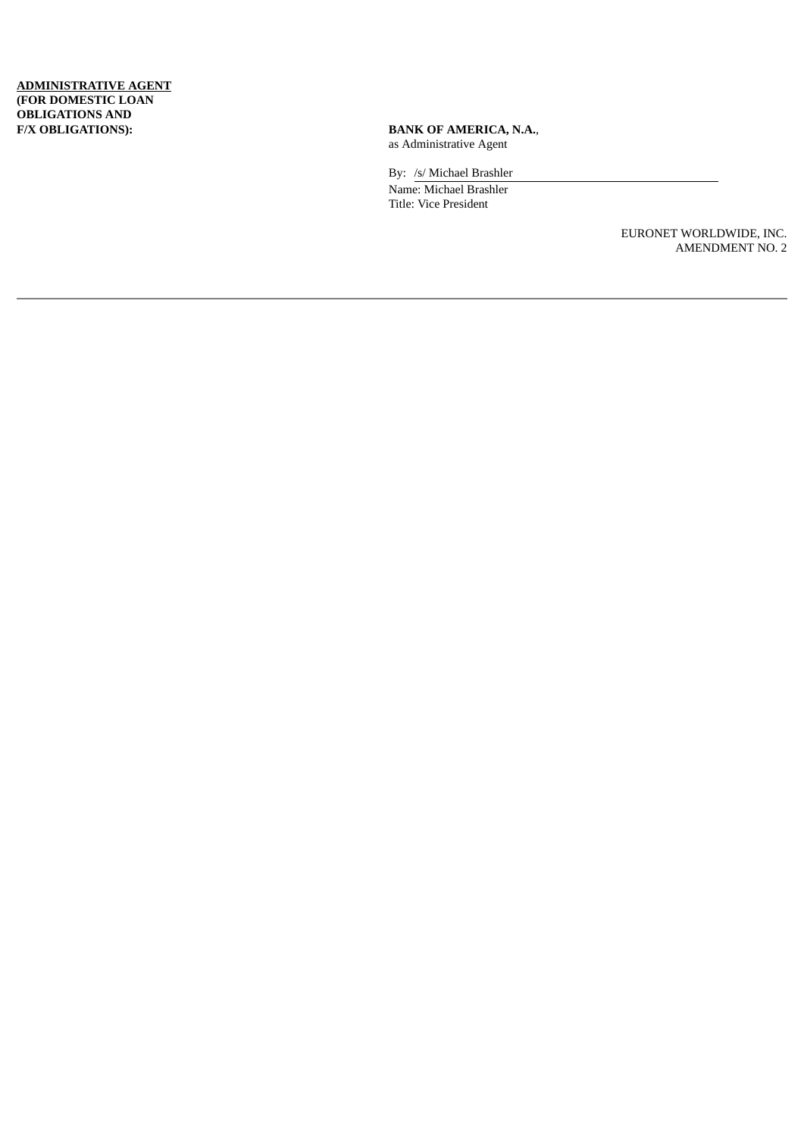### **ADMINISTRATIVE AGENT (FOR DOMESTIC LOAN OBLIGATIONS AND F/X OBLIGATIONS): BANK OF AMERICA, N.A.**,

as Administrative Agent

By: /s/ Michael Brashler Name: Michael Brashler Title: Vice President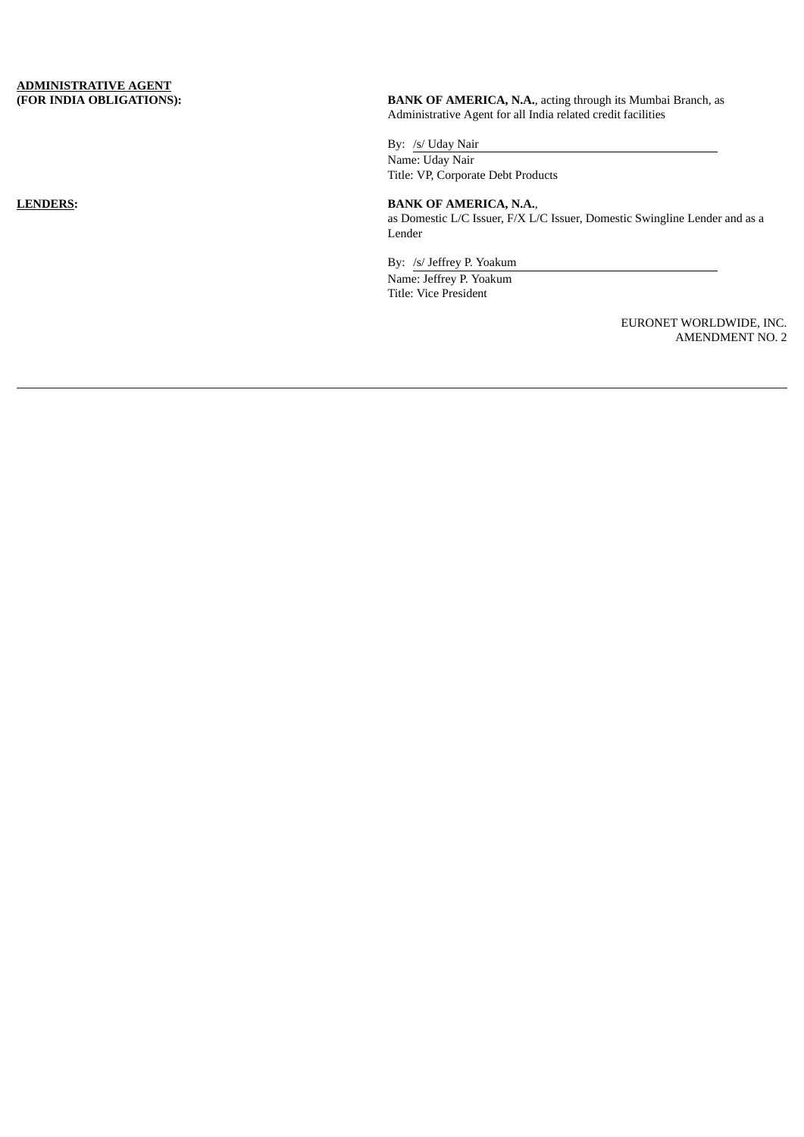# **ADMINISTRATIVE AGENT**

**(BANK OF AMERICA, N.A., acting through its Mumbai Branch, as** Administrative Agent for all India related credit facilities

By: /s/ Uday Nair Name: Uday Nair Title: VP, Corporate Debt Products

**LENDERS: BANK OF AMERICA, N.A.**, as Domestic L/C Issuer, F/X L/C Issuer, Domestic Swingline Lender and as a Lender

> By: /s/ Jeffrey P. Yoakum Name: Jeffrey P. Yoakum Title: Vice President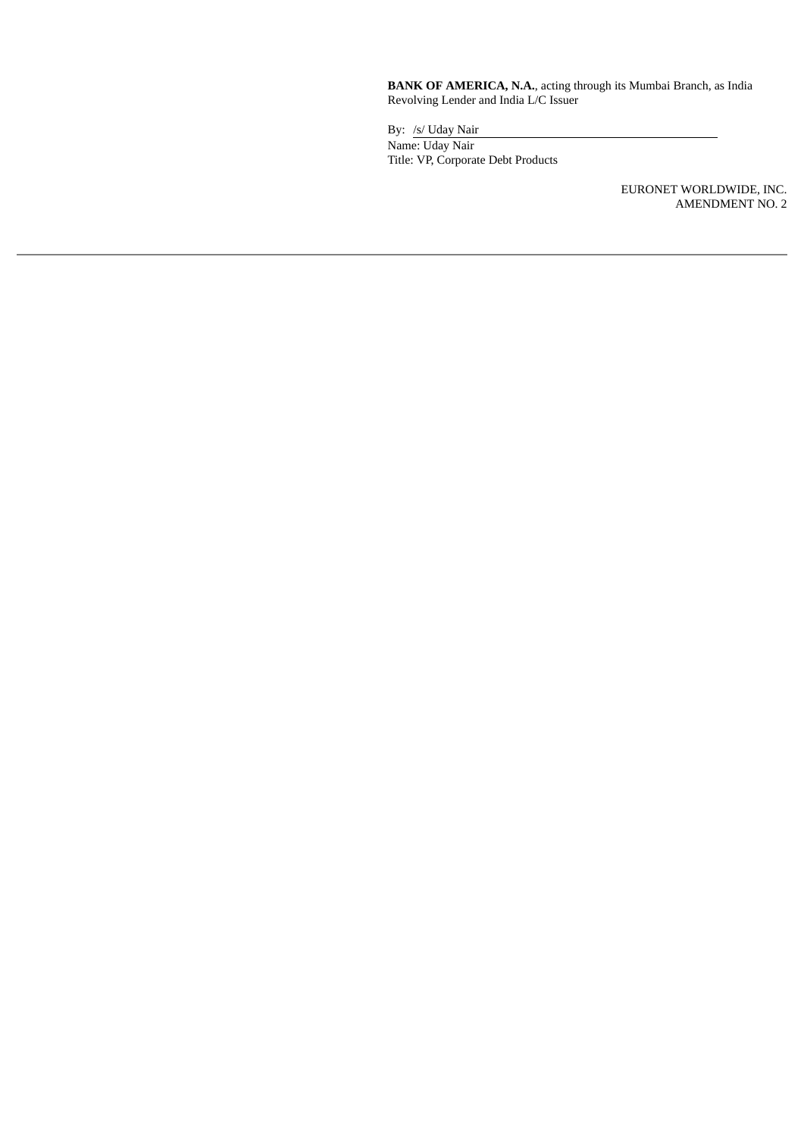**BANK OF AMERICA, N.A.**, acting through its Mumbai Branch, as India Revolving Lender and India L/C Issuer

By: /s/ Uday Nair Name: Uday Nair Title: VP, Corporate Debt Products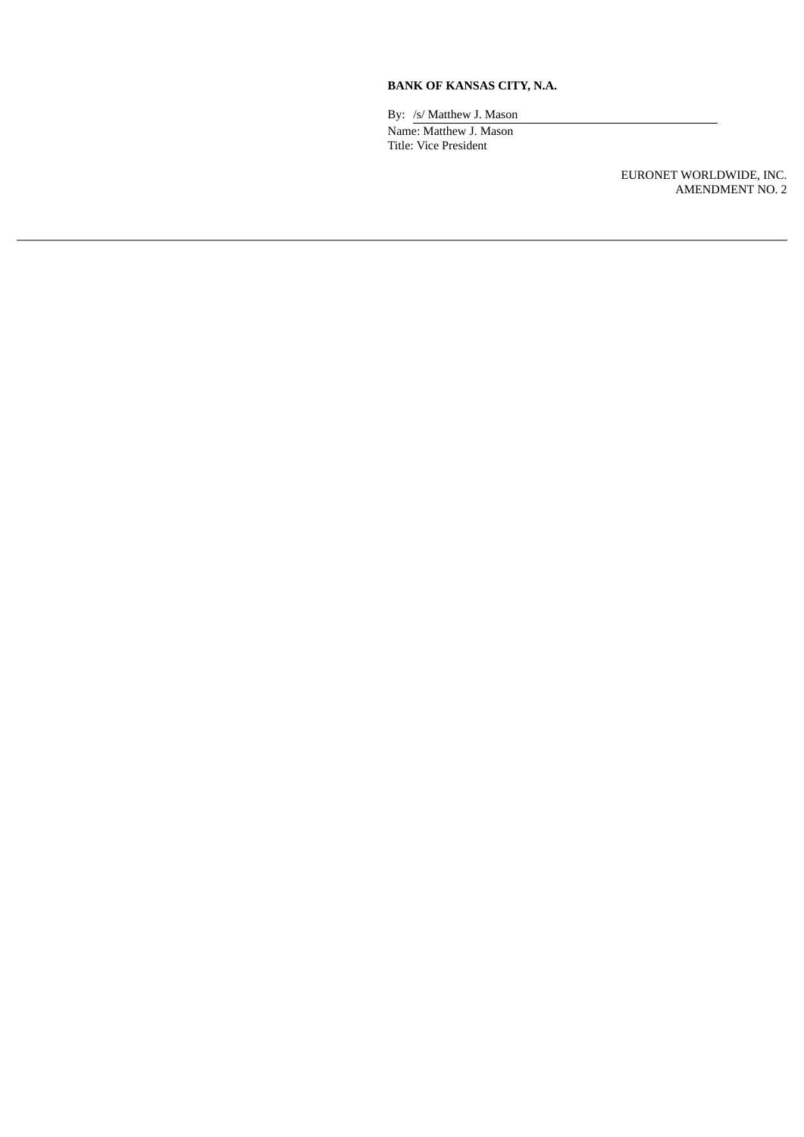### **BANK OF KANSAS CITY, N.A.**

By: /s/ Matthew J. Mason Name: Matthew J. Mason Title: Vice President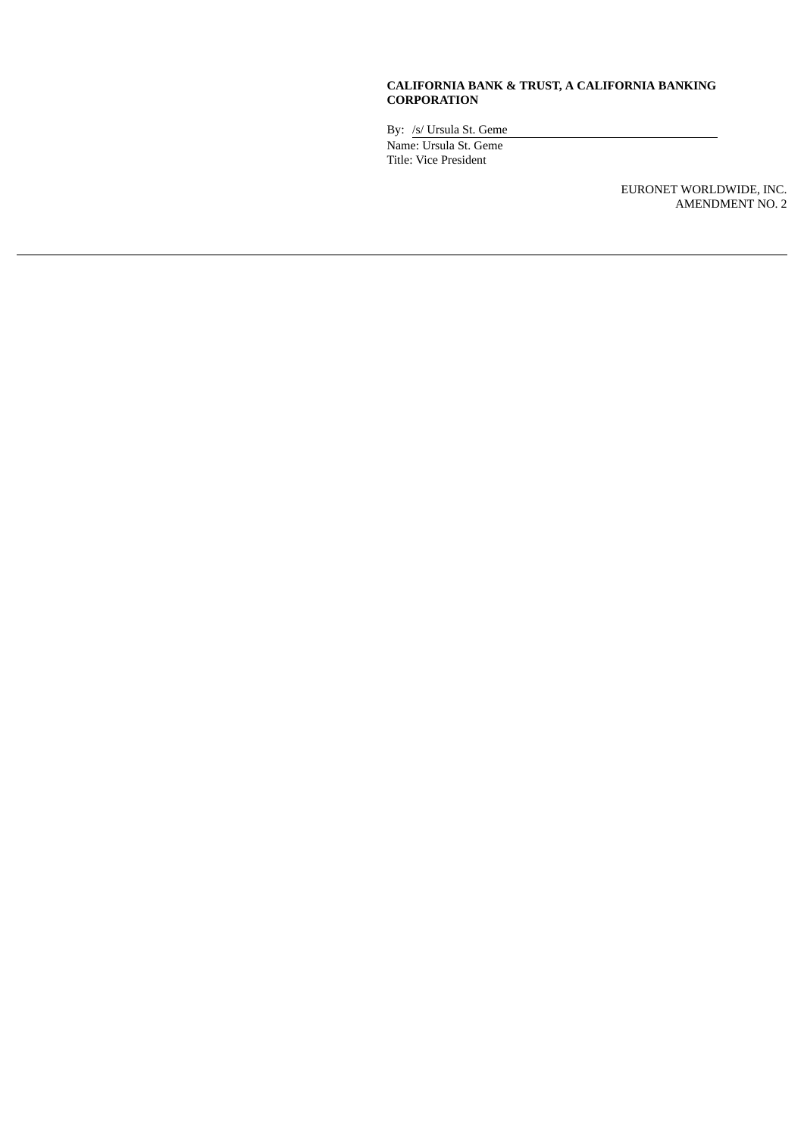### **CALIFORNIA BANK & TRUST, A CALIFORNIA BANKING CORPORATION**

By: /s/ Ursula St. Geme Name: Ursula St. Geme Title: Vice President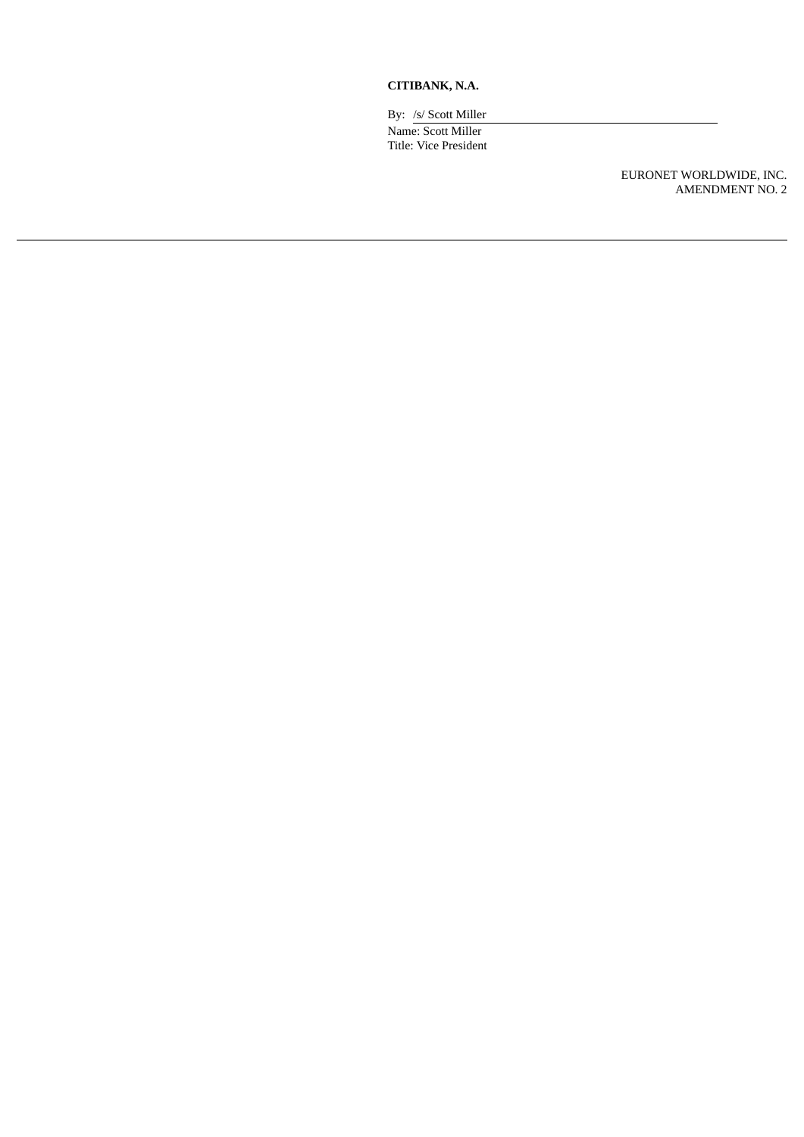## **CITIBANK, N.A.**

By: /s/ Scott Miller Name: Scott Miller Title: Vice President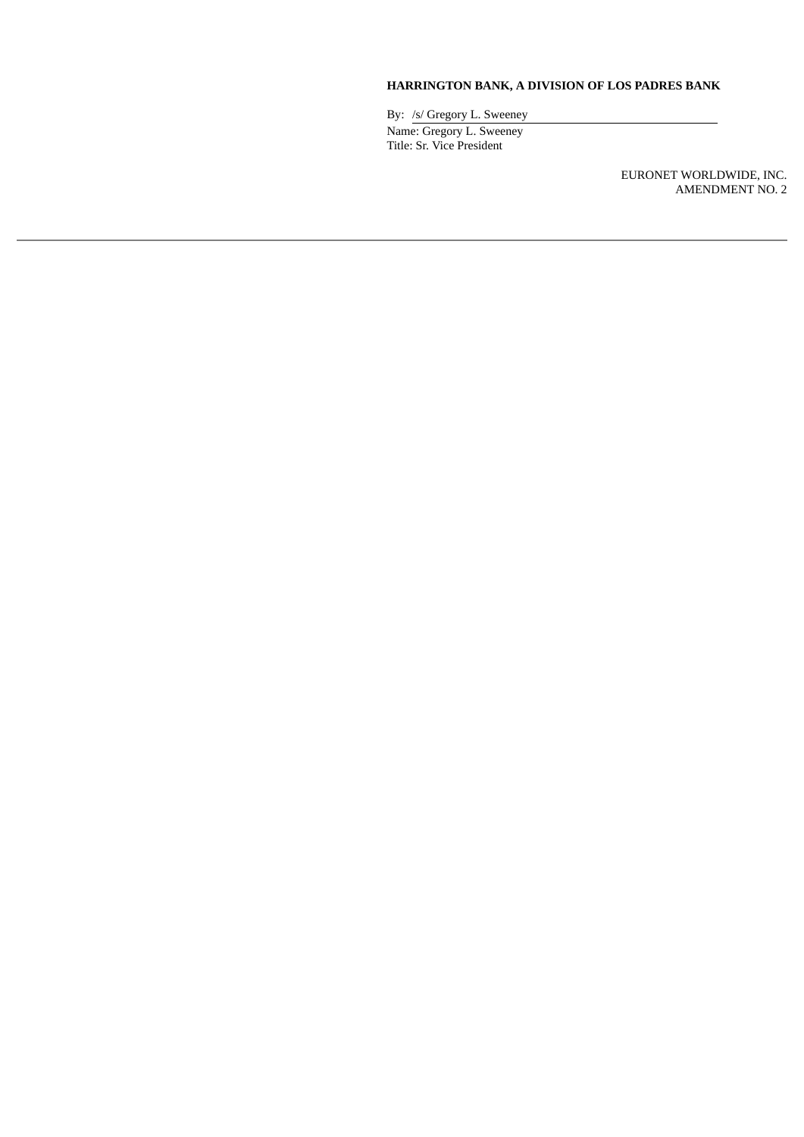### **HARRINGTON BANK, A DIVISION OF LOS PADRES BANK**

By: /s/ Gregory L. Sweeney Name: Gregory L. Sweeney Title: Sr. Vice President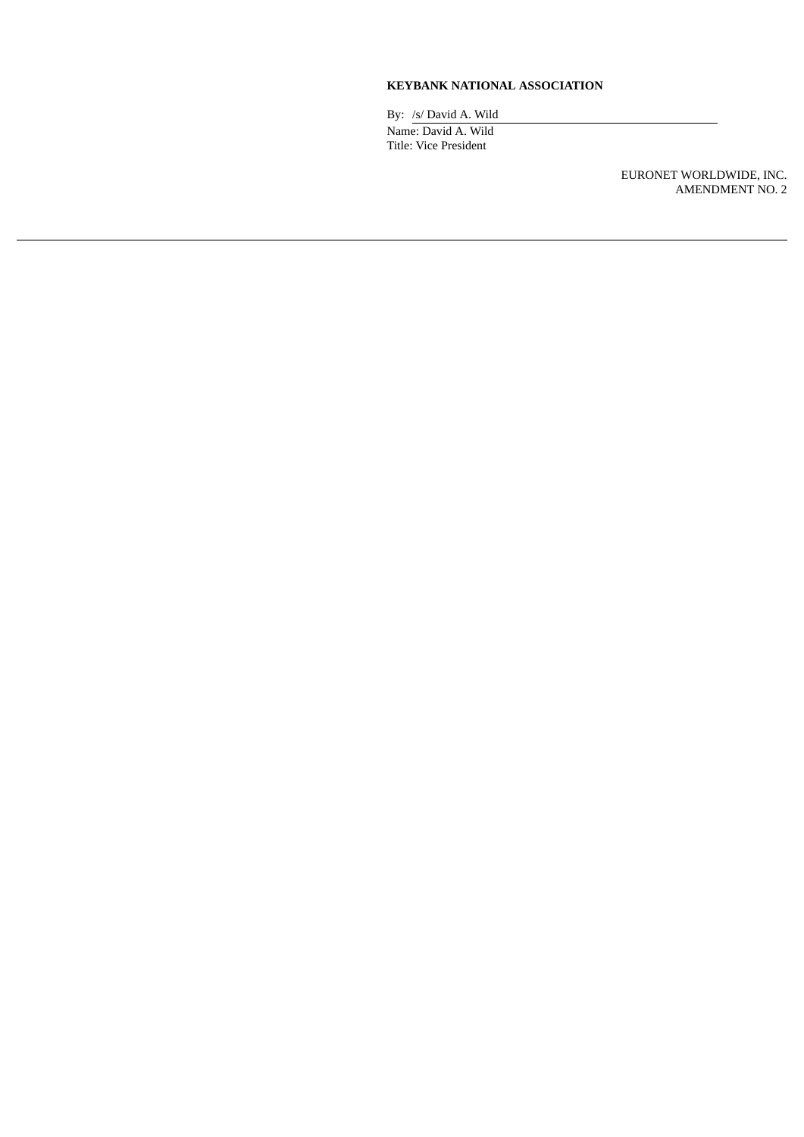## **KEYBANK NATIONAL ASSOCIATION**

By: /s/ David A. Wild Name: David A. Wild Title: Vice President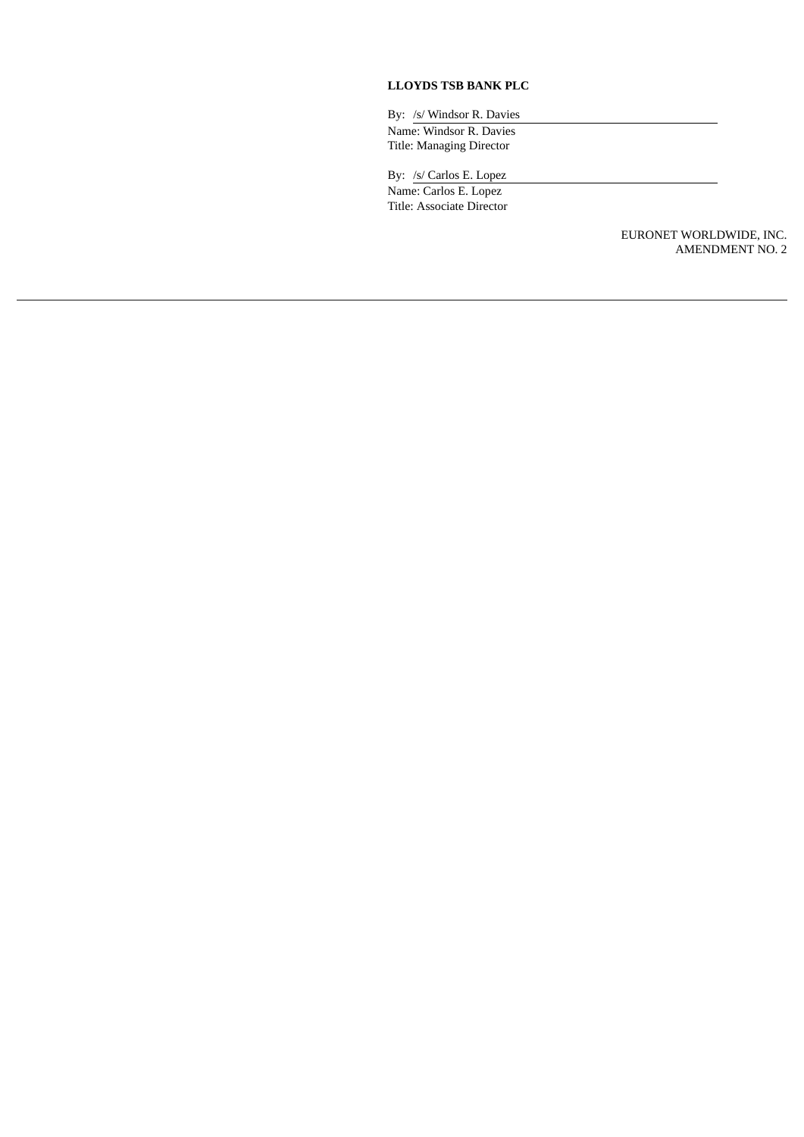### **LLOYDS TSB BANK PLC**

By: /s/ Windsor R. Davies Name: Windsor R. Davies Title: Managing Director

By: /s/ Carlos E. Lopez Name: Carlos E. Lopez Title: Associate Director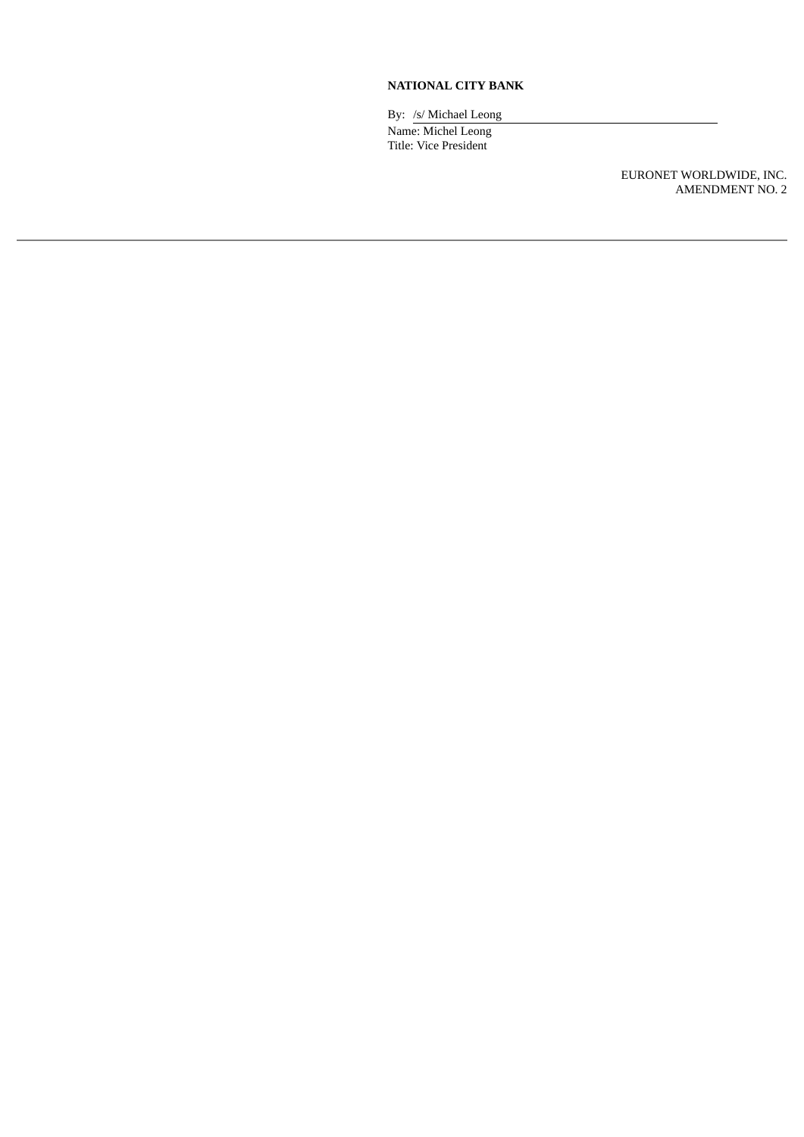## **NATIONAL CITY BANK**

By: /s/ Michael Leong Name: Michel Leong Title: Vice President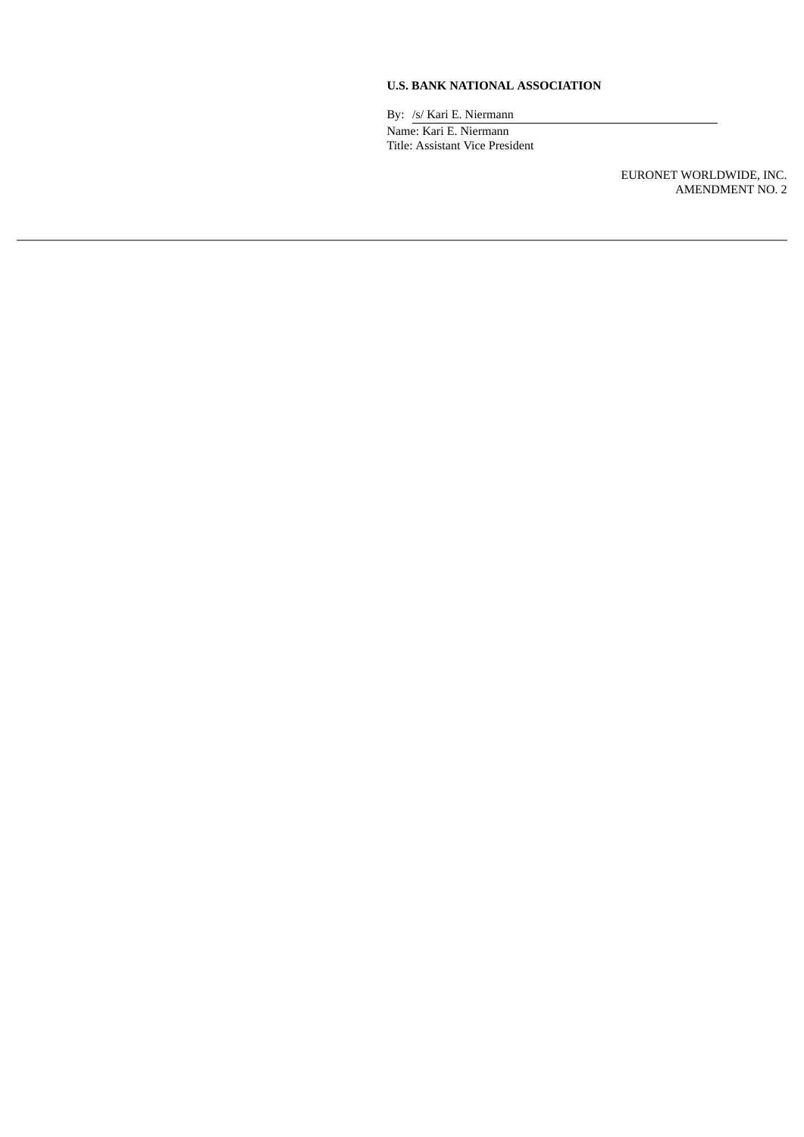## **U.S. BANK NATIONAL ASSOCIATION**

By: /s/ Kari E. Niermann Name: Kari E. Niermann Title: Assistant Vice President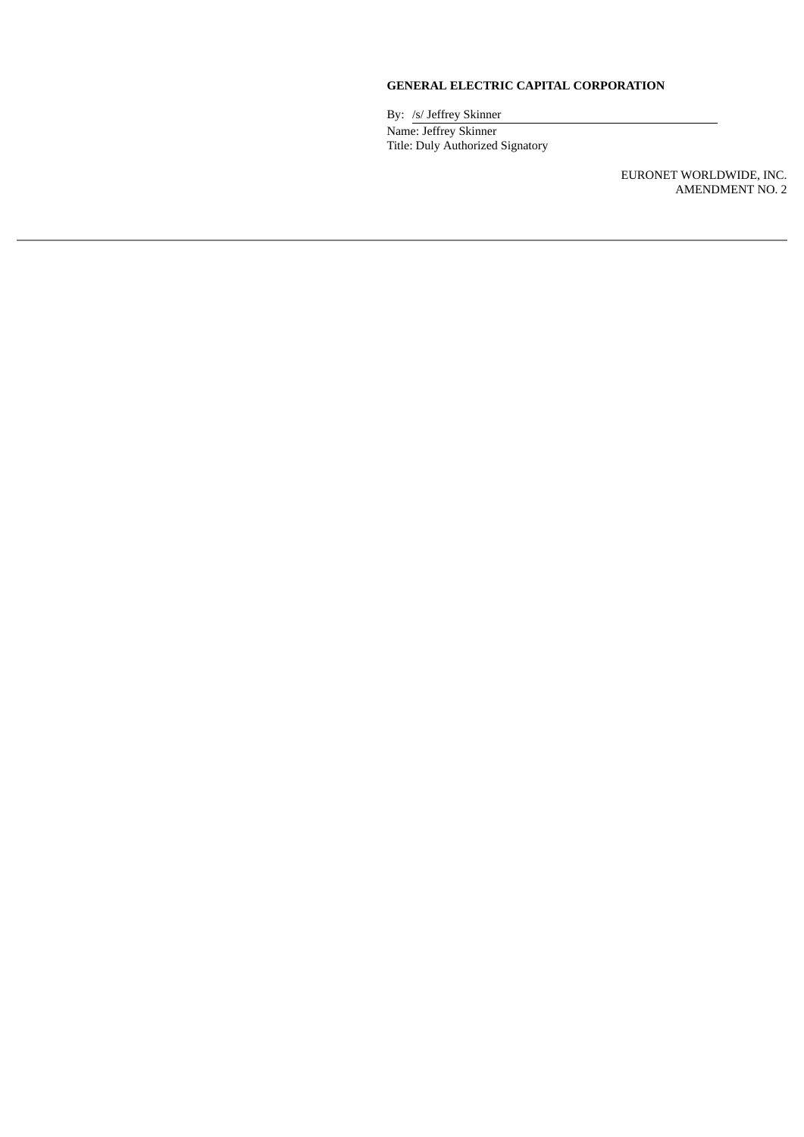## **GENERAL ELECTRIC CAPITAL CORPORATION**

By: /s/ Jeffrey Skinner Name: Jeffrey Skinner Title: Duly Authorized Signatory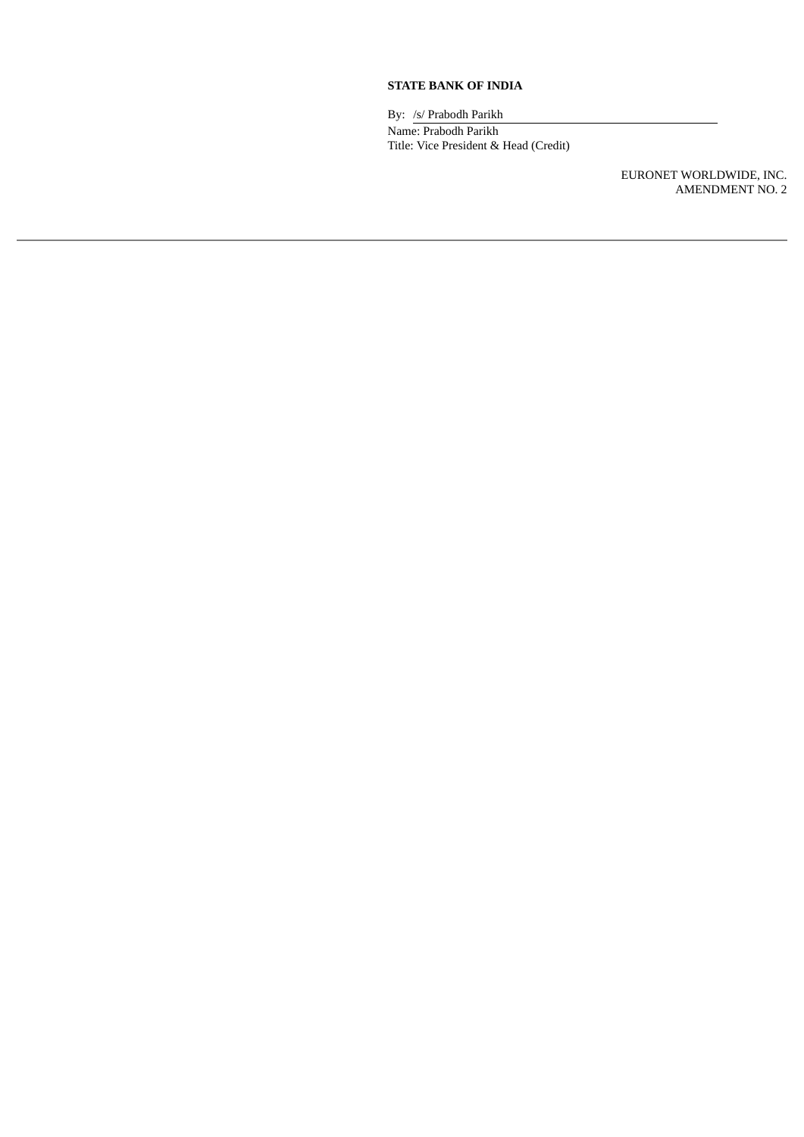## **STATE BANK OF INDIA**

By: /s/ Prabodh Parikh Name: Prabodh Parikh Title: Vice President & Head (Credit)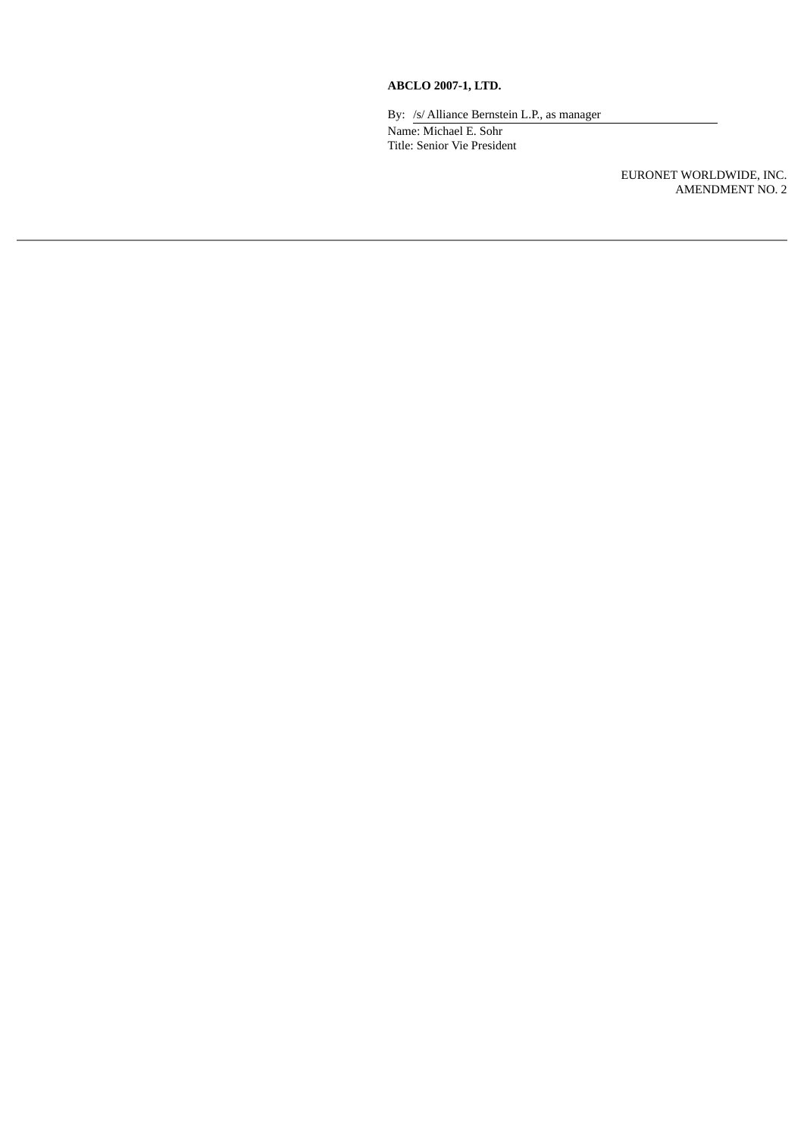### **ABCLO 2007-1, LTD.**

By: /s/ Alliance Bernstein L.P., as manager Name: Michael E. Sohr Title: Senior Vie President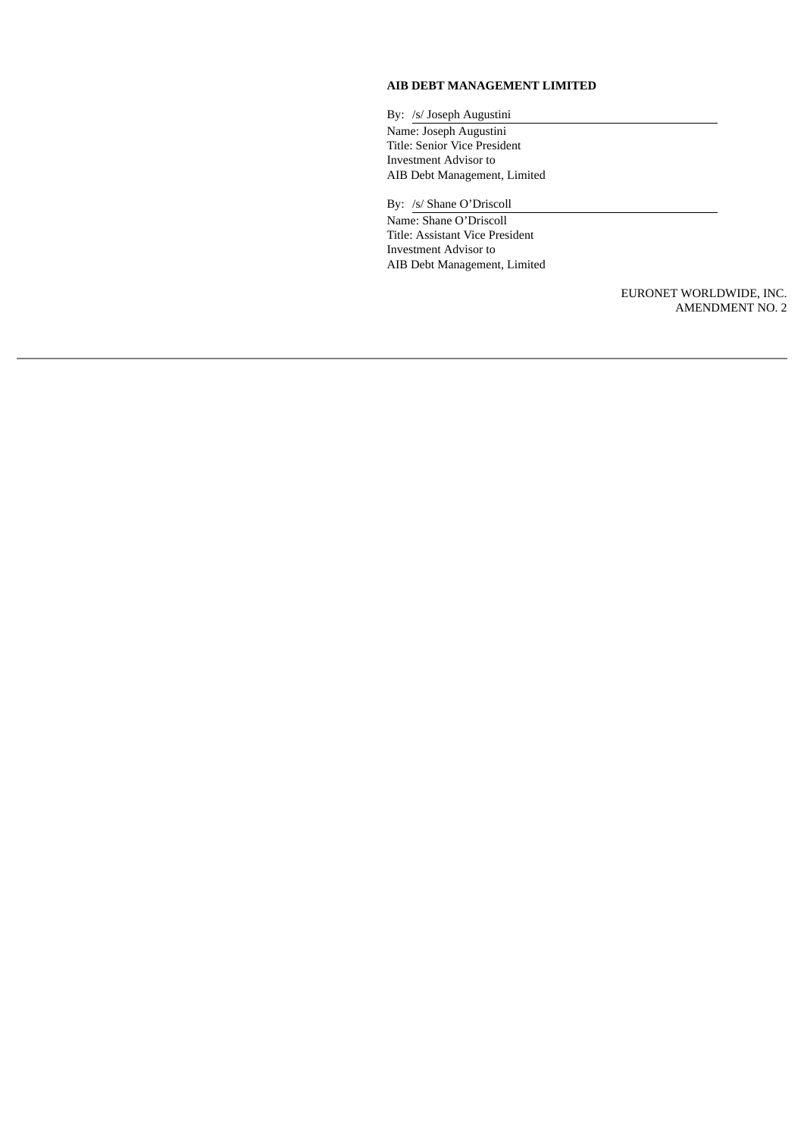## **AIB DEBT MANAGEMENT LIMITED**

By: /s/ Joseph Augustini Name: Joseph Augustini Title: Senior Vice President Investment Advisor to AIB Debt Management, Limited

By: /s/ Shane O'Driscoll Name: Shane O'Driscoll Title: Assistant Vice President Investment Advisor to AIB Debt Management, Limited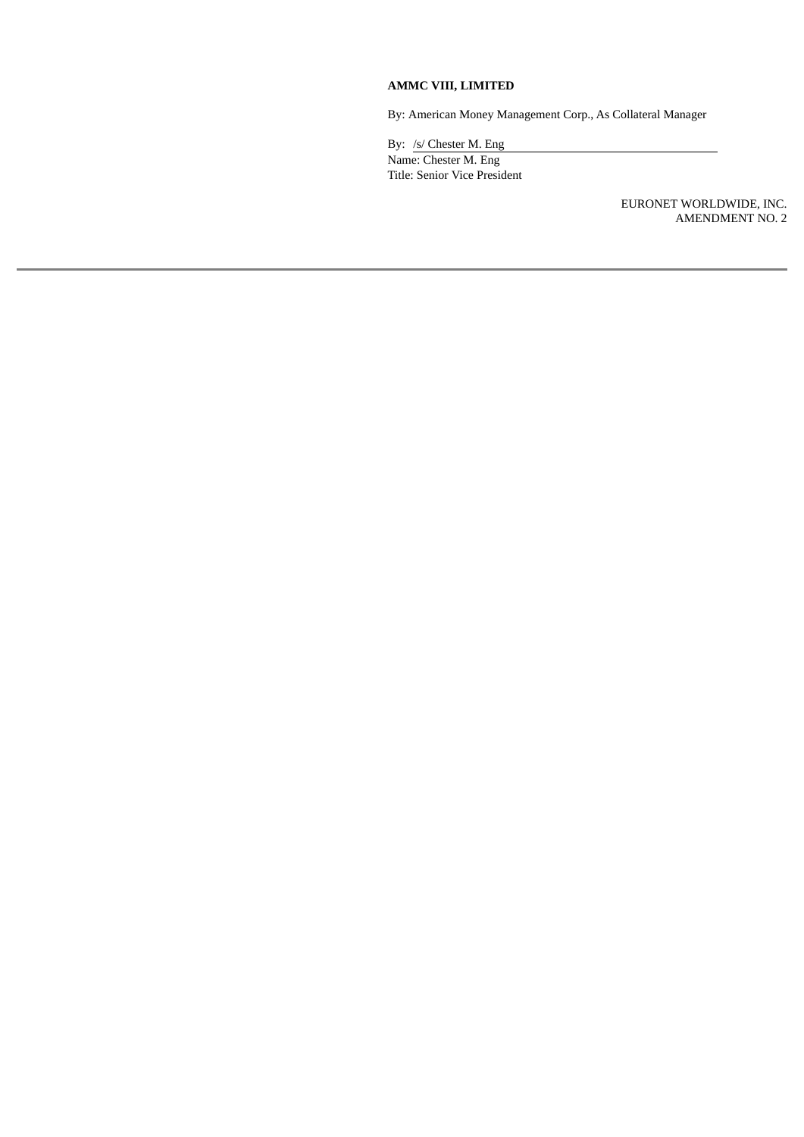# **AMMC VIII, LIMITED**

By: American Money Management Corp., As Collateral Manager

By: /s/ Chester M. Eng Name: Chester M. Eng Title: Senior Vice President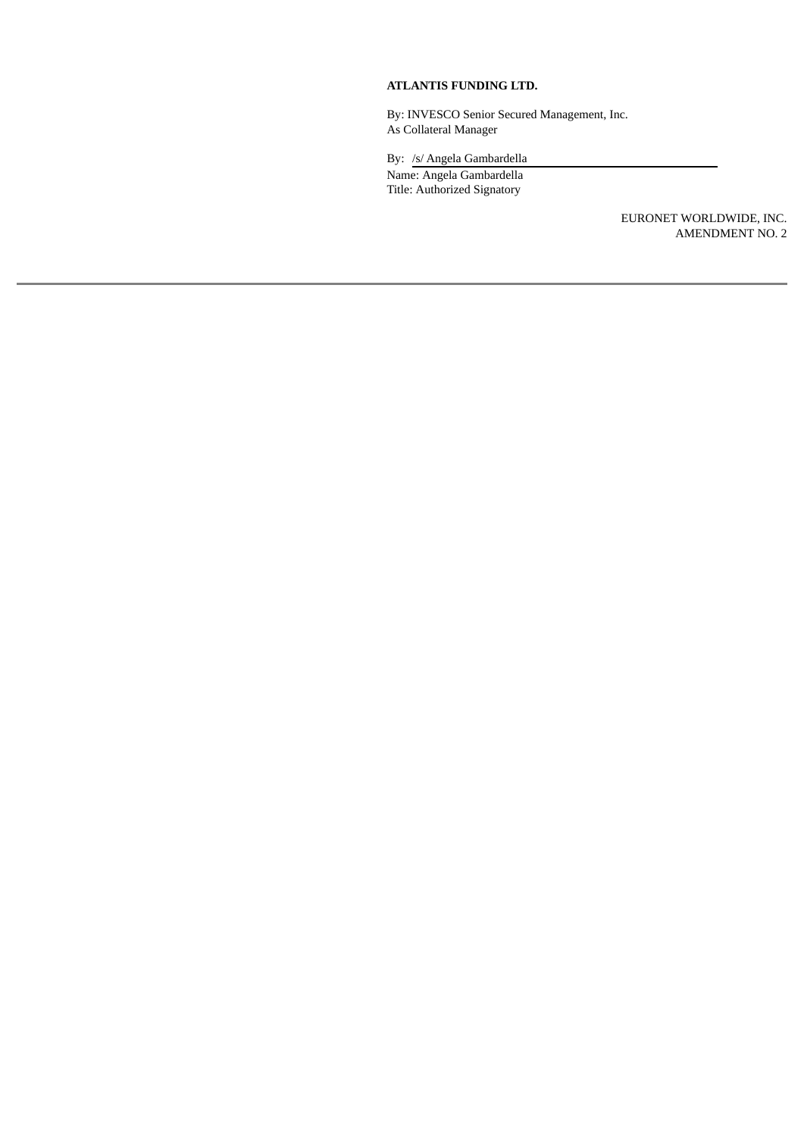### **ATLANTIS FUNDING LTD.**

By: INVESCO Senior Secured Management, Inc. As Collateral Manager

By: /s/ Angela Gambardella Name: Angela Gambardella Title: Authorized Signatory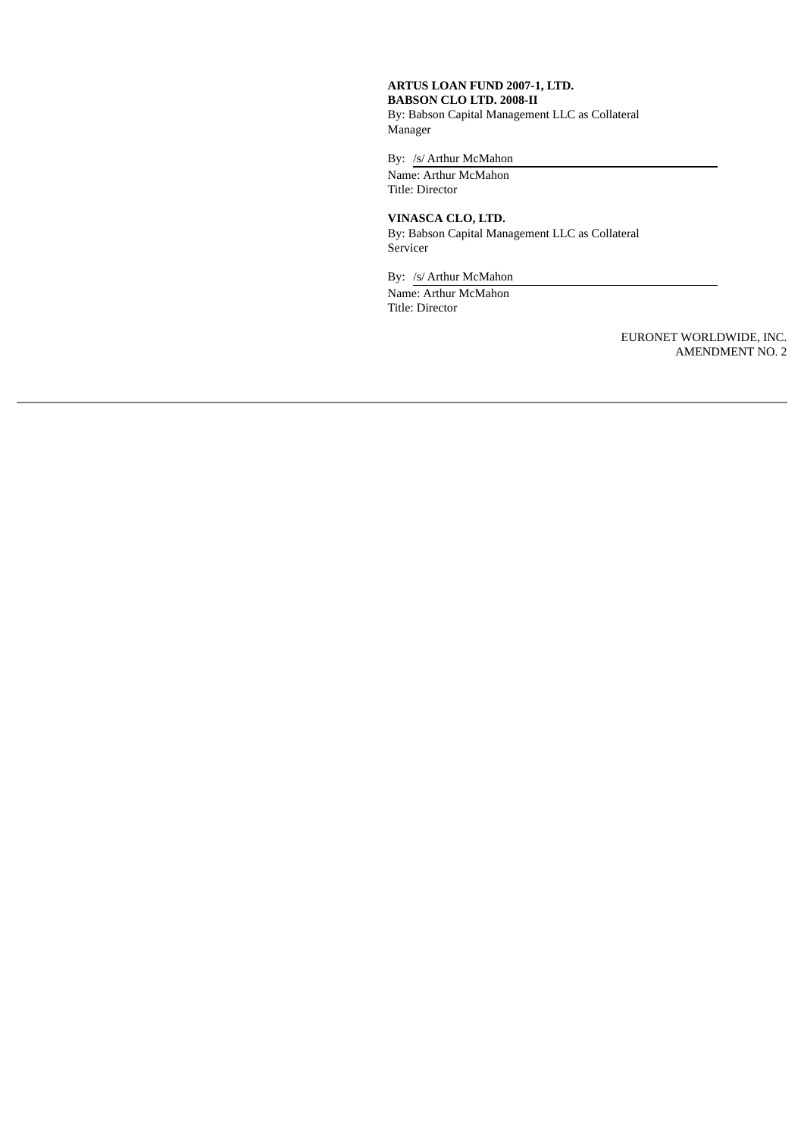**ARTUS LOAN FUND 2007-1, LTD. BABSON CLO LTD. 2008-II** By: Babson Capital Management LLC as Collateral Manager

By: /s/ Arthur McMahon Name: Arthur McMahon Title: Director

**VINASCA CLO, LTD.** By: Babson Capital Management LLC as Collateral Servicer

By: /s/ Arthur McMahon Name: Arthur McMahon Title: Director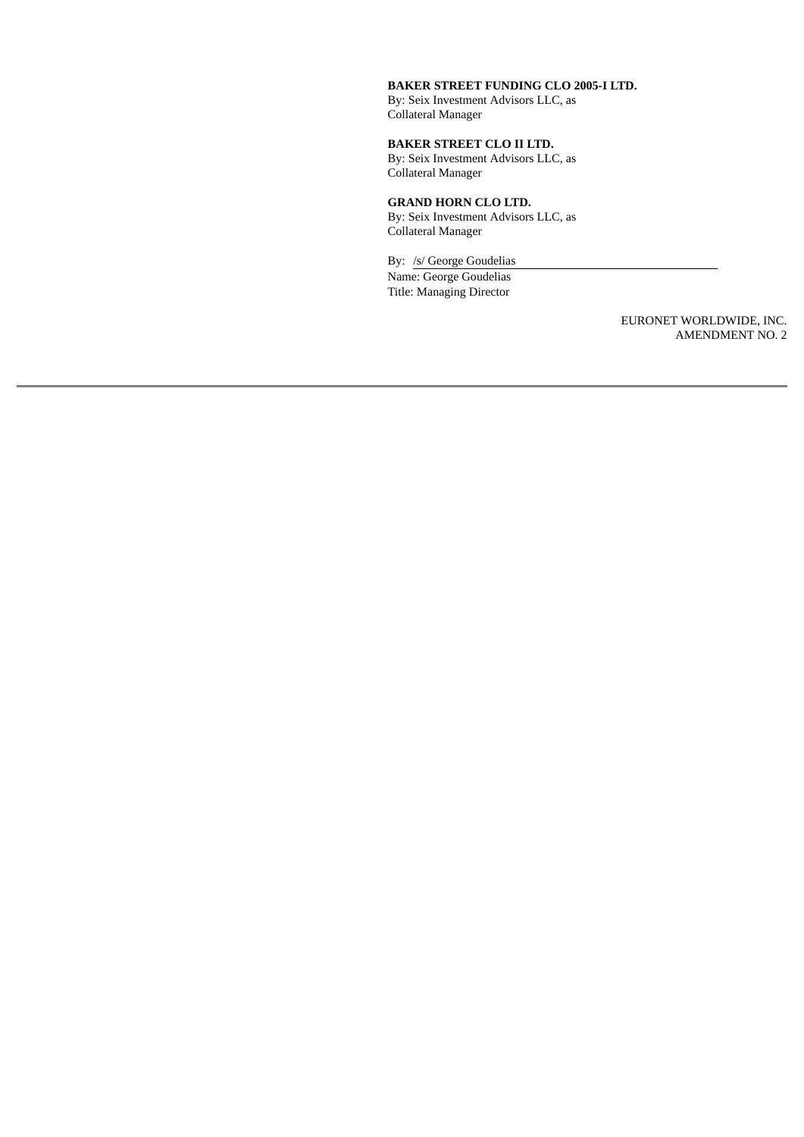# **BAKER STREET FUNDING CLO 2005-I LTD.**

By: Seix Investment Advisors LLC, as Collateral Manager

# **BAKER STREET CLO II LTD.**

By: Seix Investment Advisors LLC, as Collateral Manager

# **GRAND HORN CLO LTD.**

By: Seix Investment Advisors LLC, as Collateral Manager

By: /s/ George Goudelias Name: George Goudelias Title: Managing Director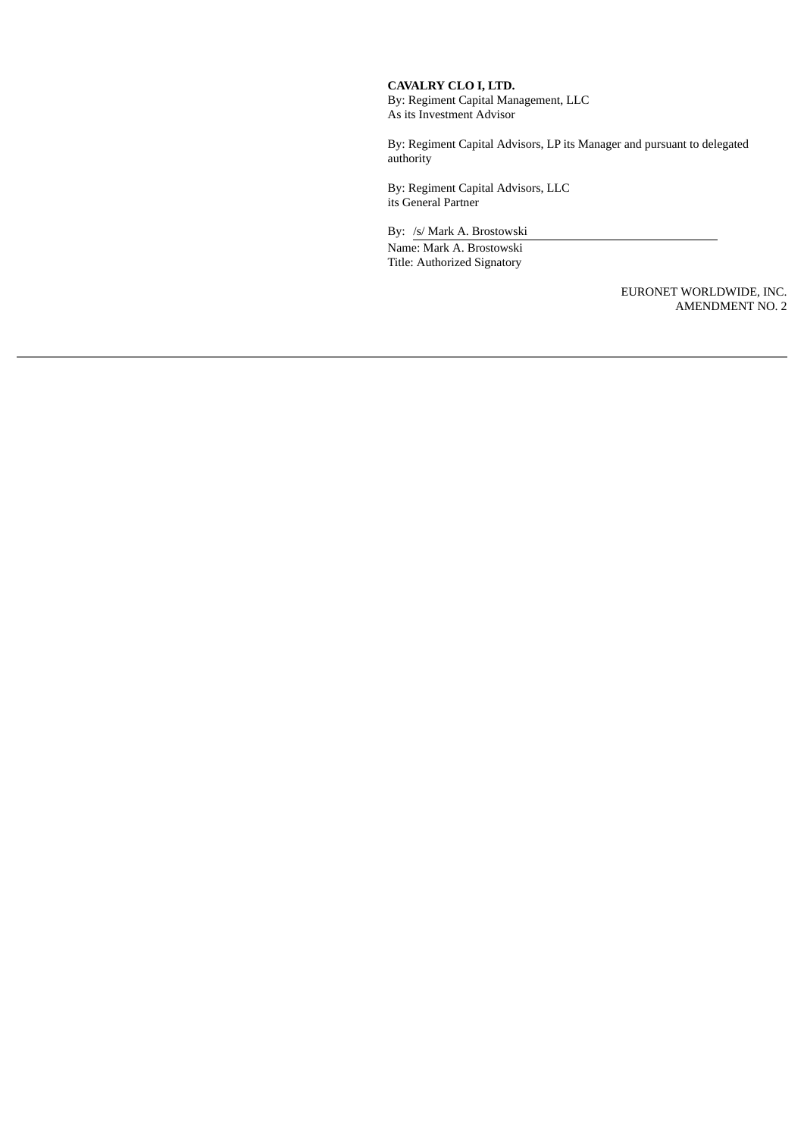### **CAVALRY CLO I, LTD.**

By: Regiment Capital Management, LLC As its Investment Advisor

By: Regiment Capital Advisors, LP its Manager and pursuant to delegated authority

By: Regiment Capital Advisors, LLC its General Partner

By: /s/ Mark A. Brostowski

Name: Mark A. Brostowski Title: Authorized Signatory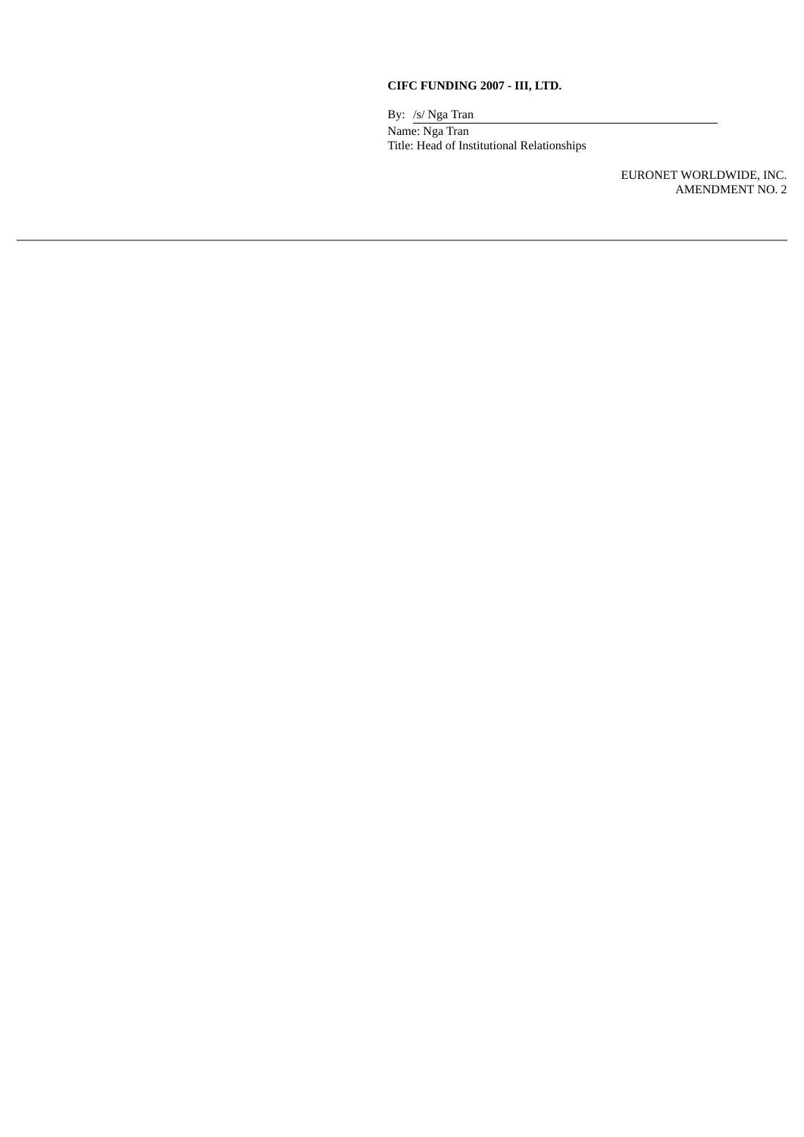# **CIFC FUNDING 2007 - III, LTD.**

By: /s/ Nga Tran Name: Nga Tran Title: Head of Institutional Relationships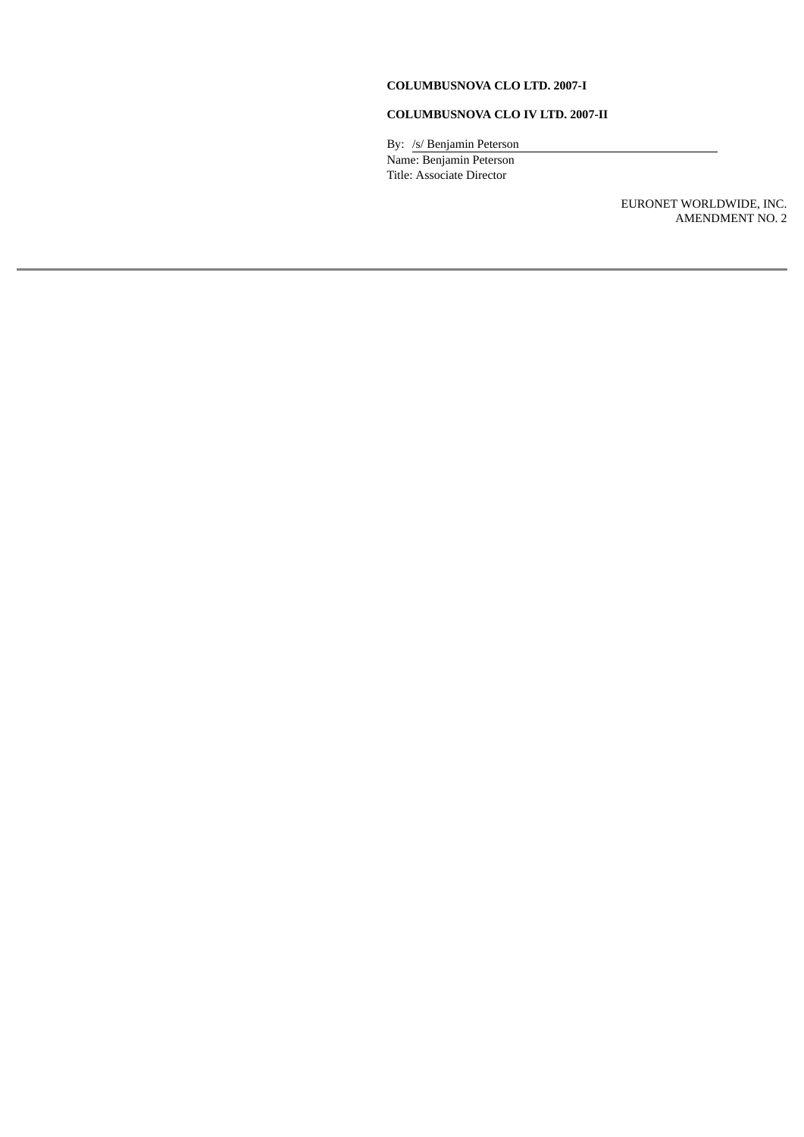### **COLUMBUSNOVA CLO LTD. 2007-I**

# **COLUMBUSNOVA CLO IV LTD. 2007-II**

By: /s/ Benjamin Peterson Name: Benjamin Peterson Title: Associate Director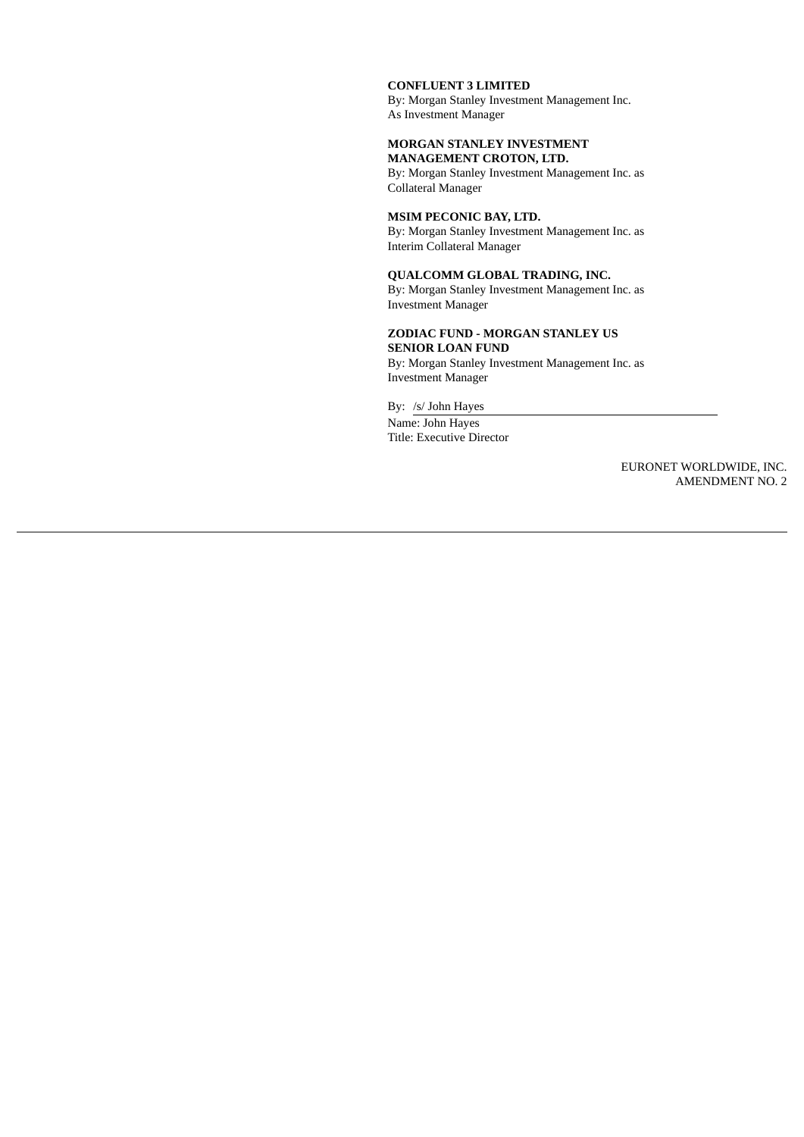#### **CONFLUENT 3 LIMITED**

By: Morgan Stanley Investment Management Inc. As Investment Manager

#### **MORGAN STANLEY INVESTMENT MANAGEMENT CROTON, LTD.**

By: Morgan Stanley Investment Management Inc. as Collateral Manager

#### **MSIM PECONIC BAY, LTD.**

By: Morgan Stanley Investment Management Inc. as Interim Collateral Manager

# **QUALCOMM GLOBAL TRADING, INC.**

By: Morgan Stanley Investment Management Inc. as Investment Manager

# **ZODIAC FUND - MORGAN STANLEY US**

**SENIOR LOAN FUND** By: Morgan Stanley Investment Management Inc. as Investment Manager

By: /s/ John Hayes Name: John Hayes Title: Executive Director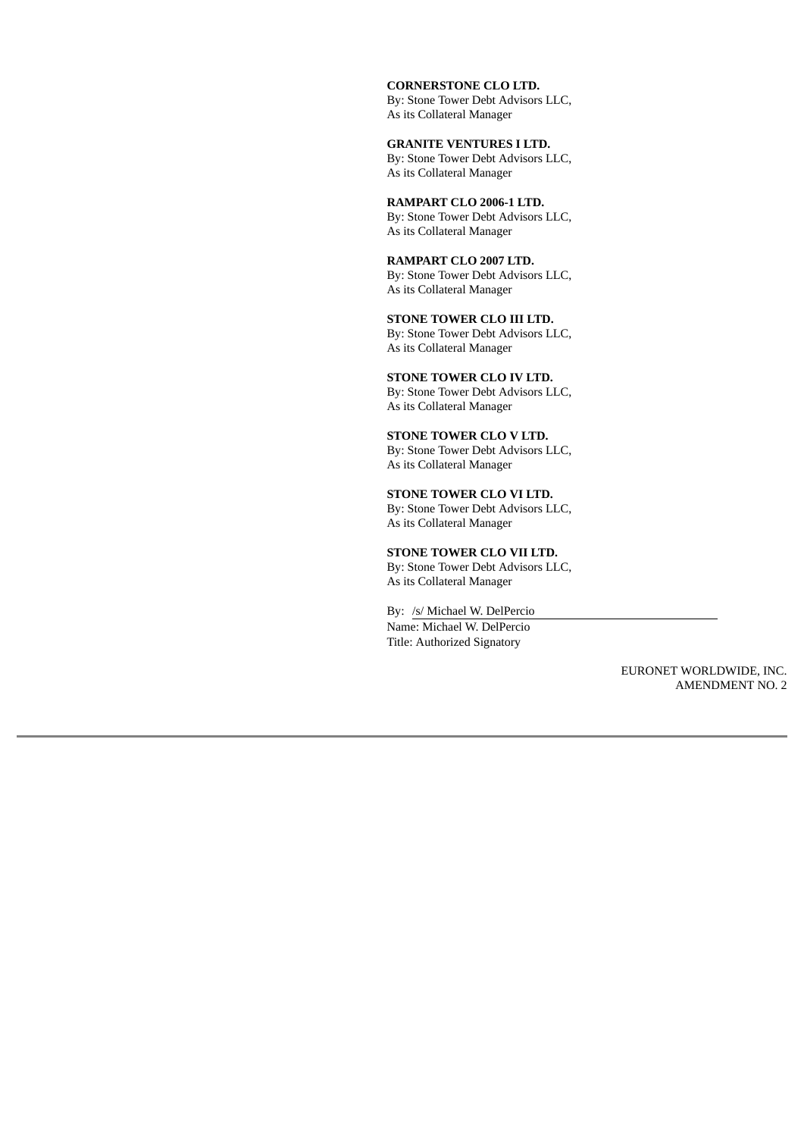#### **CORNERSTONE CLO LTD.**

By: Stone Tower Debt Advisors LLC, As its Collateral Manager

#### **GRANITE VENTURES I LTD.**

By: Stone Tower Debt Advisors LLC, As its Collateral Manager

#### **RAMPART CLO 2006-1 LTD.**

By: Stone Tower Debt Advisors LLC, As its Collateral Manager

#### **RAMPART CLO 2007 LTD.**

By: Stone Tower Debt Advisors LLC, As its Collateral Manager

### **STONE TOWER CLO III LTD.**

By: Stone Tower Debt Advisors LLC, As its Collateral Manager

#### **STONE TOWER CLO IV LTD.**

By: Stone Tower Debt Advisors LLC, As its Collateral Manager

### **STONE TOWER CLO V LTD.**

By: Stone Tower Debt Advisors LLC, As its Collateral Manager

#### **STONE TOWER CLO VI LTD.** By: Stone Tower Debt Advisors LLC,

As its Collateral Manager

#### **STONE TOWER CLO VII LTD.**

By: Stone Tower Debt Advisors LLC, As its Collateral Manager

By: /s/ Michael W. DelPercio

Name: Michael W. DelPercio Title: Authorized Signatory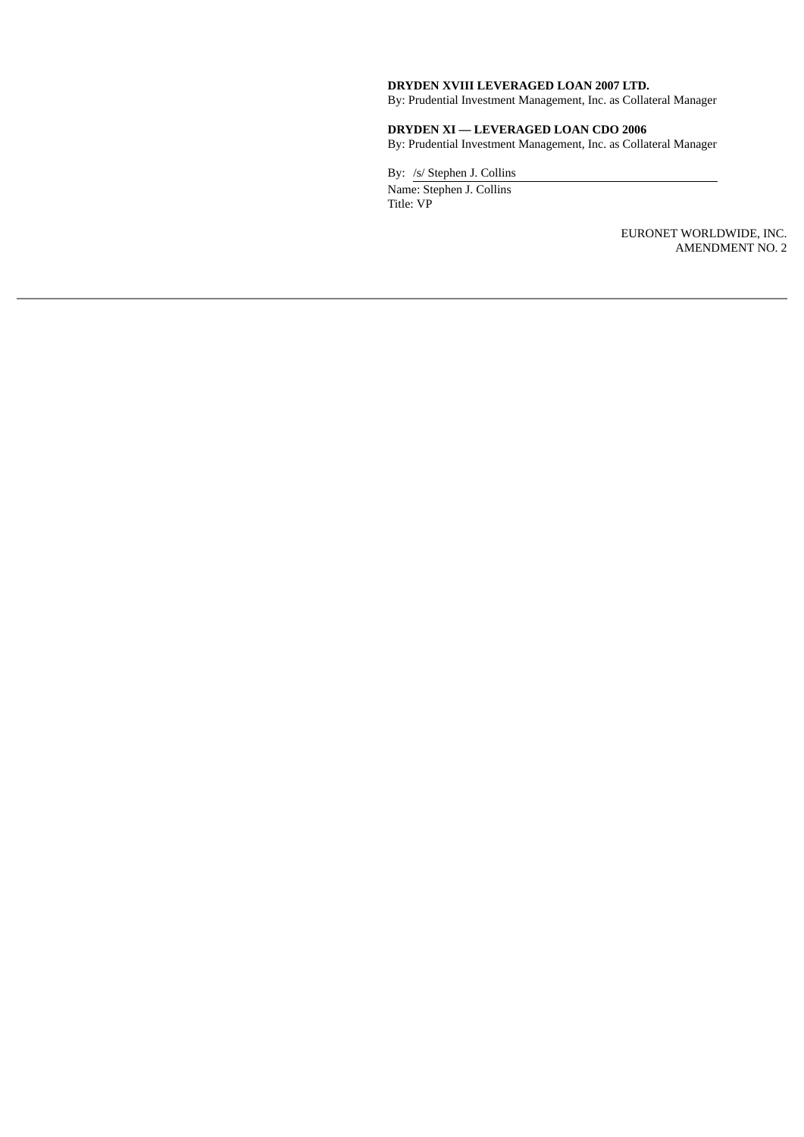### **DRYDEN XVIII LEVERAGED LOAN 2007 LTD.**

By: Prudential Investment Management, Inc. as Collateral Manager

# **DRYDEN XI — LEVERAGED LOAN CDO 2006**

By: Prudential Investment Management, Inc. as Collateral Manager

By: /s/ Stephen J. Collins Name: Stephen J. Collins

Title: VP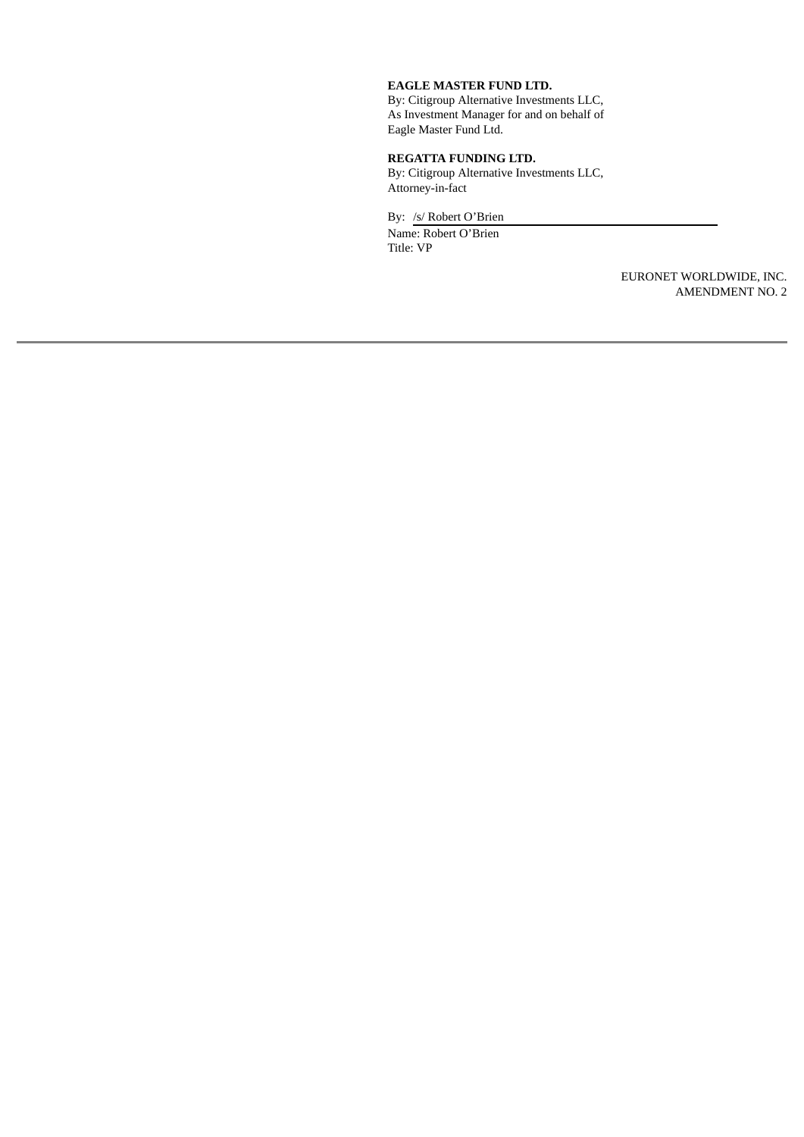### **EAGLE MASTER FUND LTD.**

By: Citigroup Alternative Investments LLC, As Investment Manager for and on behalf of Eagle Master Fund Ltd.

#### **REGATTA FUNDING LTD.**

By: Citigroup Alternative Investments LLC, Attorney-in-fact

By: /s/ Robert O'Brien

Name: Robert O'Brien Title: VP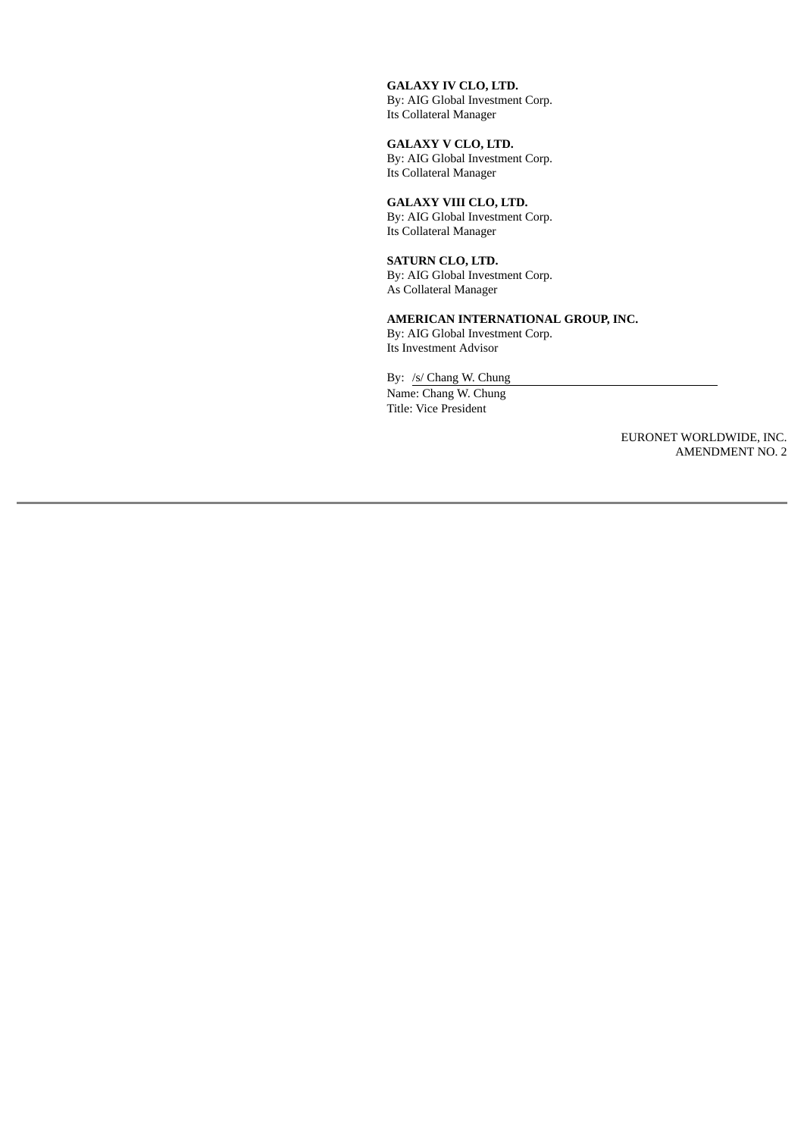### **GALAXY IV CLO, LTD.**

By: AIG Global Investment Corp. Its Collateral Manager

### **GALAXY V CLO, LTD.**

By: AIG Global Investment Corp. Its Collateral Manager

# **GALAXY VIII CLO, LTD.**

By: AIG Global Investment Corp. Its Collateral Manager

#### **SATURN CLO, LTD.**

By: AIG Global Investment Corp. As Collateral Manager

### **AMERICAN INTERNATIONAL GROUP, INC.**

By: AIG Global Investment Corp. Its Investment Advisor

# By: /s/ Chang W. Chung

Name: Chang W. Chung Title: Vice President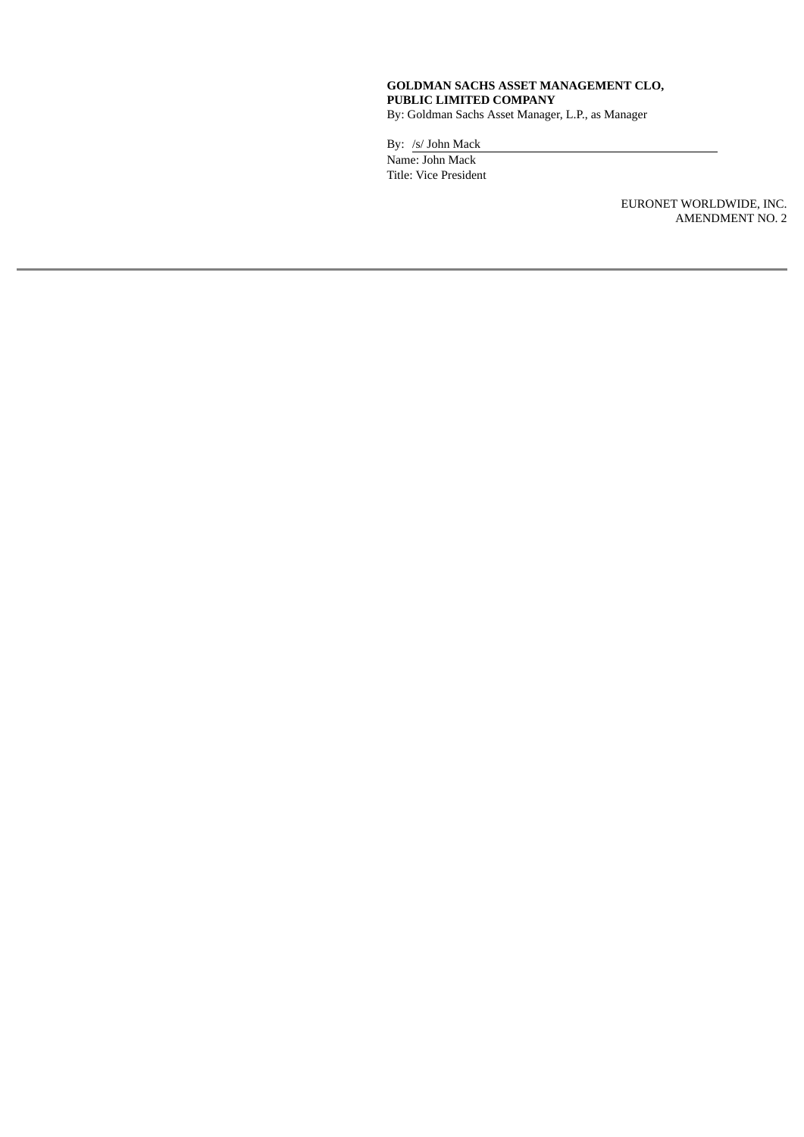#### **GOLDMAN SACHS ASSET MANAGEMENT CLO, PUBLIC LIMITED COMPANY** By: Goldman Sachs Asset Manager, L.P., as Manager

By: /s/ John Mack Name: John Mack

Title: Vice President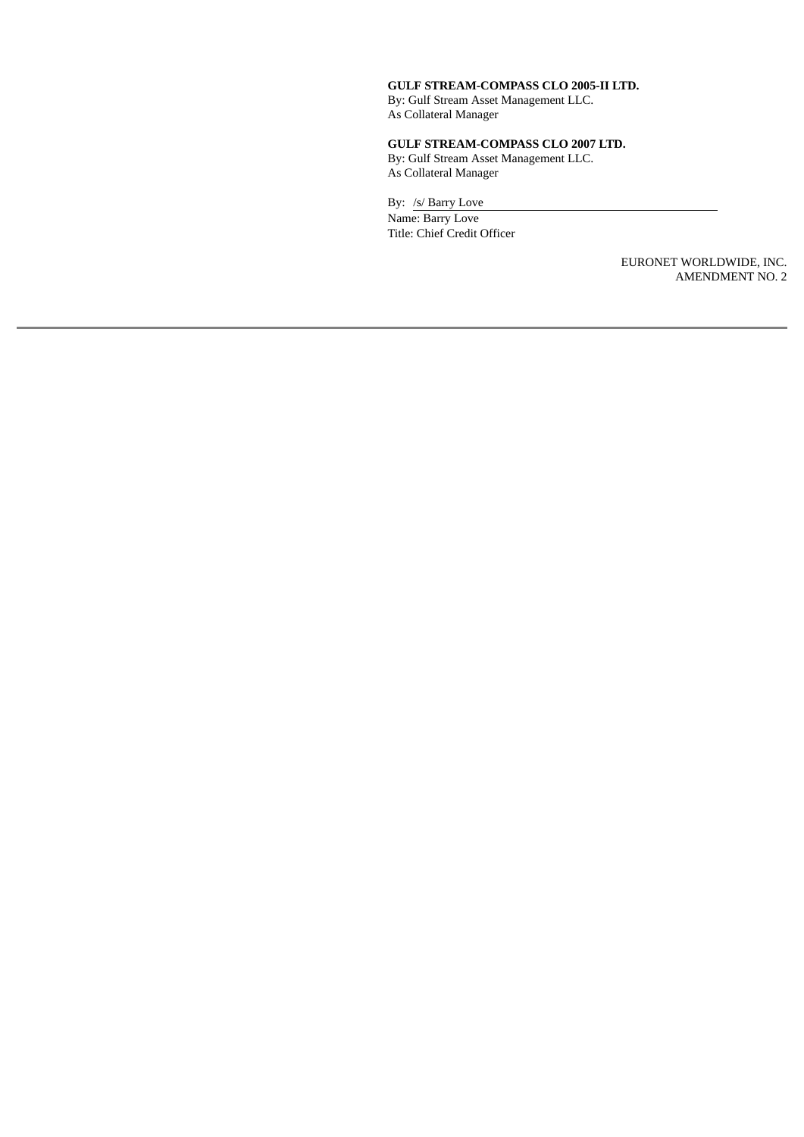#### **GULF STREAM-COMPASS CLO 2005-II LTD.**

By: Gulf Stream Asset Management LLC. As Collateral Manager

# **GULF STREAM-COMPASS CLO 2007 LTD.**

By: Gulf Stream Asset Management LLC. As Collateral Manager

By: /s/ Barry Love Name: Barry Love Title: Chief Credit Officer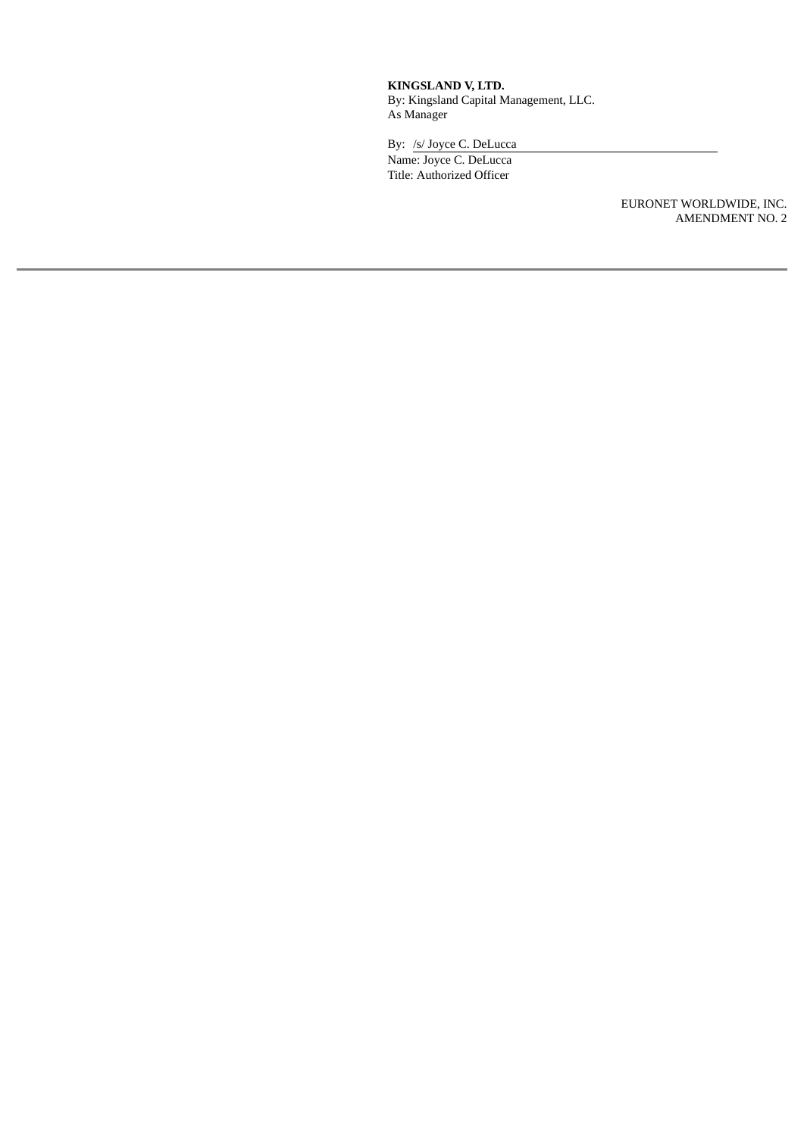### **KINGSLAND V, LTD.**

By: Kingsland Capital Management, LLC. As Manager

By: /s/ Joyce C. DeLucca

Name: Joyce C. DeLucca Title: Authorized Officer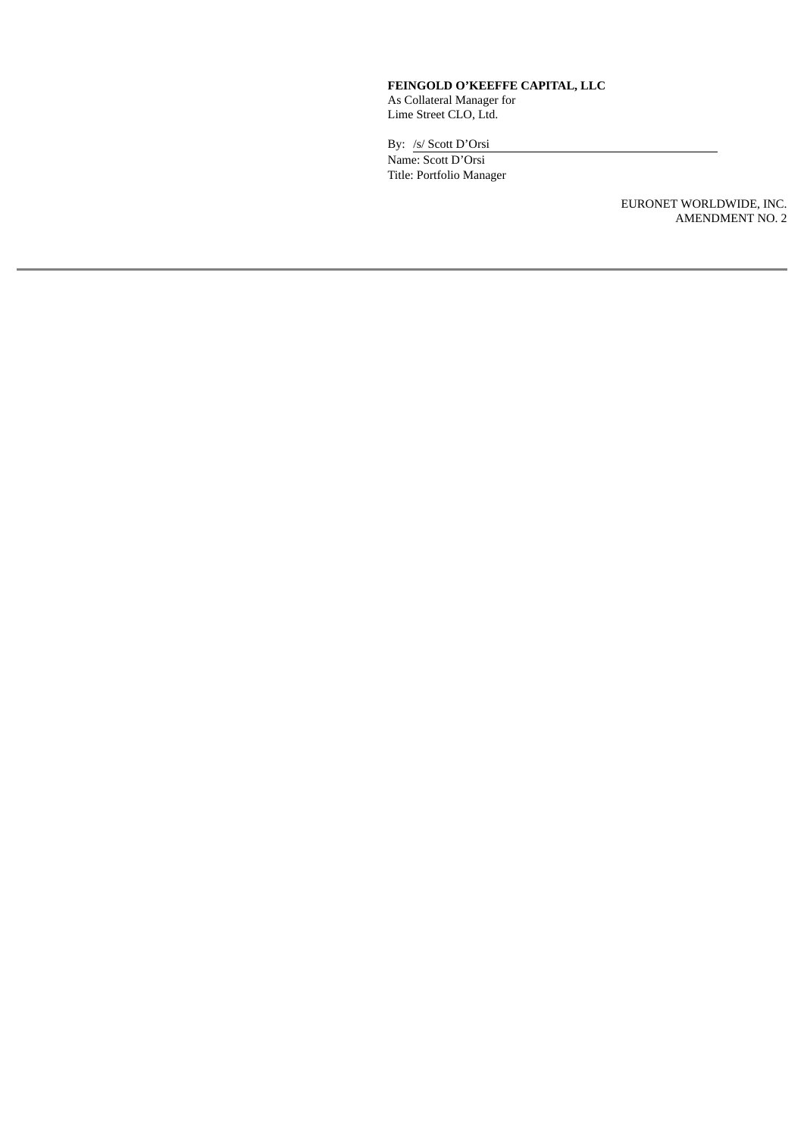# **FEINGOLD O'KEEFFE CAPITAL, LLC**

As Collateral Manager for Lime Street CLO, Ltd.

By: /s/ Scott D'Orsi Name: Scott D'Orsi Title: Portfolio Manager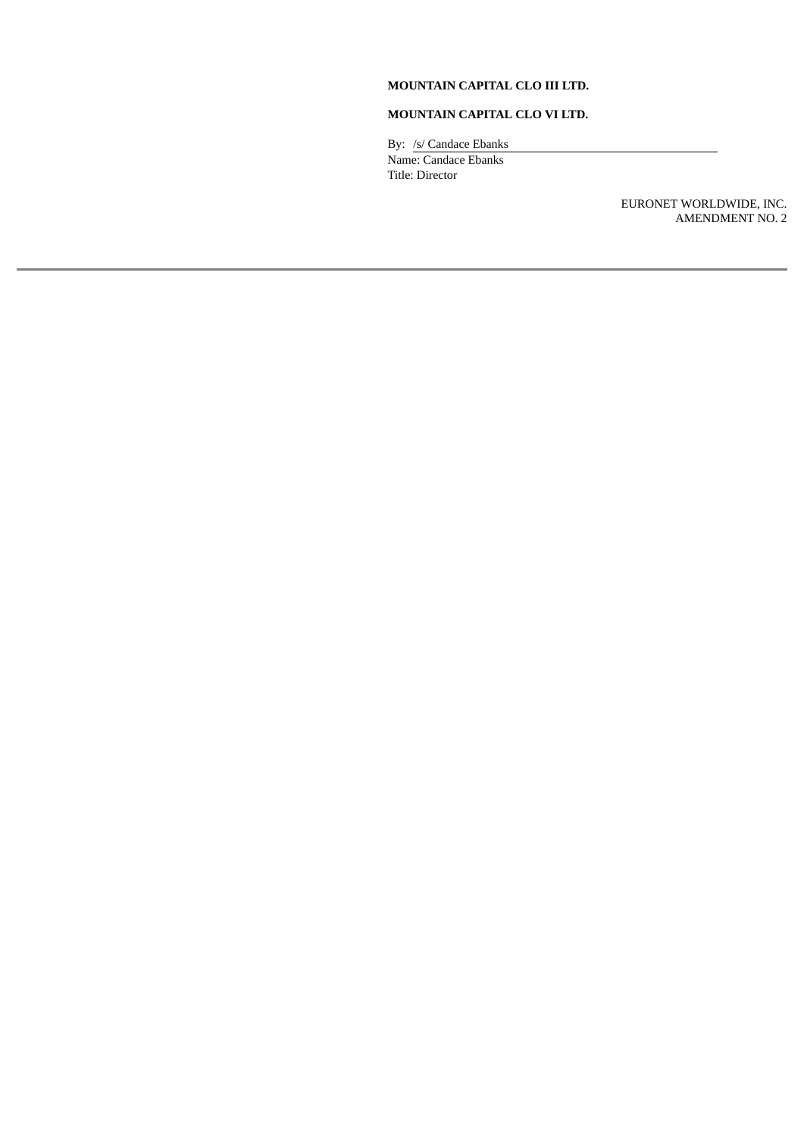# **MOUNTAIN CAPITAL CLO III LTD.**

#### **MOUNTAIN CAPITAL CLO VI LTD.**

By: /s/ Candace Ebanks Name: Candace Ebanks Title: Director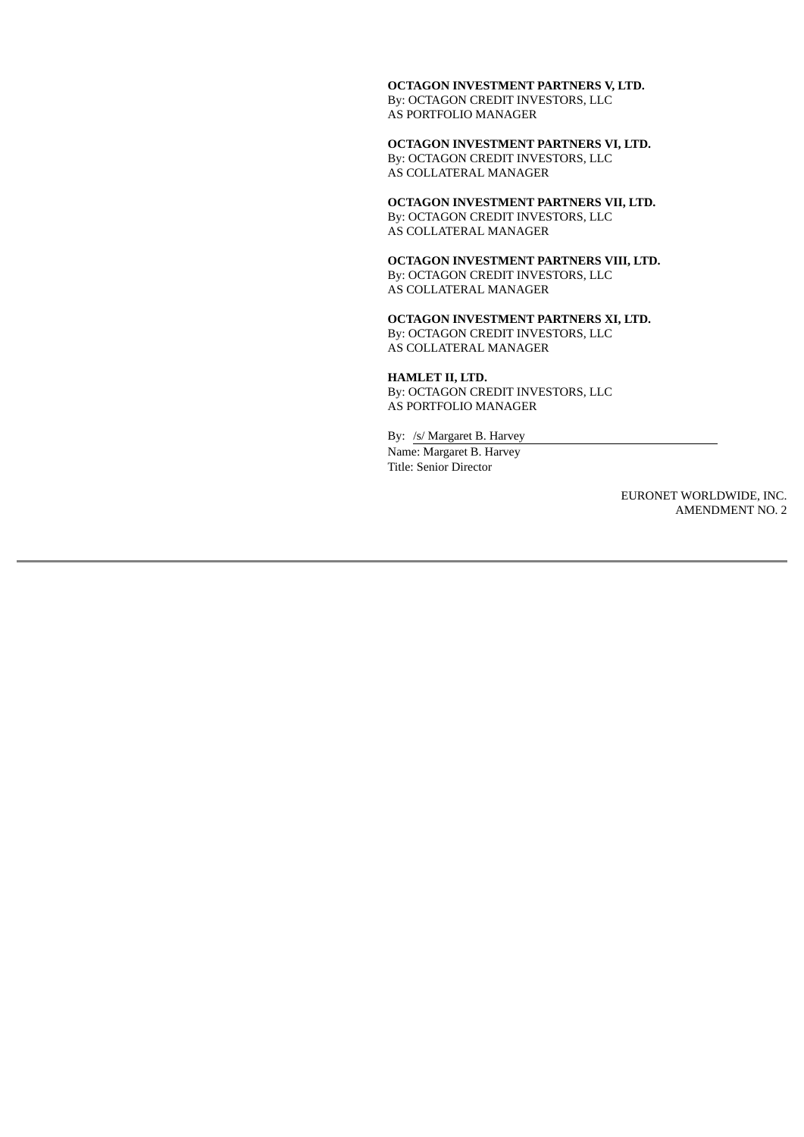**OCTAGON INVESTMENT PARTNERS V, LTD.** By: OCTAGON CREDIT INVESTORS, LLC AS PORTFOLIO MANAGER

**OCTAGON INVESTMENT PARTNERS VI, LTD.** By: OCTAGON CREDIT INVESTORS, LLC AS COLLATERAL MANAGER

# **OCTAGON INVESTMENT PARTNERS VII, LTD.**

By: OCTAGON CREDIT INVESTORS, LLC AS COLLATERAL MANAGER

### **OCTAGON INVESTMENT PARTNERS VIII, LTD.**

By: OCTAGON CREDIT INVESTORS, LLC AS COLLATERAL MANAGER

#### **OCTAGON INVESTMENT PARTNERS XI, LTD.**

By: OCTAGON CREDIT INVESTORS, LLC AS COLLATERAL MANAGER

### **HAMLET II, LTD.**

By: OCTAGON CREDIT INVESTORS, LLC AS PORTFOLIO MANAGER

By: /s/ Margaret B. Harvey

Name: Margaret B. Harvey Title: Senior Director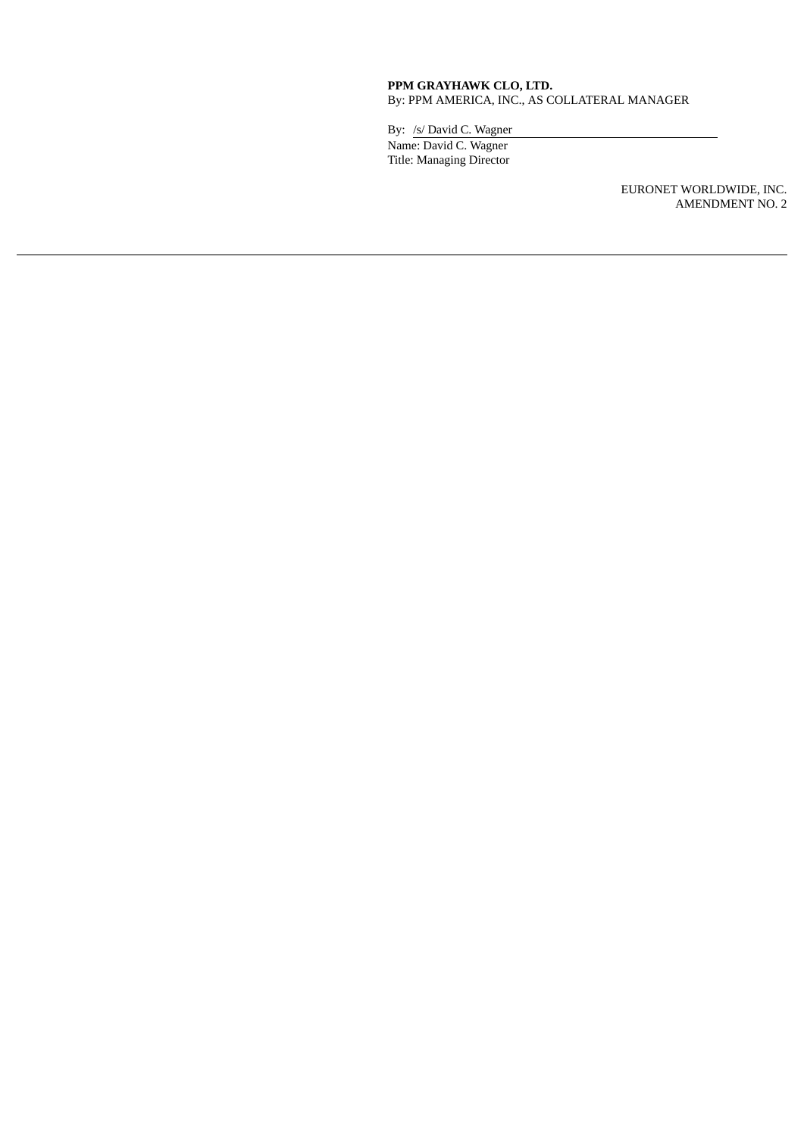#### **PPM GRAYHAWK CLO, LTD.** By: PPM AMERICA, INC., AS COLLATERAL MANAGER

By: /s/ David C. Wagner Name: David C. Wagner Title: Managing Director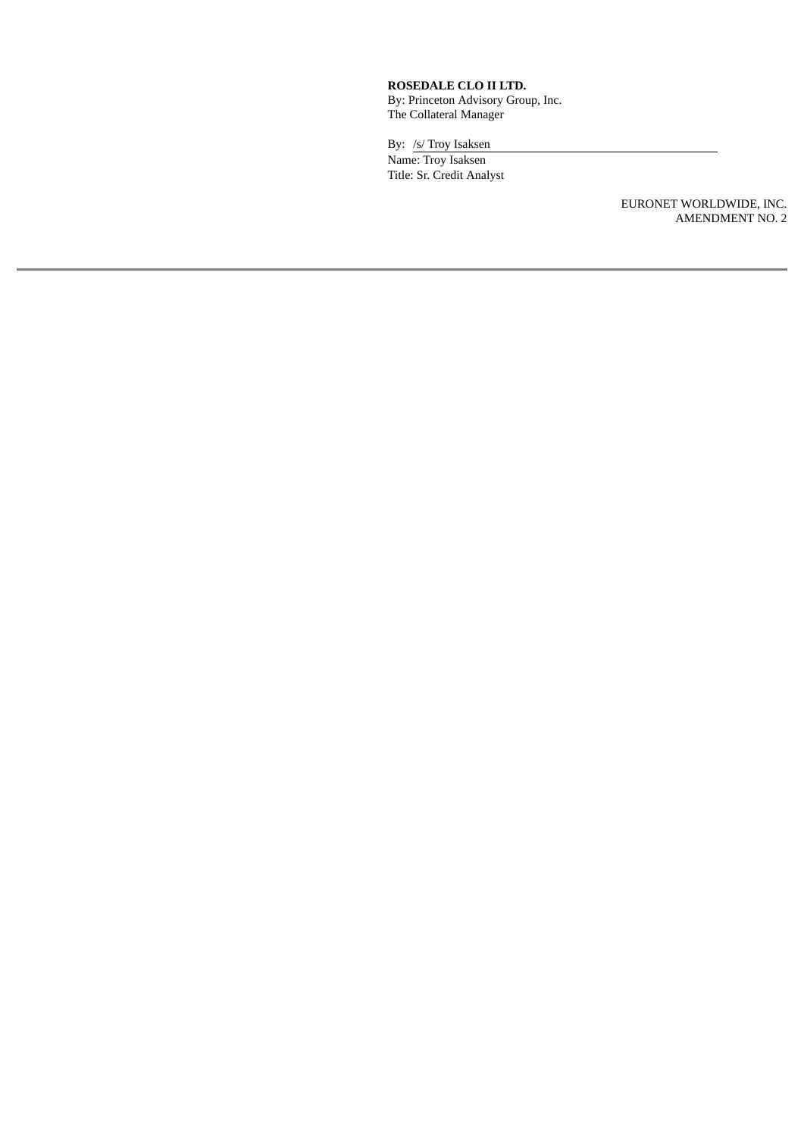### **ROSEDALE CLO II LTD.**

By: Princeton Advisory Group, Inc. The Collateral Manager

By: /s/ Troy Isaksen Name: Troy Isaksen Title: Sr. Credit Analyst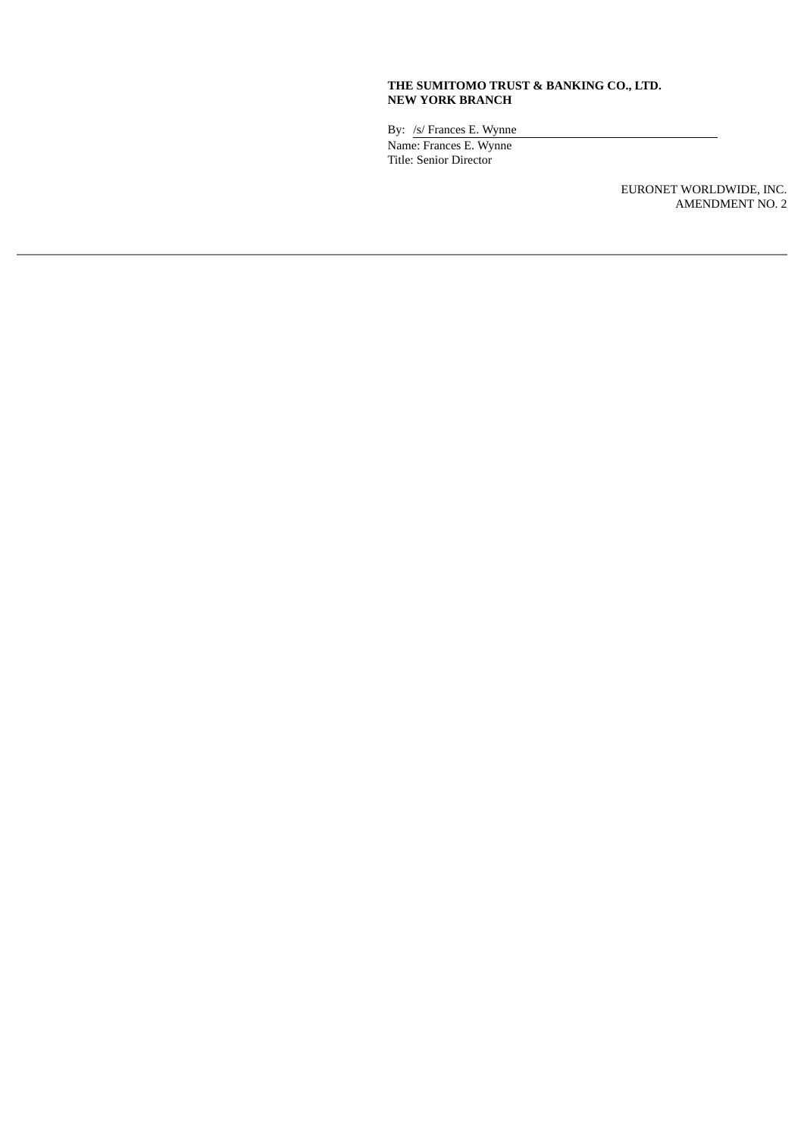# **THE SUMITOMO TRUST & BANKING CO., LTD. NEW YORK BRANCH**

By: /s/ Frances E. Wynne Name: Frances E. Wynne Title: Senior Director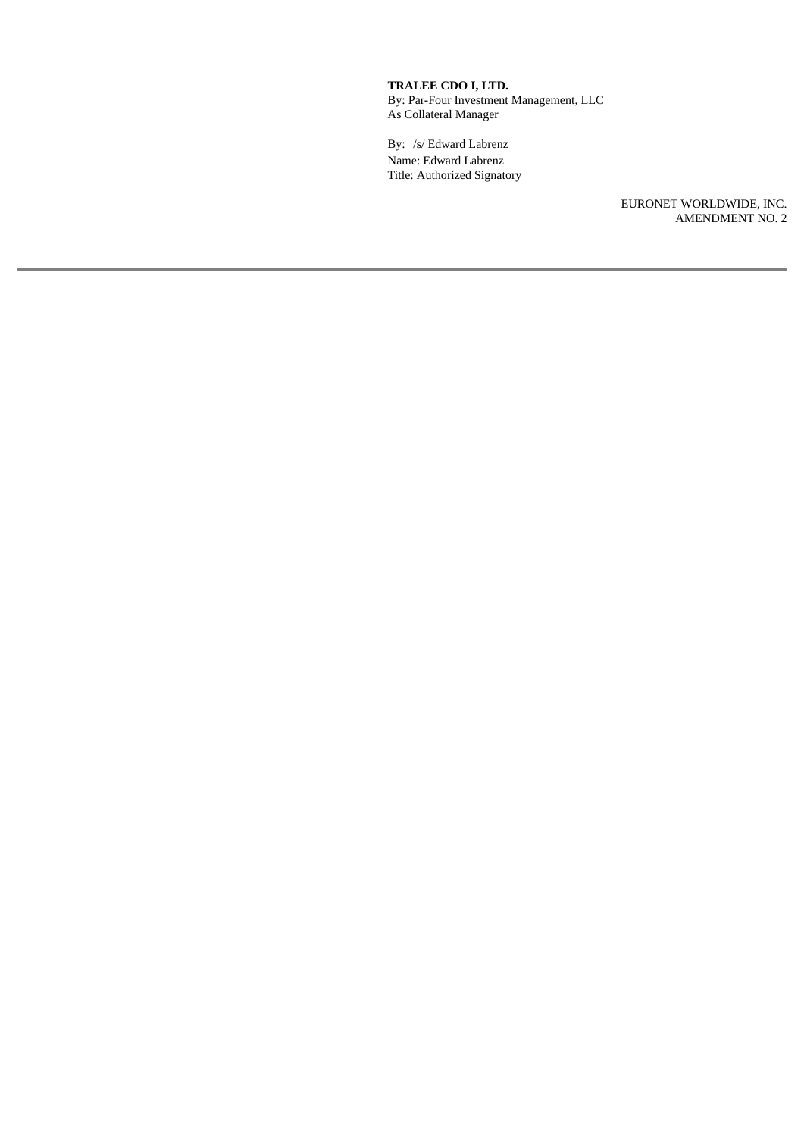# **TRALEE CDO I, LTD.**

By: Par-Four Investment Management, LLC As Collateral Manager

By: /s/ Edward Labrenz

Name: Edward Labrenz Title: Authorized Signatory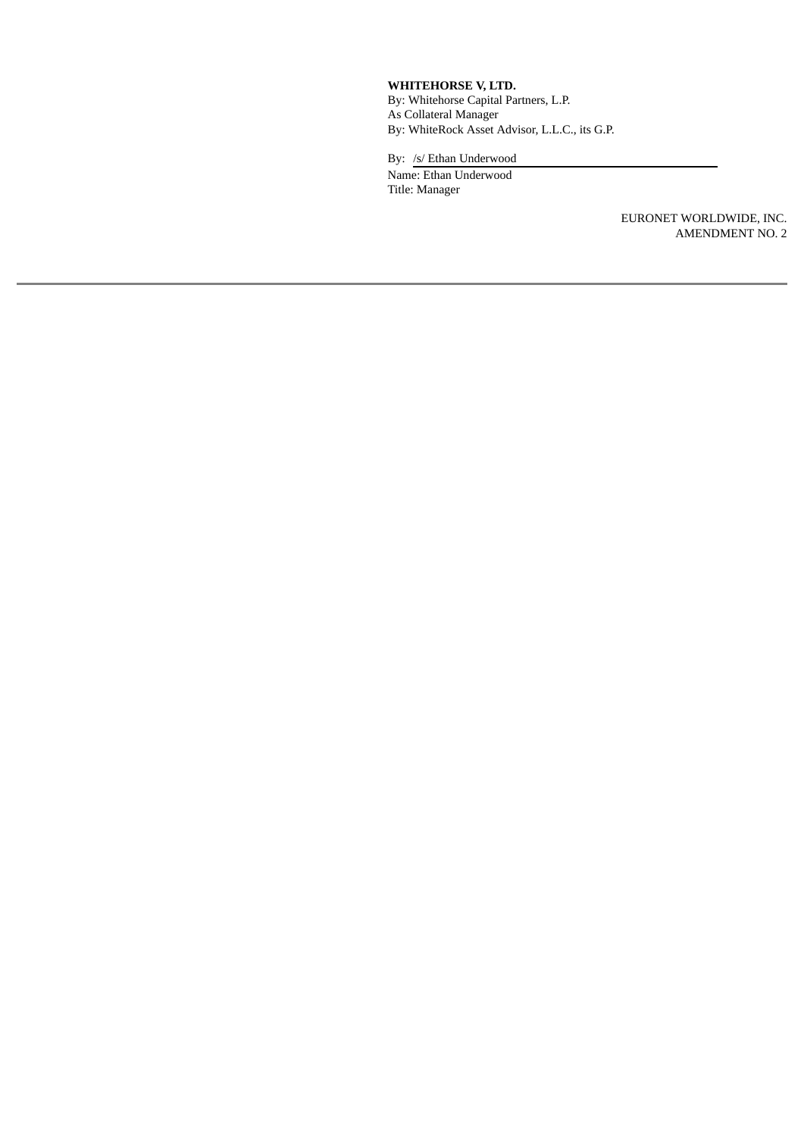## **WHITEHORSE V, LTD.**

By: Whitehorse Capital Partners, L.P. As Collateral Manager By: WhiteRock Asset Advisor, L.L.C., its G.P.

By: /s/ Ethan Underwood Name: Ethan Underwood Title: Manager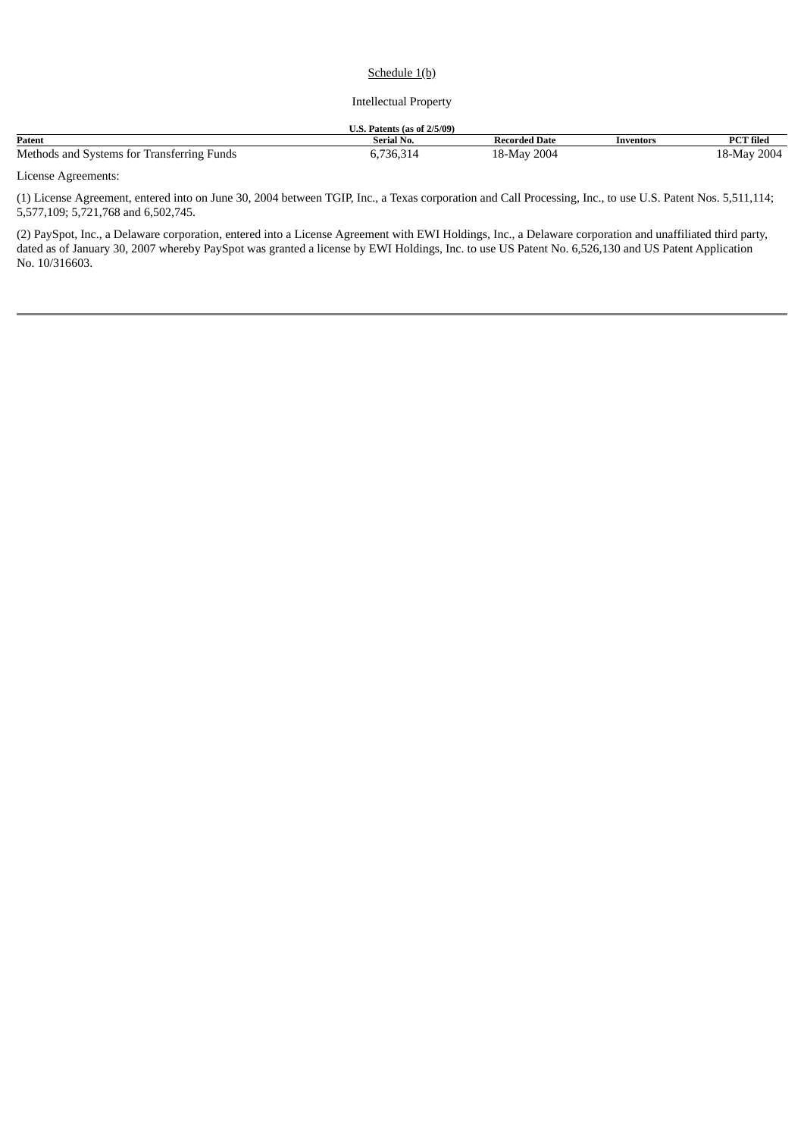### Schedule 1(b)

#### Intellectual Property

| U.S. Patents (as of $2/5/09$ )             |            |                      |           |                  |
|--------------------------------------------|------------|----------------------|-----------|------------------|
| Patent                                     | Serial No. | <b>Recorded Date</b> | Inventors | <b>PCT</b> filed |
| Methods and Systems for Transferring Funds | 6,736,314  | 18-May 2004          |           | 18-May 2004      |

License Agreements:

(1) License Agreement, entered into on June 30, 2004 between TGIP, Inc., a Texas corporation and Call Processing, Inc., to use U.S. Patent Nos. 5,511,114; 5,577,109; 5,721,768 and 6,502,745.

(2) PaySpot, Inc., a Delaware corporation, entered into a License Agreement with EWI Holdings, Inc., a Delaware corporation and unaffiliated third party, dated as of January 30, 2007 whereby PaySpot was granted a license by EWI Holdings, Inc. to use US Patent No. 6,526,130 and US Patent Application No. 10/316603.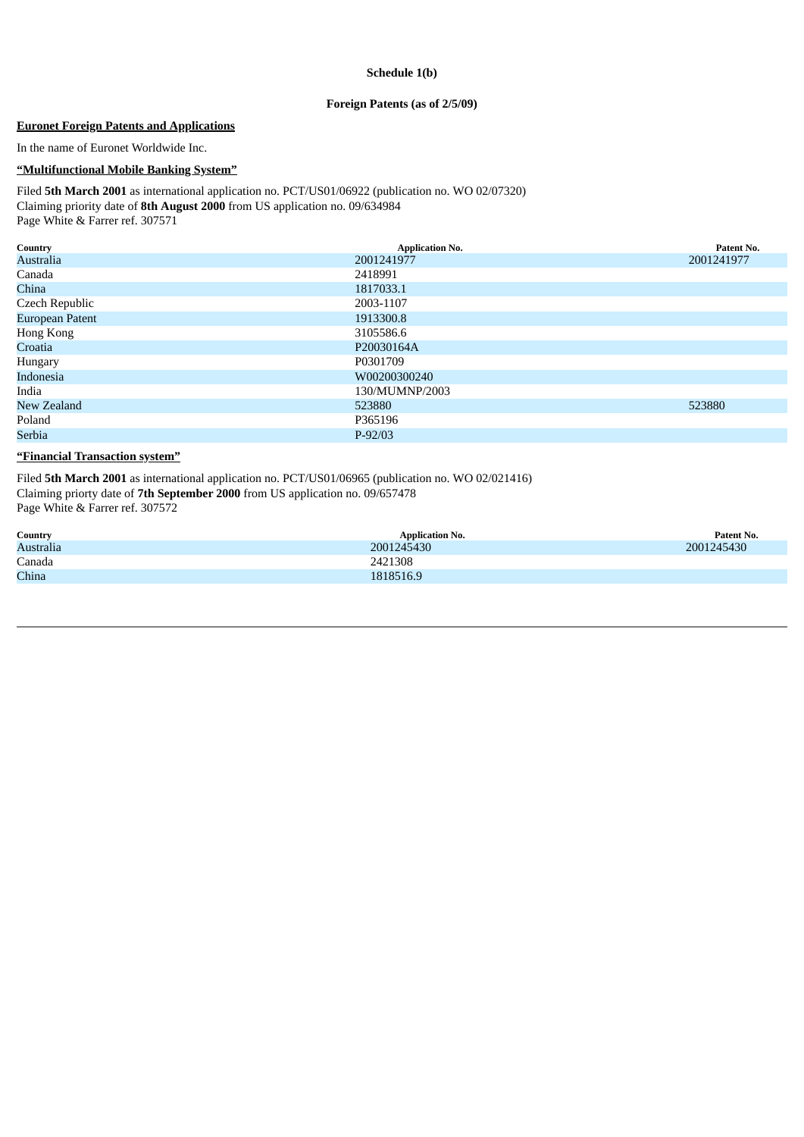#### **Schedule 1(b)**

#### **Foreign Patents (as of 2/5/09)**

### **Euronet Foreign Patents and Applications**

In the name of Euronet Worldwide Inc.

#### **"Multifunctional Mobile Banking System"**

Filed **5th March 2001** as international application no. PCT/US01/06922 (publication no. WO 02/07320) Claiming priority date of **8th August 2000** from US application no. 09/634984 Page White & Farrer ref. 307571

| Country                | <b>Application No.</b> | Patent No. |
|------------------------|------------------------|------------|
| Australia              | 2001241977             | 2001241977 |
| Canada                 | 2418991                |            |
| China                  | 1817033.1              |            |
| Czech Republic         | 2003-1107              |            |
| <b>European Patent</b> | 1913300.8              |            |
| Hong Kong              | 3105586.6              |            |
| Croatia                | P20030164A             |            |
| Hungary                | P0301709               |            |
| Indonesia              | W00200300240           |            |
| India                  | 130/MUMNP/2003         |            |
| New Zealand            | 523880                 | 523880     |
| Poland                 | P365196                |            |
| <b>Serbia</b>          | $P-92/03$              |            |

### **"Financial Transaction system"**

Filed **5th March 2001** as international application no. PCT/US01/06965 (publication no. WO 02/021416) Claiming priorty date of **7th September 2000** from US application no. 09/657478

Page White & Farrer ref. 307572

| Country   | <b>Application No.</b> | Patent No. |
|-----------|------------------------|------------|
| Australia | 2001245430             | 2001245430 |
| Canada    | 2421308                |            |
| China     | 1818516.9              |            |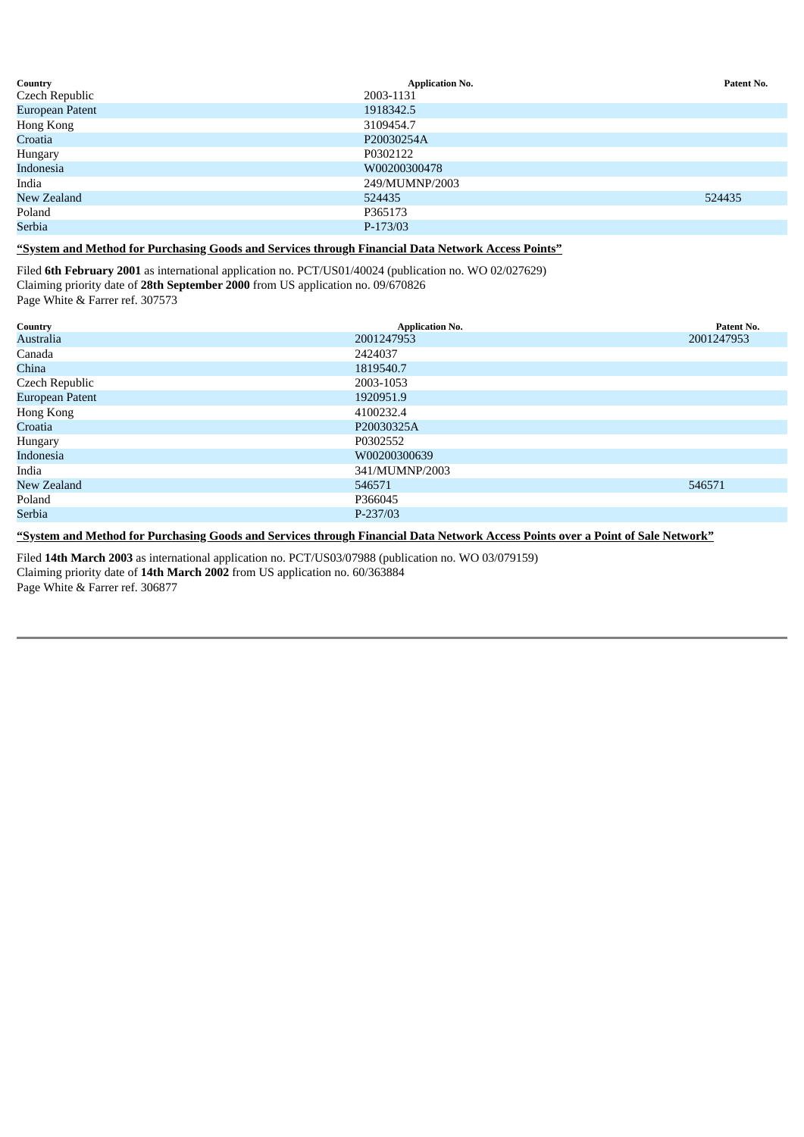| Country<br>Czech Republic | <b>Application No.</b><br>2003-1131 | Patent No. |
|---------------------------|-------------------------------------|------------|
| European Patent           | 1918342.5                           |            |
| Hong Kong                 | 3109454.7                           |            |
| Croatia                   | P20030254A                          |            |
| Hungary                   | P0302122                            |            |
| Indonesia                 | W00200300478                        |            |
| India                     | 249/MUMNP/2003                      |            |
| <b>New Zealand</b>        | 524435                              | 524435     |
| Poland                    | P365173                             |            |
| Serbia                    | P-173/03                            |            |

### **"System and Method for Purchasing Goods and Services through Financial Data Network Access Points"**

Filed **6th February 2001** as international application no. PCT/US01/40024 (publication no. WO 02/027629) Claiming priority date of **28th September 2000** from US application no. 09/670826 Page White & Farrer ref. 307573

| <b>Application No.</b> | Patent No. |
|------------------------|------------|
| 2001247953             | 2001247953 |
| 2424037                |            |
| 1819540.7              |            |
| 2003-1053              |            |
| 1920951.9              |            |
| 4100232.4              |            |
| P20030325A             |            |
| P0302552               |            |
| W00200300639           |            |
| 341/MUMNP/2003         |            |
| 546571                 | 546571     |
| P366045                |            |
| P-237/03               |            |
|                        |            |

"System and Method for Purchasing Goods and Services through Financial Data Network Access Points over a Point of Sale Network"

Filed **14th March 2003** as international application no. PCT/US03/07988 (publication no. WO 03/079159) Claiming priority date of **14th March 2002** from US application no. 60/363884 Page White & Farrer ref. 306877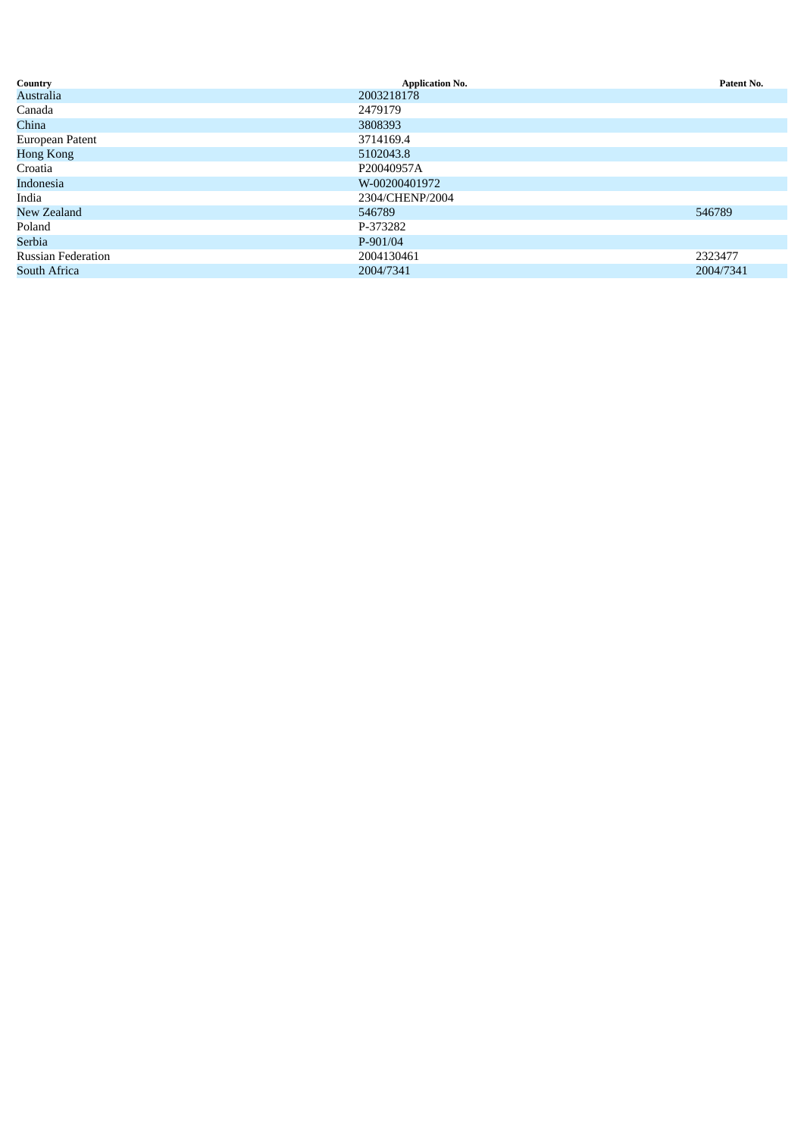| Country                   | <b>Application No.</b> | Patent No. |
|---------------------------|------------------------|------------|
| Australia                 | 2003218178             |            |
| Canada                    | 2479179                |            |
| China                     | 3808393                |            |
| European Patent           | 3714169.4              |            |
| Hong Kong                 | 5102043.8              |            |
| Croatia                   | P20040957A             |            |
| Indonesia                 | W-00200401972          |            |
| India                     | 2304/CHENP/2004        |            |
| <b>New Zealand</b>        | 546789                 | 546789     |
| Poland                    | P-373282               |            |
| Serbia                    | P-901/04               |            |
| <b>Russian Federation</b> | 2004130461             | 2323477    |
| South Africa              | 2004/7341              | 2004/7341  |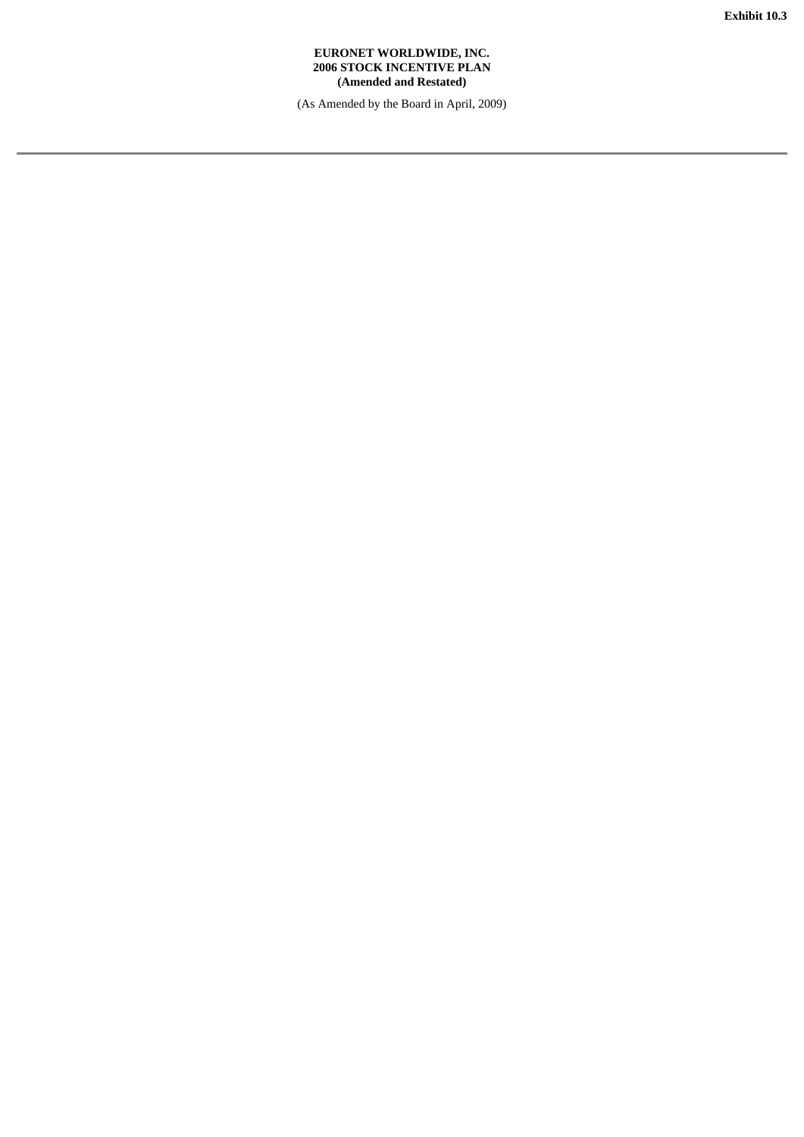### **EURONET WORLDWIDE, INC. 2006 STOCK INCENTIVE PLAN (Amended and Restated)**

(As Amended by the Board in April, 2009)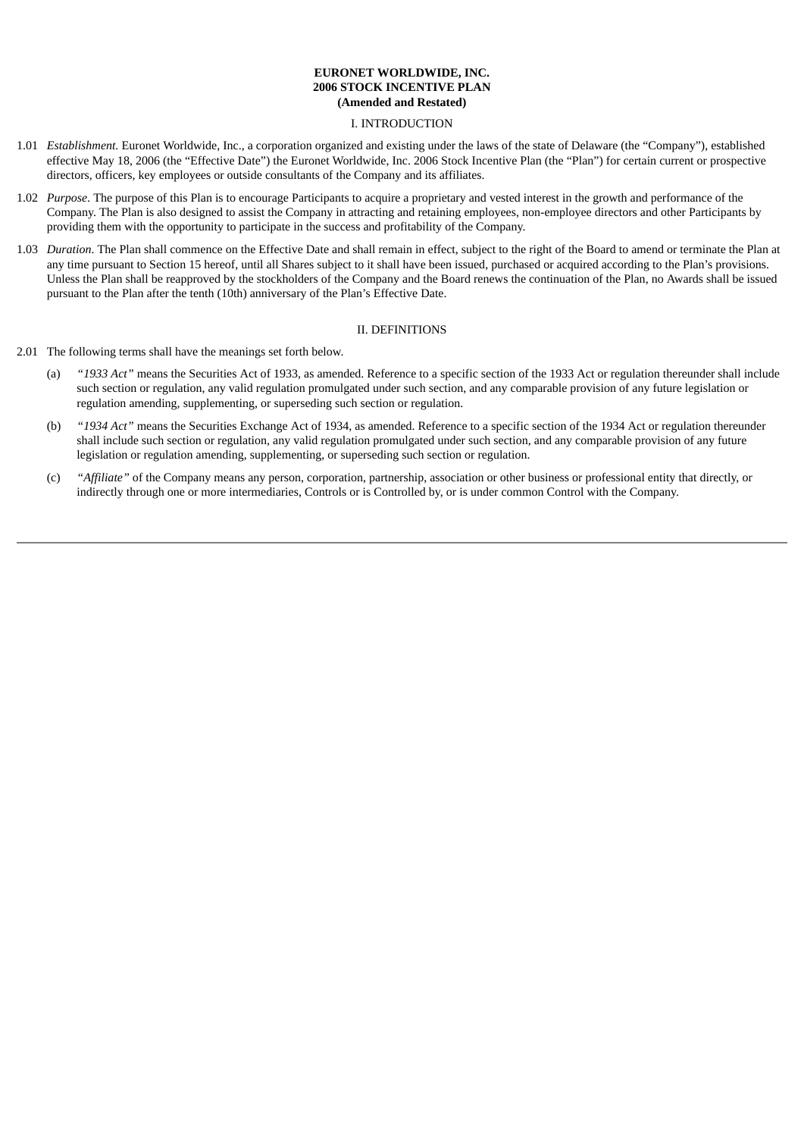#### **EURONET WORLDWIDE, INC. 2006 STOCK INCENTIVE PLAN (Amended and Restated)**

#### I. INTRODUCTION

- 1.01 *Establishment.* Euronet Worldwide, Inc., a corporation organized and existing under the laws of the state of Delaware (the "Company"), established effective May 18, 2006 (the "Effective Date") the Euronet Worldwide, Inc. 2006 Stock Incentive Plan (the "Plan") for certain current or prospective directors, officers, key employees or outside consultants of the Company and its affiliates.
- 1.02 *Purpose*. The purpose of this Plan is to encourage Participants to acquire a proprietary and vested interest in the growth and performance of the Company. The Plan is also designed to assist the Company in attracting and retaining employees, non-employee directors and other Participants by providing them with the opportunity to participate in the success and profitability of the Company.
- 1.03 *Duration*. The Plan shall commence on the Effective Date and shall remain in effect, subject to the right of the Board to amend or terminate the Plan at any time pursuant to Section 15 hereof, until all Shares subject to it shall have been issued, purchased or acquired according to the Plan's provisions. Unless the Plan shall be reapproved by the stockholders of the Company and the Board renews the continuation of the Plan, no Awards shall be issued pursuant to the Plan after the tenth (10th) anniversary of the Plan's Effective Date.

#### II. DEFINITIONS

- 2.01 The following terms shall have the meanings set forth below.
	- (a) *"1933 Act"* means the Securities Act of 1933, as amended. Reference to a specific section of the 1933 Act or regulation thereunder shall include such section or regulation, any valid regulation promulgated under such section, and any comparable provision of any future legislation or regulation amending, supplementing, or superseding such section or regulation.
	- (b) *"1934 Act"* means the Securities Exchange Act of 1934, as amended. Reference to a specific section of the 1934 Act or regulation thereunder shall include such section or regulation, any valid regulation promulgated under such section, and any comparable provision of any future legislation or regulation amending, supplementing, or superseding such section or regulation.
	- (c) *"Affiliate"* of the Company means any person, corporation, partnership, association or other business or professional entity that directly, or indirectly through one or more intermediaries, Controls or is Controlled by, or is under common Control with the Company.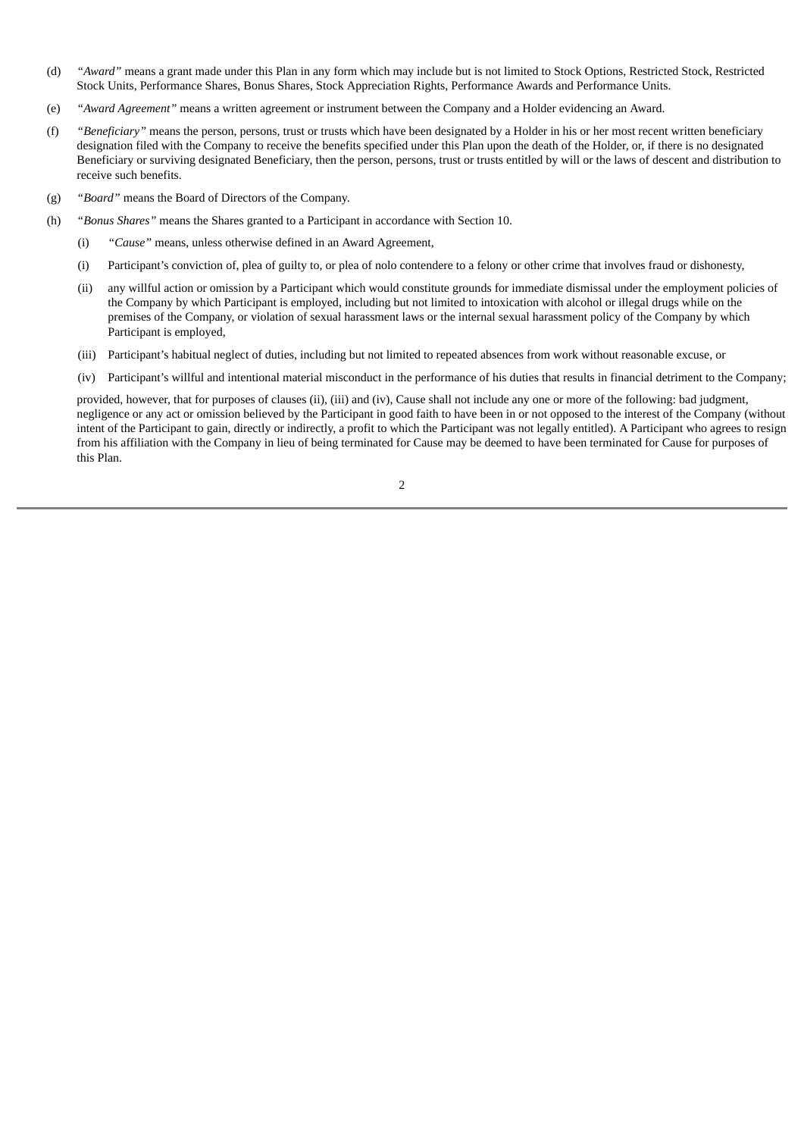- (d) *"Award"* means a grant made under this Plan in any form which may include but is not limited to Stock Options, Restricted Stock, Restricted Stock Units, Performance Shares, Bonus Shares, Stock Appreciation Rights, Performance Awards and Performance Units.
- (e) *"Award Agreement"* means a written agreement or instrument between the Company and a Holder evidencing an Award.
- (f) *"Beneficiary"* means the person, persons, trust or trusts which have been designated by a Holder in his or her most recent written beneficiary designation filed with the Company to receive the benefits specified under this Plan upon the death of the Holder, or, if there is no designated Beneficiary or surviving designated Beneficiary, then the person, persons, trust or trusts entitled by will or the laws of descent and distribution to receive such benefits.
- (g) *"Board"* means the Board of Directors of the Company.
- (h) *"Bonus Shares"* means the Shares granted to a Participant in accordance with Section 10.
	- (i) *"Cause"* means, unless otherwise defined in an Award Agreement,
	- (i) Participant's conviction of, plea of guilty to, or plea of nolo contendere to a felony or other crime that involves fraud or dishonesty,
	- (ii) any willful action or omission by a Participant which would constitute grounds for immediate dismissal under the employment policies of the Company by which Participant is employed, including but not limited to intoxication with alcohol or illegal drugs while on the premises of the Company, or violation of sexual harassment laws or the internal sexual harassment policy of the Company by which Participant is employed,
	- (iii) Participant's habitual neglect of duties, including but not limited to repeated absences from work without reasonable excuse, or
	- (iv) Participant's willful and intentional material misconduct in the performance of his duties that results in financial detriment to the Company;

provided, however, that for purposes of clauses (ii), (iii) and (iv), Cause shall not include any one or more of the following: bad judgment, negligence or any act or omission believed by the Participant in good faith to have been in or not opposed to the interest of the Company (without intent of the Participant to gain, directly or indirectly, a profit to which the Participant was not legally entitled). A Participant who agrees to resign from his affiliation with the Company in lieu of being terminated for Cause may be deemed to have been terminated for Cause for purposes of this Plan.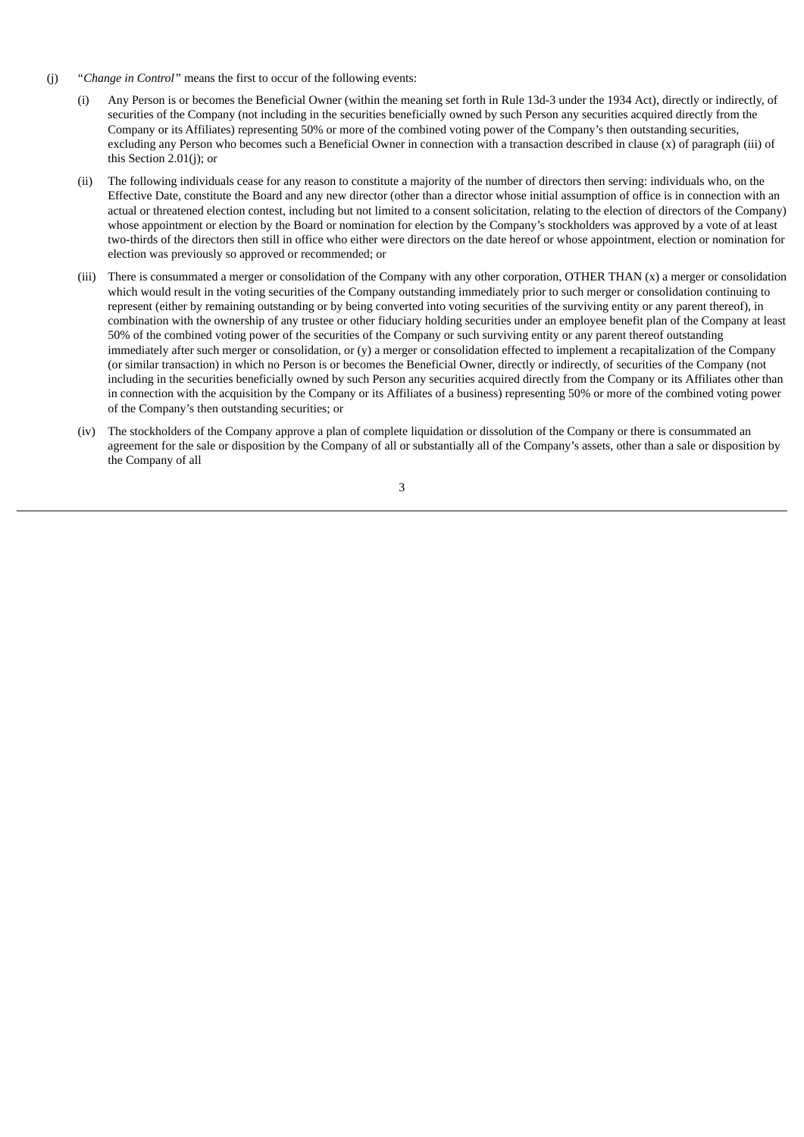- (j) *"Change in Control"* means the first to occur of the following events:
	- (i) Any Person is or becomes the Beneficial Owner (within the meaning set forth in Rule 13d-3 under the 1934 Act), directly or indirectly, of securities of the Company (not including in the securities beneficially owned by such Person any securities acquired directly from the Company or its Affiliates) representing 50% or more of the combined voting power of the Company's then outstanding securities, excluding any Person who becomes such a Beneficial Owner in connection with a transaction described in clause (x) of paragraph (iii) of this Section 2.01(j); or
	- (ii) The following individuals cease for any reason to constitute a majority of the number of directors then serving: individuals who, on the Effective Date, constitute the Board and any new director (other than a director whose initial assumption of office is in connection with an actual or threatened election contest, including but not limited to a consent solicitation, relating to the election of directors of the Company) whose appointment or election by the Board or nomination for election by the Company's stockholders was approved by a vote of at least two-thirds of the directors then still in office who either were directors on the date hereof or whose appointment, election or nomination for election was previously so approved or recommended; or
	- (iii) There is consummated a merger or consolidation of the Company with any other corporation, OTHER THAN (x) a merger or consolidation which would result in the voting securities of the Company outstanding immediately prior to such merger or consolidation continuing to represent (either by remaining outstanding or by being converted into voting securities of the surviving entity or any parent thereof), in combination with the ownership of any trustee or other fiduciary holding securities under an employee benefit plan of the Company at least 50% of the combined voting power of the securities of the Company or such surviving entity or any parent thereof outstanding immediately after such merger or consolidation, or (y) a merger or consolidation effected to implement a recapitalization of the Company (or similar transaction) in which no Person is or becomes the Beneficial Owner, directly or indirectly, of securities of the Company (not including in the securities beneficially owned by such Person any securities acquired directly from the Company or its Affiliates other than in connection with the acquisition by the Company or its Affiliates of a business) representing 50% or more of the combined voting power of the Company's then outstanding securities; or
	- (iv) The stockholders of the Company approve a plan of complete liquidation or dissolution of the Company or there is consummated an agreement for the sale or disposition by the Company of all or substantially all of the Company's assets, other than a sale or disposition by the Company of all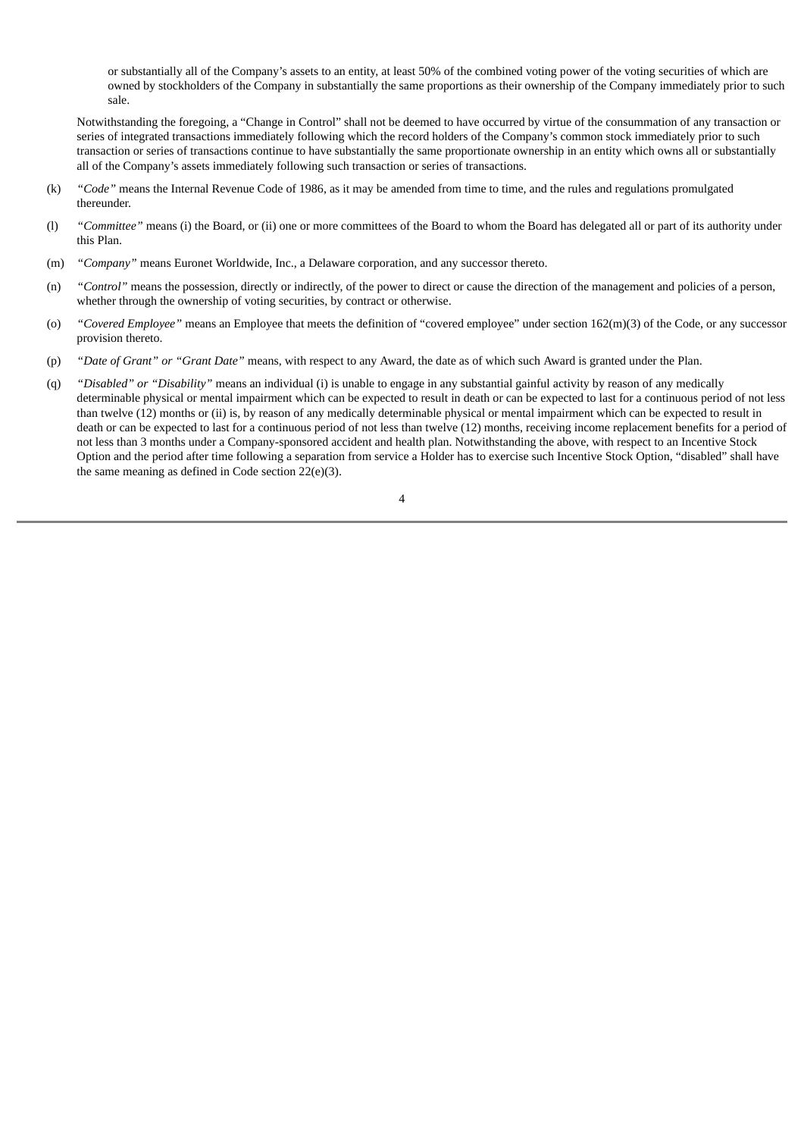or substantially all of the Company's assets to an entity, at least 50% of the combined voting power of the voting securities of which are owned by stockholders of the Company in substantially the same proportions as their ownership of the Company immediately prior to such sale.

Notwithstanding the foregoing, a "Change in Control" shall not be deemed to have occurred by virtue of the consummation of any transaction or series of integrated transactions immediately following which the record holders of the Company's common stock immediately prior to such transaction or series of transactions continue to have substantially the same proportionate ownership in an entity which owns all or substantially all of the Company's assets immediately following such transaction or series of transactions.

- (k) *"Code"* means the Internal Revenue Code of 1986, as it may be amended from time to time, and the rules and regulations promulgated thereunder.
- (l) *"Committee"* means (i) the Board, or (ii) one or more committees of the Board to whom the Board has delegated all or part of its authority under this Plan.
- (m) *"Company"* means Euronet Worldwide, Inc., a Delaware corporation, and any successor thereto.
- (n) *"Control"* means the possession, directly or indirectly, of the power to direct or cause the direction of the management and policies of a person, whether through the ownership of voting securities, by contract or otherwise.
- (o) *"Covered Employee"* means an Employee that meets the definition of "covered employee" under section 162(m)(3) of the Code, or any successor provision thereto.
- (p) *"Date of Grant" or "Grant Date"* means, with respect to any Award, the date as of which such Award is granted under the Plan.
- (q) *"Disabled" or "Disability"* means an individual (i) is unable to engage in any substantial gainful activity by reason of any medically determinable physical or mental impairment which can be expected to result in death or can be expected to last for a continuous period of not less than twelve (12) months or (ii) is, by reason of any medically determinable physical or mental impairment which can be expected to result in death or can be expected to last for a continuous period of not less than twelve (12) months, receiving income replacement benefits for a period of not less than 3 months under a Company-sponsored accident and health plan. Notwithstanding the above, with respect to an Incentive Stock Option and the period after time following a separation from service a Holder has to exercise such Incentive Stock Option, "disabled" shall have the same meaning as defined in Code section 22(e)(3).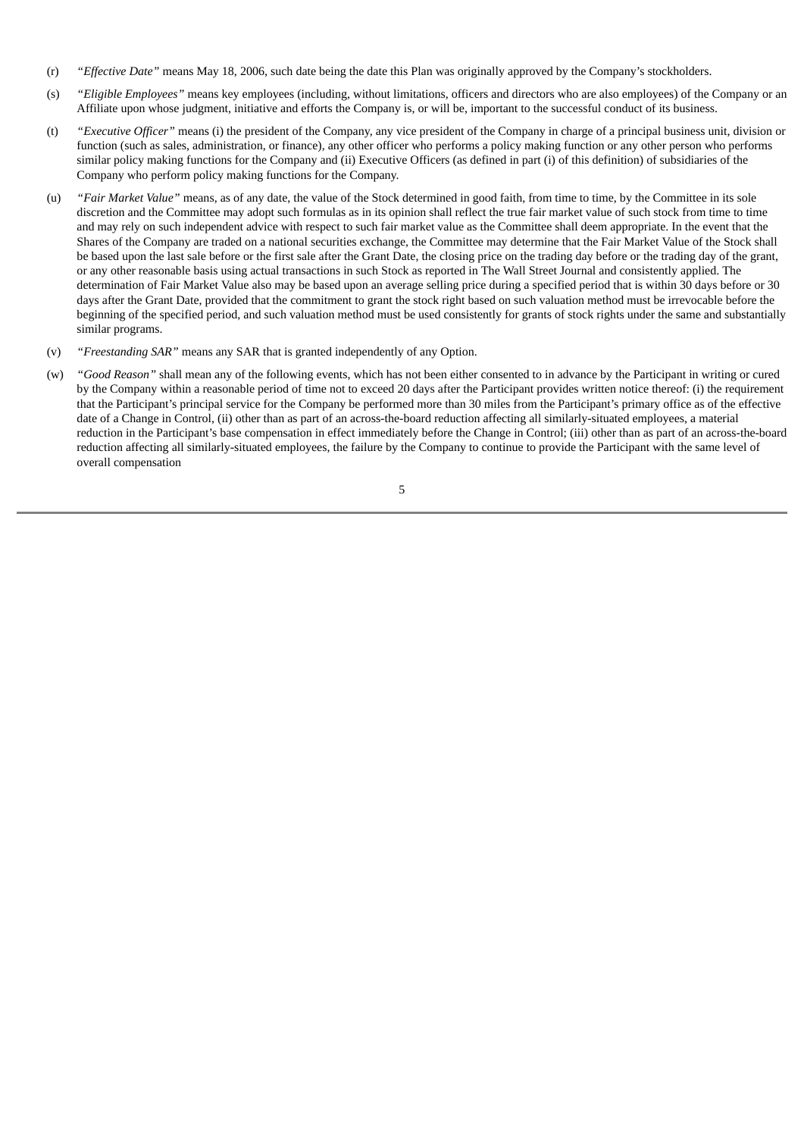- (r) *"Effective Date"* means May 18, 2006, such date being the date this Plan was originally approved by the Company's stockholders.
- (s) *"Eligible Employees"* means key employees (including, without limitations, officers and directors who are also employees) of the Company or an Affiliate upon whose judgment, initiative and efforts the Company is, or will be, important to the successful conduct of its business.
- (t) *"Executive Officer"* means (i) the president of the Company, any vice president of the Company in charge of a principal business unit, division or function (such as sales, administration, or finance), any other officer who performs a policy making function or any other person who performs similar policy making functions for the Company and (ii) Executive Officers (as defined in part (i) of this definition) of subsidiaries of the Company who perform policy making functions for the Company.
- (u) *"Fair Market Value"* means, as of any date, the value of the Stock determined in good faith, from time to time, by the Committee in its sole discretion and the Committee may adopt such formulas as in its opinion shall reflect the true fair market value of such stock from time to time and may rely on such independent advice with respect to such fair market value as the Committee shall deem appropriate. In the event that the Shares of the Company are traded on a national securities exchange, the Committee may determine that the Fair Market Value of the Stock shall be based upon the last sale before or the first sale after the Grant Date, the closing price on the trading day before or the trading day of the grant, or any other reasonable basis using actual transactions in such Stock as reported in The Wall Street Journal and consistently applied. The determination of Fair Market Value also may be based upon an average selling price during a specified period that is within 30 days before or 30 days after the Grant Date, provided that the commitment to grant the stock right based on such valuation method must be irrevocable before the beginning of the specified period, and such valuation method must be used consistently for grants of stock rights under the same and substantially similar programs.
- (v) *"Freestanding SAR"* means any SAR that is granted independently of any Option.
- (w) *"Good Reason"* shall mean any of the following events, which has not been either consented to in advance by the Participant in writing or cured by the Company within a reasonable period of time not to exceed 20 days after the Participant provides written notice thereof: (i) the requirement that the Participant's principal service for the Company be performed more than 30 miles from the Participant's primary office as of the effective date of a Change in Control, (ii) other than as part of an across-the-board reduction affecting all similarly-situated employees, a material reduction in the Participant's base compensation in effect immediately before the Change in Control; (iii) other than as part of an across-the-board reduction affecting all similarly-situated employees, the failure by the Company to continue to provide the Participant with the same level of overall compensation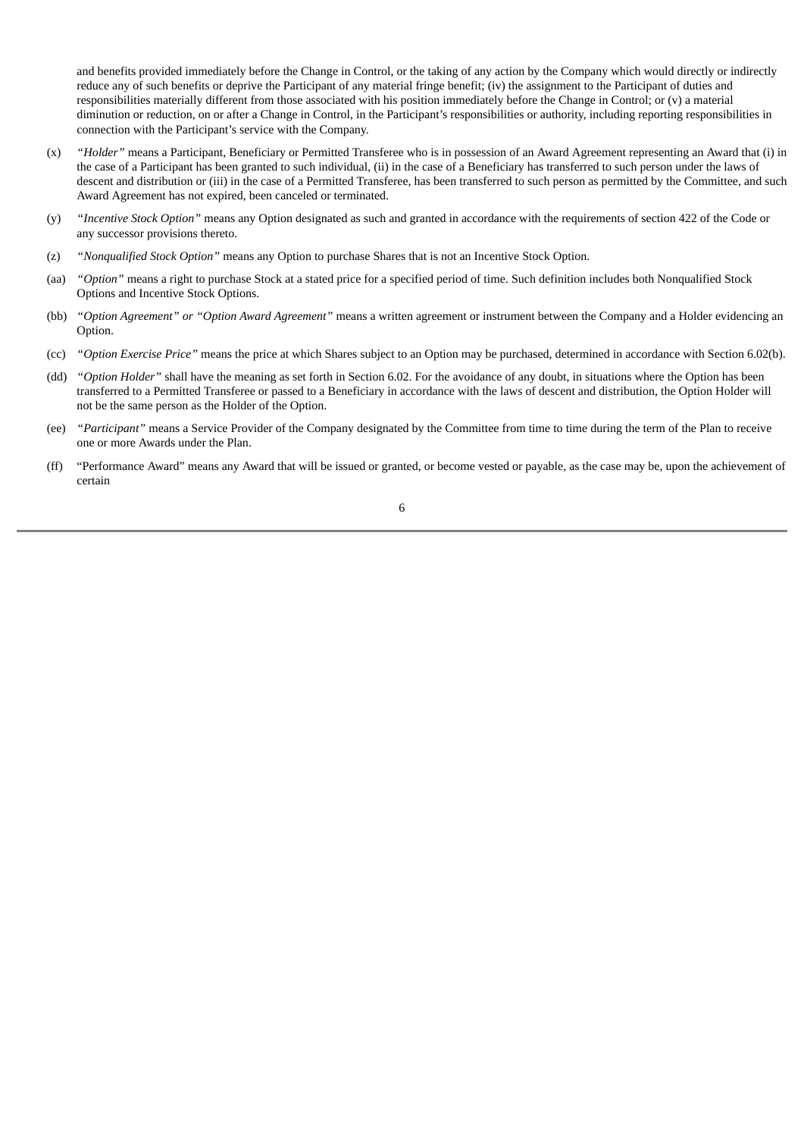and benefits provided immediately before the Change in Control, or the taking of any action by the Company which would directly or indirectly reduce any of such benefits or deprive the Participant of any material fringe benefit; (iv) the assignment to the Participant of duties and responsibilities materially different from those associated with his position immediately before the Change in Control; or (v) a material diminution or reduction, on or after a Change in Control, in the Participant's responsibilities or authority, including reporting responsibilities in connection with the Participant's service with the Company.

- (x) *"Holder"* means a Participant, Beneficiary or Permitted Transferee who is in possession of an Award Agreement representing an Award that (i) in the case of a Participant has been granted to such individual, (ii) in the case of a Beneficiary has transferred to such person under the laws of descent and distribution or (iii) in the case of a Permitted Transferee, has been transferred to such person as permitted by the Committee, and such Award Agreement has not expired, been canceled or terminated.
- (y) *"Incentive Stock Option"* means any Option designated as such and granted in accordance with the requirements of section 422 of the Code or any successor provisions thereto.
- (z) *"Nonqualified Stock Option"* means any Option to purchase Shares that is not an Incentive Stock Option.
- (aa) *"Option"* means a right to purchase Stock at a stated price for a specified period of time. Such definition includes both Nonqualified Stock Options and Incentive Stock Options.
- (bb) *"Option Agreement" or "Option Award Agreement"* means a written agreement or instrument between the Company and a Holder evidencing an Option.
- (cc) *"Option Exercise Price"* means the price at which Shares subject to an Option may be purchased, determined in accordance with Section 6.02(b).
- (dd) *"Option Holder"* shall have the meaning as set forth in Section 6.02. For the avoidance of any doubt, in situations where the Option has been transferred to a Permitted Transferee or passed to a Beneficiary in accordance with the laws of descent and distribution, the Option Holder will not be the same person as the Holder of the Option.
- (ee) *"Participant"* means a Service Provider of the Company designated by the Committee from time to time during the term of the Plan to receive one or more Awards under the Plan.
- (ff) "Performance Award" means any Award that will be issued or granted, or become vested or payable, as the case may be, upon the achievement of certain

6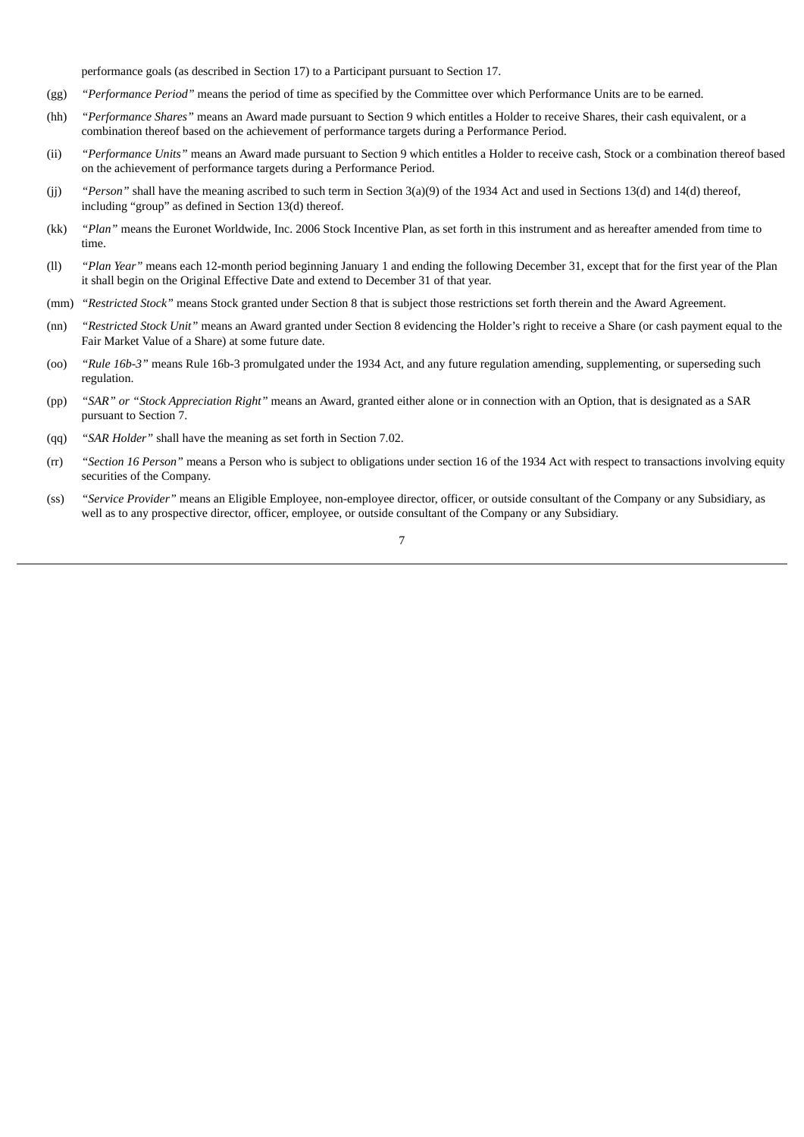performance goals (as described in Section 17) to a Participant pursuant to Section 17.

- (gg) *"Performance Period"* means the period of time as specified by the Committee over which Performance Units are to be earned.
- (hh) *"Performance Shares"* means an Award made pursuant to Section 9 which entitles a Holder to receive Shares, their cash equivalent, or a combination thereof based on the achievement of performance targets during a Performance Period.
- (ii) *"Performance Units"* means an Award made pursuant to Section 9 which entitles a Holder to receive cash, Stock or a combination thereof based on the achievement of performance targets during a Performance Period.
- (jj) *"Person"* shall have the meaning ascribed to such term in Section 3(a)(9) of the 1934 Act and used in Sections 13(d) and 14(d) thereof, including "group" as defined in Section 13(d) thereof.
- (kk) *"Plan"* means the Euronet Worldwide, Inc. 2006 Stock Incentive Plan, as set forth in this instrument and as hereafter amended from time to time.
- (ll) *"Plan Year"* means each 12-month period beginning January 1 and ending the following December 31, except that for the first year of the Plan it shall begin on the Original Effective Date and extend to December 31 of that year.
- (mm) *"Restricted Stock"* means Stock granted under Section 8 that is subject those restrictions set forth therein and the Award Agreement.
- (nn) *"Restricted Stock Unit"* means an Award granted under Section 8 evidencing the Holder's right to receive a Share (or cash payment equal to the Fair Market Value of a Share) at some future date.
- (oo) *"Rule 16b-3"* means Rule 16b-3 promulgated under the 1934 Act, and any future regulation amending, supplementing, or superseding such regulation.
- (pp) *"SAR" or "Stock Appreciation Right"* means an Award, granted either alone or in connection with an Option, that is designated as a SAR pursuant to Section 7.
- (qq) *"SAR Holder"* shall have the meaning as set forth in Section 7.02.
- (rr) *"Section 16 Person"* means a Person who is subject to obligations under section 16 of the 1934 Act with respect to transactions involving equity securities of the Company.
- (ss) *"Service Provider"* means an Eligible Employee, non-employee director, officer, or outside consultant of the Company or any Subsidiary, as well as to any prospective director, officer, employee, or outside consultant of the Company or any Subsidiary.

7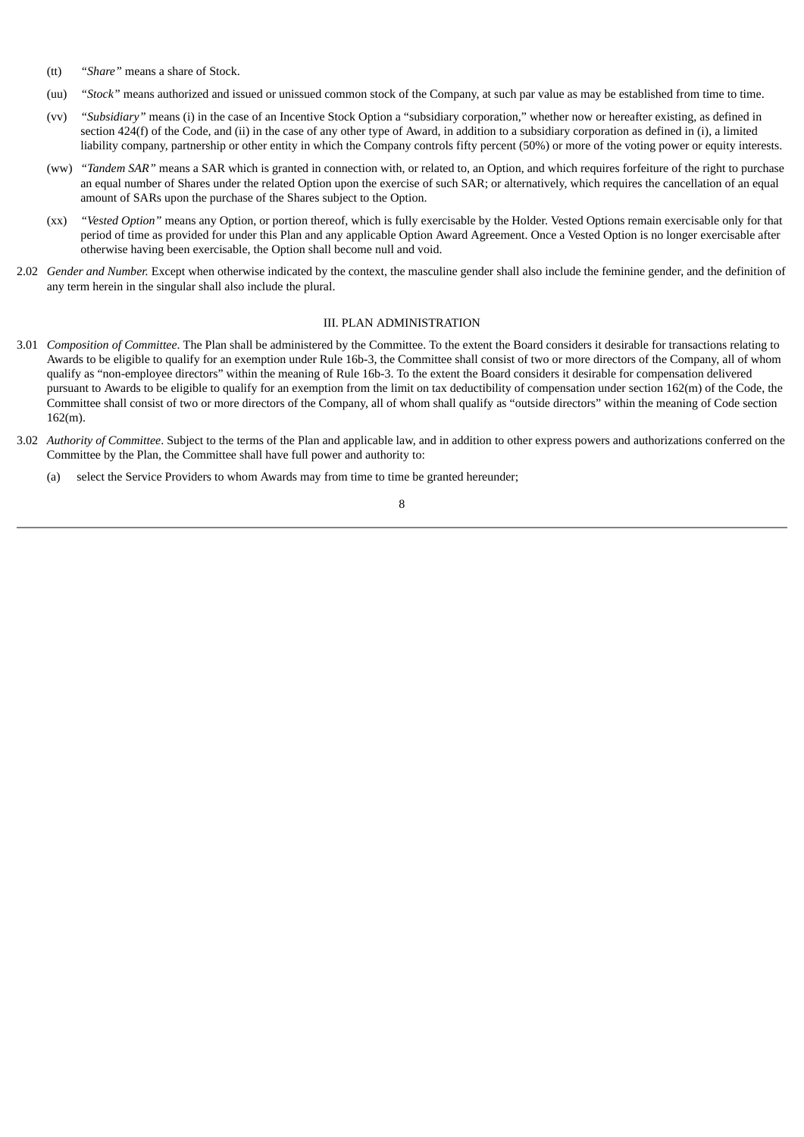- (tt) *"Share"* means a share of Stock.
- (uu) *"Stock"* means authorized and issued or unissued common stock of the Company, at such par value as may be established from time to time.
- (vv) *"Subsidiary"* means (i) in the case of an Incentive Stock Option a "subsidiary corporation," whether now or hereafter existing, as defined in section 424(f) of the Code, and (ii) in the case of any other type of Award, in addition to a subsidiary corporation as defined in (i), a limited liability company, partnership or other entity in which the Company controls fifty percent (50%) or more of the voting power or equity interests.
- (ww) *"Tandem SAR"* means a SAR which is granted in connection with, or related to, an Option, and which requires forfeiture of the right to purchase an equal number of Shares under the related Option upon the exercise of such SAR; or alternatively, which requires the cancellation of an equal amount of SARs upon the purchase of the Shares subject to the Option.
- (xx) *"Vested Option"* means any Option, or portion thereof, which is fully exercisable by the Holder. Vested Options remain exercisable only for that period of time as provided for under this Plan and any applicable Option Award Agreement. Once a Vested Option is no longer exercisable after otherwise having been exercisable, the Option shall become null and void.
- 2.02 *Gender and Number.* Except when otherwise indicated by the context, the masculine gender shall also include the feminine gender, and the definition of any term herein in the singular shall also include the plural.

## III. PLAN ADMINISTRATION

- 3.01 *Composition of Committee*. The Plan shall be administered by the Committee. To the extent the Board considers it desirable for transactions relating to Awards to be eligible to qualify for an exemption under Rule 16b-3, the Committee shall consist of two or more directors of the Company, all of whom qualify as "non-employee directors" within the meaning of Rule 16b-3. To the extent the Board considers it desirable for compensation delivered pursuant to Awards to be eligible to qualify for an exemption from the limit on tax deductibility of compensation under section 162(m) of the Code, the Committee shall consist of two or more directors of the Company, all of whom shall qualify as "outside directors" within the meaning of Code section 162(m).
- 3.02 *Authority of Committee*. Subject to the terms of the Plan and applicable law, and in addition to other express powers and authorizations conferred on the Committee by the Plan, the Committee shall have full power and authority to:
	- (a) select the Service Providers to whom Awards may from time to time be granted hereunder;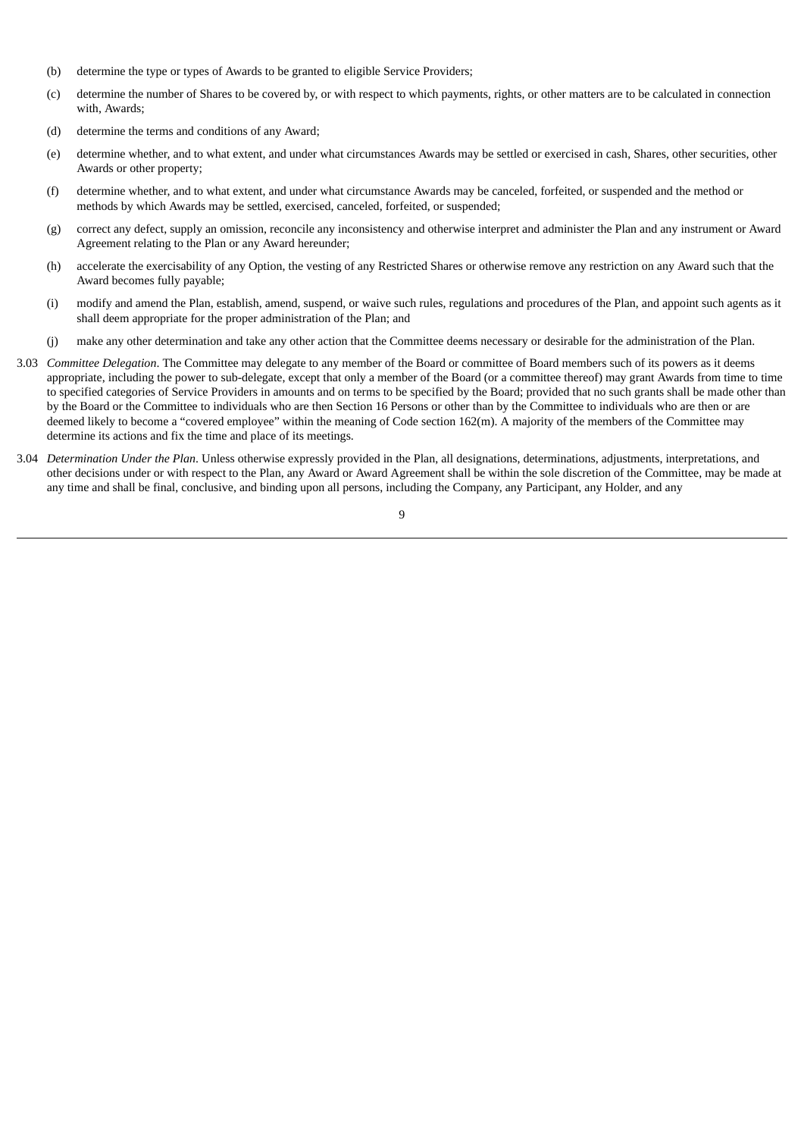- (b) determine the type or types of Awards to be granted to eligible Service Providers;
- (c) determine the number of Shares to be covered by, or with respect to which payments, rights, or other matters are to be calculated in connection with, Awards;
- (d) determine the terms and conditions of any Award;
- (e) determine whether, and to what extent, and under what circumstances Awards may be settled or exercised in cash, Shares, other securities, other Awards or other property;
- (f) determine whether, and to what extent, and under what circumstance Awards may be canceled, forfeited, or suspended and the method or methods by which Awards may be settled, exercised, canceled, forfeited, or suspended;
- (g) correct any defect, supply an omission, reconcile any inconsistency and otherwise interpret and administer the Plan and any instrument or Award Agreement relating to the Plan or any Award hereunder;
- (h) accelerate the exercisability of any Option, the vesting of any Restricted Shares or otherwise remove any restriction on any Award such that the Award becomes fully payable;
- (i) modify and amend the Plan, establish, amend, suspend, or waive such rules, regulations and procedures of the Plan, and appoint such agents as it shall deem appropriate for the proper administration of the Plan; and
- (j) make any other determination and take any other action that the Committee deems necessary or desirable for the administration of the Plan.
- 3.03 *Committee Delegation*. The Committee may delegate to any member of the Board or committee of Board members such of its powers as it deems appropriate, including the power to sub-delegate, except that only a member of the Board (or a committee thereof) may grant Awards from time to time to specified categories of Service Providers in amounts and on terms to be specified by the Board; provided that no such grants shall be made other than by the Board or the Committee to individuals who are then Section 16 Persons or other than by the Committee to individuals who are then or are deemed likely to become a "covered employee" within the meaning of Code section 162(m). A majority of the members of the Committee may determine its actions and fix the time and place of its meetings.
- 3.04 *Determination Under the Plan*. Unless otherwise expressly provided in the Plan, all designations, determinations, adjustments, interpretations, and other decisions under or with respect to the Plan, any Award or Award Agreement shall be within the sole discretion of the Committee, may be made at any time and shall be final, conclusive, and binding upon all persons, including the Company, any Participant, any Holder, and any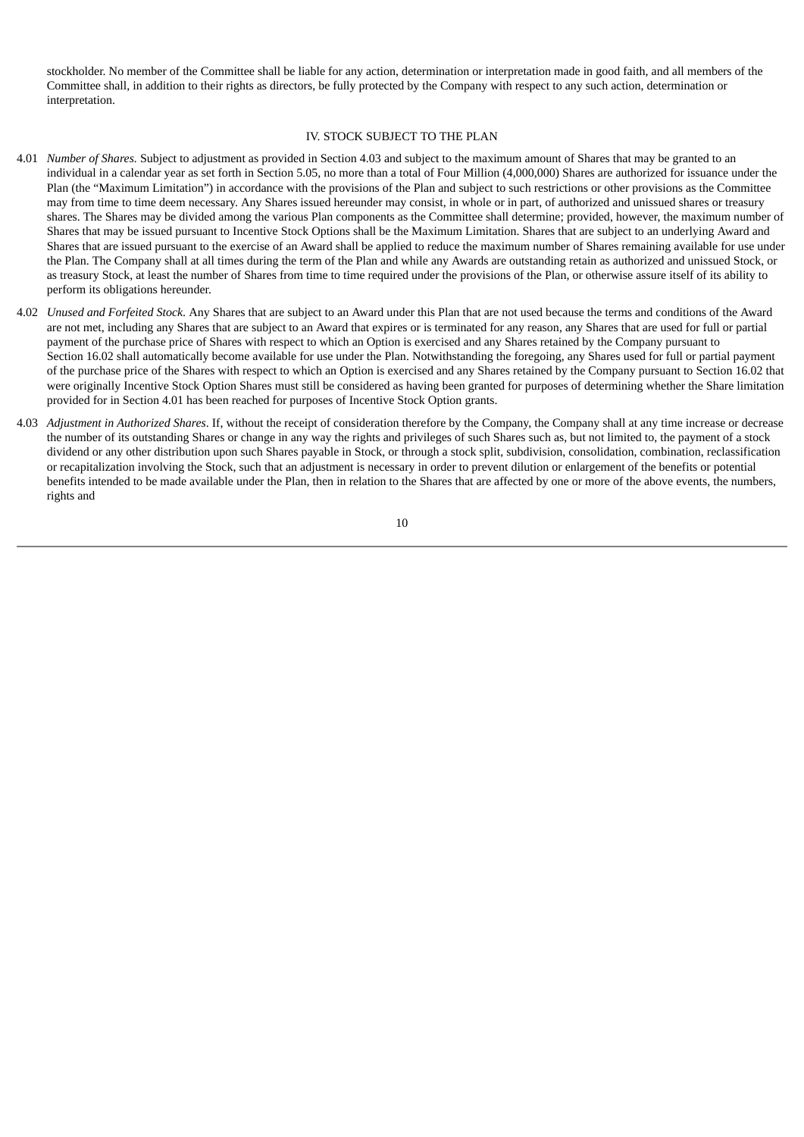stockholder. No member of the Committee shall be liable for any action, determination or interpretation made in good faith, and all members of the Committee shall, in addition to their rights as directors, be fully protected by the Company with respect to any such action, determination or interpretation.

### IV. STOCK SUBJECT TO THE PLAN

- 4.01 *Number of Shares.* Subject to adjustment as provided in Section 4.03 and subject to the maximum amount of Shares that may be granted to an individual in a calendar year as set forth in Section 5.05, no more than a total of Four Million (4,000,000) Shares are authorized for issuance under the Plan (the "Maximum Limitation") in accordance with the provisions of the Plan and subject to such restrictions or other provisions as the Committee may from time to time deem necessary. Any Shares issued hereunder may consist, in whole or in part, of authorized and unissued shares or treasury shares. The Shares may be divided among the various Plan components as the Committee shall determine; provided, however, the maximum number of Shares that may be issued pursuant to Incentive Stock Options shall be the Maximum Limitation. Shares that are subject to an underlying Award and Shares that are issued pursuant to the exercise of an Award shall be applied to reduce the maximum number of Shares remaining available for use under the Plan. The Company shall at all times during the term of the Plan and while any Awards are outstanding retain as authorized and unissued Stock, or as treasury Stock, at least the number of Shares from time to time required under the provisions of the Plan, or otherwise assure itself of its ability to perform its obligations hereunder.
- 4.02 *Unused and Forfeited Stock*. Any Shares that are subject to an Award under this Plan that are not used because the terms and conditions of the Award are not met, including any Shares that are subject to an Award that expires or is terminated for any reason, any Shares that are used for full or partial payment of the purchase price of Shares with respect to which an Option is exercised and any Shares retained by the Company pursuant to Section 16.02 shall automatically become available for use under the Plan. Notwithstanding the foregoing, any Shares used for full or partial payment of the purchase price of the Shares with respect to which an Option is exercised and any Shares retained by the Company pursuant to Section 16.02 that were originally Incentive Stock Option Shares must still be considered as having been granted for purposes of determining whether the Share limitation provided for in Section 4.01 has been reached for purposes of Incentive Stock Option grants.
- 4.03 *Adjustment in Authorized Shares*. If, without the receipt of consideration therefore by the Company, the Company shall at any time increase or decrease the number of its outstanding Shares or change in any way the rights and privileges of such Shares such as, but not limited to, the payment of a stock dividend or any other distribution upon such Shares payable in Stock, or through a stock split, subdivision, consolidation, combination, reclassification or recapitalization involving the Stock, such that an adjustment is necessary in order to prevent dilution or enlargement of the benefits or potential benefits intended to be made available under the Plan, then in relation to the Shares that are affected by one or more of the above events, the numbers, rights and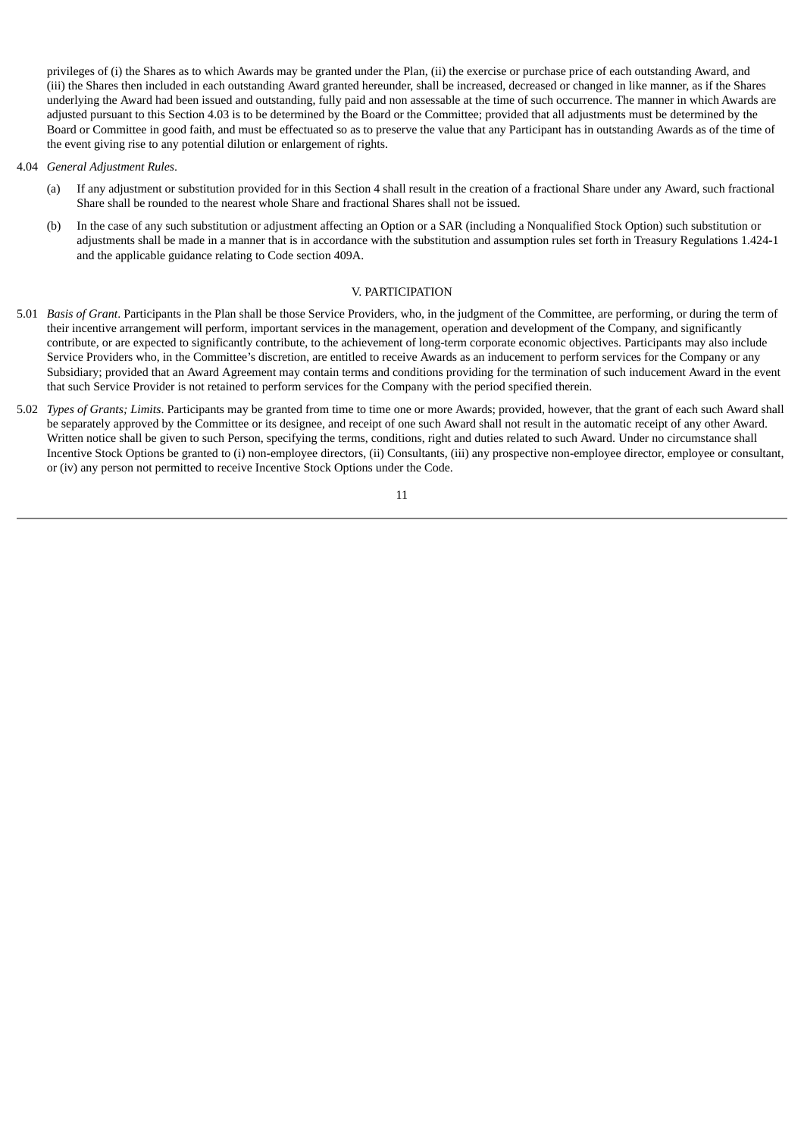privileges of (i) the Shares as to which Awards may be granted under the Plan, (ii) the exercise or purchase price of each outstanding Award, and (iii) the Shares then included in each outstanding Award granted hereunder, shall be increased, decreased or changed in like manner, as if the Shares underlying the Award had been issued and outstanding, fully paid and non assessable at the time of such occurrence. The manner in which Awards are adjusted pursuant to this Section 4.03 is to be determined by the Board or the Committee; provided that all adjustments must be determined by the Board or Committee in good faith, and must be effectuated so as to preserve the value that any Participant has in outstanding Awards as of the time of the event giving rise to any potential dilution or enlargement of rights.

- 4.04 *General Adjustment Rules*.
	- (a) If any adjustment or substitution provided for in this Section 4 shall result in the creation of a fractional Share under any Award, such fractional Share shall be rounded to the nearest whole Share and fractional Shares shall not be issued.
	- (b) In the case of any such substitution or adjustment affecting an Option or a SAR (including a Nonqualified Stock Option) such substitution or adjustments shall be made in a manner that is in accordance with the substitution and assumption rules set forth in Treasury Regulations 1.424-1 and the applicable guidance relating to Code section 409A.

## V. PARTICIPATION

- 5.01 *Basis of Grant*. Participants in the Plan shall be those Service Providers, who, in the judgment of the Committee, are performing, or during the term of their incentive arrangement will perform, important services in the management, operation and development of the Company, and significantly contribute, or are expected to significantly contribute, to the achievement of long-term corporate economic objectives. Participants may also include Service Providers who, in the Committee's discretion, are entitled to receive Awards as an inducement to perform services for the Company or any Subsidiary; provided that an Award Agreement may contain terms and conditions providing for the termination of such inducement Award in the event that such Service Provider is not retained to perform services for the Company with the period specified therein.
- 5.02 *Types of Grants; Limits*. Participants may be granted from time to time one or more Awards; provided, however, that the grant of each such Award shall be separately approved by the Committee or its designee, and receipt of one such Award shall not result in the automatic receipt of any other Award. Written notice shall be given to such Person, specifying the terms, conditions, right and duties related to such Award. Under no circumstance shall Incentive Stock Options be granted to (i) non-employee directors, (ii) Consultants, (iii) any prospective non-employee director, employee or consultant, or (iv) any person not permitted to receive Incentive Stock Options under the Code.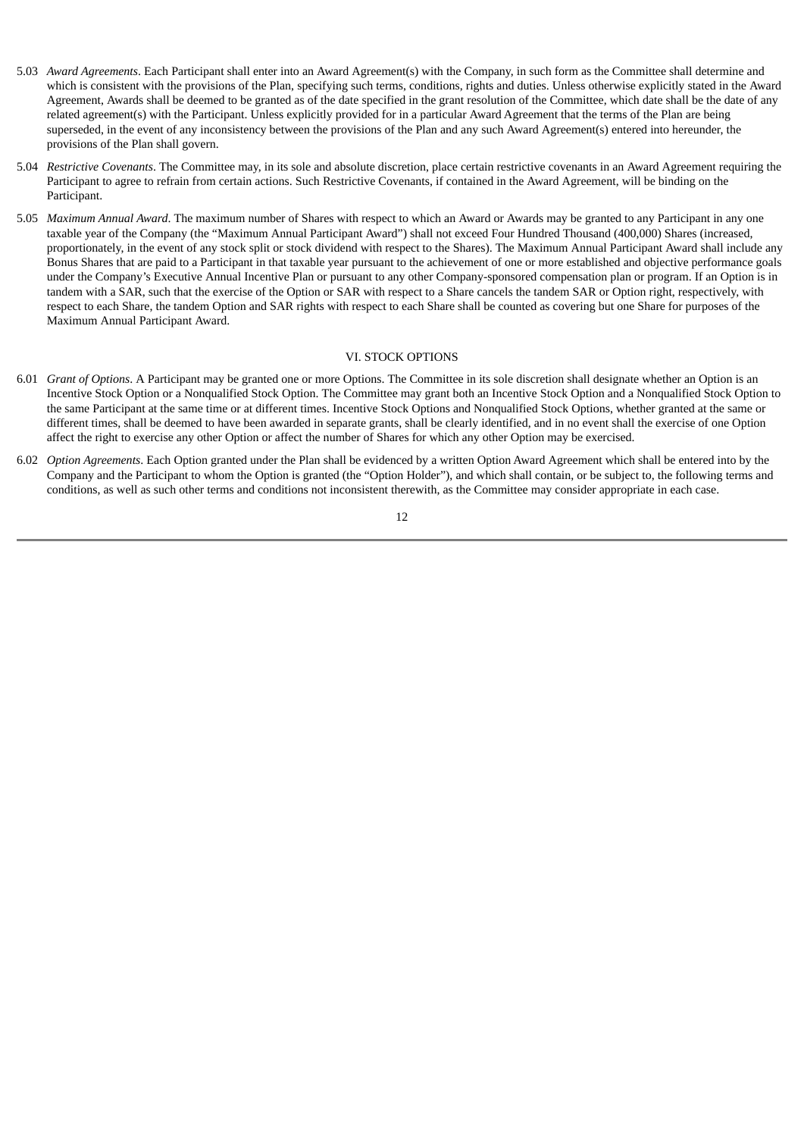- 5.03 *Award Agreements*. Each Participant shall enter into an Award Agreement(s) with the Company, in such form as the Committee shall determine and which is consistent with the provisions of the Plan, specifying such terms, conditions, rights and duties. Unless otherwise explicitly stated in the Award Agreement, Awards shall be deemed to be granted as of the date specified in the grant resolution of the Committee, which date shall be the date of any related agreement(s) with the Participant. Unless explicitly provided for in a particular Award Agreement that the terms of the Plan are being superseded, in the event of any inconsistency between the provisions of the Plan and any such Award Agreement(s) entered into hereunder, the provisions of the Plan shall govern.
- 5.04 *Restrictive Covenants*. The Committee may, in its sole and absolute discretion, place certain restrictive covenants in an Award Agreement requiring the Participant to agree to refrain from certain actions. Such Restrictive Covenants, if contained in the Award Agreement, will be binding on the Participant.
- 5.05 *Maximum Annual Award*. The maximum number of Shares with respect to which an Award or Awards may be granted to any Participant in any one taxable year of the Company (the "Maximum Annual Participant Award") shall not exceed Four Hundred Thousand (400,000) Shares (increased, proportionately, in the event of any stock split or stock dividend with respect to the Shares). The Maximum Annual Participant Award shall include any Bonus Shares that are paid to a Participant in that taxable year pursuant to the achievement of one or more established and objective performance goals under the Company's Executive Annual Incentive Plan or pursuant to any other Company-sponsored compensation plan or program. If an Option is in tandem with a SAR, such that the exercise of the Option or SAR with respect to a Share cancels the tandem SAR or Option right, respectively, with respect to each Share, the tandem Option and SAR rights with respect to each Share shall be counted as covering but one Share for purposes of the Maximum Annual Participant Award.

### VI. STOCK OPTIONS

- 6.01 *Grant of Options*. A Participant may be granted one or more Options. The Committee in its sole discretion shall designate whether an Option is an Incentive Stock Option or a Nonqualified Stock Option. The Committee may grant both an Incentive Stock Option and a Nonqualified Stock Option to the same Participant at the same time or at different times. Incentive Stock Options and Nonqualified Stock Options, whether granted at the same or different times, shall be deemed to have been awarded in separate grants, shall be clearly identified, and in no event shall the exercise of one Option affect the right to exercise any other Option or affect the number of Shares for which any other Option may be exercised.
- 6.02 *Option Agreements*. Each Option granted under the Plan shall be evidenced by a written Option Award Agreement which shall be entered into by the Company and the Participant to whom the Option is granted (the "Option Holder"), and which shall contain, or be subject to, the following terms and conditions, as well as such other terms and conditions not inconsistent therewith, as the Committee may consider appropriate in each case.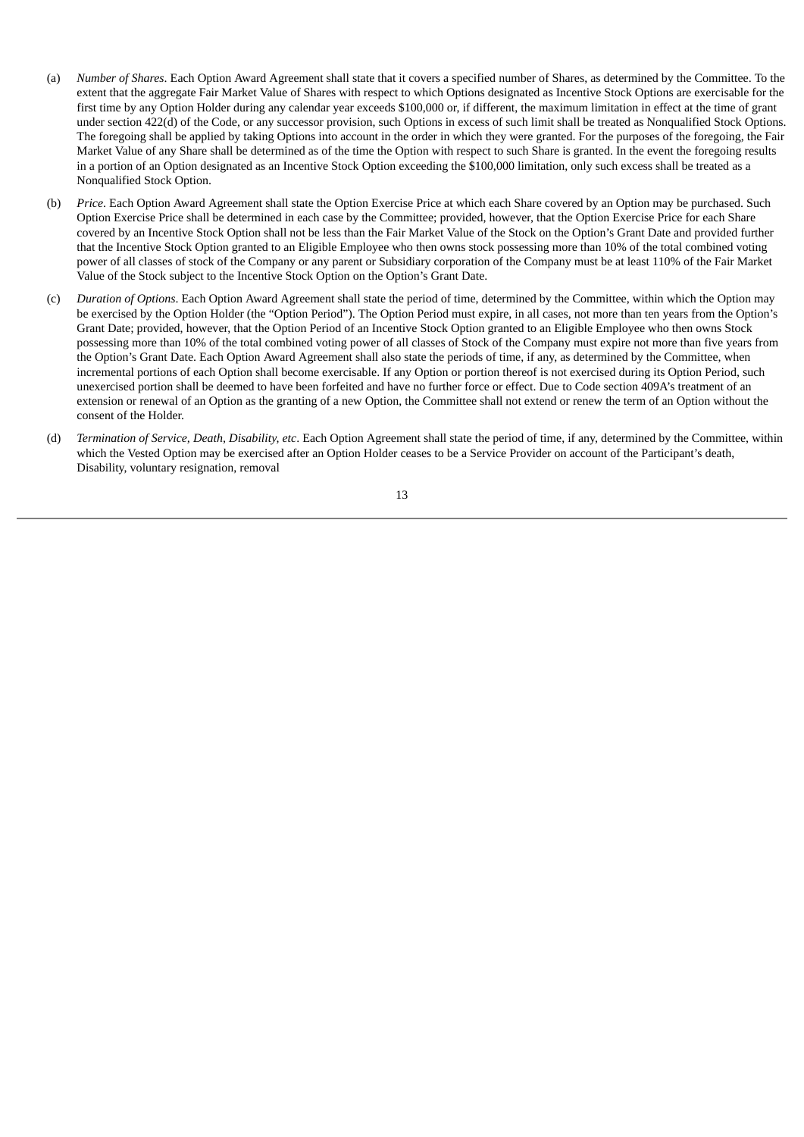- (a) *Number of Shares*. Each Option Award Agreement shall state that it covers a specified number of Shares, as determined by the Committee. To the extent that the aggregate Fair Market Value of Shares with respect to which Options designated as Incentive Stock Options are exercisable for the first time by any Option Holder during any calendar year exceeds \$100,000 or, if different, the maximum limitation in effect at the time of grant under section 422(d) of the Code, or any successor provision, such Options in excess of such limit shall be treated as Nonqualified Stock Options. The foregoing shall be applied by taking Options into account in the order in which they were granted. For the purposes of the foregoing, the Fair Market Value of any Share shall be determined as of the time the Option with respect to such Share is granted. In the event the foregoing results in a portion of an Option designated as an Incentive Stock Option exceeding the \$100,000 limitation, only such excess shall be treated as a Nonqualified Stock Option.
- (b) *Price*. Each Option Award Agreement shall state the Option Exercise Price at which each Share covered by an Option may be purchased. Such Option Exercise Price shall be determined in each case by the Committee; provided, however, that the Option Exercise Price for each Share covered by an Incentive Stock Option shall not be less than the Fair Market Value of the Stock on the Option's Grant Date and provided further that the Incentive Stock Option granted to an Eligible Employee who then owns stock possessing more than 10% of the total combined voting power of all classes of stock of the Company or any parent or Subsidiary corporation of the Company must be at least 110% of the Fair Market Value of the Stock subject to the Incentive Stock Option on the Option's Grant Date.
- (c) *Duration of Options*. Each Option Award Agreement shall state the period of time, determined by the Committee, within which the Option may be exercised by the Option Holder (the "Option Period"). The Option Period must expire, in all cases, not more than ten years from the Option's Grant Date; provided, however, that the Option Period of an Incentive Stock Option granted to an Eligible Employee who then owns Stock possessing more than 10% of the total combined voting power of all classes of Stock of the Company must expire not more than five years from the Option's Grant Date. Each Option Award Agreement shall also state the periods of time, if any, as determined by the Committee, when incremental portions of each Option shall become exercisable. If any Option or portion thereof is not exercised during its Option Period, such unexercised portion shall be deemed to have been forfeited and have no further force or effect. Due to Code section 409A's treatment of an extension or renewal of an Option as the granting of a new Option, the Committee shall not extend or renew the term of an Option without the consent of the Holder.
- (d) *Termination of Service, Death, Disability, etc*. Each Option Agreement shall state the period of time, if any, determined by the Committee, within which the Vested Option may be exercised after an Option Holder ceases to be a Service Provider on account of the Participant's death, Disability, voluntary resignation, removal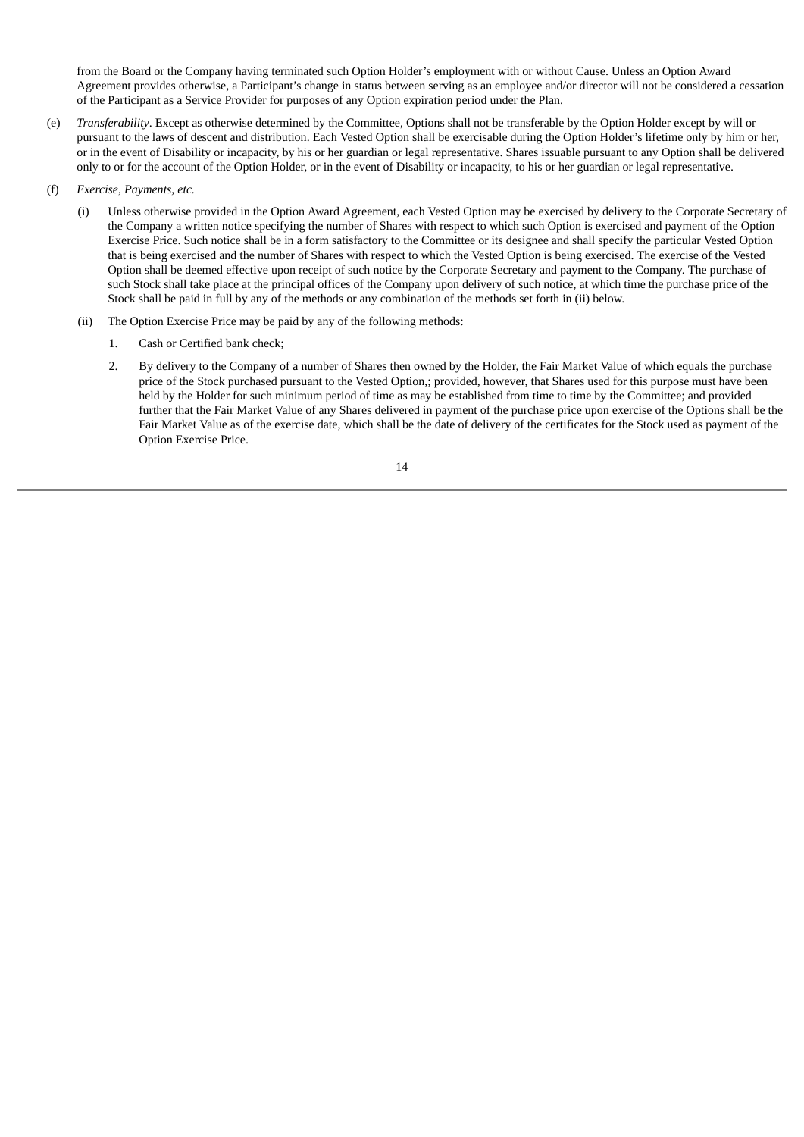from the Board or the Company having terminated such Option Holder's employment with or without Cause. Unless an Option Award Agreement provides otherwise, a Participant's change in status between serving as an employee and/or director will not be considered a cessation of the Participant as a Service Provider for purposes of any Option expiration period under the Plan.

- (e) *Transferability*. Except as otherwise determined by the Committee, Options shall not be transferable by the Option Holder except by will or pursuant to the laws of descent and distribution. Each Vested Option shall be exercisable during the Option Holder's lifetime only by him or her, or in the event of Disability or incapacity, by his or her guardian or legal representative. Shares issuable pursuant to any Option shall be delivered only to or for the account of the Option Holder, or in the event of Disability or incapacity, to his or her guardian or legal representative.
- (f) *Exercise, Payments, etc.*
	- (i) Unless otherwise provided in the Option Award Agreement, each Vested Option may be exercised by delivery to the Corporate Secretary of the Company a written notice specifying the number of Shares with respect to which such Option is exercised and payment of the Option Exercise Price. Such notice shall be in a form satisfactory to the Committee or its designee and shall specify the particular Vested Option that is being exercised and the number of Shares with respect to which the Vested Option is being exercised. The exercise of the Vested Option shall be deemed effective upon receipt of such notice by the Corporate Secretary and payment to the Company. The purchase of such Stock shall take place at the principal offices of the Company upon delivery of such notice, at which time the purchase price of the Stock shall be paid in full by any of the methods or any combination of the methods set forth in (ii) below.
	- (ii) The Option Exercise Price may be paid by any of the following methods:
		- 1. Cash or Certified bank check;
		- 2. By delivery to the Company of a number of Shares then owned by the Holder, the Fair Market Value of which equals the purchase price of the Stock purchased pursuant to the Vested Option,; provided, however, that Shares used for this purpose must have been held by the Holder for such minimum period of time as may be established from time to time by the Committee; and provided further that the Fair Market Value of any Shares delivered in payment of the purchase price upon exercise of the Options shall be the Fair Market Value as of the exercise date, which shall be the date of delivery of the certificates for the Stock used as payment of the Option Exercise Price.
			- 14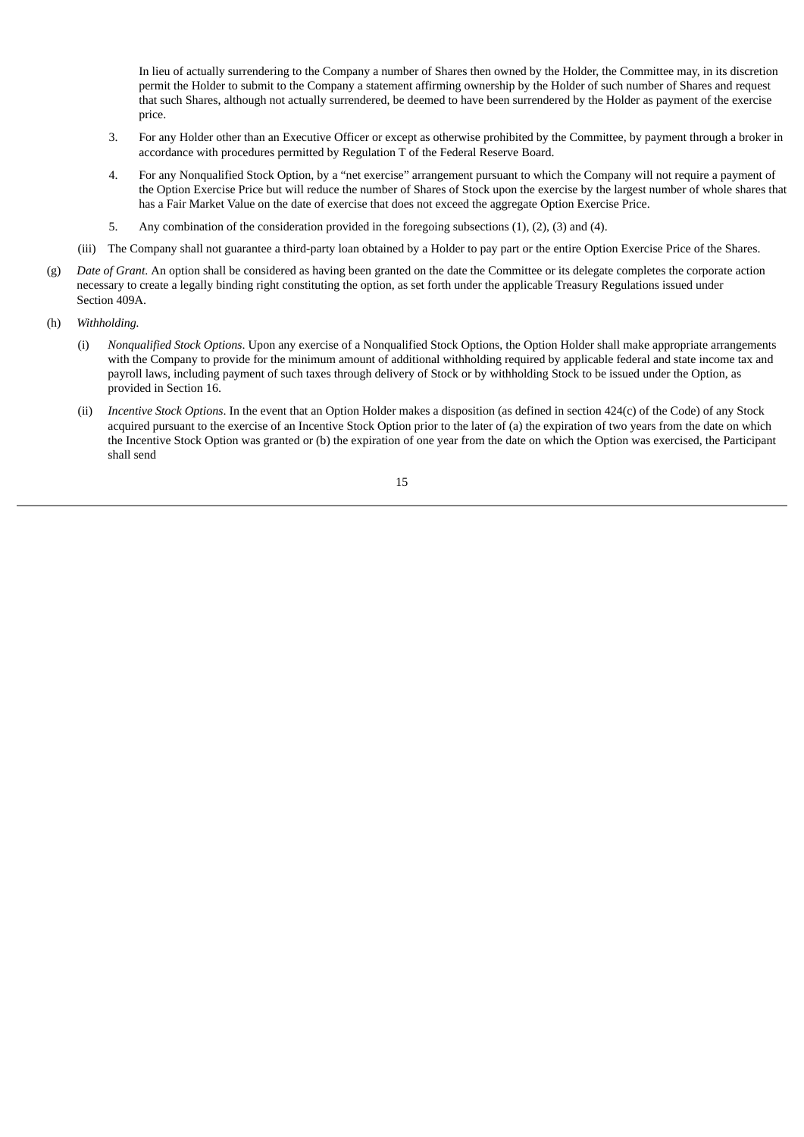In lieu of actually surrendering to the Company a number of Shares then owned by the Holder, the Committee may, in its discretion permit the Holder to submit to the Company a statement affirming ownership by the Holder of such number of Shares and request that such Shares, although not actually surrendered, be deemed to have been surrendered by the Holder as payment of the exercise price.

- 3. For any Holder other than an Executive Officer or except as otherwise prohibited by the Committee, by payment through a broker in accordance with procedures permitted by Regulation T of the Federal Reserve Board.
- 4. For any Nonqualified Stock Option, by a "net exercise" arrangement pursuant to which the Company will not require a payment of the Option Exercise Price but will reduce the number of Shares of Stock upon the exercise by the largest number of whole shares that has a Fair Market Value on the date of exercise that does not exceed the aggregate Option Exercise Price.
- 5. Any combination of the consideration provided in the foregoing subsections (1), (2), (3) and (4).
- (iii) The Company shall not guarantee a third-party loan obtained by a Holder to pay part or the entire Option Exercise Price of the Shares.
- (g) *Date of Grant*. An option shall be considered as having been granted on the date the Committee or its delegate completes the corporate action necessary to create a legally binding right constituting the option, as set forth under the applicable Treasury Regulations issued under Section 409A.
- (h) *Withholding.*
	- (i) *Nonqualified Stock Options*. Upon any exercise of a Nonqualified Stock Options, the Option Holder shall make appropriate arrangements with the Company to provide for the minimum amount of additional withholding required by applicable federal and state income tax and payroll laws, including payment of such taxes through delivery of Stock or by withholding Stock to be issued under the Option, as provided in Section 16.
	- (ii) *Incentive Stock Options*. In the event that an Option Holder makes a disposition (as defined in section 424(c) of the Code) of any Stock acquired pursuant to the exercise of an Incentive Stock Option prior to the later of (a) the expiration of two years from the date on which the Incentive Stock Option was granted or (b) the expiration of one year from the date on which the Option was exercised, the Participant shall send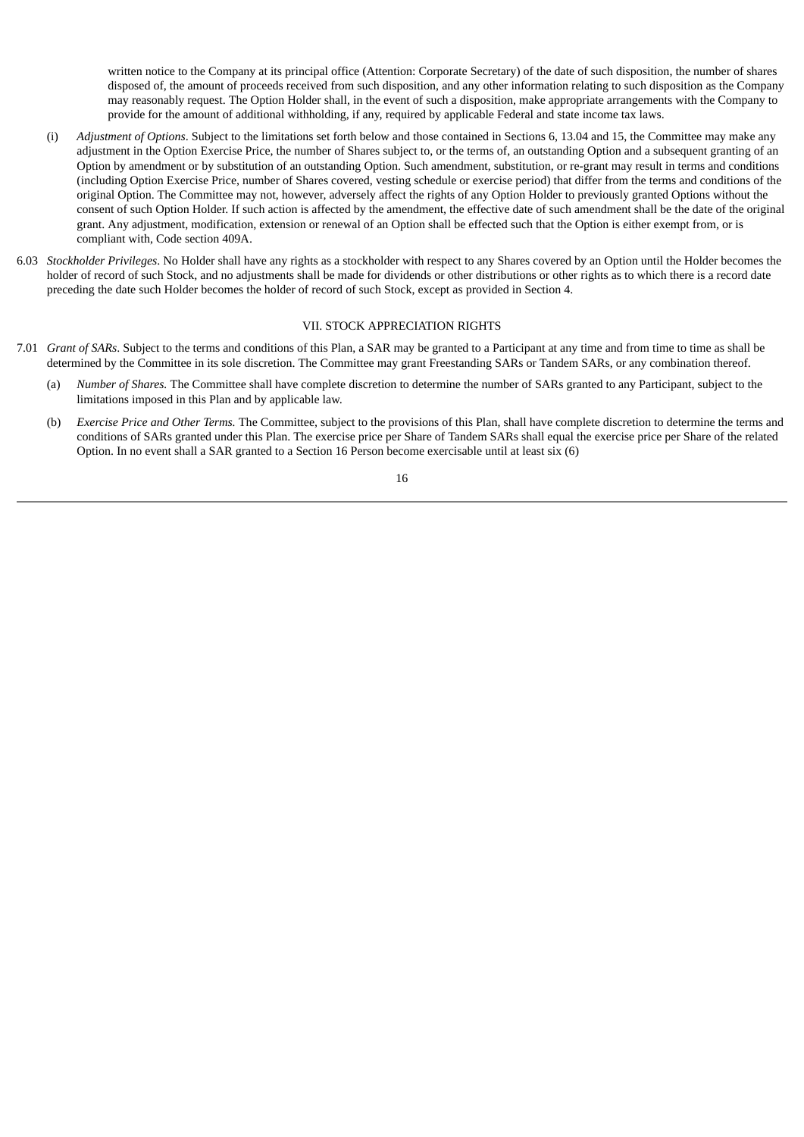written notice to the Company at its principal office (Attention: Corporate Secretary) of the date of such disposition, the number of shares disposed of, the amount of proceeds received from such disposition, and any other information relating to such disposition as the Company may reasonably request. The Option Holder shall, in the event of such a disposition, make appropriate arrangements with the Company to provide for the amount of additional withholding, if any, required by applicable Federal and state income tax laws.

- (i) *Adjustment of Options*. Subject to the limitations set forth below and those contained in Sections 6, 13.04 and 15, the Committee may make any adjustment in the Option Exercise Price, the number of Shares subject to, or the terms of, an outstanding Option and a subsequent granting of an Option by amendment or by substitution of an outstanding Option. Such amendment, substitution, or re-grant may result in terms and conditions (including Option Exercise Price, number of Shares covered, vesting schedule or exercise period) that differ from the terms and conditions of the original Option. The Committee may not, however, adversely affect the rights of any Option Holder to previously granted Options without the consent of such Option Holder. If such action is affected by the amendment, the effective date of such amendment shall be the date of the original grant. Any adjustment, modification, extension or renewal of an Option shall be effected such that the Option is either exempt from, or is compliant with, Code section 409A.
- 6.03 *Stockholder Privileges*. No Holder shall have any rights as a stockholder with respect to any Shares covered by an Option until the Holder becomes the holder of record of such Stock, and no adjustments shall be made for dividends or other distributions or other rights as to which there is a record date preceding the date such Holder becomes the holder of record of such Stock, except as provided in Section 4.

### VII. STOCK APPRECIATION RIGHTS

- 7.01 *Grant of SARs*. Subject to the terms and conditions of this Plan, a SAR may be granted to a Participant at any time and from time to time as shall be determined by the Committee in its sole discretion. The Committee may grant Freestanding SARs or Tandem SARs, or any combination thereof.
	- (a) *Number of Shares.* The Committee shall have complete discretion to determine the number of SARs granted to any Participant, subject to the limitations imposed in this Plan and by applicable law.
	- (b) *Exercise Price and Other Terms.* The Committee, subject to the provisions of this Plan, shall have complete discretion to determine the terms and conditions of SARs granted under this Plan. The exercise price per Share of Tandem SARs shall equal the exercise price per Share of the related Option. In no event shall a SAR granted to a Section 16 Person become exercisable until at least six (6)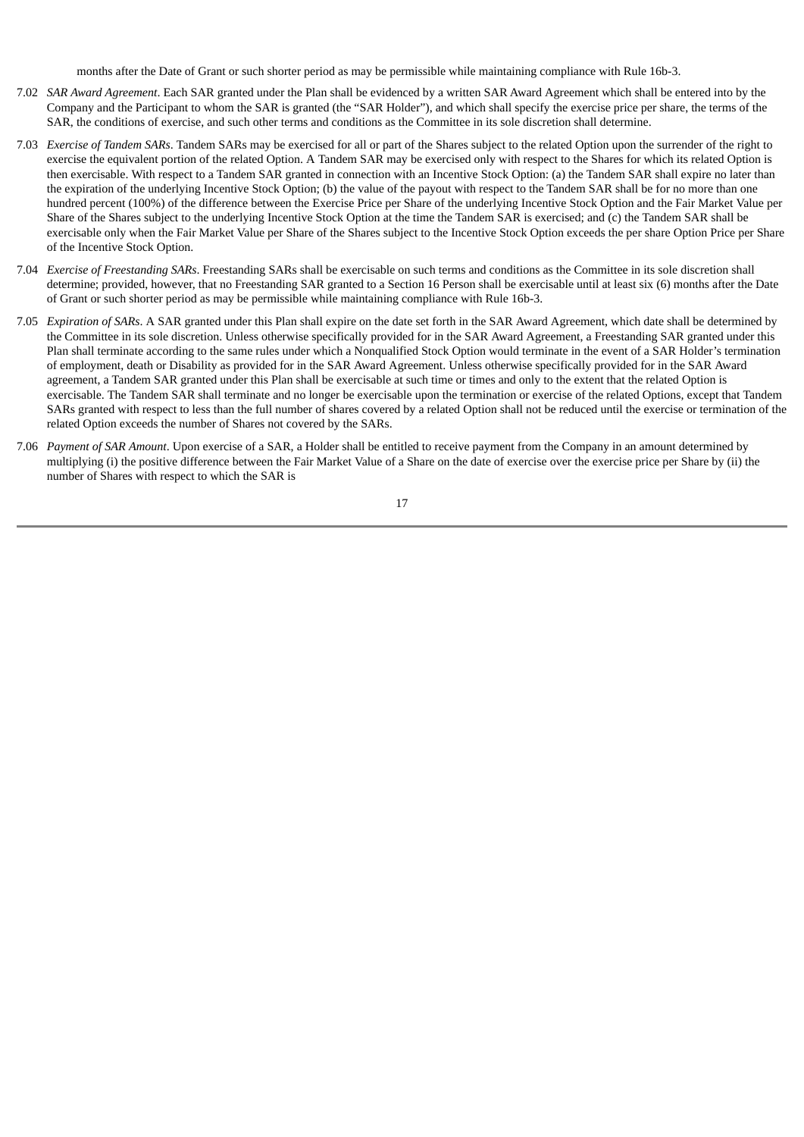months after the Date of Grant or such shorter period as may be permissible while maintaining compliance with Rule 16b-3.

- 7.02 *SAR Award Agreement*. Each SAR granted under the Plan shall be evidenced by a written SAR Award Agreement which shall be entered into by the Company and the Participant to whom the SAR is granted (the "SAR Holder"), and which shall specify the exercise price per share, the terms of the SAR, the conditions of exercise, and such other terms and conditions as the Committee in its sole discretion shall determine.
- 7.03 *Exercise of Tandem SARs*. Tandem SARs may be exercised for all or part of the Shares subject to the related Option upon the surrender of the right to exercise the equivalent portion of the related Option. A Tandem SAR may be exercised only with respect to the Shares for which its related Option is then exercisable. With respect to a Tandem SAR granted in connection with an Incentive Stock Option: (a) the Tandem SAR shall expire no later than the expiration of the underlying Incentive Stock Option; (b) the value of the payout with respect to the Tandem SAR shall be for no more than one hundred percent (100%) of the difference between the Exercise Price per Share of the underlying Incentive Stock Option and the Fair Market Value per Share of the Shares subject to the underlying Incentive Stock Option at the time the Tandem SAR is exercised; and (c) the Tandem SAR shall be exercisable only when the Fair Market Value per Share of the Shares subject to the Incentive Stock Option exceeds the per share Option Price per Share of the Incentive Stock Option.
- 7.04 *Exercise of Freestanding SARs*. Freestanding SARs shall be exercisable on such terms and conditions as the Committee in its sole discretion shall determine; provided, however, that no Freestanding SAR granted to a Section 16 Person shall be exercisable until at least six (6) months after the Date of Grant or such shorter period as may be permissible while maintaining compliance with Rule 16b-3.
- 7.05 *Expiration of SARs*. A SAR granted under this Plan shall expire on the date set forth in the SAR Award Agreement, which date shall be determined by the Committee in its sole discretion. Unless otherwise specifically provided for in the SAR Award Agreement, a Freestanding SAR granted under this Plan shall terminate according to the same rules under which a Nonqualified Stock Option would terminate in the event of a SAR Holder's termination of employment, death or Disability as provided for in the SAR Award Agreement. Unless otherwise specifically provided for in the SAR Award agreement, a Tandem SAR granted under this Plan shall be exercisable at such time or times and only to the extent that the related Option is exercisable. The Tandem SAR shall terminate and no longer be exercisable upon the termination or exercise of the related Options, except that Tandem SARs granted with respect to less than the full number of shares covered by a related Option shall not be reduced until the exercise or termination of the related Option exceeds the number of Shares not covered by the SARs.
- 7.06 *Payment of SAR Amount*. Upon exercise of a SAR, a Holder shall be entitled to receive payment from the Company in an amount determined by multiplying (i) the positive difference between the Fair Market Value of a Share on the date of exercise over the exercise price per Share by (ii) the number of Shares with respect to which the SAR is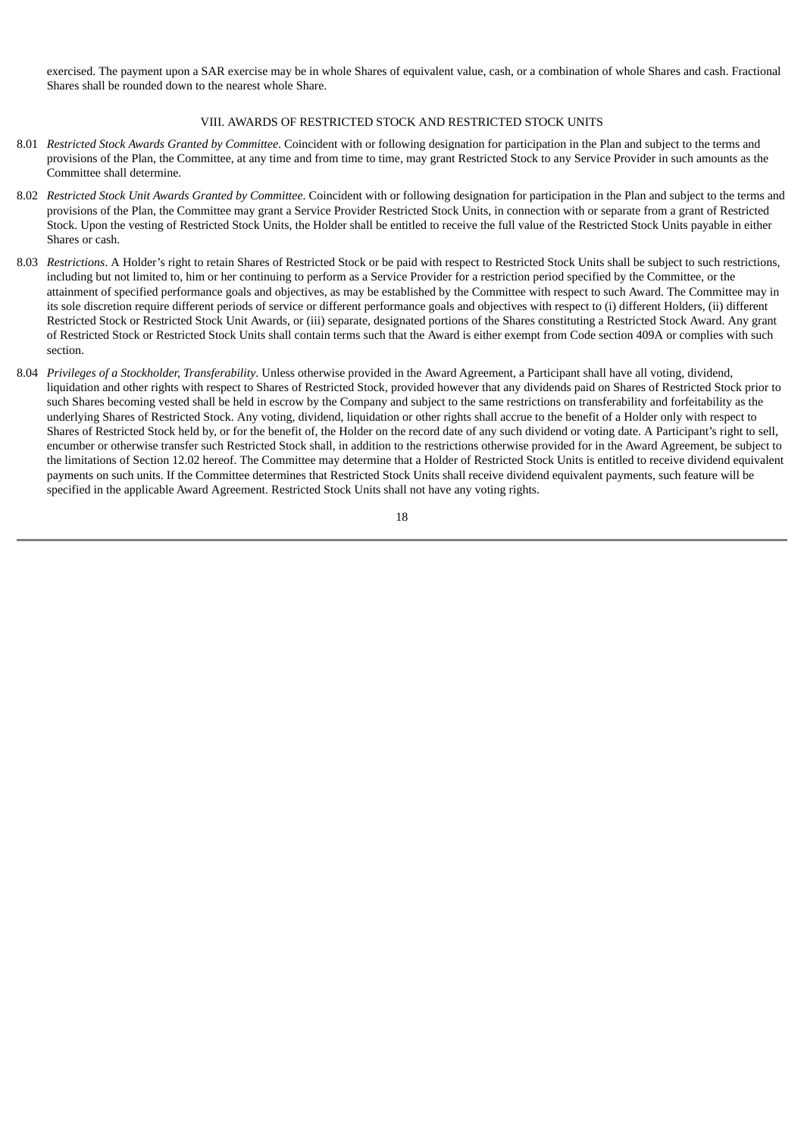exercised. The payment upon a SAR exercise may be in whole Shares of equivalent value, cash, or a combination of whole Shares and cash. Fractional Shares shall be rounded down to the nearest whole Share.

### VIII. AWARDS OF RESTRICTED STOCK AND RESTRICTED STOCK UNITS

- 8.01 *Restricted Stock Awards Granted by Committee*. Coincident with or following designation for participation in the Plan and subject to the terms and provisions of the Plan, the Committee, at any time and from time to time, may grant Restricted Stock to any Service Provider in such amounts as the Committee shall determine.
- 8.02 *Restricted Stock Unit Awards Granted by Committee*. Coincident with or following designation for participation in the Plan and subject to the terms and provisions of the Plan, the Committee may grant a Service Provider Restricted Stock Units, in connection with or separate from a grant of Restricted Stock. Upon the vesting of Restricted Stock Units, the Holder shall be entitled to receive the full value of the Restricted Stock Units payable in either Shares or cash.
- 8.03 *Restrictions*. A Holder's right to retain Shares of Restricted Stock or be paid with respect to Restricted Stock Units shall be subject to such restrictions, including but not limited to, him or her continuing to perform as a Service Provider for a restriction period specified by the Committee, or the attainment of specified performance goals and objectives, as may be established by the Committee with respect to such Award. The Committee may in its sole discretion require different periods of service or different performance goals and objectives with respect to (i) different Holders, (ii) different Restricted Stock or Restricted Stock Unit Awards, or (iii) separate, designated portions of the Shares constituting a Restricted Stock Award. Any grant of Restricted Stock or Restricted Stock Units shall contain terms such that the Award is either exempt from Code section 409A or complies with such section.
- 8.04 *Privileges of a Stockholder, Transferability*. Unless otherwise provided in the Award Agreement, a Participant shall have all voting, dividend, liquidation and other rights with respect to Shares of Restricted Stock, provided however that any dividends paid on Shares of Restricted Stock prior to such Shares becoming vested shall be held in escrow by the Company and subject to the same restrictions on transferability and forfeitability as the underlying Shares of Restricted Stock. Any voting, dividend, liquidation or other rights shall accrue to the benefit of a Holder only with respect to Shares of Restricted Stock held by, or for the benefit of, the Holder on the record date of any such dividend or voting date. A Participant's right to sell, encumber or otherwise transfer such Restricted Stock shall, in addition to the restrictions otherwise provided for in the Award Agreement, be subject to the limitations of Section 12.02 hereof. The Committee may determine that a Holder of Restricted Stock Units is entitled to receive dividend equivalent payments on such units. If the Committee determines that Restricted Stock Units shall receive dividend equivalent payments, such feature will be specified in the applicable Award Agreement. Restricted Stock Units shall not have any voting rights.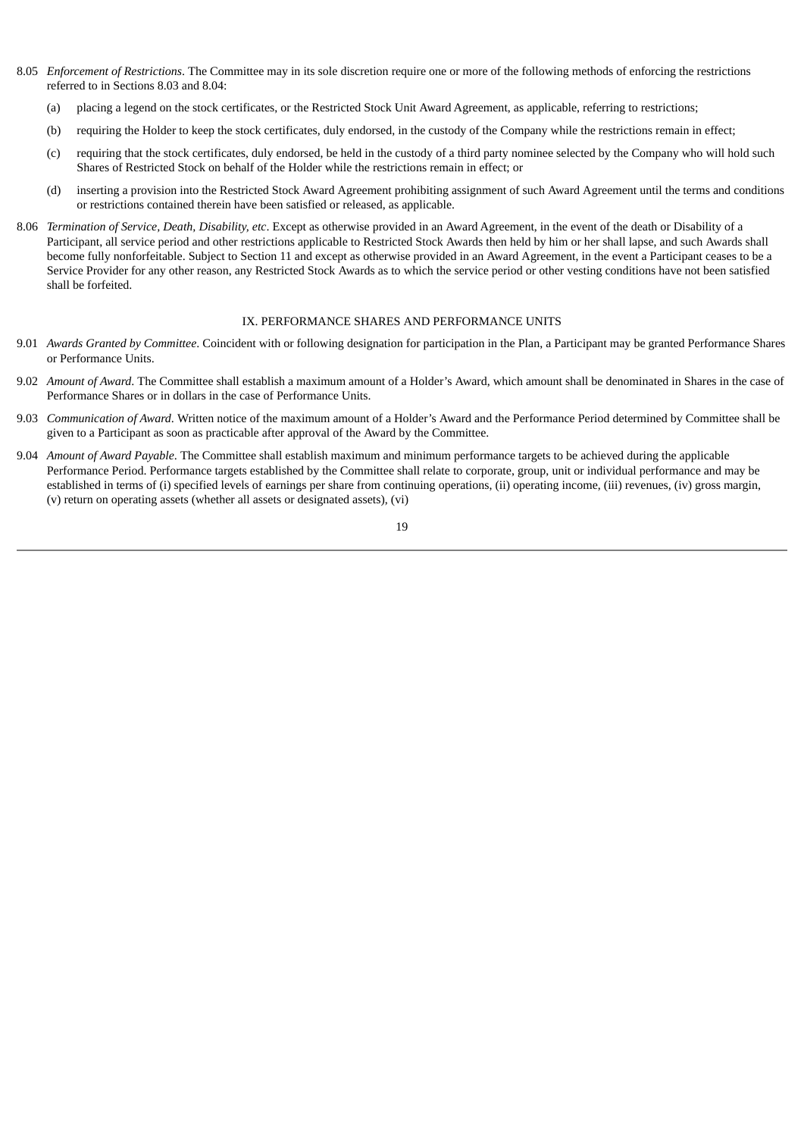- 8.05 *Enforcement of Restrictions*. The Committee may in its sole discretion require one or more of the following methods of enforcing the restrictions referred to in Sections 8.03 and 8.04:
	- (a) placing a legend on the stock certificates, or the Restricted Stock Unit Award Agreement, as applicable, referring to restrictions;
	- (b) requiring the Holder to keep the stock certificates, duly endorsed, in the custody of the Company while the restrictions remain in effect;
	- (c) requiring that the stock certificates, duly endorsed, be held in the custody of a third party nominee selected by the Company who will hold such Shares of Restricted Stock on behalf of the Holder while the restrictions remain in effect; or
	- (d) inserting a provision into the Restricted Stock Award Agreement prohibiting assignment of such Award Agreement until the terms and conditions or restrictions contained therein have been satisfied or released, as applicable.
- 8.06 *Termination of Service, Death, Disability, etc*. Except as otherwise provided in an Award Agreement, in the event of the death or Disability of a Participant, all service period and other restrictions applicable to Restricted Stock Awards then held by him or her shall lapse, and such Awards shall become fully nonforfeitable. Subject to Section 11 and except as otherwise provided in an Award Agreement, in the event a Participant ceases to be a Service Provider for any other reason, any Restricted Stock Awards as to which the service period or other vesting conditions have not been satisfied shall be forfeited.

#### IX. PERFORMANCE SHARES AND PERFORMANCE UNITS

- 9.01 *Awards Granted by Committee*. Coincident with or following designation for participation in the Plan, a Participant may be granted Performance Shares or Performance Units.
- 9.02 *Amount of Award*. The Committee shall establish a maximum amount of a Holder's Award, which amount shall be denominated in Shares in the case of Performance Shares or in dollars in the case of Performance Units.
- 9.03 *Communication of Award*. Written notice of the maximum amount of a Holder's Award and the Performance Period determined by Committee shall be given to a Participant as soon as practicable after approval of the Award by the Committee.
- 9.04 *Amount of Award Payable*. The Committee shall establish maximum and minimum performance targets to be achieved during the applicable Performance Period. Performance targets established by the Committee shall relate to corporate, group, unit or individual performance and may be established in terms of (i) specified levels of earnings per share from continuing operations, (ii) operating income, (iii) revenues, (iv) gross margin, (v) return on operating assets (whether all assets or designated assets), (vi)

19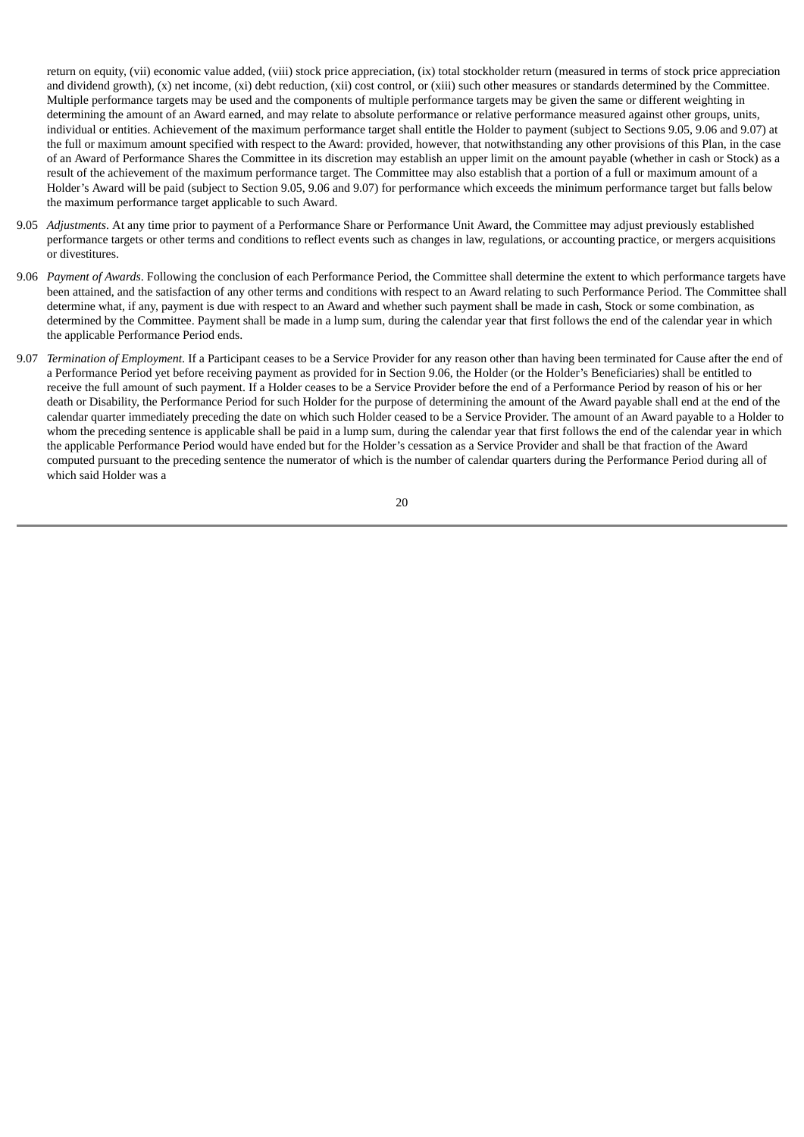return on equity, (vii) economic value added, (viii) stock price appreciation, (ix) total stockholder return (measured in terms of stock price appreciation and dividend growth), (x) net income, (xi) debt reduction, (xii) cost control, or (xiii) such other measures or standards determined by the Committee. Multiple performance targets may be used and the components of multiple performance targets may be given the same or different weighting in determining the amount of an Award earned, and may relate to absolute performance or relative performance measured against other groups, units, individual or entities. Achievement of the maximum performance target shall entitle the Holder to payment (subject to Sections 9.05, 9.06 and 9.07) at the full or maximum amount specified with respect to the Award: provided, however, that notwithstanding any other provisions of this Plan, in the case of an Award of Performance Shares the Committee in its discretion may establish an upper limit on the amount payable (whether in cash or Stock) as a result of the achievement of the maximum performance target. The Committee may also establish that a portion of a full or maximum amount of a Holder's Award will be paid (subject to Section 9.05, 9.06 and 9.07) for performance which exceeds the minimum performance target but falls below the maximum performance target applicable to such Award.

- 9.05 *Adjustments*. At any time prior to payment of a Performance Share or Performance Unit Award, the Committee may adjust previously established performance targets or other terms and conditions to reflect events such as changes in law, regulations, or accounting practice, or mergers acquisitions or divestitures.
- 9.06 *Payment of Awards*. Following the conclusion of each Performance Period, the Committee shall determine the extent to which performance targets have been attained, and the satisfaction of any other terms and conditions with respect to an Award relating to such Performance Period. The Committee shall determine what, if any, payment is due with respect to an Award and whether such payment shall be made in cash, Stock or some combination, as determined by the Committee. Payment shall be made in a lump sum, during the calendar year that first follows the end of the calendar year in which the applicable Performance Period ends.
- 9.07 *Termination of Employment*. If a Participant ceases to be a Service Provider for any reason other than having been terminated for Cause after the end of a Performance Period yet before receiving payment as provided for in Section 9.06, the Holder (or the Holder's Beneficiaries) shall be entitled to receive the full amount of such payment. If a Holder ceases to be a Service Provider before the end of a Performance Period by reason of his or her death or Disability, the Performance Period for such Holder for the purpose of determining the amount of the Award payable shall end at the end of the calendar quarter immediately preceding the date on which such Holder ceased to be a Service Provider. The amount of an Award payable to a Holder to whom the preceding sentence is applicable shall be paid in a lump sum, during the calendar year that first follows the end of the calendar year in which the applicable Performance Period would have ended but for the Holder's cessation as a Service Provider and shall be that fraction of the Award computed pursuant to the preceding sentence the numerator of which is the number of calendar quarters during the Performance Period during all of which said Holder was a

20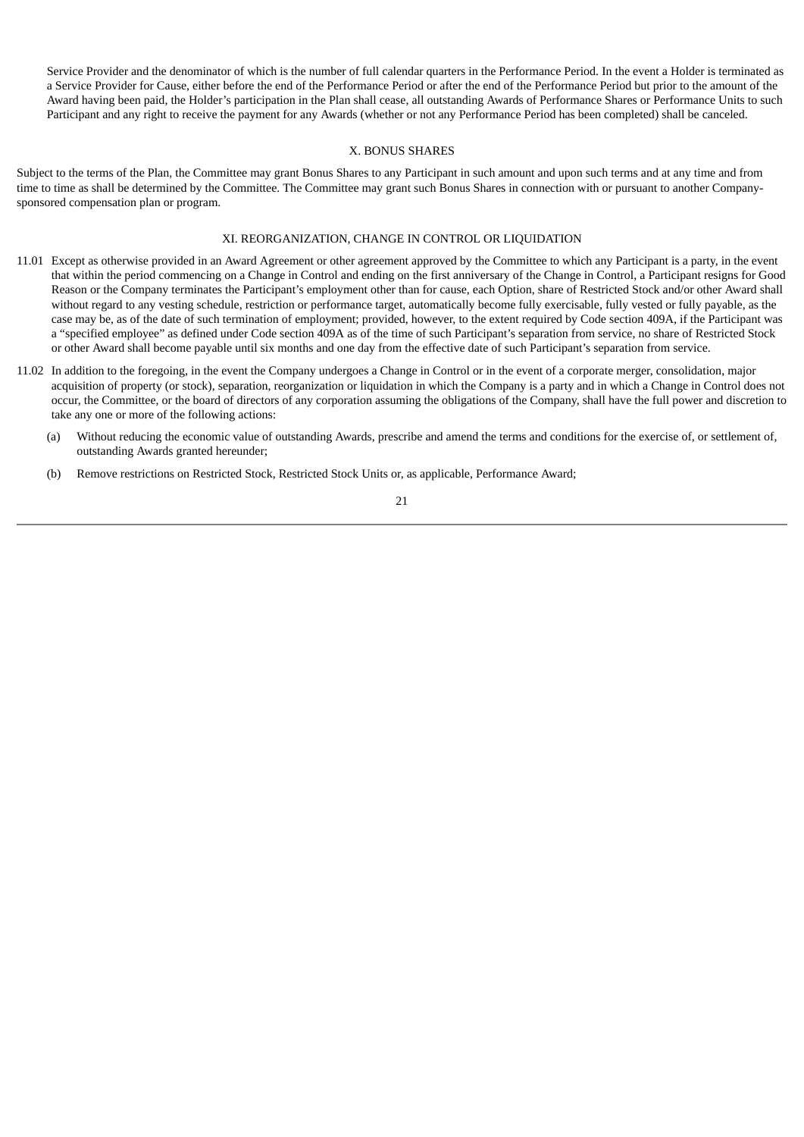Service Provider and the denominator of which is the number of full calendar quarters in the Performance Period. In the event a Holder is terminated as a Service Provider for Cause, either before the end of the Performance Period or after the end of the Performance Period but prior to the amount of the Award having been paid, the Holder's participation in the Plan shall cease, all outstanding Awards of Performance Shares or Performance Units to such Participant and any right to receive the payment for any Awards (whether or not any Performance Period has been completed) shall be canceled.

### X. BONUS SHARES

Subject to the terms of the Plan, the Committee may grant Bonus Shares to any Participant in such amount and upon such terms and at any time and from time to time as shall be determined by the Committee. The Committee may grant such Bonus Shares in connection with or pursuant to another Companysponsored compensation plan or program.

### XI. REORGANIZATION, CHANGE IN CONTROL OR LIQUIDATION

- 11.01 Except as otherwise provided in an Award Agreement or other agreement approved by the Committee to which any Participant is a party, in the event that within the period commencing on a Change in Control and ending on the first anniversary of the Change in Control, a Participant resigns for Good Reason or the Company terminates the Participant's employment other than for cause, each Option, share of Restricted Stock and/or other Award shall without regard to any vesting schedule, restriction or performance target, automatically become fully exercisable, fully vested or fully payable, as the case may be, as of the date of such termination of employment; provided, however, to the extent required by Code section 409A, if the Participant was a "specified employee" as defined under Code section 409A as of the time of such Participant's separation from service, no share of Restricted Stock or other Award shall become payable until six months and one day from the effective date of such Participant's separation from service.
- 11.02 In addition to the foregoing, in the event the Company undergoes a Change in Control or in the event of a corporate merger, consolidation, major acquisition of property (or stock), separation, reorganization or liquidation in which the Company is a party and in which a Change in Control does not occur, the Committee, or the board of directors of any corporation assuming the obligations of the Company, shall have the full power and discretion to take any one or more of the following actions:
	- (a) Without reducing the economic value of outstanding Awards, prescribe and amend the terms and conditions for the exercise of, or settlement of, outstanding Awards granted hereunder;
	- (b) Remove restrictions on Restricted Stock, Restricted Stock Units or, as applicable, Performance Award;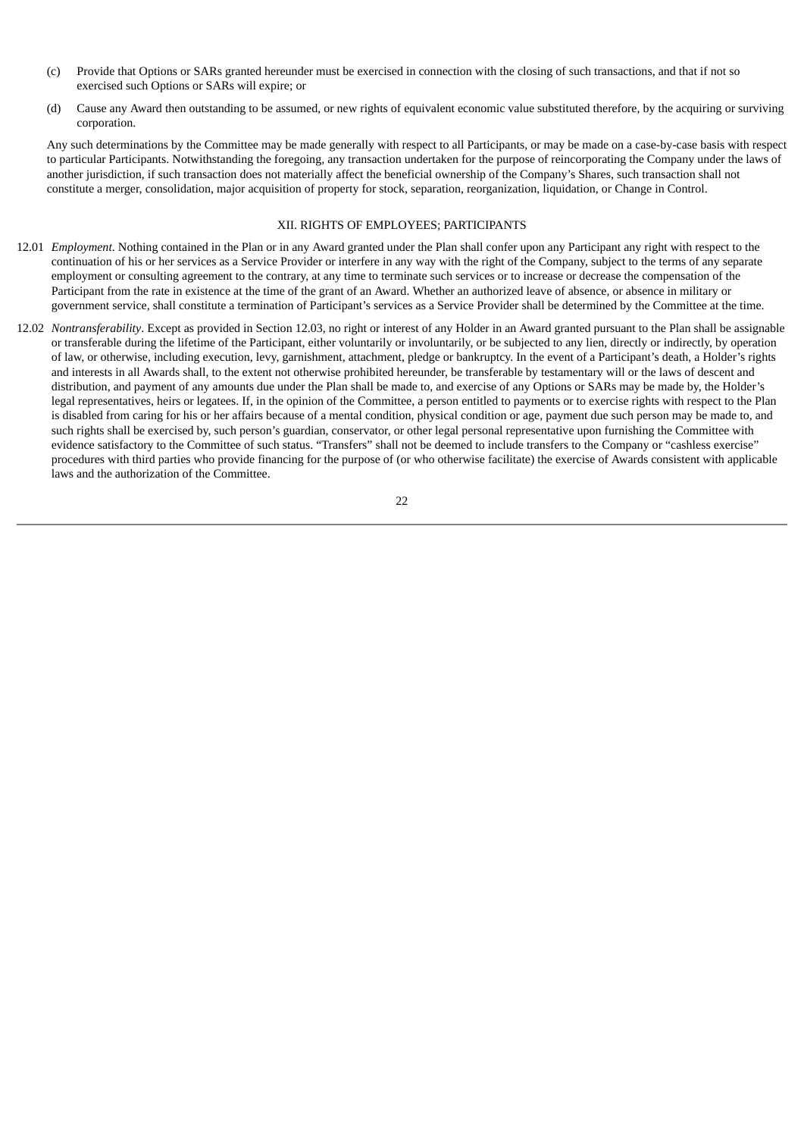- (c) Provide that Options or SARs granted hereunder must be exercised in connection with the closing of such transactions, and that if not so exercised such Options or SARs will expire; or
- (d) Cause any Award then outstanding to be assumed, or new rights of equivalent economic value substituted therefore, by the acquiring or surviving corporation.

Any such determinations by the Committee may be made generally with respect to all Participants, or may be made on a case-by-case basis with respect to particular Participants. Notwithstanding the foregoing, any transaction undertaken for the purpose of reincorporating the Company under the laws of another jurisdiction, if such transaction does not materially affect the beneficial ownership of the Company's Shares, such transaction shall not constitute a merger, consolidation, major acquisition of property for stock, separation, reorganization, liquidation, or Change in Control.

### XII. RIGHTS OF EMPLOYEES; PARTICIPANTS

- 12.01 *Employment*. Nothing contained in the Plan or in any Award granted under the Plan shall confer upon any Participant any right with respect to the continuation of his or her services as a Service Provider or interfere in any way with the right of the Company, subject to the terms of any separate employment or consulting agreement to the contrary, at any time to terminate such services or to increase or decrease the compensation of the Participant from the rate in existence at the time of the grant of an Award. Whether an authorized leave of absence, or absence in military or government service, shall constitute a termination of Participant's services as a Service Provider shall be determined by the Committee at the time.
- 12.02 *Nontransferability*. Except as provided in Section 12.03, no right or interest of any Holder in an Award granted pursuant to the Plan shall be assignable or transferable during the lifetime of the Participant, either voluntarily or involuntarily, or be subjected to any lien, directly or indirectly, by operation of law, or otherwise, including execution, levy, garnishment, attachment, pledge or bankruptcy. In the event of a Participant's death, a Holder's rights and interests in all Awards shall, to the extent not otherwise prohibited hereunder, be transferable by testamentary will or the laws of descent and distribution, and payment of any amounts due under the Plan shall be made to, and exercise of any Options or SARs may be made by, the Holder's legal representatives, heirs or legatees. If, in the opinion of the Committee, a person entitled to payments or to exercise rights with respect to the Plan is disabled from caring for his or her affairs because of a mental condition, physical condition or age, payment due such person may be made to, and such rights shall be exercised by, such person's guardian, conservator, or other legal personal representative upon furnishing the Committee with evidence satisfactory to the Committee of such status. "Transfers" shall not be deemed to include transfers to the Company or "cashless exercise" procedures with third parties who provide financing for the purpose of (or who otherwise facilitate) the exercise of Awards consistent with applicable laws and the authorization of the Committee.

22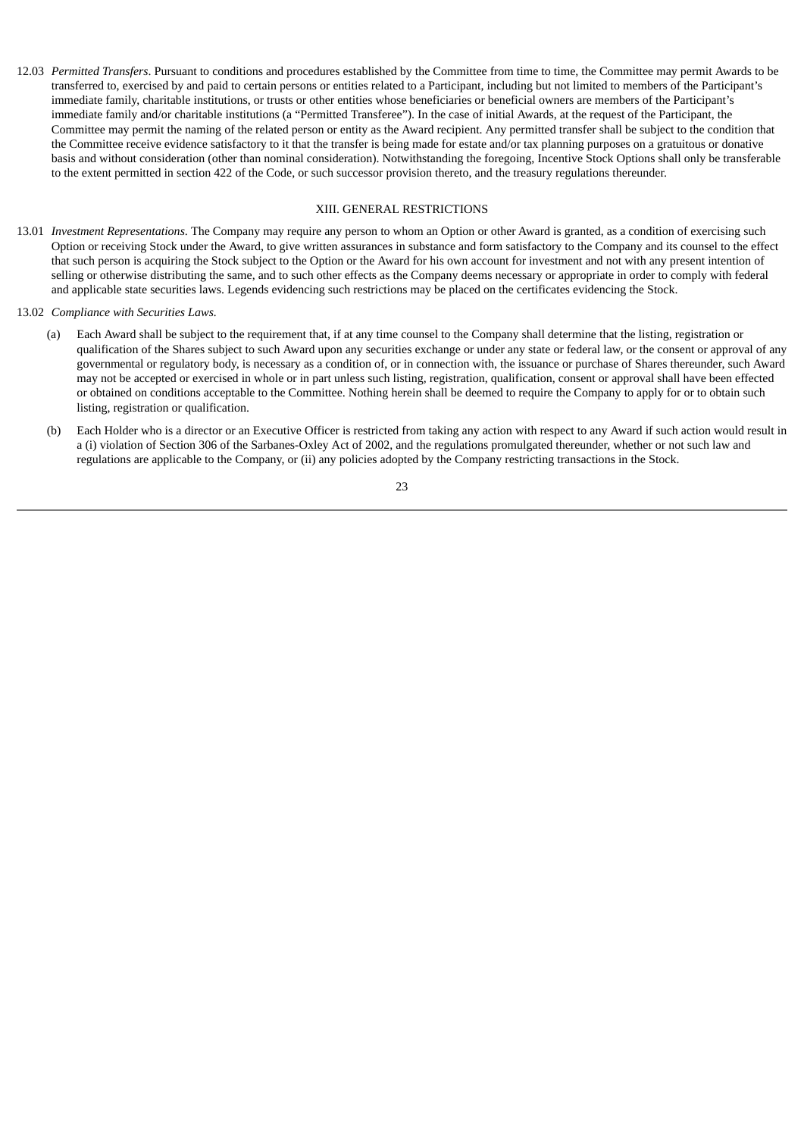12.03 *Permitted Transfers*. Pursuant to conditions and procedures established by the Committee from time to time, the Committee may permit Awards to be transferred to, exercised by and paid to certain persons or entities related to a Participant, including but not limited to members of the Participant's immediate family, charitable institutions, or trusts or other entities whose beneficiaries or beneficial owners are members of the Participant's immediate family and/or charitable institutions (a "Permitted Transferee"). In the case of initial Awards, at the request of the Participant, the Committee may permit the naming of the related person or entity as the Award recipient. Any permitted transfer shall be subject to the condition that the Committee receive evidence satisfactory to it that the transfer is being made for estate and/or tax planning purposes on a gratuitous or donative basis and without consideration (other than nominal consideration). Notwithstanding the foregoing, Incentive Stock Options shall only be transferable to the extent permitted in section 422 of the Code, or such successor provision thereto, and the treasury regulations thereunder.

#### XIII. GENERAL RESTRICTIONS

13.01 *Investment Representations*. The Company may require any person to whom an Option or other Award is granted, as a condition of exercising such Option or receiving Stock under the Award, to give written assurances in substance and form satisfactory to the Company and its counsel to the effect that such person is acquiring the Stock subject to the Option or the Award for his own account for investment and not with any present intention of selling or otherwise distributing the same, and to such other effects as the Company deems necessary or appropriate in order to comply with federal and applicable state securities laws. Legends evidencing such restrictions may be placed on the certificates evidencing the Stock.

13.02 *Compliance with Securities Laws.*

- (a) Each Award shall be subject to the requirement that, if at any time counsel to the Company shall determine that the listing, registration or qualification of the Shares subject to such Award upon any securities exchange or under any state or federal law, or the consent or approval of any governmental or regulatory body, is necessary as a condition of, or in connection with, the issuance or purchase of Shares thereunder, such Award may not be accepted or exercised in whole or in part unless such listing, registration, qualification, consent or approval shall have been effected or obtained on conditions acceptable to the Committee. Nothing herein shall be deemed to require the Company to apply for or to obtain such listing, registration or qualification.
- (b) Each Holder who is a director or an Executive Officer is restricted from taking any action with respect to any Award if such action would result in a (i) violation of Section 306 of the Sarbanes-Oxley Act of 2002, and the regulations promulgated thereunder, whether or not such law and regulations are applicable to the Company, or (ii) any policies adopted by the Company restricting transactions in the Stock.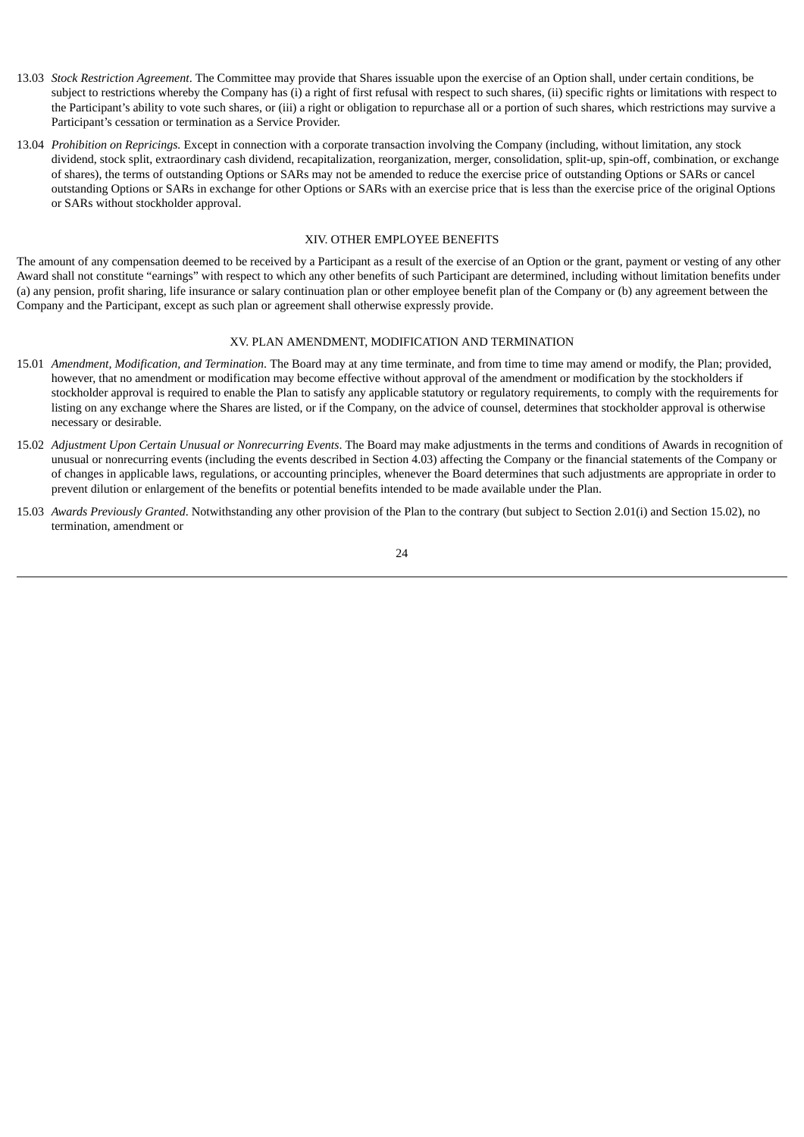- 13.03 *Stock Restriction Agreement*. The Committee may provide that Shares issuable upon the exercise of an Option shall, under certain conditions, be subject to restrictions whereby the Company has (i) a right of first refusal with respect to such shares, (ii) specific rights or limitations with respect to the Participant's ability to vote such shares, or (iii) a right or obligation to repurchase all or a portion of such shares, which restrictions may survive a Participant's cessation or termination as a Service Provider.
- 13.04 *Prohibition on Repricings.* Except in connection with a corporate transaction involving the Company (including, without limitation, any stock dividend, stock split, extraordinary cash dividend, recapitalization, reorganization, merger, consolidation, split-up, spin-off, combination, or exchange of shares), the terms of outstanding Options or SARs may not be amended to reduce the exercise price of outstanding Options or SARs or cancel outstanding Options or SARs in exchange for other Options or SARs with an exercise price that is less than the exercise price of the original Options or SARs without stockholder approval.

### XIV. OTHER EMPLOYEE BENEFITS

The amount of any compensation deemed to be received by a Participant as a result of the exercise of an Option or the grant, payment or vesting of any other Award shall not constitute "earnings" with respect to which any other benefits of such Participant are determined, including without limitation benefits under (a) any pension, profit sharing, life insurance or salary continuation plan or other employee benefit plan of the Company or (b) any agreement between the Company and the Participant, except as such plan or agreement shall otherwise expressly provide.

### XV. PLAN AMENDMENT, MODIFICATION AND TERMINATION

- 15.01 *Amendment, Modification, and Termination*. The Board may at any time terminate, and from time to time may amend or modify, the Plan; provided, however, that no amendment or modification may become effective without approval of the amendment or modification by the stockholders if stockholder approval is required to enable the Plan to satisfy any applicable statutory or regulatory requirements, to comply with the requirements for listing on any exchange where the Shares are listed, or if the Company, on the advice of counsel, determines that stockholder approval is otherwise necessary or desirable.
- 15.02 *Adjustment Upon Certain Unusual or Nonrecurring Events*. The Board may make adjustments in the terms and conditions of Awards in recognition of unusual or nonrecurring events (including the events described in Section 4.03) affecting the Company or the financial statements of the Company or of changes in applicable laws, regulations, or accounting principles, whenever the Board determines that such adjustments are appropriate in order to prevent dilution or enlargement of the benefits or potential benefits intended to be made available under the Plan.
- 15.03 *Awards Previously Granted*. Notwithstanding any other provision of the Plan to the contrary (but subject to Section 2.01(i) and Section 15.02), no termination, amendment or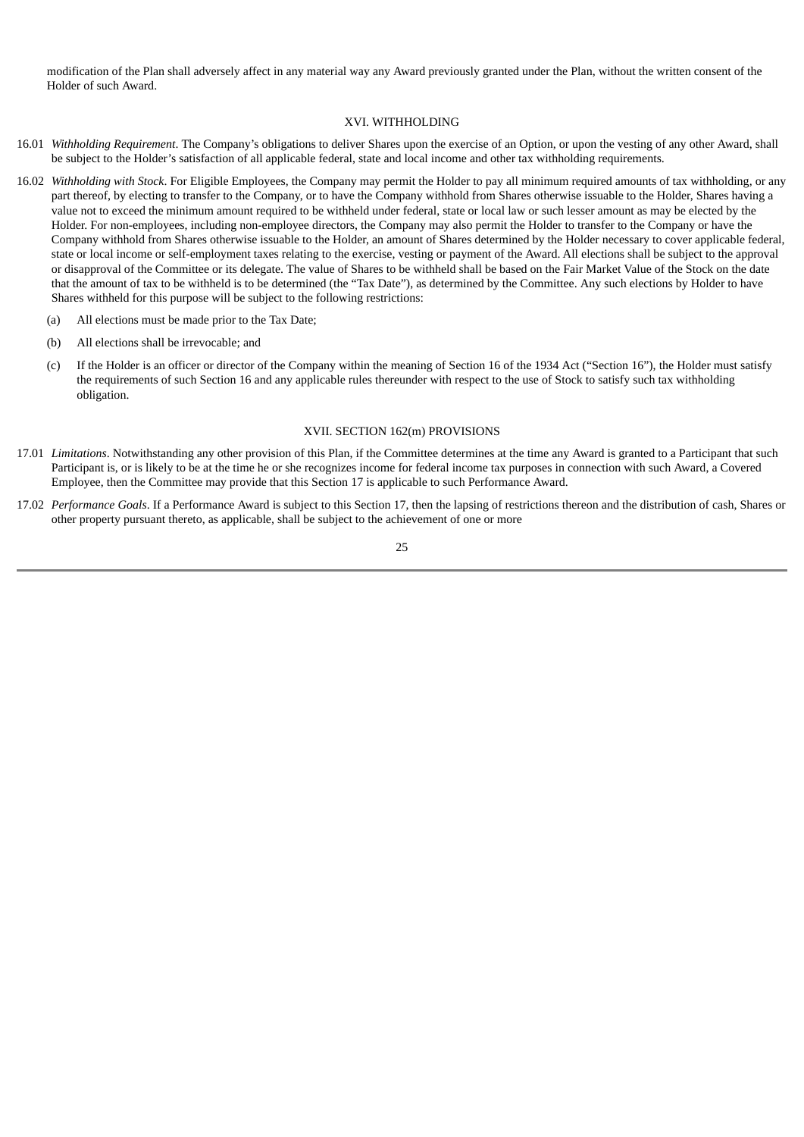modification of the Plan shall adversely affect in any material way any Award previously granted under the Plan, without the written consent of the Holder of such Award.

## XVI. WITHHOLDING

- 16.01 *Withholding Requirement*. The Company's obligations to deliver Shares upon the exercise of an Option, or upon the vesting of any other Award, shall be subject to the Holder's satisfaction of all applicable federal, state and local income and other tax withholding requirements.
- 16.02 *Withholding with Stock*. For Eligible Employees, the Company may permit the Holder to pay all minimum required amounts of tax withholding, or any part thereof, by electing to transfer to the Company, or to have the Company withhold from Shares otherwise issuable to the Holder, Shares having a value not to exceed the minimum amount required to be withheld under federal, state or local law or such lesser amount as may be elected by the Holder. For non-employees, including non-employee directors, the Company may also permit the Holder to transfer to the Company or have the Company withhold from Shares otherwise issuable to the Holder, an amount of Shares determined by the Holder necessary to cover applicable federal, state or local income or self-employment taxes relating to the exercise, vesting or payment of the Award. All elections shall be subject to the approval or disapproval of the Committee or its delegate. The value of Shares to be withheld shall be based on the Fair Market Value of the Stock on the date that the amount of tax to be withheld is to be determined (the "Tax Date"), as determined by the Committee. Any such elections by Holder to have Shares withheld for this purpose will be subject to the following restrictions:
	- (a) All elections must be made prior to the Tax Date;
	- (b) All elections shall be irrevocable; and
	- (c) If the Holder is an officer or director of the Company within the meaning of Section 16 of the 1934 Act ("Section 16"), the Holder must satisfy the requirements of such Section 16 and any applicable rules thereunder with respect to the use of Stock to satisfy such tax withholding obligation.

#### XVII. SECTION 162(m) PROVISIONS

- 17.01 *Limitations*. Notwithstanding any other provision of this Plan, if the Committee determines at the time any Award is granted to a Participant that such Participant is, or is likely to be at the time he or she recognizes income for federal income tax purposes in connection with such Award, a Covered Employee, then the Committee may provide that this Section 17 is applicable to such Performance Award.
- 17.02 *Performance Goals*. If a Performance Award is subject to this Section 17, then the lapsing of restrictions thereon and the distribution of cash, Shares or other property pursuant thereto, as applicable, shall be subject to the achievement of one or more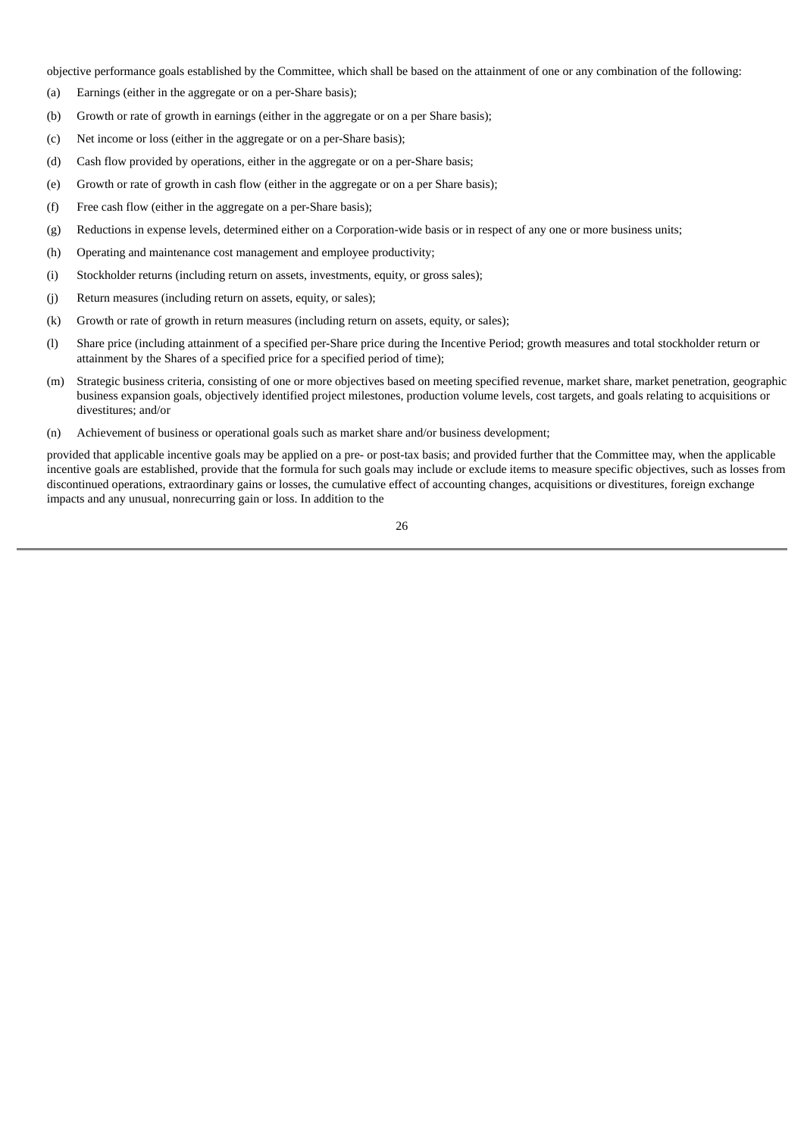objective performance goals established by the Committee, which shall be based on the attainment of one or any combination of the following:

- (a) Earnings (either in the aggregate or on a per-Share basis);
- (b) Growth or rate of growth in earnings (either in the aggregate or on a per Share basis);
- (c) Net income or loss (either in the aggregate or on a per-Share basis);
- (d) Cash flow provided by operations, either in the aggregate or on a per-Share basis;
- (e) Growth or rate of growth in cash flow (either in the aggregate or on a per Share basis);
- (f) Free cash flow (either in the aggregate on a per-Share basis);
- (g) Reductions in expense levels, determined either on a Corporation-wide basis or in respect of any one or more business units;
- (h) Operating and maintenance cost management and employee productivity;
- (i) Stockholder returns (including return on assets, investments, equity, or gross sales);
- (j) Return measures (including return on assets, equity, or sales);
- (k) Growth or rate of growth in return measures (including return on assets, equity, or sales);
- (l) Share price (including attainment of a specified per-Share price during the Incentive Period; growth measures and total stockholder return or attainment by the Shares of a specified price for a specified period of time);
- (m) Strategic business criteria, consisting of one or more objectives based on meeting specified revenue, market share, market penetration, geographic business expansion goals, objectively identified project milestones, production volume levels, cost targets, and goals relating to acquisitions or divestitures; and/or
- (n) Achievement of business or operational goals such as market share and/or business development;

provided that applicable incentive goals may be applied on a pre- or post-tax basis; and provided further that the Committee may, when the applicable incentive goals are established, provide that the formula for such goals may include or exclude items to measure specific objectives, such as losses from discontinued operations, extraordinary gains or losses, the cumulative effect of accounting changes, acquisitions or divestitures, foreign exchange impacts and any unusual, nonrecurring gain or loss. In addition to the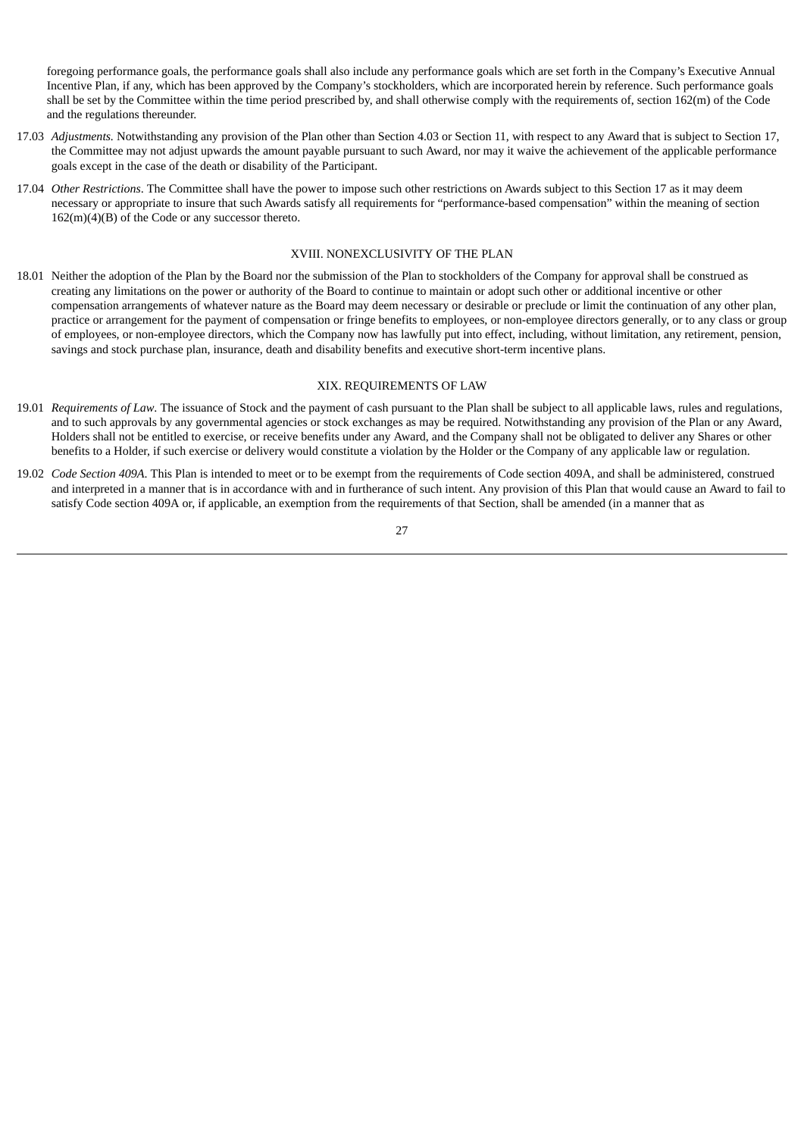foregoing performance goals, the performance goals shall also include any performance goals which are set forth in the Company's Executive Annual Incentive Plan, if any, which has been approved by the Company's stockholders, which are incorporated herein by reference. Such performance goals shall be set by the Committee within the time period prescribed by, and shall otherwise comply with the requirements of, section 162(m) of the Code and the regulations thereunder.

- 17.03 *Adjustments.* Notwithstanding any provision of the Plan other than Section 4.03 or Section 11, with respect to any Award that is subject to Section 17, the Committee may not adjust upwards the amount payable pursuant to such Award, nor may it waive the achievement of the applicable performance goals except in the case of the death or disability of the Participant.
- 17.04 *Other Restrictions*. The Committee shall have the power to impose such other restrictions on Awards subject to this Section 17 as it may deem necessary or appropriate to insure that such Awards satisfy all requirements for "performance-based compensation" within the meaning of section 162(m)(4)(B) of the Code or any successor thereto.

#### XVIII. NONEXCLUSIVITY OF THE PLAN

18.01 Neither the adoption of the Plan by the Board nor the submission of the Plan to stockholders of the Company for approval shall be construed as creating any limitations on the power or authority of the Board to continue to maintain or adopt such other or additional incentive or other compensation arrangements of whatever nature as the Board may deem necessary or desirable or preclude or limit the continuation of any other plan, practice or arrangement for the payment of compensation or fringe benefits to employees, or non-employee directors generally, or to any class or group of employees, or non-employee directors, which the Company now has lawfully put into effect, including, without limitation, any retirement, pension, savings and stock purchase plan, insurance, death and disability benefits and executive short-term incentive plans.

#### XIX. REQUIREMENTS OF LAW

- 19.01 *Requirements of Law*. The issuance of Stock and the payment of cash pursuant to the Plan shall be subject to all applicable laws, rules and regulations, and to such approvals by any governmental agencies or stock exchanges as may be required. Notwithstanding any provision of the Plan or any Award, Holders shall not be entitled to exercise, or receive benefits under any Award, and the Company shall not be obligated to deliver any Shares or other benefits to a Holder, if such exercise or delivery would constitute a violation by the Holder or the Company of any applicable law or regulation.
- 19.02 *Code Section 409A*. This Plan is intended to meet or to be exempt from the requirements of Code section 409A, and shall be administered, construed and interpreted in a manner that is in accordance with and in furtherance of such intent. Any provision of this Plan that would cause an Award to fail to satisfy Code section 409A or, if applicable, an exemption from the requirements of that Section, shall be amended (in a manner that as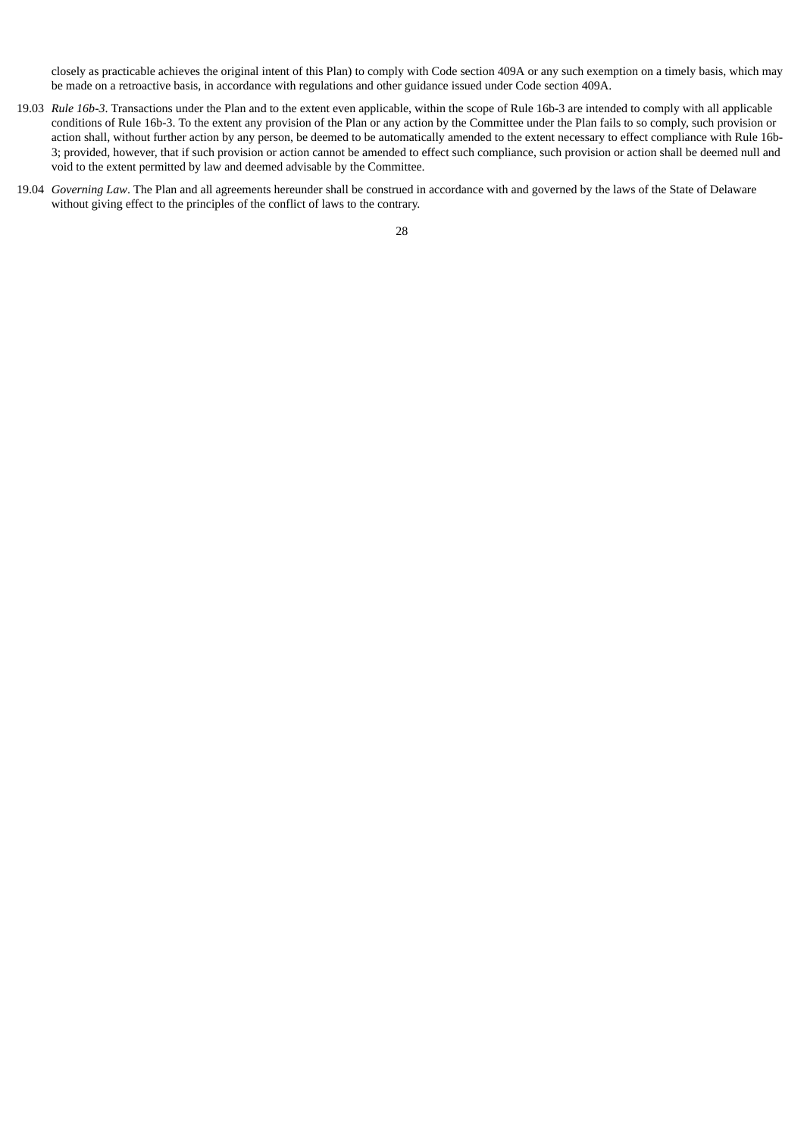closely as practicable achieves the original intent of this Plan) to comply with Code section 409A or any such exemption on a timely basis, which may be made on a retroactive basis, in accordance with regulations and other guidance issued under Code section 409A.

- 19.03 *Rule 16b-3*. Transactions under the Plan and to the extent even applicable, within the scope of Rule 16b-3 are intended to comply with all applicable conditions of Rule 16b-3. To the extent any provision of the Plan or any action by the Committee under the Plan fails to so comply, such provision or action shall, without further action by any person, be deemed to be automatically amended to the extent necessary to effect compliance with Rule 16b-3; provided, however, that if such provision or action cannot be amended to effect such compliance, such provision or action shall be deemed null and void to the extent permitted by law and deemed advisable by the Committee.
- 19.04 *Governing Law*. The Plan and all agreements hereunder shall be construed in accordance with and governed by the laws of the State of Delaware without giving effect to the principles of the conflict of laws to the contrary.

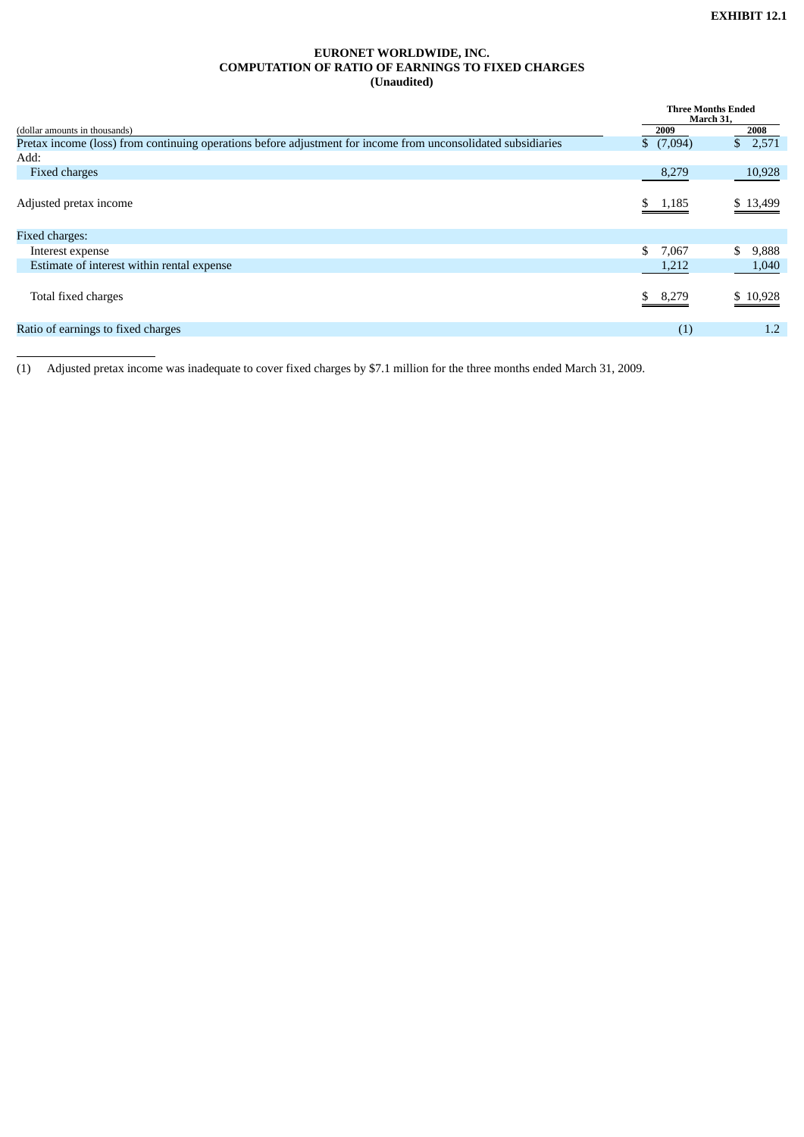# **EURONET WORLDWIDE, INC. COMPUTATION OF RATIO OF EARNINGS TO FIXED CHARGES (Unaudited)**

|                                                                                                               | <b>Three Months Ended</b><br>March 31, |          |
|---------------------------------------------------------------------------------------------------------------|----------------------------------------|----------|
| (dollar amounts in thousands)                                                                                 | 2009                                   | 2008     |
| Pretax income (loss) from continuing operations before adjustment for income from unconsolidated subsidiaries | $$^{(7,094)}$                          | \$2,571  |
| Add:                                                                                                          |                                        |          |
| Fixed charges                                                                                                 | 8,279                                  | 10,928   |
| Adjusted pretax income                                                                                        | 1,185<br>S.                            | \$13,499 |
| Fixed charges:                                                                                                |                                        |          |
| Interest expense                                                                                              | \$<br>7,067                            | 9,888    |
| Estimate of interest within rental expense                                                                    | 1,212                                  | 1,040    |
| Total fixed charges                                                                                           | 8,279                                  | \$10,928 |
| Ratio of earnings to fixed charges                                                                            | (1)                                    | 1.2      |

(1) Adjusted pretax income was inadequate to cover fixed charges by \$7.1 million for the three months ended March 31, 2009.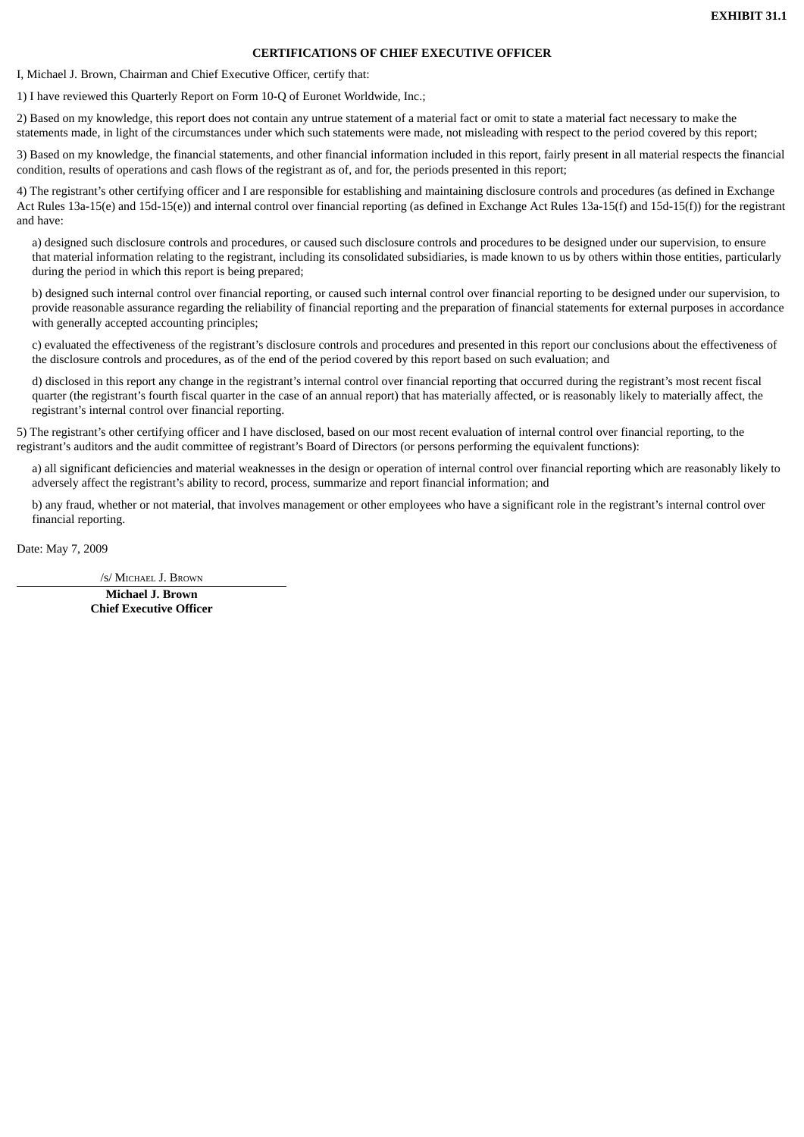## **CERTIFICATIONS OF CHIEF EXECUTIVE OFFICER**

I, Michael J. Brown, Chairman and Chief Executive Officer, certify that:

1) I have reviewed this Quarterly Report on Form 10-Q of Euronet Worldwide, Inc.;

2) Based on my knowledge, this report does not contain any untrue statement of a material fact or omit to state a material fact necessary to make the statements made, in light of the circumstances under which such statements were made, not misleading with respect to the period covered by this report;

3) Based on my knowledge, the financial statements, and other financial information included in this report, fairly present in all material respects the financial condition, results of operations and cash flows of the registrant as of, and for, the periods presented in this report;

4) The registrant's other certifying officer and I are responsible for establishing and maintaining disclosure controls and procedures (as defined in Exchange Act Rules 13a-15(e) and 15d-15(e)) and internal control over financial reporting (as defined in Exchange Act Rules 13a-15(f) and 15d-15(f)) for the registrant and have:

a) designed such disclosure controls and procedures, or caused such disclosure controls and procedures to be designed under our supervision, to ensure that material information relating to the registrant, including its consolidated subsidiaries, is made known to us by others within those entities, particularly during the period in which this report is being prepared;

b) designed such internal control over financial reporting, or caused such internal control over financial reporting to be designed under our supervision, to provide reasonable assurance regarding the reliability of financial reporting and the preparation of financial statements for external purposes in accordance with generally accepted accounting principles;

c) evaluated the effectiveness of the registrant's disclosure controls and procedures and presented in this report our conclusions about the effectiveness of the disclosure controls and procedures, as of the end of the period covered by this report based on such evaluation; and

d) disclosed in this report any change in the registrant's internal control over financial reporting that occurred during the registrant's most recent fiscal quarter (the registrant's fourth fiscal quarter in the case of an annual report) that has materially affected, or is reasonably likely to materially affect, the registrant's internal control over financial reporting.

5) The registrant's other certifying officer and I have disclosed, based on our most recent evaluation of internal control over financial reporting, to the registrant's auditors and the audit committee of registrant's Board of Directors (or persons performing the equivalent functions):

a) all significant deficiencies and material weaknesses in the design or operation of internal control over financial reporting which are reasonably likely to adversely affect the registrant's ability to record, process, summarize and report financial information; and

b) any fraud, whether or not material, that involves management or other employees who have a significant role in the registrant's internal control over financial reporting.

Date: May 7, 2009

/s/ MICHAEL J. BROWN

**Michael J. Brown Chief Executive Officer**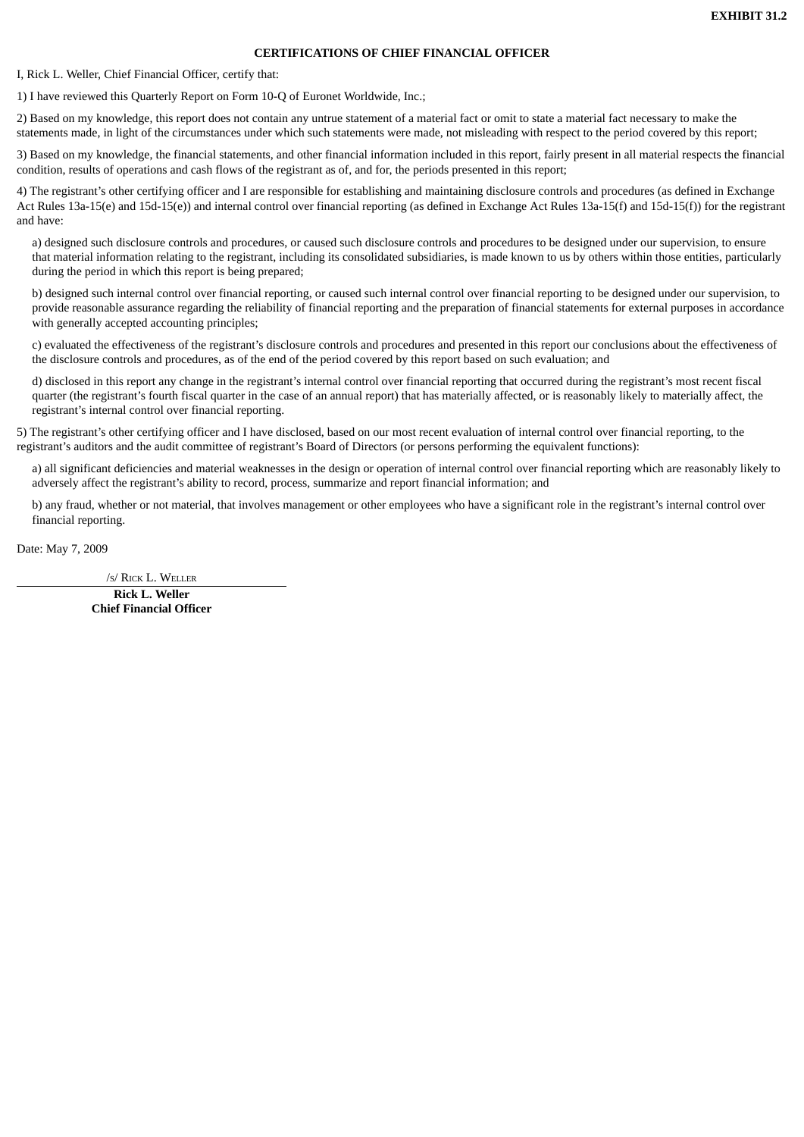## **CERTIFICATIONS OF CHIEF FINANCIAL OFFICER**

I, Rick L. Weller, Chief Financial Officer, certify that:

1) I have reviewed this Quarterly Report on Form 10-Q of Euronet Worldwide, Inc.;

2) Based on my knowledge, this report does not contain any untrue statement of a material fact or omit to state a material fact necessary to make the statements made, in light of the circumstances under which such statements were made, not misleading with respect to the period covered by this report;

3) Based on my knowledge, the financial statements, and other financial information included in this report, fairly present in all material respects the financial condition, results of operations and cash flows of the registrant as of, and for, the periods presented in this report;

4) The registrant's other certifying officer and I are responsible for establishing and maintaining disclosure controls and procedures (as defined in Exchange Act Rules 13a-15(e) and 15d-15(e)) and internal control over financial reporting (as defined in Exchange Act Rules 13a-15(f) and 15d-15(f)) for the registrant and have:

a) designed such disclosure controls and procedures, or caused such disclosure controls and procedures to be designed under our supervision, to ensure that material information relating to the registrant, including its consolidated subsidiaries, is made known to us by others within those entities, particularly during the period in which this report is being prepared;

b) designed such internal control over financial reporting, or caused such internal control over financial reporting to be designed under our supervision, to provide reasonable assurance regarding the reliability of financial reporting and the preparation of financial statements for external purposes in accordance with generally accepted accounting principles;

c) evaluated the effectiveness of the registrant's disclosure controls and procedures and presented in this report our conclusions about the effectiveness of the disclosure controls and procedures, as of the end of the period covered by this report based on such evaluation; and

d) disclosed in this report any change in the registrant's internal control over financial reporting that occurred during the registrant's most recent fiscal quarter (the registrant's fourth fiscal quarter in the case of an annual report) that has materially affected, or is reasonably likely to materially affect, the registrant's internal control over financial reporting.

5) The registrant's other certifying officer and I have disclosed, based on our most recent evaluation of internal control over financial reporting, to the registrant's auditors and the audit committee of registrant's Board of Directors (or persons performing the equivalent functions):

a) all significant deficiencies and material weaknesses in the design or operation of internal control over financial reporting which are reasonably likely to adversely affect the registrant's ability to record, process, summarize and report financial information; and

b) any fraud, whether or not material, that involves management or other employees who have a significant role in the registrant's internal control over financial reporting.

Date: May 7, 2009

/S/ RICK L. WELLER

**Rick L. Weller Chief Financial Officer**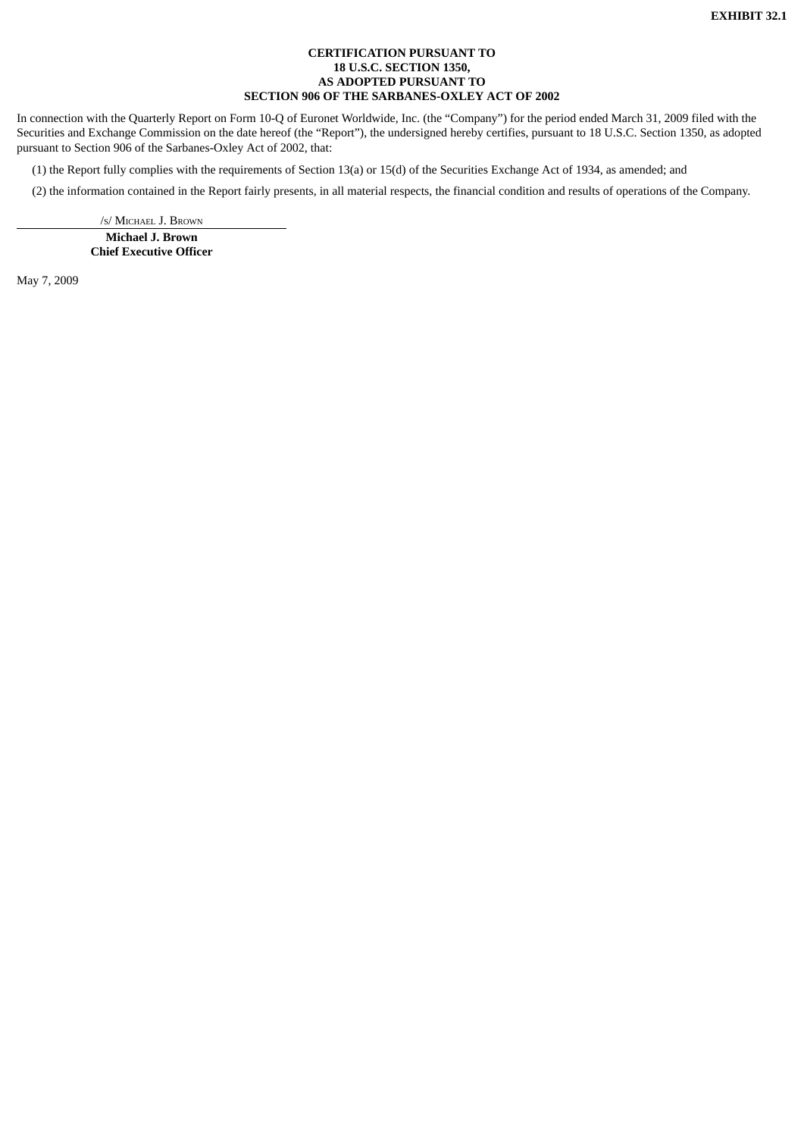## **CERTIFICATION PURSUANT TO 18 U.S.C. SECTION 1350, AS ADOPTED PURSUANT TO SECTION 906 OF THE SARBANES-OXLEY ACT OF 2002**

In connection with the Quarterly Report on Form 10-Q of Euronet Worldwide, Inc. (the "Company") for the period ended March 31, 2009 filed with the Securities and Exchange Commission on the date hereof (the "Report"), the undersigned hereby certifies, pursuant to 18 U.S.C. Section 1350, as adopted pursuant to Section 906 of the Sarbanes-Oxley Act of 2002, that:

(1) the Report fully complies with the requirements of Section 13(a) or 15(d) of the Securities Exchange Act of 1934, as amended; and

(2) the information contained in the Report fairly presents, in all material respects, the financial condition and results of operations of the Company.

/S/ MICHAEL J. BROWN

**Michael J. Brown Chief Executive Officer**

May 7, 2009